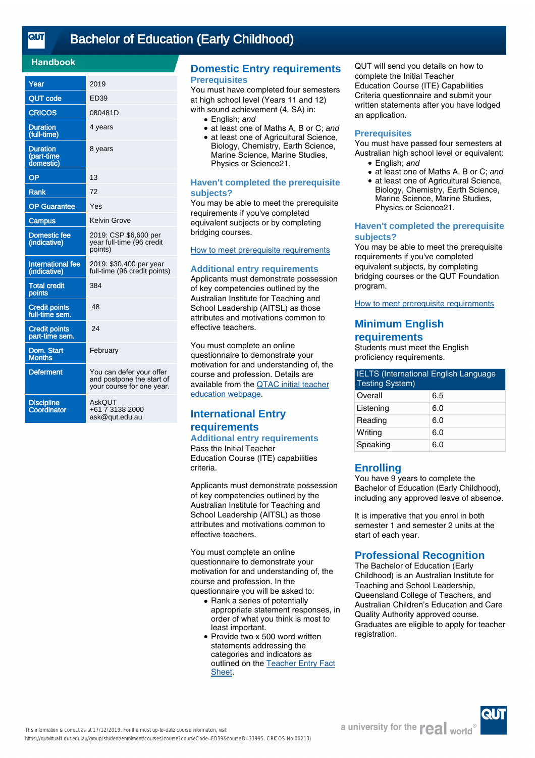## **Handbook**

| Year                                       | 2019                                                                               |
|--------------------------------------------|------------------------------------------------------------------------------------|
| <b>QUT code</b>                            | ED39                                                                               |
| <b>CRICOS</b>                              | 080481D                                                                            |
| <b>Duration</b><br>(full-time)             | 4 years                                                                            |
| <b>Duration</b><br>(part-time<br>domestic) | 8 years                                                                            |
| OP                                         | 13                                                                                 |
| <b>Rank</b>                                | 72                                                                                 |
| <b>OP Guarantee</b>                        | Yes                                                                                |
| <b>Campus</b>                              | <b>Kelvin Grove</b>                                                                |
| <b>Domestic fee</b><br>(indicative)        | 2019: CSP \$6,600 per<br>year full-time (96 credit<br>points)                      |
| <b>International fee</b><br>(indicative)   | 2019: \$30,400 per year<br>full-time (96 credit points)                            |
| <b>Total credit</b><br>points              | 384                                                                                |
| <b>Credit points</b><br>full-time sem.     | 48                                                                                 |
| <b>Credit points</b><br>part-time sem.     | 24                                                                                 |
| Dom. Start<br><b>Months</b>                | February                                                                           |
| <b>Deferment</b>                           | You can defer your offer<br>and postpone the start of<br>your course for one year. |
| <b>Discipline</b><br>Coordinator           | AskQUT<br>+61 7 3138 2000<br>ask@qut.edu.au                                        |

## **Domestic Entry requirements Prerequisites**

You must have completed four semesters at high school level (Years 11 and 12) with sound achievement (4, SA) in:

- English: and
- at least one of Maths A, B or C; and
- at least one of Agricultural Science, Biology, Chemistry, Earth Science, Marine Science, Marine Studies, Physics or Science21.

## **Haven't completed the prerequisite subjects?**

You may be able to meet the prerequisite requirements if you've completed equivalent subjects or by completing bridging courses.

# [How to meet prerequisite requirements](https://www.qut.edu.au/study/applying/undergraduate-applications/prerequisite-subjects)

#### **Additional entry requirements**

Applicants must demonstrate possession of key competencies outlined by the Australian Institute for Teaching and School Leadership (AITSL) as those attributes and motivations common to effective teachers.

You must complete an online questionnaire to demonstrate your motivation for and understanding of, the course and profession. Details are available from the [QTAC initial teacher](http://www.qtac.edu.au/courses---institutions/initial-teacher-education) [education webpage](http://www.qtac.edu.au/courses---institutions/initial-teacher-education).

# **International Entry requirements**

**Additional entry requirements** Pass the Initial Teacher Education Course (ITE) capabilities criteria.

Applicants must demonstrate possession of key competencies outlined by the Australian Institute for Teaching and School Leadership (AITSL) as those attributes and motivations common to effective teachers.

You must complete an online questionnaire to demonstrate your motivation for and understanding of, the course and profession. In the questionnaire you will be asked to:

- Rank a series of potentially appropriate statement responses, in order of what you think is most to least important.
- Provide two x 500 word written statements addressing the categories and indicators as outlined on the [Teacher Entry Fact](https://www.qtac.edu.au/ArticleDocuments/173/Teacher%20Entry%20Fact%20Sheet.pdf.aspx) [Sheet](https://www.qtac.edu.au/ArticleDocuments/173/Teacher%20Entry%20Fact%20Sheet.pdf.aspx).

QUT will send you details on how to complete the Initial Teacher Education Course (ITE) Capabilities Criteria questionnaire and submit your written statements after you have lodged an application.

#### **Prerequisites**

You must have passed four semesters at Australian high school level or equivalent:

- English; and
- at least one of Maths A, B or C; and
- at least one of Agricultural Science, Biology, Chemistry, Earth Science, Marine Science, Marine Studies, Physics or Science21. ●

#### **Haven't completed the prerequisite subjects?**

You may be able to meet the prerequisite requirements if you've completed equivalent subjects, by completing bridging courses or the QUT Foundation program.

[How to meet prerequisite requirements](https://www.qut.edu.au/study/applying/undergraduate-applications/prerequisite-subjects)

# **Minimum English requirements**

Students must meet the English proficiency requirements.

| <b>IELTS</b> (International English Language<br><b>Testing System)</b> |     |
|------------------------------------------------------------------------|-----|
| Overall                                                                | 6.5 |
| Listening                                                              | 6.0 |
| Reading                                                                | 6.0 |
| Writing                                                                | 6.0 |
| Speaking                                                               | 6.0 |

# **Enrolling**

You have 9 years to complete the Bachelor of Education (Early Childhood), including any approved leave of absence.

It is imperative that you enrol in both semester 1 and semester 2 units at the start of each year.

# **Professional Recognition**

The Bachelor of Education (Early Childhood) is an Australian Institute for Teaching and School Leadership, Queensland College of Teachers, and Australian Children's Education and Care Quality Authority approved course. Graduates are eligible to apply for teacher registration.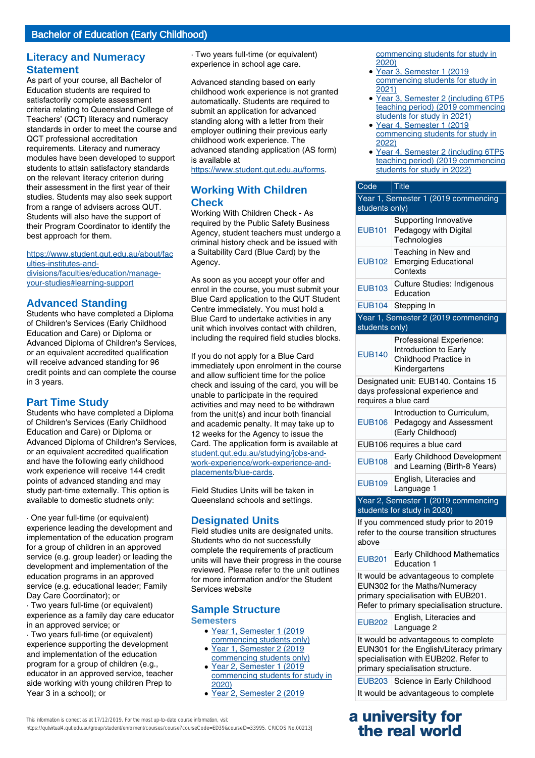# **Literacy and Numeracy Statement**

As part of your course, all Bachelor of Education students are required to satisfactorily complete assessment criteria relating to Queensland College of Teachers' (QCT) literacy and numeracy standards in order to meet the course and QCT professional accreditation requirements. Literacy and numeracy modules have been developed to support students to attain satisfactory standards on the relevant literacy criterion during their assessment in the first year of their studies. Students may also seek support from a range of advisers across QUT. Students will also have the support of their Program Coordinator to identify the best approach for them.

[https://www.student.qut.edu.au/about/fac](https://www.student.qut.edu.au/about/faculties-institutes-and-divisions/faculties/education/manage-your-studies#learning-support) [ulties-institutes-and](https://www.student.qut.edu.au/about/faculties-institutes-and-divisions/faculties/education/manage-your-studies#learning-support)[divisions/faculties/education/manage](https://www.student.qut.edu.au/about/faculties-institutes-and-divisions/faculties/education/manage-your-studies#learning-support)[your-studies#learning-support](https://www.student.qut.edu.au/about/faculties-institutes-and-divisions/faculties/education/manage-your-studies#learning-support)

# **Advanced Standing**

Students who have completed a Diploma of Children's Services (Early Childhood Education and Care) or Diploma or Advanced Diploma of Children's Services, or an equivalent accredited qualification will receive advanced standing for 96 credit points and can complete the course in 3 years.

# **Part Time Study**

Students who have completed a Diploma of Children's Services (Early Childhood Education and Care) or Diploma or Advanced Diploma of Children's Services, or an equivalent accredited qualification and have the following early childhood work experience will receive 144 credit points of advanced standing and may study part-time externally. This option is available to domestic studnets only:

· One year full-time (or equivalent) experience leading the development and implementation of the education program for a group of children in an approved service (e.g. group leader) or leading the development and implementation of the education programs in an approved service (e.g. educational leader; Family Day Care Coordinator); or

· Two years full-time (or equivalent) experience as a family day care educator in an approved service; or

· Two years full-time (or equivalent) experience supporting the development and implementation of the education program for a group of children (e.g., educator in an approved service, teacher aide working with young children Prep to Year 3 in a school); or

· Two years full-time (or equivalent) experience in school age care.

Advanced standing based on early childhood work experience is not granted automatically. Students are required to submit an application for advanced standing along with a letter from their employer outlining their previous early childhood work experience. The advanced standing application (AS form) is available at

<https://www.student.qut.edu.au/forms>.

# **Working With Children Check**

Working With Children Check - As required by the Public Safety Business Agency, student teachers must undergo a criminal history check and be issued with a Suitability Card (Blue Card) by the Agency.

As soon as you accept your offer and enrol in the course, you must submit your Blue Card application to the QUT Student Centre immediately. You must hold a Blue Card to undertake activities in any unit which involves contact with children, including the required field studies blocks.

If you do not apply for a Blue Card immediately upon enrolment in the course and allow sufficient time for the police check and issuing of the card, you will be unable to participate in the required activities and may need to be withdrawn from the unit(s) and incur both financial and academic penalty. It may take up to 12 weeks for the Agency to issue the Card. The application form is available at [student.qut.edu.au/studying/jobs-and](http://student.qut.edu.au/studying/jobs-and-work-experience/work-experience-and-placements/blue-cards)[work-experience/work-experience-and](http://student.qut.edu.au/studying/jobs-and-work-experience/work-experience-and-placements/blue-cards)[placements/blue-cards](http://student.qut.edu.au/studying/jobs-and-work-experience/work-experience-and-placements/blue-cards).

Field Studies Units will be taken in Queensland schools and settings.

# **Designated Units**

Field studies units are designated units. Students who do not successfully complete the requirements of practicum units will have their progress in the course reviewed. Please refer to the unit outlines for more information and/or the Student Services website

## **Sample Structure Semesters**

- Year 1, Semester 1 (2019 commencing students only)
- Year 1, Semester 2 (2019 commencing students only)
- Year 2, Semester 1 (2019 commencing students for study in 2020) ●
- Year 2, Semester 2 (2019
- Year 3, Semester 1 (2019 commencing students for study in 2021)
- Year 3, Semester 2 (including 6TP5 teaching period) (2019 commencing students for study in 2021)
- Year 4, Semester 1 (2019 commencing students for study in 2022)
- Year 4, Semester 2 (including 6TP5 teaching period) (2019 commencing students for study in 2022)

| Code                                                                                             | <b>Title</b>                                                                                |
|--------------------------------------------------------------------------------------------------|---------------------------------------------------------------------------------------------|
|                                                                                                  | Year 1, Semester 1 (2019 commencing                                                         |
| students only)                                                                                   |                                                                                             |
| <b>EUB101</b>                                                                                    | Supporting Innovative<br>Pedagogy with Digital<br>Technologies                              |
| <b>EUB102</b>                                                                                    | Teaching in New and<br><b>Emerging Educational</b><br>Contexts                              |
| <b>EUB103</b>                                                                                    | <b>Culture Studies: Indigenous</b><br>Education                                             |
| <b>EUB104</b>                                                                                    | Stepping In                                                                                 |
|                                                                                                  | Year 1, Semester 2 (2019 commencing                                                         |
| students only)                                                                                   |                                                                                             |
| <b>EUB140</b>                                                                                    | Professional Experience:<br>Introduction to Early<br>Childhood Practice in<br>Kindergartens |
| Designated unit: EUB140. Contains 15<br>days professional experience and<br>requires a blue card |                                                                                             |
| <b>EUB106</b>                                                                                    | Introduction to Curriculum,<br>Pedagogy and Assessment<br>(Early Childhood)                 |
| EUB106 requires a blue card                                                                      |                                                                                             |
| <b>EUB108</b>                                                                                    | Early Childhood Development<br>and Learning (Birth-8 Years)                                 |
| <b>EUB109</b>                                                                                    | English, Literacies and<br>Language 1                                                       |
| Year 2, Semester 1 (2019 commencing                                                              |                                                                                             |
|                                                                                                  | students for study in 2020)                                                                 |
| above                                                                                            | If you commenced study prior to 2019<br>refer to the course transition structures           |
| <b>EUB201</b>                                                                                    | <b>Early Childhood Mathematics</b><br><b>Education 1</b>                                    |

It would be advantageous to complete EUN302 for the Maths/Numeracy primary specialisation with EUB201. Refer to primary specialisation structure.

EUB<sub>202</sub> English, Literacies and Language 2

It would be advantageous to complete EUN301 for the English/Literacy primary specialisation with EUB202. Refer to primary specialisation structure.

EUB203 Science in Early Childhood It would be advantageous to complete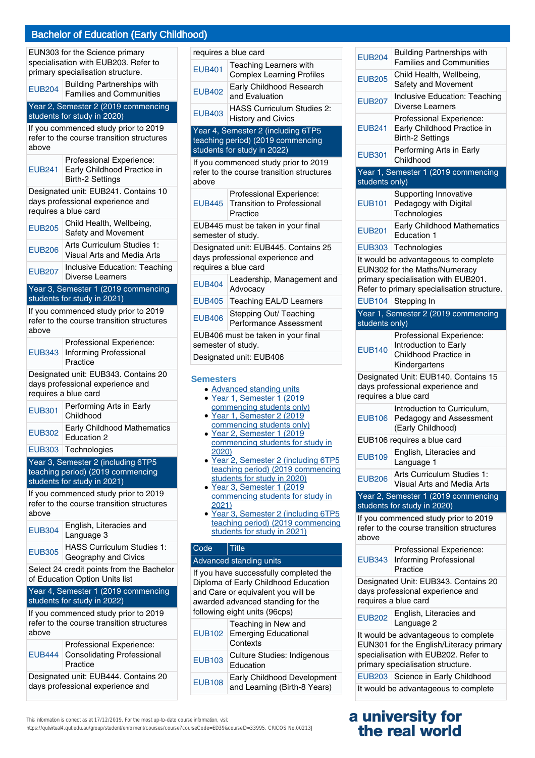|               | EUN303 for the Science primary<br>specialisation with EUB203. Refer to<br>primary specialisation structure. |
|---------------|-------------------------------------------------------------------------------------------------------------|
| <b>EUB204</b> | <b>Building Partnerships with</b><br><b>Families and Communities</b>                                        |
|               | Year 2, Semester 2 (2019 commencing<br>students for study in 2020)                                          |
| above         | If you commenced study prior to 2019<br>refer to the course transition structures                           |
| <b>EUB241</b> | Professional Experience:<br>Early Childhood Practice in<br><b>Birth-2 Settings</b>                          |
|               | Designated unit: EUB241. Contains 10<br>days professional experience and<br>requires a blue card            |
| <b>EUB205</b> | Child Health, Wellbeing,<br>Safety and Movement                                                             |
| <b>EUB206</b> | Arts Curriculum Studies 1:<br>Visual Arts and Media Arts                                                    |
| <b>EUB207</b> | Inclusive Education: Teaching<br>Diverse Learners                                                           |
|               | Year 3, Semester 1 (2019 commencing<br>students for study in 2021)                                          |
|               | If you commenced study prior to 2019                                                                        |
| above         | refer to the course transition structures                                                                   |
| <b>EUB343</b> | Professional Experience:<br><b>Informing Professional</b><br>Practice                                       |
|               | Designated unit: EUB343. Contains 20<br>days professional experience and<br>requires a blue card            |
| <b>EUB301</b> | Performing Arts in Early<br>Childhood                                                                       |
| <b>EUB302</b> | <b>Early Childhood Mathematics</b><br>Education 2                                                           |
|               | EUB303   Technologies                                                                                       |
|               | Year 3, Semester 2 (including 6TP5                                                                          |
|               | teaching period) (2019 commencing<br>students for study in 2021)                                            |
|               | If you commenced study prior to 2019                                                                        |
| above         | refer to the course transition structures                                                                   |
| <b>EUB304</b> | English, Literacies and<br>Language 3                                                                       |
| <b>EUB305</b> | <b>HASS Curriculum Studies 1:</b><br>Geography and Civics                                                   |
|               | Select 24 credit points from the Bachelor<br>of Education Option Units list                                 |
|               | Year 4, Semester 1 (2019 commencing<br>students for study in 2022)                                          |
| above         | If you commenced study prior to 2019<br>refer to the course transition structures                           |
| <b>EUB444</b> | Professional Experience:<br><b>Consolidating Professional</b><br>Practice                                   |
|               | Designated unit: EUB444. Contains 20<br>days professional experience and                                    |

This information is correct as at 17/12/2019. For the most up-to-date course information, visit

https://qutvirtual4.qut.edu.au/group/student/enrolment/courses/course?courseCode=ED39&courseID=33995. CRICOS No.00213J

|                             | requires a blue card                                                                                   |  |
|-----------------------------|--------------------------------------------------------------------------------------------------------|--|
| <b>EUB401</b>               | <b>Teaching Learners with</b><br><b>Complex Learning Profiles</b>                                      |  |
| <b>EUB402</b>               | Early Childhood Research<br>and Evaluation                                                             |  |
| <b>EUB403</b>               | <b>HASS Curriculum Studies 2:</b><br><b>History and Civics</b>                                         |  |
|                             | Year 4, Semester 2 (including 6TP5<br>teaching period) (2019 commencing<br>students for study in 2022) |  |
|                             | If you commenced study prior to 2019<br>refer to the course transition structures                      |  |
| above                       |                                                                                                        |  |
| <b>EUB445</b>               | Professional Experience:<br><b>Transition to Professional</b><br>Practice                              |  |
| semester of study.          | EUB445 must be taken in your final                                                                     |  |
|                             | Designated unit: EUB445. Contains 25                                                                   |  |
|                             | days professional experience and                                                                       |  |
|                             | requires a blue card                                                                                   |  |
| <b>EUB404</b>               | Leadership, Management and<br>Advocacv                                                                 |  |
| <b>EUB405</b>               | <b>Teaching EAL/D Learners</b>                                                                         |  |
| <b>EUB406</b>               | Stepping Out/ Teaching<br>Performance Assessment                                                       |  |
|                             | EUB406 must be taken in your final<br>semester of study.                                               |  |
|                             | Designated unit: EUB406                                                                                |  |
| <b>Semesters</b>            |                                                                                                        |  |
|                             | · Advanced standing units<br>· Year 1, Semester 1 (2019                                                |  |
|                             | commencing students only)                                                                              |  |
|                             | · Year 1, Semester 2 (2019<br>commencing students only)                                                |  |
| · Year 2, Semester 1 (2019  |                                                                                                        |  |
| 2020)                       | commencing students for study in                                                                       |  |
|                             | · Year 2, Semester 2 (including 6TP5                                                                   |  |
|                             | teaching period) (2019 commencing                                                                      |  |
|                             | students for study in 2020)<br>· Year 3, Semester 1 (2019                                              |  |
|                             | commencing students for study in                                                                       |  |
| 2021)                       | · Year 3, Semester 2 (including 6TP5                                                                   |  |
|                             | teaching period) (2019 commencing                                                                      |  |
| students for study in 2021) |                                                                                                        |  |
| Code                        | <b>Title</b>                                                                                           |  |
|                             | Advanced standing units                                                                                |  |
|                             | If you have successfully completed the<br>Diploma of Early Childhood Education                         |  |
|                             | and Care or equivalent you will be                                                                     |  |
|                             | awarded advanced standing for the                                                                      |  |
|                             | following eight units (96cps)                                                                          |  |
| <b>EUB102</b>               | Teaching in New and<br><b>Emerging Educational</b><br>Contexts                                         |  |
| <b>EUB103</b>               |                                                                                                        |  |
|                             | <b>Culture Studies: Indigenous</b><br>Education                                                        |  |

EUB204 Building Partnerships with Families and Communities EUB205 Child Health, Wellbeing, Safety and Movement EUB207 Inclusive Education: Teaching Diverse Learners EUB241 Professional Experience: Early Childhood Practice in Birth-2 Settings EUB301 Performing Arts in Early Childhood Year 1, Semester 1 (2019 commencing students only) EUB101 Supporting Innovative Pedagogy with Digital **Technologies** EUB201 Early Childhood Mathematics Education 1 EUB303 Technologies It would be advantageous to complete EUN302 for the Maths/Numeracy primary specialisation with EUB201. Refer to primary specialisation structure. EUB104 Stepping In Year 1, Semester 2 (2019 commencing students only) EUB140 Professional Experience: Introduction to Early Childhood Practice in Kindergartens Designated Unit: EUB140. Contains 15 days professional experience and requires a blue card EUB106 Introduction to Curriculum, Pedagogy and Assessment (Early Childhood) EUB106 requires a blue card EUB109 English, Literacies and Language 1 EUB206 Arts Curriculum Studies 1: Visual Arts and Media Arts Year 2, Semester 1 (2019 commencing students for study in 2020) If you commenced study prior to 2019 refer to the course transition structures above EUB343 Informing Professional Professional Experience: Practice Designated Unit: EUB343. Contains 20 days professional experience and requires a blue card EUB202 English, Literacies and Language 2 It would be advantageous to complete EUN301 for the English/Literacy primary specialisation with EUB202. Refer to primary specialisation structure. EUB203 Science in Early Childhood It would be advantageous to complete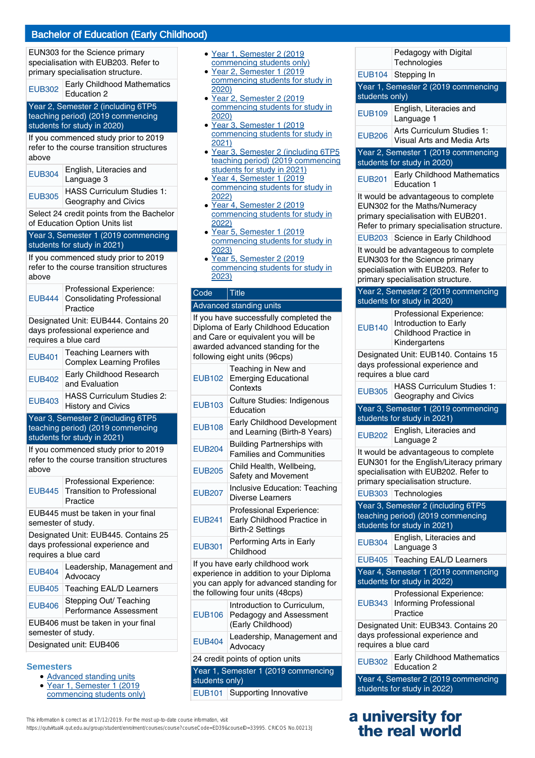EUN303 for the Science primary specialisation with EUB203. Refer to primary specialisation structure.

|  | <b>Early Childhood Mathematics</b> |
|--|------------------------------------|
|  | $-1$ JB302 $\vert$ Education 2     |

#### Year 2, Semester 2 (including 6TP5 teaching period) (2019 commencing students for study in 2020)

If you commenced study prior to 2019 refer to the course transition structures above

| <b>EUB304</b> | English, Literacies and<br>Language 3 |
|---------------|---------------------------------------|
|               | HASS Curriculum Studies 1             |

EUB305 HASS Curriculum Studies 1: Geography and Civics

Select 24 credit points from the Bachelor of Education Option Units list

#### Year 3, Semester 1 (2019 commencing students for study in 2021)

If you commenced study prior to 2019 refer to the course transition structures above

|  | Professional Experience:<br>EUB444   Consolidating Professional<br>Practice |
|--|-----------------------------------------------------------------------------|
|--|-----------------------------------------------------------------------------|

Designated Unit: EUB444. Contains 20 days professional experience and requires a blue card

| <b>EUB401</b> | Teaching Learners with<br><b>Complex Learning Profiles</b> |
|---------------|------------------------------------------------------------|
| <b>EUB402</b> | Early Childhood Research<br>and Evaluation                 |
| <b>EUB403</b> | HASS Curriculum Studies 2:<br><b>History and Civics</b>    |

Year 3, Semester 2 (including 6TP5 teaching period) (2019 commencing students for study in 2021)

If you commenced study prior to 2019 refer to the course transition structures above

| Professional Experience:          |
|-----------------------------------|
| EUB445 Transition to Professional |
| Practice                          |

EUB445 must be taken in your final semester of study.

Designated Unit: EUB445. Contains 25 days professional experience and requires a blue card

| <b>EUB404</b>                                            | Leadership, Management and<br>Advocacy           |
|----------------------------------------------------------|--------------------------------------------------|
| <b>EUB405</b>                                            | Teaching EAL/D Learners                          |
| <b>EUB406</b>                                            | Stepping Out/ Teaching<br>Performance Assessment |
| EUB406 must be taken in your final<br>semester of study. |                                                  |
| Designated unit: EUB406                                  |                                                  |
|                                                          |                                                  |

#### **Semesters**

- Advanced standing units
- Year 1, Semester 1 (2019 commencing students only) ●
- Year 1, Semester 2 (2019 commencing students only)
- Year 2, Semester 1 (2019 commencing students for study in 2020)
- Year 2, Semester 2 (2019 commencing students for study in 2020) ●
- Year 3, Semester 1 (2019 commencing students for study in 2021)
- Year 3, Semester 2 (including 6TP5 teaching period) (2019 commencing students for study in 2021)
- Year 4, Semester 1 (2019 commencing students for study in 2022)
- Year 4, Semester 2 (2019 commencing students for study in 2022)
- Year 5, Semester 1 (2019) commencing students for study in 2023) ●
- Year 5, Semester 2 (2019 commencing students for study in 2023)

# Code Title

#### Advanced standing units

If you have successfully completed the Diploma of Early Childhood Education and Care or equivalent you will be awarded advanced standing for the following eight units (96cps)

| <b>EUB102</b>                                                                                                                                             | Teaching in New and<br><b>Emerging Educational</b><br>Contexts                     |
|-----------------------------------------------------------------------------------------------------------------------------------------------------------|------------------------------------------------------------------------------------|
| <b>EUB103</b>                                                                                                                                             | Culture Studies: Indigenous<br>Education                                           |
| <b>EUB108</b>                                                                                                                                             | Early Childhood Development<br>and Learning (Birth-8 Years)                        |
| <b>EUB204</b>                                                                                                                                             | <b>Building Partnerships with</b><br><b>Families and Communities</b>               |
| <b>EUB205</b>                                                                                                                                             | Child Health, Wellbeing,<br>Safety and Movement                                    |
| <b>EUB207</b>                                                                                                                                             | Inclusive Education: Teaching<br>Diverse Learners                                  |
| <b>EUB241</b>                                                                                                                                             | Professional Experience:<br>Early Childhood Practice in<br><b>Birth-2 Settings</b> |
| <b>EUB301</b>                                                                                                                                             | Performing Arts in Early<br>Childhood                                              |
| If you have early childhood work<br>experience in addition to your Diploma<br>you can apply for advanced standing for<br>the following four units (48cps) |                                                                                    |
| <b>EUB106</b>                                                                                                                                             | Introduction to Curriculum,<br>Pedagogy and Assessment<br>(Early Childhood)        |
| <b>EUB404</b>                                                                                                                                             | Leadership, Management and<br>Advocacy                                             |
| 24 credit points of option units                                                                                                                          |                                                                                    |
| Year 1, Semester 1 (2019 commencing<br>students only)                                                                                                     |                                                                                    |

EUB101 Supporting Innovative

| EUB104 Stepping In<br>Year 1, Semester 2 (2019 commencing<br>students only)<br>English, Literacies and<br><b>EUB109</b><br>Language 1<br>Arts Curriculum Studies 1:<br><b>EUB206</b><br>Visual Arts and Media Arts<br>Year 2, Semester 1 (2019 commencing<br>students for study in 2020)<br><b>Early Childhood Mathematics</b><br><b>EUB201</b><br><b>Education 1</b><br>It would be advantageous to complete<br>EUN302 for the Maths/Numeracy<br>primary specialisation with EUB201.<br>Refer to primary specialisation structure.<br>EUB203 Science in Early Childhood<br>It would be advantageous to complete<br>EUN303 for the Science primary<br>specialisation with EUB203. Refer to<br>primary specialisation structure.<br>Year 2, Semester 2 (2019 commencing<br>students for study in 2020)<br>Professional Experience:<br>Introduction to Early<br><b>EUB140</b><br>Childhood Practice in<br>Kindergartens<br>Designated Unit: EUB140. Contains 15<br>days professional experience and<br>requires a blue card<br><b>HASS Curriculum Studies 1:</b><br><b>EUB305</b><br>Geography and Civics<br>Year 3, Semester 1 (2019 commencing<br>students for study in 2021)<br>English, Literacies and<br><b>EUB202</b><br>Language 2<br>It would be advantageous to complete<br>EUN301 for the English/Literacy primary<br>specialisation with EUB202. Refer to<br>primary specialisation structure.<br>EUB303 Technologies<br>Year 3, Semester 2 (including 6TP5<br>teaching period) (2019 commencing<br>students for study in 2021)<br>English, Literacies and<br><b>EUB304</b><br>Language 3<br><b>Teaching EAL/D Learners</b><br>EUB405<br>Year 4, Semester 1 (2019 commencing<br>students for study in 2022)<br>Professional Experience:<br>Informing Professional<br><b>EUB343</b><br>Practice<br>Designated Unit: EUB343. Contains 20<br>days professional experience and<br>requires a blue card<br><b>EUB302</b><br><b>Education 2</b><br>Year 4, Semester 2 (2019 commencing | Pedagogy with Digital<br>Technologies |
|-------------------------------------------------------------------------------------------------------------------------------------------------------------------------------------------------------------------------------------------------------------------------------------------------------------------------------------------------------------------------------------------------------------------------------------------------------------------------------------------------------------------------------------------------------------------------------------------------------------------------------------------------------------------------------------------------------------------------------------------------------------------------------------------------------------------------------------------------------------------------------------------------------------------------------------------------------------------------------------------------------------------------------------------------------------------------------------------------------------------------------------------------------------------------------------------------------------------------------------------------------------------------------------------------------------------------------------------------------------------------------------------------------------------------------------------------------------------------------------------------------------------------------------------------------------------------------------------------------------------------------------------------------------------------------------------------------------------------------------------------------------------------------------------------------------------------------------------------------------------------------------------------------------------------------------------------------------------------------------------|---------------------------------------|
|                                                                                                                                                                                                                                                                                                                                                                                                                                                                                                                                                                                                                                                                                                                                                                                                                                                                                                                                                                                                                                                                                                                                                                                                                                                                                                                                                                                                                                                                                                                                                                                                                                                                                                                                                                                                                                                                                                                                                                                           |                                       |
|                                                                                                                                                                                                                                                                                                                                                                                                                                                                                                                                                                                                                                                                                                                                                                                                                                                                                                                                                                                                                                                                                                                                                                                                                                                                                                                                                                                                                                                                                                                                                                                                                                                                                                                                                                                                                                                                                                                                                                                           |                                       |
|                                                                                                                                                                                                                                                                                                                                                                                                                                                                                                                                                                                                                                                                                                                                                                                                                                                                                                                                                                                                                                                                                                                                                                                                                                                                                                                                                                                                                                                                                                                                                                                                                                                                                                                                                                                                                                                                                                                                                                                           |                                       |
|                                                                                                                                                                                                                                                                                                                                                                                                                                                                                                                                                                                                                                                                                                                                                                                                                                                                                                                                                                                                                                                                                                                                                                                                                                                                                                                                                                                                                                                                                                                                                                                                                                                                                                                                                                                                                                                                                                                                                                                           |                                       |
|                                                                                                                                                                                                                                                                                                                                                                                                                                                                                                                                                                                                                                                                                                                                                                                                                                                                                                                                                                                                                                                                                                                                                                                                                                                                                                                                                                                                                                                                                                                                                                                                                                                                                                                                                                                                                                                                                                                                                                                           |                                       |
|                                                                                                                                                                                                                                                                                                                                                                                                                                                                                                                                                                                                                                                                                                                                                                                                                                                                                                                                                                                                                                                                                                                                                                                                                                                                                                                                                                                                                                                                                                                                                                                                                                                                                                                                                                                                                                                                                                                                                                                           |                                       |
|                                                                                                                                                                                                                                                                                                                                                                                                                                                                                                                                                                                                                                                                                                                                                                                                                                                                                                                                                                                                                                                                                                                                                                                                                                                                                                                                                                                                                                                                                                                                                                                                                                                                                                                                                                                                                                                                                                                                                                                           |                                       |
|                                                                                                                                                                                                                                                                                                                                                                                                                                                                                                                                                                                                                                                                                                                                                                                                                                                                                                                                                                                                                                                                                                                                                                                                                                                                                                                                                                                                                                                                                                                                                                                                                                                                                                                                                                                                                                                                                                                                                                                           |                                       |
|                                                                                                                                                                                                                                                                                                                                                                                                                                                                                                                                                                                                                                                                                                                                                                                                                                                                                                                                                                                                                                                                                                                                                                                                                                                                                                                                                                                                                                                                                                                                                                                                                                                                                                                                                                                                                                                                                                                                                                                           |                                       |
|                                                                                                                                                                                                                                                                                                                                                                                                                                                                                                                                                                                                                                                                                                                                                                                                                                                                                                                                                                                                                                                                                                                                                                                                                                                                                                                                                                                                                                                                                                                                                                                                                                                                                                                                                                                                                                                                                                                                                                                           |                                       |
|                                                                                                                                                                                                                                                                                                                                                                                                                                                                                                                                                                                                                                                                                                                                                                                                                                                                                                                                                                                                                                                                                                                                                                                                                                                                                                                                                                                                                                                                                                                                                                                                                                                                                                                                                                                                                                                                                                                                                                                           |                                       |
|                                                                                                                                                                                                                                                                                                                                                                                                                                                                                                                                                                                                                                                                                                                                                                                                                                                                                                                                                                                                                                                                                                                                                                                                                                                                                                                                                                                                                                                                                                                                                                                                                                                                                                                                                                                                                                                                                                                                                                                           |                                       |
|                                                                                                                                                                                                                                                                                                                                                                                                                                                                                                                                                                                                                                                                                                                                                                                                                                                                                                                                                                                                                                                                                                                                                                                                                                                                                                                                                                                                                                                                                                                                                                                                                                                                                                                                                                                                                                                                                                                                                                                           |                                       |
|                                                                                                                                                                                                                                                                                                                                                                                                                                                                                                                                                                                                                                                                                                                                                                                                                                                                                                                                                                                                                                                                                                                                                                                                                                                                                                                                                                                                                                                                                                                                                                                                                                                                                                                                                                                                                                                                                                                                                                                           |                                       |
|                                                                                                                                                                                                                                                                                                                                                                                                                                                                                                                                                                                                                                                                                                                                                                                                                                                                                                                                                                                                                                                                                                                                                                                                                                                                                                                                                                                                                                                                                                                                                                                                                                                                                                                                                                                                                                                                                                                                                                                           |                                       |
|                                                                                                                                                                                                                                                                                                                                                                                                                                                                                                                                                                                                                                                                                                                                                                                                                                                                                                                                                                                                                                                                                                                                                                                                                                                                                                                                                                                                                                                                                                                                                                                                                                                                                                                                                                                                                                                                                                                                                                                           |                                       |
|                                                                                                                                                                                                                                                                                                                                                                                                                                                                                                                                                                                                                                                                                                                                                                                                                                                                                                                                                                                                                                                                                                                                                                                                                                                                                                                                                                                                                                                                                                                                                                                                                                                                                                                                                                                                                                                                                                                                                                                           |                                       |
|                                                                                                                                                                                                                                                                                                                                                                                                                                                                                                                                                                                                                                                                                                                                                                                                                                                                                                                                                                                                                                                                                                                                                                                                                                                                                                                                                                                                                                                                                                                                                                                                                                                                                                                                                                                                                                                                                                                                                                                           |                                       |
|                                                                                                                                                                                                                                                                                                                                                                                                                                                                                                                                                                                                                                                                                                                                                                                                                                                                                                                                                                                                                                                                                                                                                                                                                                                                                                                                                                                                                                                                                                                                                                                                                                                                                                                                                                                                                                                                                                                                                                                           |                                       |
|                                                                                                                                                                                                                                                                                                                                                                                                                                                                                                                                                                                                                                                                                                                                                                                                                                                                                                                                                                                                                                                                                                                                                                                                                                                                                                                                                                                                                                                                                                                                                                                                                                                                                                                                                                                                                                                                                                                                                                                           |                                       |
|                                                                                                                                                                                                                                                                                                                                                                                                                                                                                                                                                                                                                                                                                                                                                                                                                                                                                                                                                                                                                                                                                                                                                                                                                                                                                                                                                                                                                                                                                                                                                                                                                                                                                                                                                                                                                                                                                                                                                                                           |                                       |
|                                                                                                                                                                                                                                                                                                                                                                                                                                                                                                                                                                                                                                                                                                                                                                                                                                                                                                                                                                                                                                                                                                                                                                                                                                                                                                                                                                                                                                                                                                                                                                                                                                                                                                                                                                                                                                                                                                                                                                                           |                                       |
|                                                                                                                                                                                                                                                                                                                                                                                                                                                                                                                                                                                                                                                                                                                                                                                                                                                                                                                                                                                                                                                                                                                                                                                                                                                                                                                                                                                                                                                                                                                                                                                                                                                                                                                                                                                                                                                                                                                                                                                           |                                       |
|                                                                                                                                                                                                                                                                                                                                                                                                                                                                                                                                                                                                                                                                                                                                                                                                                                                                                                                                                                                                                                                                                                                                                                                                                                                                                                                                                                                                                                                                                                                                                                                                                                                                                                                                                                                                                                                                                                                                                                                           |                                       |
|                                                                                                                                                                                                                                                                                                                                                                                                                                                                                                                                                                                                                                                                                                                                                                                                                                                                                                                                                                                                                                                                                                                                                                                                                                                                                                                                                                                                                                                                                                                                                                                                                                                                                                                                                                                                                                                                                                                                                                                           |                                       |
|                                                                                                                                                                                                                                                                                                                                                                                                                                                                                                                                                                                                                                                                                                                                                                                                                                                                                                                                                                                                                                                                                                                                                                                                                                                                                                                                                                                                                                                                                                                                                                                                                                                                                                                                                                                                                                                                                                                                                                                           |                                       |
|                                                                                                                                                                                                                                                                                                                                                                                                                                                                                                                                                                                                                                                                                                                                                                                                                                                                                                                                                                                                                                                                                                                                                                                                                                                                                                                                                                                                                                                                                                                                                                                                                                                                                                                                                                                                                                                                                                                                                                                           |                                       |
|                                                                                                                                                                                                                                                                                                                                                                                                                                                                                                                                                                                                                                                                                                                                                                                                                                                                                                                                                                                                                                                                                                                                                                                                                                                                                                                                                                                                                                                                                                                                                                                                                                                                                                                                                                                                                                                                                                                                                                                           |                                       |
|                                                                                                                                                                                                                                                                                                                                                                                                                                                                                                                                                                                                                                                                                                                                                                                                                                                                                                                                                                                                                                                                                                                                                                                                                                                                                                                                                                                                                                                                                                                                                                                                                                                                                                                                                                                                                                                                                                                                                                                           |                                       |
|                                                                                                                                                                                                                                                                                                                                                                                                                                                                                                                                                                                                                                                                                                                                                                                                                                                                                                                                                                                                                                                                                                                                                                                                                                                                                                                                                                                                                                                                                                                                                                                                                                                                                                                                                                                                                                                                                                                                                                                           |                                       |
|                                                                                                                                                                                                                                                                                                                                                                                                                                                                                                                                                                                                                                                                                                                                                                                                                                                                                                                                                                                                                                                                                                                                                                                                                                                                                                                                                                                                                                                                                                                                                                                                                                                                                                                                                                                                                                                                                                                                                                                           |                                       |
|                                                                                                                                                                                                                                                                                                                                                                                                                                                                                                                                                                                                                                                                                                                                                                                                                                                                                                                                                                                                                                                                                                                                                                                                                                                                                                                                                                                                                                                                                                                                                                                                                                                                                                                                                                                                                                                                                                                                                                                           |                                       |
|                                                                                                                                                                                                                                                                                                                                                                                                                                                                                                                                                                                                                                                                                                                                                                                                                                                                                                                                                                                                                                                                                                                                                                                                                                                                                                                                                                                                                                                                                                                                                                                                                                                                                                                                                                                                                                                                                                                                                                                           |                                       |
|                                                                                                                                                                                                                                                                                                                                                                                                                                                                                                                                                                                                                                                                                                                                                                                                                                                                                                                                                                                                                                                                                                                                                                                                                                                                                                                                                                                                                                                                                                                                                                                                                                                                                                                                                                                                                                                                                                                                                                                           |                                       |
|                                                                                                                                                                                                                                                                                                                                                                                                                                                                                                                                                                                                                                                                                                                                                                                                                                                                                                                                                                                                                                                                                                                                                                                                                                                                                                                                                                                                                                                                                                                                                                                                                                                                                                                                                                                                                                                                                                                                                                                           |                                       |
|                                                                                                                                                                                                                                                                                                                                                                                                                                                                                                                                                                                                                                                                                                                                                                                                                                                                                                                                                                                                                                                                                                                                                                                                                                                                                                                                                                                                                                                                                                                                                                                                                                                                                                                                                                                                                                                                                                                                                                                           |                                       |
|                                                                                                                                                                                                                                                                                                                                                                                                                                                                                                                                                                                                                                                                                                                                                                                                                                                                                                                                                                                                                                                                                                                                                                                                                                                                                                                                                                                                                                                                                                                                                                                                                                                                                                                                                                                                                                                                                                                                                                                           |                                       |
|                                                                                                                                                                                                                                                                                                                                                                                                                                                                                                                                                                                                                                                                                                                                                                                                                                                                                                                                                                                                                                                                                                                                                                                                                                                                                                                                                                                                                                                                                                                                                                                                                                                                                                                                                                                                                                                                                                                                                                                           |                                       |
|                                                                                                                                                                                                                                                                                                                                                                                                                                                                                                                                                                                                                                                                                                                                                                                                                                                                                                                                                                                                                                                                                                                                                                                                                                                                                                                                                                                                                                                                                                                                                                                                                                                                                                                                                                                                                                                                                                                                                                                           |                                       |
|                                                                                                                                                                                                                                                                                                                                                                                                                                                                                                                                                                                                                                                                                                                                                                                                                                                                                                                                                                                                                                                                                                                                                                                                                                                                                                                                                                                                                                                                                                                                                                                                                                                                                                                                                                                                                                                                                                                                                                                           |                                       |
|                                                                                                                                                                                                                                                                                                                                                                                                                                                                                                                                                                                                                                                                                                                                                                                                                                                                                                                                                                                                                                                                                                                                                                                                                                                                                                                                                                                                                                                                                                                                                                                                                                                                                                                                                                                                                                                                                                                                                                                           |                                       |
|                                                                                                                                                                                                                                                                                                                                                                                                                                                                                                                                                                                                                                                                                                                                                                                                                                                                                                                                                                                                                                                                                                                                                                                                                                                                                                                                                                                                                                                                                                                                                                                                                                                                                                                                                                                                                                                                                                                                                                                           |                                       |
|                                                                                                                                                                                                                                                                                                                                                                                                                                                                                                                                                                                                                                                                                                                                                                                                                                                                                                                                                                                                                                                                                                                                                                                                                                                                                                                                                                                                                                                                                                                                                                                                                                                                                                                                                                                                                                                                                                                                                                                           | <b>Early Childhood Mathematics</b>    |
|                                                                                                                                                                                                                                                                                                                                                                                                                                                                                                                                                                                                                                                                                                                                                                                                                                                                                                                                                                                                                                                                                                                                                                                                                                                                                                                                                                                                                                                                                                                                                                                                                                                                                                                                                                                                                                                                                                                                                                                           |                                       |

# **a university for the real world**

This information is correct as at 17/12/2019. For the most up-to-date course information, visit https://qutvirtual4.qut.edu.au/group/student/enrolment/courses/course?courseCode=ED39&courseID=33995. CRICOS No.00213J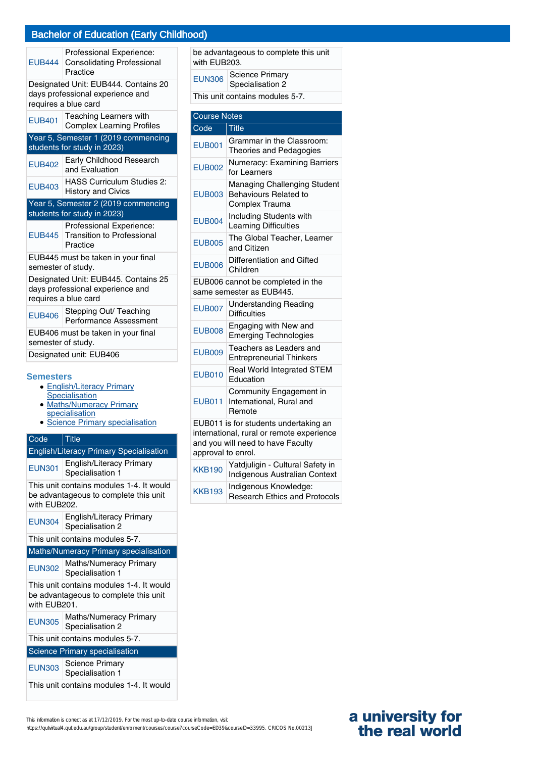|                    | Professional Experience:<br>EUB444 Consolidating Professional<br>Practice                        |
|--------------------|--------------------------------------------------------------------------------------------------|
|                    | Designated Unit: EUB444. Contains 20<br>days professional experience and<br>requires a blue card |
| <b>EUB401</b>      | Teaching Learners with<br><b>Complex Learning Profiles</b>                                       |
|                    | Year 5, Semester 1 (2019 commencing<br>students for study in 2023)                               |
|                    |                                                                                                  |
| <b>EUB402</b>      | Early Childhood Research<br>and Evaluation                                                       |
| <b>EUB403</b>      | <b>HASS Curriculum Studies 2:</b><br><b>History and Civics</b>                                   |
|                    | Year 5, Semester 2 (2019 commencing                                                              |
|                    |                                                                                                  |
|                    | students for study in 2023)                                                                      |
| <b>EUB445</b>      | Professional Experience:<br><b>Transition to Professional</b><br>Practice                        |
| semester of study. | EUB445 must be taken in your final                                                               |
|                    | Designated Unit: EUB445. Contains 25<br>days professional experience and<br>requires a blue card |
| <b>EUB406</b>      | Stepping Out/ Teaching<br>Performance Assessment                                                 |
| semester of study. | EUB406 must be taken in your final                                                               |
|                    | Designated unit: EUB406                                                                          |

#### **Semesters**

- **English/Literacy Primary**
- **Specialisation**  $\bullet$
- Maths/Numeracy Primary specialisation
- Science Primary specialisation

| Code          | <b>Title</b>                                                                      |
|---------------|-----------------------------------------------------------------------------------|
|               | <b>English/Literacy Primary Specialisation</b>                                    |
| <b>EUN301</b> | English/Literacy Primary<br>Specialisation 1                                      |
| with EUB202.  | This unit contains modules 1-4. It would<br>be advantageous to complete this unit |
| <b>EUN304</b> | <b>English/Literacy Primary</b><br>Specialisation 2                               |
|               | This unit contains modules 5-7.                                                   |
|               | <b>Maths/Numeracy Primary specialisation</b>                                      |
|               |                                                                                   |
| <b>EUN302</b> | Maths/Numeracy Primary<br>Specialisation 1                                        |
| with EUB201.  | This unit contains modules 1-4. It would<br>be advantageous to complete this unit |
| <b>EUN305</b> | <b>Maths/Numeracy Primary</b><br>Specialisation 2                                 |
|               | This unit contains modules 5-7.                                                   |
|               | <b>Science Primary specialisation</b>                                             |

| This unit contains modules 1-4. It would |  |  |
|------------------------------------------|--|--|
|------------------------------------------|--|--|

be advantageous to complete this unit with EUB203.

| <b>EUN306</b> | Science Primary<br>Specialisation 2 |
|---------------|-------------------------------------|
|               | This unit contains modules 5-7.     |

| <b>Course Notes</b> |                                                                                                                         |  |
|---------------------|-------------------------------------------------------------------------------------------------------------------------|--|
| Code                | <b>Title</b>                                                                                                            |  |
| <b>EUB001</b>       | Grammar in the Classroom:<br>Theories and Pedagogies                                                                    |  |
| <b>EUB002</b>       | Numeracy: Examining Barriers<br>for Learners                                                                            |  |
| <b>EUB003</b>       | Managing Challenging Student<br>Behaviours Related to<br>Complex Trauma                                                 |  |
| <b>EUB004</b>       | Including Students with<br><b>Learning Difficulties</b>                                                                 |  |
| <b>EUB005</b>       | The Global Teacher, Learner<br>and Citizen                                                                              |  |
| <b>EUB006</b>       | Differentiation and Gifted<br>Children                                                                                  |  |
|                     | EUB006 cannot be completed in the<br>same semester as EUB445.                                                           |  |
| <b>EUB007</b>       | <b>Understanding Reading</b><br><b>Difficulties</b>                                                                     |  |
| <b>EUB008</b>       | Engaging with New and<br><b>Emerging Technologies</b>                                                                   |  |
| <b>EUB009</b>       | Teachers as Leaders and<br><b>Entrepreneurial Thinkers</b>                                                              |  |
| <b>EUB010</b>       | Real World Integrated STEM<br>Education                                                                                 |  |
| <b>EUB011</b>       | Community Engagement in<br>International, Rural and<br>Remote                                                           |  |
| approval to enrol.  | EUB011 is for students undertaking an<br>international, rural or remote experience<br>and you will need to have Faculty |  |
| <b>KKB190</b>       | Yatdjuligin - Cultural Safety in<br><b>Indigenous Australian Context</b>                                                |  |
| <b>KKB193</b>       | Indigenous Knowledge:<br><b>Research Ethics and Protocols</b>                                                           |  |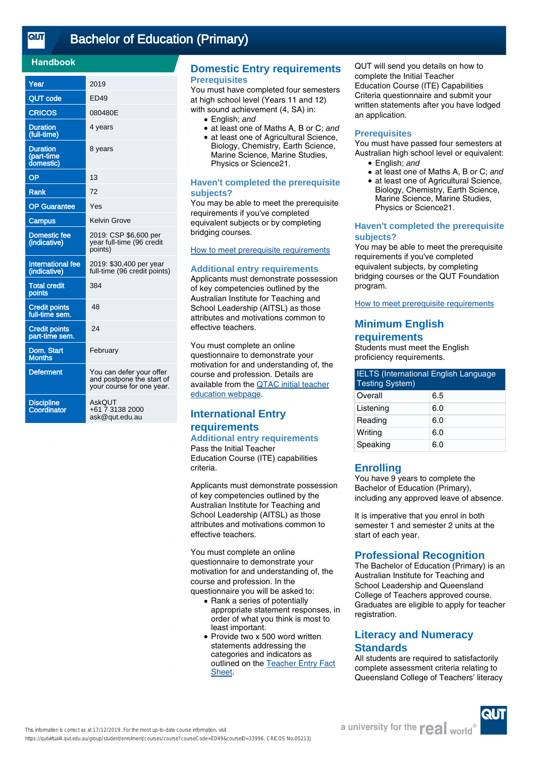<u>तान</u>

# [Bachelor of Education \(Primary\)](https://qutvirtual4.qut.edu.au/group/student/enrolment/courses/course?courseCode=ED49&courseID=33996)

## **Handbook**

| Year                                       | 2019                                                                               |
|--------------------------------------------|------------------------------------------------------------------------------------|
| <b>QUT code</b>                            | ED49                                                                               |
| <b>CRICOS</b>                              | 080480E                                                                            |
| <b>Duration</b><br>(full-time)             | 4 years                                                                            |
| <b>Duration</b><br>(part-time<br>domestic) | 8 years                                                                            |
| OP                                         | 13                                                                                 |
| Rank                                       | 72                                                                                 |
| <b>OP</b> Guarantee                        | Yes                                                                                |
| <b>Campus</b>                              | Kelvin Grove                                                                       |
| <b>Domestic fee</b><br>(indicative)        | 2019: CSP \$6,600 per<br>year full-time (96 credit<br>points)                      |
| <b>International fee</b><br>(indicative)   | 2019: \$30,400 per year<br>full-time (96 credit points)                            |
| <b>Total credit</b><br>points              | 384                                                                                |
| <b>Credit points</b><br>full-time sem.     | 48                                                                                 |
| <b>Credit points</b><br>part-time sem.     | 24                                                                                 |
| Dom. Start<br>Months                       | February                                                                           |
| <b>Deferment</b>                           | You can defer your offer<br>and postpone the start of<br>your course for one year. |
| <b>Discipline</b><br>Coordinator           | <b>AskQUT</b><br>+61 7 3138 2000<br>ask@qut.edu.au                                 |

## **Domestic Entry requirements Prerequisites**

You must have completed four semesters at high school level (Years 11 and 12) with sound achievement (4, SA) in:

- English: and
- at least one of Maths A, B or C; and
- at least one of Agricultural Science, Biology, Chemistry, Earth Science, Marine Science, Marine Studies, Physics or Science21.

#### **Haven't completed the prerequisite subjects?**

You may be able to meet the prerequisite requirements if you've completed equivalent subjects or by completing bridging courses.

# [How to meet prerequisite requirements](https://www.qut.edu.au/study/applying/undergraduate-applications/prerequisite-subjects)

#### **Additional entry requirements**

Applicants must demonstrate possession of key competencies outlined by the Australian Institute for Teaching and School Leadership (AITSL) as those attributes and motivations common to effective teachers.

You must complete an online questionnaire to demonstrate your motivation for and understanding of, the course and profession. Details are available from the [QTAC initial teacher](http://www.qtac.edu.au/courses---institutions/initial-teacher-education) [education webpage](http://www.qtac.edu.au/courses---institutions/initial-teacher-education).

# **International Entry requirements**

**Additional entry requirements** Pass the Initial Teacher Education Course (ITE) capabilities criteria.

Applicants must demonstrate possession of key competencies outlined by the Australian Institute for Teaching and School Leadership (AITSL) as those attributes and motivations common to effective teachers.

You must complete an online questionnaire to demonstrate your motivation for and understanding of, the course and profession. In the questionnaire you will be asked to:

- Rank a series of potentially appropriate statement responses, in order of what you think is most to least important.
- Provide two x 500 word written statements addressing the categories and indicators as outlined on the [Teacher Entry Fact](https://www.qtac.edu.au/ArticleDocuments/173/Teacher%20Entry%20Fact%20Sheet.pdf.aspx) [Sheet](https://www.qtac.edu.au/ArticleDocuments/173/Teacher%20Entry%20Fact%20Sheet.pdf.aspx).

QUT will send you details on how to complete the Initial Teacher Education Course (ITE) Capabilities Criteria questionnaire and submit your written statements after you have lodged an application.

#### **Prerequisites**

You must have passed four semesters at Australian high school level or equivalent:

- English; and
- at least one of Maths A, B or C; and
- at least one of Agricultural Science, Biology, Chemistry, Earth Science, Marine Science, Marine Studies, Physics or Science21. ●

#### **Haven't completed the prerequisite subjects?**

You may be able to meet the prerequisite requirements if you've completed equivalent subjects, by completing bridging courses or the QUT Foundation program.

[How to meet prerequisite requirements](https://www.qut.edu.au/study/applying/undergraduate-applications/prerequisite-subjects)

# **Minimum English requirements**

Students must meet the English proficiency requirements.

| <b>IELTS</b> (International English Language<br><b>Testing System)</b> |     |  |
|------------------------------------------------------------------------|-----|--|
| Overall                                                                | 6.5 |  |
| Listening                                                              | 6.0 |  |
| Reading                                                                | 6.0 |  |
| Writing                                                                | 6.0 |  |
| Speaking                                                               | 6.0 |  |

# **Enrolling**

You have 9 years to complete the Bachelor of Education (Primary), including any approved leave of absence.

It is imperative that you enrol in both semester 1 and semester 2 units at the start of each year.

# **Professional Recognition**

The Bachelor of Education (Primary) is an Australian Institute for Teaching and School Leadership and Queensland College of Teachers approved course. Graduates are eligible to apply for teacher registration.

# **Literacy and Numeracy Standards**

All students are required to satisfactorily complete assessment criteria relating to Queensland College of Teachers' literacy

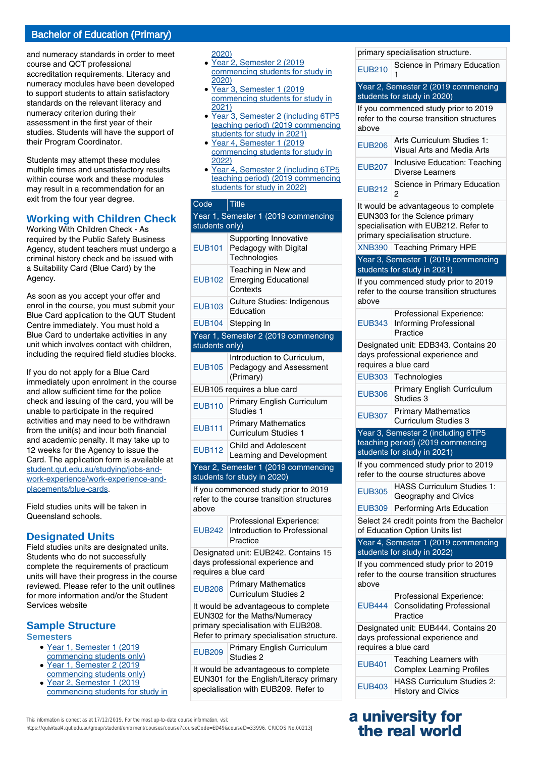and numeracy standards in order to meet course and QCT professional accreditation requirements. Literacy and numeracy modules have been developed to support students to attain satisfactory standards on the relevant literacy and numeracy criterion during their assessment in the first year of their studies. Students will have the support of their Program Coordinator.

Students may attempt these modules multiple times and unsatisfactory results within course work and these modules may result in a recommendation for an exit from the four year degree.

# **Working with Children Check**

Working With Children Check - As required by the Public Safety Business Agency, student teachers must undergo a criminal history check and be issued with a Suitability Card (Blue Card) by the Agency.

As soon as you accept your offer and enrol in the course, you must submit your Blue Card application to the QUT Student Centre immediately. You must hold a Blue Card to undertake activities in any unit which involves contact with children, including the required field studies blocks.

If you do not apply for a Blue Card immediately upon enrolment in the course and allow sufficient time for the police check and issuing of the card, you will be unable to participate in the required activities and may need to be withdrawn from the unit(s) and incur both financial and academic penalty. It may take up to 12 weeks for the Agency to issue the Card. The application form is available at [student.qut.edu.au/studying/jobs-and](http://student.qut.edu.au/studying/jobs-and-work-experience/work-experience-and-placements/blue-cards)[work-experience/work-experience-and](http://student.qut.edu.au/studying/jobs-and-work-experience/work-experience-and-placements/blue-cards)[placements/blue-cards](http://student.qut.edu.au/studying/jobs-and-work-experience/work-experience-and-placements/blue-cards).

Field studies units will be taken in Queensland schools.

# **Designated Units**

Field studies units are designated units. Students who do not successfully complete the requirements of practicum units will have their progress in the course reviewed. Please refer to the unit outlines for more information and/or the Student Services website

# **Sample Structure**

**Semesters**

- Year 1, Semester 1 (2019 commencing students only)
- Year 1, Semester 2 (2019 commencing students only)
- Year 2, Semester 1 (2019) commencing students for study in ●

This information is correct as at 17/12/2019. For the most up-to-date course information, visit

https://qutvirtual4.qut.edu.au/group/student/enrolment/courses/course?courseCode=ED49&courseID=33996. CRICOS No.00213J

2020)

- Year 2, Semester 2 (2019) commencing students for study in 2020) ●
- Year 3, Semester 1 (2019) commencing students for study in 2021) ●
- Year 3, Semester 2 (including 6TP5 teaching period) (2019 commencing students for study in 2021) ●
- Year 4, Semester 1 (2019) commencing students for study in 2022)  $\bullet$
- Year 4, Semester 2 (including 6TP5 teaching period) (2019 commencing students for study in 2022)

# Code Title

| Year 1, Semester 1 (2019 commencing<br>students only)                                            |                                                                                   |  |
|--------------------------------------------------------------------------------------------------|-----------------------------------------------------------------------------------|--|
| <b>EUB101</b>                                                                                    | Supporting Innovative<br>Pedagogy with Digital<br>Technologies                    |  |
| <b>EUB102</b>                                                                                    | Teaching in New and<br><b>Emerging Educational</b><br>Contexts                    |  |
| <b>EUB103</b>                                                                                    | <b>Culture Studies: Indigenous</b><br>Education                                   |  |
| <b>EUB104</b>                                                                                    | Stepping In                                                                       |  |
|                                                                                                  | Year 1, Semester 2 (2019 commencing                                               |  |
| students only)                                                                                   |                                                                                   |  |
| <b>EUB105</b>                                                                                    | Introduction to Curriculum,<br>Pedagogy and Assessment<br>(Primary)               |  |
|                                                                                                  | EUB105 requires a blue card                                                       |  |
| <b>EUB110</b>                                                                                    | <b>Primary English Curriculum</b><br>Studies 1                                    |  |
| <b>EUB111</b>                                                                                    | <b>Primary Mathematics</b><br>Curriculum Studies 1                                |  |
| <b>EUB112</b>                                                                                    | Child and Adolescent<br>Learning and Development                                  |  |
|                                                                                                  | Year 2, Semester 1 (2019 commencing<br>students for study in 2020)                |  |
| above                                                                                            | If you commenced study prior to 2019<br>refer to the course transition structures |  |
| <b>EUB242</b>                                                                                    | Professional Experience:<br>Introduction to Professional<br>Practice              |  |
| Designated unit: EUB242. Contains 15<br>days professional experience and<br>requires a blue card |                                                                                   |  |
| ELIROOR                                                                                          | <b>Primary Mathematics</b>                                                        |  |

EUB208 Primary Mathematics Curriculum Studies 2

It would be advantageous to complete EUN302 for the Maths/Numeracy primary specialisation with EUB208. Refer to primary specialisation structure.

EUB209 Primary English Curriculum Studies 2

It would be advantageous to complete EUN301 for the English/Literacy primary specialisation with EUB209. Refer to

primary specialisation structure.

EUB210 Science in Primary Education 1 Year 2, Semester 2 (2019 commencing students for study in 2020) If you commenced study prior to 2019 refer to the course transition structures above EUB206 Arts Curriculum Studies 1: Visual Arts and Media Arts EUB207 Inclusive Education: Teaching Diverse Learners EUB212 Science in Primary Education  $\circ$ It would be advantageous to complete EUN303 for the Science primary specialisation with EUB212. Refer to primary specialisation structure. XNB390 Teaching Primary HPE Year 3, Semester 1 (2019 commencing students for study in 2021) If you commenced study prior to 2019 refer to the course transition structures above EUB343 Professional Experience: Informing Professional Practice Designated unit: EDB343. Contains 20 days professional experience and requires a blue card EUB303 Technologies EUB306 Primary English Curriculum Studies 3 EUB307 Primary Mathematics Curriculum Studies 3 Year 3, Semester 2 (including 6TP5

teaching period) (2019 commencing students for study in 2021)

If you commenced study prior to 2019 refer to the course structures above

| <b>EUB305</b> | HASS Curriculum Studies 1:<br>Geography and Civics |
|---------------|----------------------------------------------------|
|               |                                                    |

EUB309 Performing Arts Education

Select 24 credit points from the Bachelor of Education Option Units list

Year 4, Semester 1 (2019 commencing students for study in 2022)

If you commenced study prior to 2019 refer to the course transition structures above

| Professional Experience:<br>EUB444 Consolidating Professional<br>Practice |
|---------------------------------------------------------------------------|
| Designated unit: EUB444. Contains 20                                      |

days professional experience and requires a blue card

| <b>EUB401</b> | Teaching Learners with<br><b>Complex Learning Profiles</b> |
|---------------|------------------------------------------------------------|
| <b>EUB403</b> | HASS Curriculum Studies 2:<br><b>History and Civics</b>    |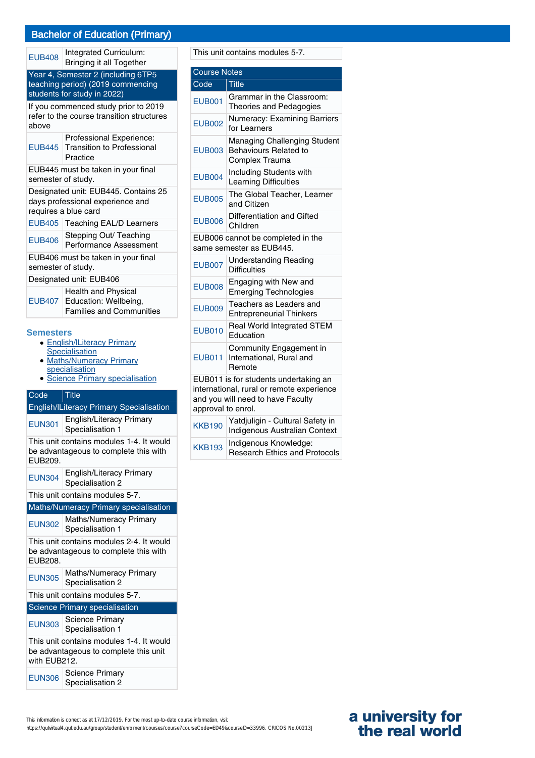# Bachelor of Education (Primary)

EUB408 Integrated Curriculum: Bringing it all Together

| <b>Dilligilig it all Together</b>                                                                      |                                                                                                 |  |
|--------------------------------------------------------------------------------------------------------|-------------------------------------------------------------------------------------------------|--|
| Year 4, Semester 2 (including 6TP5<br>teaching period) (2019 commencing<br>students for study in 2022) |                                                                                                 |  |
| If you commenced study prior to 2019<br>refer to the course transition structures<br>above             |                                                                                                 |  |
| <b>EUB445</b>                                                                                          | Professional Experience:<br><b>Transition to Professional</b><br>Practice                       |  |
| EUB445 must be taken in your final<br>semester of study.                                               |                                                                                                 |  |
| Designated unit: EUB445. Contains 25<br>days professional experience and<br>requires a blue card       |                                                                                                 |  |
| EUB405                                                                                                 | Teaching EAL/D Learners                                                                         |  |
| <b>EUB406</b>                                                                                          | Stepping Out/ Teaching<br>Performance Assessment                                                |  |
| EUB406 must be taken in your final<br>semester of study.                                               |                                                                                                 |  |
| Designated unit: EUB406                                                                                |                                                                                                 |  |
|                                                                                                        | <b>Health and Physical</b><br>EUB407   Education: Wellbeing,<br><b>Families and Communities</b> |  |
| <b>Semesters</b><br><b>English/ILiteracy Primary</b>                                                   |                                                                                                 |  |

- **Specialisation**
- Maths/Numeracy Primary specialisation  $\bullet$
- Science Primary specialisation

# Code Title English/lLiteracy Primary Specialisation EUN301 English/Literacy Primary Specialisation 1 This unit contains modules 1-4. It would be advantageous to complete this with EUB209. EUN304 English/Literacy Primary Specialisation 2 This unit contains modules 5-7. Maths/Numeracy Primary specialisation EUN302 Maths/Numeracy Primary Specialisation 1 This unit contains modules 2-4. It would be advantageous to complete this with EUB208. EUN305 Maths/Numeracy Primary Specialisation 2 This unit contains modules 5-7. Science Primary specialisation EUN303 Science Primary Specialisation 1 This unit contains modules 1-4. It would

be advantageous to complete this unit with EUB<sub>212</sub>.

EUN306 Science Primary Specialisation 2

This unit contains modules 5-7.

| <b>Course Notes</b>                                                                                                                           |                                                                                |
|-----------------------------------------------------------------------------------------------------------------------------------------------|--------------------------------------------------------------------------------|
| Code                                                                                                                                          | <b>Title</b>                                                                   |
| <b>EUB001</b>                                                                                                                                 | Grammar in the Classroom:<br><b>Theories and Pedagogies</b>                    |
| <b>EUB002</b>                                                                                                                                 | Numeracy: Examining Barriers<br>for Learners                                   |
| <b>EUB003</b>                                                                                                                                 | Managing Challenging Student<br><b>Behaviours Related to</b><br>Complex Trauma |
| <b>EUB004</b>                                                                                                                                 | Including Students with<br>Learning Difficulties                               |
| <b>EUB005</b>                                                                                                                                 | The Global Teacher, Learner<br>and Citizen                                     |
| <b>EUB006</b>                                                                                                                                 | Differentiation and Gifted<br>Children                                         |
|                                                                                                                                               | EUB006 cannot be completed in the<br>same semester as EUB445.                  |
| <b>EUB007</b>                                                                                                                                 | <b>Understanding Reading</b><br><b>Difficulties</b>                            |
| <b>EUB008</b>                                                                                                                                 | Engaging with New and<br><b>Emerging Technologies</b>                          |
| <b>EUB009</b>                                                                                                                                 | Teachers as Leaders and<br><b>Entrepreneurial Thinkers</b>                     |
| <b>EUB010</b>                                                                                                                                 | <b>Real World Integrated STEM</b><br>Education                                 |
| <b>EUB011</b>                                                                                                                                 | Community Engagement in<br>International, Rural and<br>Remote                  |
| EUB011 is for students undertaking an<br>international, rural or remote experience<br>and you will need to have Faculty<br>approval to enrol. |                                                                                |
| <b>KKB190</b>                                                                                                                                 | Yatdjuligin - Cultural Safety in<br>Indigenous Australian Context              |
| <b>KKB193</b>                                                                                                                                 | Indigenous Knowledge:<br><b>Research Ethics and Protocols</b>                  |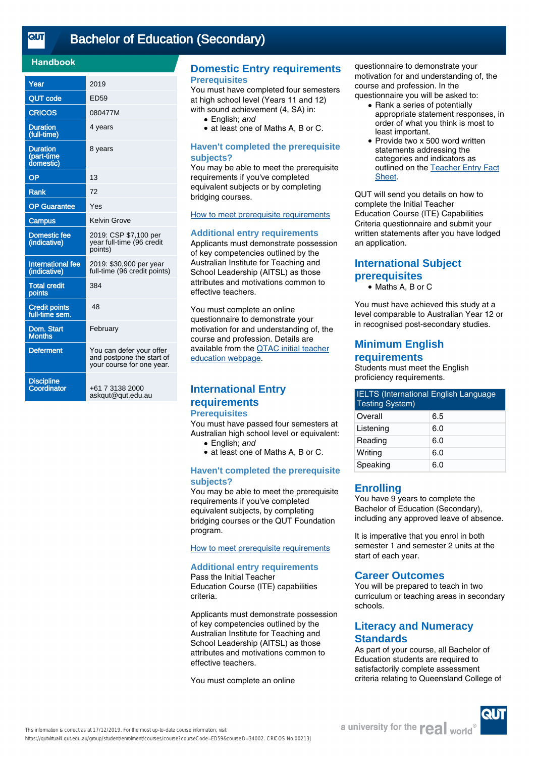<u>तान</u>

# [Bachelor of Education \(Secondary\)](https://qutvirtual4.qut.edu.au/group/student/enrolment/courses/course?courseCode=ED59&courseID=34002)

## **Handbook**

| Year                                       | 2019                                                                               |
|--------------------------------------------|------------------------------------------------------------------------------------|
| <b>QUT code</b>                            | ED59                                                                               |
| <b>CRICOS</b>                              | 080477M                                                                            |
| <b>Duration</b><br>(full-time)             | 4 years                                                                            |
| <b>Duration</b><br>(part-time<br>domestic) | 8 years                                                                            |
| OP                                         | 13                                                                                 |
| <b>Rank</b>                                | 72                                                                                 |
| <b>OP Guarantee</b>                        | Yes                                                                                |
| <b>Campus</b>                              | <b>Kelvin Grove</b>                                                                |
| <b>Domestic fee</b><br>(indicative)        | 2019: CSP \$7,100 per<br>year full-time (96 credit<br>points)                      |
| <b>International fee</b><br>(indicative)   | 2019: \$30,900 per year<br>full-time (96 credit points)                            |
| <b>Total credit</b><br>points              | 384                                                                                |
| <b>Credit points</b><br>full-time sem.     | 48                                                                                 |
| Dom. Start<br><b>Months</b>                | February                                                                           |
| <b>Deferment</b>                           | You can defer your offer<br>and postpone the start of<br>your course for one year. |
| <b>Discipline</b><br>Coordinator           | +61 7 3138 2000<br>askqut@qut.edu.au                                               |

## **Domestic Entry requirements Prerequisites**

You must have completed four semesters at high school level (Years 11 and 12) with sound achievement (4, SA) in:

- English: and
- at least one of Maths A, B or C.

#### **Haven't completed the prerequisite subjects?**

You may be able to meet the prerequisite requirements if you've completed equivalent subjects or by completing bridging courses.

[How to meet prerequisite requirements](https://www.qut.edu.au/study/applying/undergraduate-applications/prerequisite-subjects)

#### **Additional entry requirements**

Applicants must demonstrate possession of key competencies outlined by the Australian Institute for Teaching and School Leadership (AITSL) as those attributes and motivations common to effective teachers.

You must complete an online questionnaire to demonstrate your motivation for and understanding of, the course and profession. Details are available from the [QTAC initial teacher](http://www.qtac.edu.au/courses---institutions/initial-teacher-education) [education webpage](http://www.qtac.edu.au/courses---institutions/initial-teacher-education).

# **International Entry requirements**

## **Prerequisites**

You must have passed four semesters at Australian high school level or equivalent:

- English; and
- at least one of Maths A, B or C.

#### **Haven't completed the prerequisite subjects?**

You may be able to meet the prerequisite requirements if you've completed equivalent subjects, by completing bridging courses or the QUT Foundation program.

[How to meet prerequisite requirements](https://www.qut.edu.au/study/applying/undergraduate-applications/prerequisite-subjects)

#### **Additional entry requirements** Pass the Initial Teacher

Education Course (ITE) capabilities criteria.

Applicants must demonstrate possession of key competencies outlined by the Australian Institute for Teaching and School Leadership (AITSL) as those attributes and motivations common to effective teachers.

You must complete an online

questionnaire to demonstrate your motivation for and understanding of, the course and profession. In the questionnaire you will be asked to:

- Rank a series of potentially appropriate statement responses, in order of what you think is most to least important.
- Provide two x 500 word written statements addressing the categories and indicators as outlined on the [Teacher Entry Fact](https://www.qtac.edu.au/ArticleDocuments/173/Teacher%20Entry%20Fact%20Sheet.pdf.aspx) [Sheet.](https://www.qtac.edu.au/ArticleDocuments/173/Teacher%20Entry%20Fact%20Sheet.pdf.aspx) ●

QUT will send you details on how to complete the Initial Teacher Education Course (ITE) Capabilities Criteria questionnaire and submit your written statements after you have lodged an application.

# **International Subject prerequisites**

● Maths A, B or C

You must have achieved this study at a level comparable to Australian Year 12 or in recognised post-secondary studies.

# **Minimum English requirements**

Students must meet the English proficiency requirements.

| <b>IELTS</b> (International English Language<br><b>Testing System)</b> |     |  |
|------------------------------------------------------------------------|-----|--|
| Overall                                                                | 6.5 |  |
| Listening                                                              | 6.0 |  |
| Reading                                                                | 6.0 |  |
| Writing                                                                | 6.0 |  |
| Speaking                                                               | 6.0 |  |

# **Enrolling**

You have 9 years to complete the Bachelor of Education (Secondary), including any approved leave of absence.

It is imperative that you enrol in both semester 1 and semester 2 units at the start of each year.

# **Career Outcomes**

You will be prepared to teach in two curriculum or teaching areas in secondary schools.

# **Literacy and Numeracy Standards**

As part of your course, all Bachelor of Education students are required to satisfactorily complete assessment criteria relating to Queensland College of

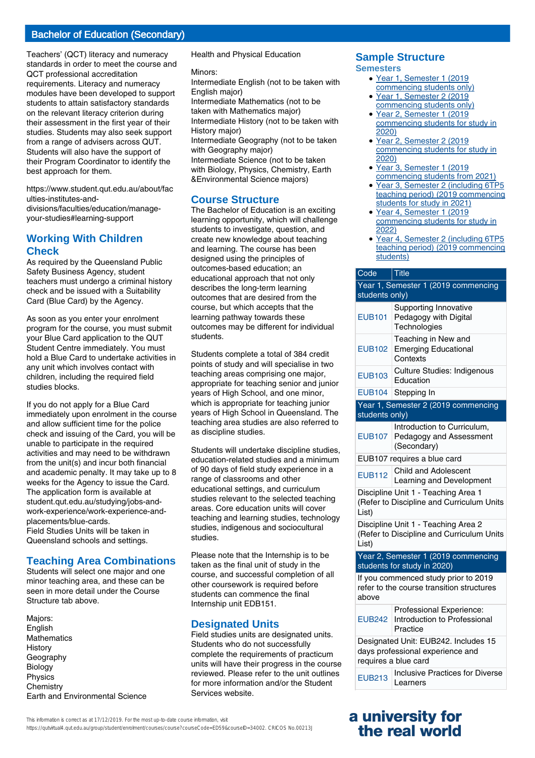# Bachelor of Education (Secondary)

Teachers' (QCT) literacy and numeracy standards in order to meet the course and QCT professional accreditation requirements. Literacy and numeracy modules have been developed to support students to attain satisfactory standards on the relevant literacy criterion during their assessment in the first year of their studies. Students may also seek support from a range of advisers across QUT. Students will also have the support of their Program Coordinator to identify the best approach for them.

https://www.student.qut.edu.au/about/fac ulties-institutes-anddivisions/faculties/education/manageyour-studies#learning-support

# **Working With Children Check**

As required by the Queensland Public Safety Business Agency, student teachers must undergo a criminal history check and be issued with a Suitability Card (Blue Card) by the Agency.

As soon as you enter your enrolment program for the course, you must submit your Blue Card application to the QUT Student Centre immediately. You must hold a Blue Card to undertake activities in any unit which involves contact with children, including the required field studies blocks.

If you do not apply for a Blue Card immediately upon enrolment in the course and allow sufficient time for the police check and issuing of the Card, you will be unable to participate in the required activities and may need to be withdrawn from the unit(s) and incur both financial and academic penalty. It may take up to 8 weeks for the Agency to issue the Card. The application form is available at student.qut.edu.au/studying/jobs-andwork-experience/work-experience-andplacements/blue-cards.

Field Studies Units will be taken in Queensland schools and settings.

# **Teaching Area Combinations**

Students will select one major and one minor teaching area, and these can be seen in more detail under the Course Structure tab above.

Majors: English **Mathematics History Geography** Biology Physics **Chemistry** Earth and Environmental Science Health and Physical Education

#### Minors:

Intermediate English (not to be taken with English major)

Intermediate Mathematics (not to be taken with Mathematics major)

Intermediate History (not to be taken with History major)

Intermediate Geography (not to be taken with Geography major)

Intermediate Science (not to be taken with Biology, Physics, Chemistry, Earth &Environmental Science majors)

# **Course Structure**

The Bachelor of Education is an exciting learning opportunity, which will challenge students to investigate, question, and create new knowledge about teaching and learning. The course has been designed using the principles of outcomes-based education; an educational approach that not only describes the long-term learning outcomes that are desired from the course, but which accepts that the learning pathway towards these outcomes may be different for individual students.

Students complete a total of 384 credit points of study and will specialise in two teaching areas comprising one major, appropriate for teaching senior and junior years of High School, and one minor, which is appropriate for teaching junior years of High School in Queensland. The teaching area studies are also referred to as discipline studies.

Students will undertake discipline studies, education-related studies and a minimum of 90 days of field study experience in a range of classrooms and other educational settings, and curriculum studies relevant to the selected teaching areas. Core education units will cover teaching and learning studies, technology studies, indigenous and sociocultural studies.

Please note that the Internship is to be taken as the final unit of study in the course, and successful completion of all other coursework is required before students can commence the final Internship unit EDB151.

# **Designated Units**

Field studies units are designated units. Students who do not successfully complete the requirements of practicum units will have their progress in the course reviewed. Please refer to the unit outlines for more information and/or the Student Services website.

# **Sample Structure**

**Semesters**

- Year 1, Semester 1 (2019 commencing students only)
- Year 1, Semester 2 (2019 commencing students only)
- Year 2, Semester 1 (2019 commencing students for study in 2020) ●
- Year 2, Semester 2 (2019 commencing students for study in 2020)
- Year 3, Semester 1 (2019 commencing students from 2021)
- Year 3, Semester 2 (including 6TP5 teaching period) (2019 commencing students for study in 2021)
- Year 4, Semester 1 (2019 commencing students for study in 2022)
- Year 4, Semester 2 (including 6TP5 teaching period) (2019 commencing students)

| Code                                                                                             | <b>Title</b>                                                          |  |
|--------------------------------------------------------------------------------------------------|-----------------------------------------------------------------------|--|
| Year 1, Semester 1 (2019 commencing                                                              |                                                                       |  |
| students only)                                                                                   |                                                                       |  |
| <b>EUB101</b>                                                                                    | <b>Supporting Innovative</b><br>Pedagogy with Digital<br>Technologies |  |
| <b>EUB102</b>                                                                                    | Teaching in New and<br><b>Emerging Educational</b><br>Contexts        |  |
| <b>EUB103</b>                                                                                    | <b>Culture Studies: Indigenous</b><br>Education                       |  |
| <b>EUB104</b>                                                                                    | Stepping In                                                           |  |
|                                                                                                  | Year 1, Semester 2 (2019 commencing                                   |  |
| students only)                                                                                   |                                                                       |  |
| <b>EUB107</b>                                                                                    | Introduction to Curriculum,<br>Pedagogy and Assessment<br>(Secondary) |  |
|                                                                                                  | EUB107 requires a blue card                                           |  |
| <b>EUB112</b>                                                                                    | Child and Adolescent<br>Learning and Development                      |  |
| Discipline Unit 1 - Teaching Area 1                                                              |                                                                       |  |
| List)                                                                                            | (Refer to Discipline and Curriculum Units                             |  |
| Discipline Unit 1 - Teaching Area 2<br>(Refer to Discipline and Curriculum Units<br>List)        |                                                                       |  |
|                                                                                                  | Year 2, Semester 1 (2019 commencing<br>students for study in 2020)    |  |
| If you commenced study prior to 2019<br>refer to the course transition structures<br>above       |                                                                       |  |
| <b>EUB242</b>                                                                                    | Professional Experience:<br>Introduction to Professional<br>Practice  |  |
| Designated Unit: EUB242. Includes 15<br>days professional experience and<br>requires a blue card |                                                                       |  |
| <b>EUB213</b>                                                                                    | <b>Inclusive Practices for Diverse</b><br>Learners                    |  |

# **a university for the real world**

https://qutvirtual4.qut.edu.au/group/student/enrolment/courses/course?courseCode=ED59&courseID=34002. CRICOS No.00213J

This information is correct as at 17/12/2019. For the most up-to-date course information, visit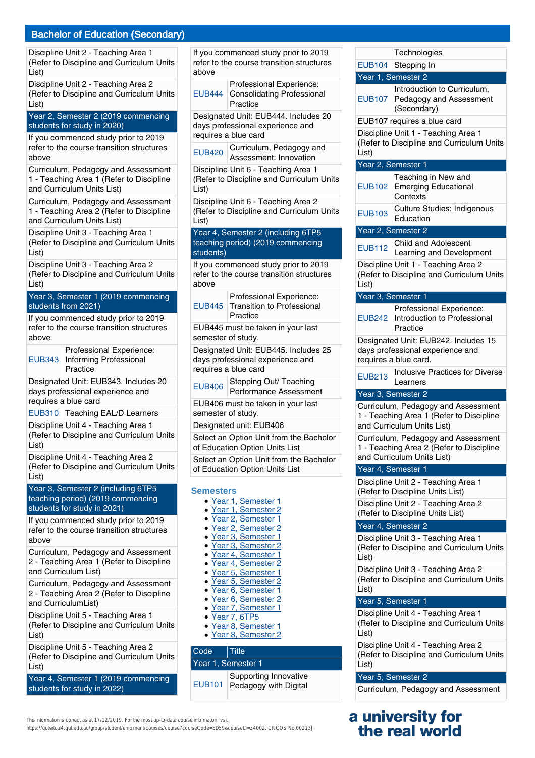# Bachelor of Education (Secondary)

Discipline Unit 2 - Teaching Area 1 (Refer to Discipline and Curriculum Units List)

Discipline Unit 2 - Teaching Area 2 (Refer to Discipline and Curriculum Units List)

Year 2, Semester 2 (2019 commencing students for study in 2020)

If you commenced study prior to 2019 refer to the course transition structures above

Curriculum, Pedagogy and Assessment 1 - Teaching Area 1 (Refer to Discipline and Curriculum Units List)

Curriculum, Pedagogy and Assessment 1 - Teaching Area 2 (Refer to Discipline and Curriculum Units List)

Discipline Unit 3 - Teaching Area 1 (Refer to Discipline and Curriculum Units List)

Discipline Unit 3 - Teaching Area 2 (Refer to Discipline and Curriculum Units List)

Year 3, Semester 1 (2019 commencing students from 2021)

If you commenced study prior to 2019 refer to the course transition structures above

EUB343 Informing Professional Professional Experience: Practice

Designated Unit: EUB343. Includes 20 days professional experience and requires a blue card

EUB310 Teaching EAL/D Learners

Discipline Unit 4 - Teaching Area 1 (Refer to Discipline and Curriculum Units List)

Discipline Unit 4 - Teaching Area 2 (Refer to Discipline and Curriculum Units List)

Year 3, Semester 2 (including 6TP5 teaching period) (2019 commencing students for study in 2021)

If you commenced study prior to 2019 refer to the course transition structures above

Curriculum, Pedagogy and Assessment 2 - Teaching Area 1 (Refer to Discipline and Curriculum List)

Curriculum, Pedagogy and Assessment 2 - Teaching Area 2 (Refer to Discipline and CurriculumList)

Discipline Unit 5 - Teaching Area 1 (Refer to Discipline and Curriculum Units List)

Discipline Unit 5 - Teaching Area 2 (Refer to Discipline and Curriculum Units List)

Year 4, Semester 1 (2019 commencing students for study in 2022)

If you commenced study prior to 2019 refer to the course transition structures above

| Professional Experience:                 |
|------------------------------------------|
| <b>EUB444 Consolidating Professional</b> |
| Practice                                 |

Designated Unit: EUB444. Includes 20 days professional experience and requires a blue card

EUB420 Curriculum, Pedagogy and Assessment: Innovation

Discipline Unit 6 - Teaching Area 1 (Refer to Discipline and Curriculum Units List)

Discipline Unit 6 - Teaching Area 2 (Refer to Discipline and Curriculum Units List)

Year 4, Semester 2 (including 6TP5 teaching period) (2019 commencing students)

If you commenced study prior to 2019 refer to the course transition structures above

EUB445 Transition to Professional Professional Experience: Practice

EUB445 must be taken in your last semester of study.

Designated Unit: EUB445. Includes 25 days professional experience and requires a blue card

EUB406 Stepping Out/ Teaching Performance Assessment

EUB406 must be taken in your last semester of study.

Designated unit: EUB406

Select an Option Unit from the Bachelor of Education Option Units List

Select an Option Unit from the Bachelor of Education Option Units List

#### **Semesters**

- Year 1, Semester 1
- Year 1, Semester 2
- Year 2, Semester 1
- Year 2, Semester 2
- Year 3, Semester 1
- Year 3, Semester 2 ● Year 4, Semester 1
- Year 4, Semester 2
- Year 5, Semester 1
- Year 5, Semester 2
- Year 6, Semester 1
- Year 6, Semester 2
- Year 7, Semester 1
- Year 7, 6TP5
- Year 8, Semester 1
- Year 8, Semester 2

| Code               | l Title                                        |  |
|--------------------|------------------------------------------------|--|
| Year 1, Semester 1 |                                                |  |
| <b>EUB101</b>      | Supporting Innovative<br>Pedagogy with Digital |  |

EUB107 Introduction to Curriculum, Pedagogy and Assessment (Secondary) EUB107 requires a blue card Discipline Unit 1 - Teaching Area 1 (Refer to Discipline and Curriculum Units List) Year 2, Semester 1 EUB102 Teaching in New and Emerging Educational **Contexts** EUB103 Culture Studies: Indigenous Education Year 2, Semester 2 EUB112 Child and Adolescent Learning and Development Discipline Unit 1 - Teaching Area 2 (Refer to Discipline and Curriculum Units List) Year 3, Semester 1 EUB242 Professional Experience: Introduction to Professional Practice Designated Unit: EUB242. Includes 15 days professional experience and requires a blue card. EUB213 | Inclusive Practices for Diverse Learners Year 3, Semester 2 Curriculum, Pedagogy and Assessment 1 - Teaching Area 1 (Refer to Discipline and Curriculum Units List) Curriculum, Pedagogy and Assessment 1 - Teaching Area 2 (Refer to Discipline and Curriculum Units List) Year 4, Semester 1 Discipline Unit 2 - Teaching Area 1 (Refer to Discipline Units List) Discipline Unit 2 - Teaching Area 2 (Refer to Discipline Units List) Year 4, Semester 2 Discipline Unit 3 - Teaching Area 1 (Refer to Discipline and Curriculum Units List) Discipline Unit 3 - Teaching Area 2 (Refer to Discipline and Curriculum Units List) Year 5, Semester 1 Discipline Unit 4 - Teaching Area 1 (Refer to Discipline and Curriculum Units

**Technologies** 

EUB104 Stepping In Year 1, Semester 2

List) Discipline Unit 4 - Teaching Area 2

(Refer to Discipline and Curriculum Units List)

#### Year 5, Semester 2

Curriculum, Pedagogy and Assessment

# **a university for the real world**

This information is correct as at 17/12/2019. For the most up-to-date course information, visit

https://qutvirtual4.qut.edu.au/group/student/enrolment/courses/course?courseCode=ED59&courseID=34002. CRICOS No.00213J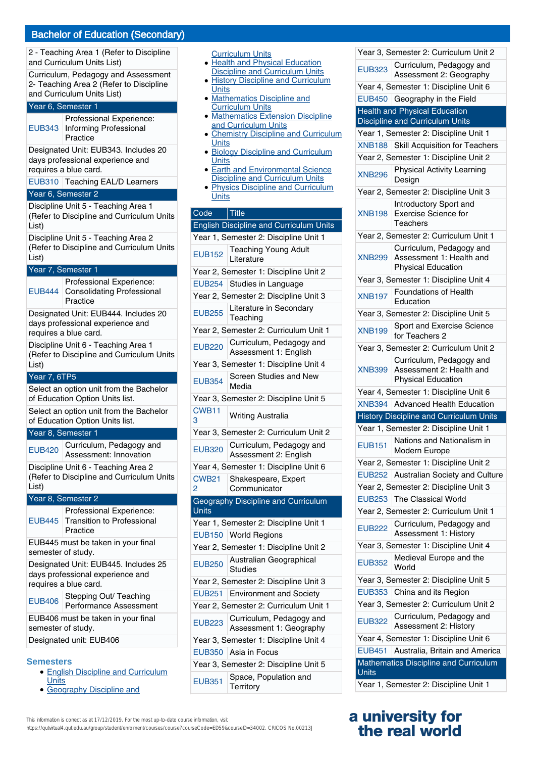2 - Teaching Area 1 (Refer to Discipline and Curriculum Units List)

Curriculum, Pedagogy and Assessment 2- Teaching Area 2 (Refer to Discipline and Curriculum Units List)

#### Year 6, Semester 1

Professional Experience:

EUB343 Informing Professional Practice Designated Unit: EUB343. Includes 20

days professional experience and requires a blue card.

EUB310 Teaching EAL/D Learners

#### Year 6, Semester 2

Discipline Unit 5 - Teaching Area 1 (Refer to Discipline and Curriculum Units List)

Discipline Unit 5 - Teaching Area 2 (Refer to Discipline and Curriculum Units List)

# Year 7, Semester 1

EUB444 Professional Experience: Consolidating Professional Practice Designated Unit: EUB444. Includes 20 days professional experience and requires a blue card. Discipline Unit 6 - Teaching Area 1 (Refer to Discipline and Curriculum Units List) Year 7, 6TP5 Select an option unit from the Bachelor of Education Option Units list. Select an option unit from the Bachelor of Education Option Units list. Year 8, Semester 1 EUB420 Curriculum, Pedagogy and Assessment: Innovation Discipline Unit 6 - Teaching Area 2 (Refer to Discipline and Curriculum Units List) Year 8, Semester 2 EUB445 Transition to Professional Professional Experience: Practice EUB445 must be taken in your final semester of study. Designated Unit: EUB445. Includes 25 days professional experience and requires a blue card. EUB406 Stepping Out/ Teaching Performance Assessment

EUB406 must be taken in your final semester of study.

# Designated unit: EUB406

#### **Semesters**

- English Discipline and Curriculum **Units**
- **Geography Discipline and**

| <b>Curriculum Units</b> |  |
|-------------------------|--|

- Health and Physical Education Discipline and Curriculum Units History Discipline and Curriculum ●
- **Units**
- Mathematics Discipline and Curriculum Units ●
- Mathematics Extension Discipline and Curriculum Units
- Chemistry Discipline and Curriculum **Units** ●
- Biology Discipline and Curriculum **Units** ●
- **Earth and Environmental Science Discipline and Curriculum Units** ●
- Physics Discipline and Curriculum **Units** ●

# Code Title

|                                | $\cdots$                                            |
|--------------------------------|-----------------------------------------------------|
|                                | <b>English Discipline and Curriculum Units</b>      |
|                                | Year 1, Semester 2: Discipline Unit 1               |
| <b>EUB152</b>                  | <b>Teaching Young Adult</b><br>Literature           |
|                                | Year 2, Semester 1: Discipline Unit 2               |
| <b>EUB254</b>                  | Studies in Language                                 |
|                                | Year 2, Semester 2: Discipline Unit 3               |
| <b>EUB255</b>                  | Literature in Secondary<br>Teaching                 |
|                                | Year 2, Semester 2: Curriculum Unit 1               |
| <b>EUB220</b>                  | Curriculum, Pedagogy and<br>Assessment 1: English   |
|                                | Year 3, Semester 1: Discipline Unit 4               |
| <b>EUB354</b>                  | <b>Screen Studies and New</b><br>Media              |
|                                | Year 3, Semester 2: Discipline Unit 5               |
| CWB11<br>3                     | <b>Writing Australia</b>                            |
|                                | Year 3, Semester 2: Curriculum Unit 2               |
| <b>EUB320</b>                  | Curriculum, Pedagogy and<br>Assessment 2: English   |
|                                | Year 4, Semester 1: Discipline Unit 6               |
| <b>CWB21</b><br>$\overline{2}$ | Shakespeare, Expert<br>Communicator                 |
| Units                          | Geography Discipline and Curriculum                 |
|                                | Year 1, Semester 2: Discipline Unit 1               |
|                                | EUB150 World Regions                                |
|                                | Year 2, Semester 1: Discipline Unit 2               |
| <b>EUB250</b>                  | Australian Geographical<br>Studies                  |
|                                | Year 2, Semester 2: Discipline Unit 3               |
| <b>EUB251</b>                  | <b>Environment and Society</b>                      |
|                                | Year 2, Semester 2: Curriculum Unit 1               |
| <b>EUB223</b>                  | Curriculum, Pedagogy and<br>Assessment 1: Geography |
|                                | Year 3, Semester 1: Discipline Unit 4               |
| <b>EUB350</b>                  | Asia in Focus                                       |
|                                | Year 3, Semester 2: Discipline Unit 5               |
| <b>EUB351</b>                  | Space, Population and<br>Territory                  |

Year 3, Semester 2: Curriculum Unit 2 EUB323 Curriculum, Pedagogy and Assessment 2: Geography Year 4, Semester 1: Discipline Unit 6 EUB450 Geography in the Field Health and Physical Education Discipline and Curriculum Units Year 1, Semester 2: Discipline Unit 1 XNB188 Skill Acquisition for Teachers Year 2, Semester 1: Discipline Unit 2 XNB296 Physical Activity Learning **Design** Year 2, Semester 2: Discipline Unit 3 XNB198 Introductory Sport and Exercise Science for **Teachers** Year 2, Semester 2: Curriculum Unit 1 XNB299 Curriculum, Pedagogy and Assessment 1: Health and Physical Education Year 3, Semester 1: Discipline Unit 4 XNB197 Foundations of Health Education Year 3, Semester 2: Discipline Unit 5 XNB199 Sport and Exercise Science for Teachers 2 Year 3, Semester 2: Curriculum Unit 2 XNB399 Curriculum, Pedagogy and Assessment 2: Health and Physical Education Year 4, Semester 1: Discipline Unit 6 XNB394 Advanced Health Education History Discipline and Curriculum Units Year 1, Semester 2: Discipline Unit 1 EUB151 Nations and Nationalism in Modern Europe Year 2, Semester 1: Discipline Unit 2 EUB252 Australian Society and Culture Year 2, Semester 2: Discipline Unit 3 EUB253 The Classical World Year 2, Semester 2: Curriculum Unit 1 EUB222 Curriculum, Pedagogy and Assessment 1: History Year 3, Semester 1: Discipline Unit 4 EUB352 Medieval Europe and the World Year 3, Semester 2: Discipline Unit 5 EUB353 China and its Region Year 3, Semester 2: Curriculum Unit 2 EUB322 Curriculum, Pedagogy and Assessment 2: History Year 4, Semester 1: Discipline Unit 6 EUB451 Australia, Britain and America Mathematics Discipline and Curriculum Units Year 1, Semester 2: Discipline Unit 1

# **a university for the real world**

This information is correct as at 17/12/2019. For the most up-to-date course information, visit https://qutvirtual4.qut.edu.au/group/student/enrolment/courses/course?courseCode=ED59&courseID=34002. CRICOS No.00213J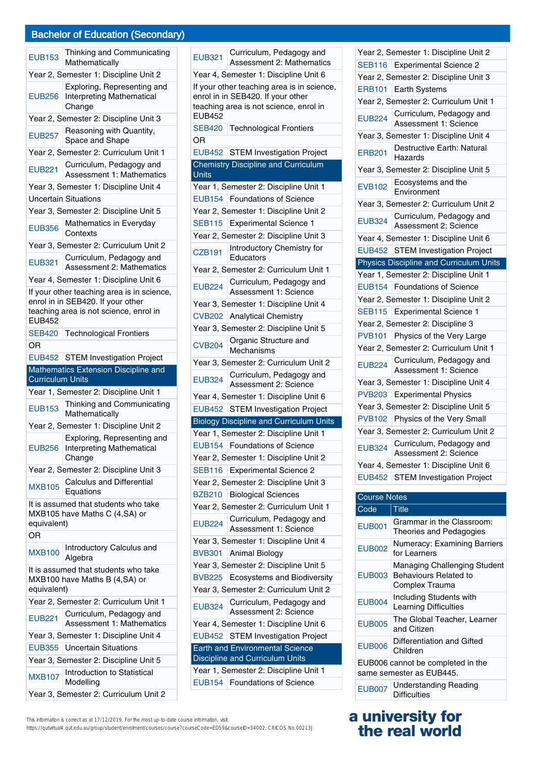## Bachelor of Education (Secondary)

| <b>EUB153</b>                                                                                                                              | Thinking and Communicating<br>Mathematically                              |  |  |
|--------------------------------------------------------------------------------------------------------------------------------------------|---------------------------------------------------------------------------|--|--|
|                                                                                                                                            | Year 2, Semester 1: Discipline Unit 2                                     |  |  |
| <b>EUB256</b>                                                                                                                              | Exploring, Representing and<br><b>Interpreting Mathematical</b><br>Change |  |  |
|                                                                                                                                            | Year 2, Semester 2: Discipline Unit 3                                     |  |  |
| <b>EUB257</b>                                                                                                                              | Reasoning with Quantity,<br>Space and Shape                               |  |  |
|                                                                                                                                            | Year 2, Semester 2: Curriculum Unit 1                                     |  |  |
| <b>EUB221</b>                                                                                                                              | Curriculum, Pedagogy and<br><b>Assessment 1: Mathematics</b>              |  |  |
|                                                                                                                                            | Year 3, Semester 1: Discipline Unit 4                                     |  |  |
|                                                                                                                                            | <b>Uncertain Situations</b>                                               |  |  |
|                                                                                                                                            | Year 3, Semester 2: Discipline Unit 5                                     |  |  |
| <b>EUB356</b>                                                                                                                              | Mathematics in Everyday<br>Contexts                                       |  |  |
|                                                                                                                                            | Year 3, Semester 2: Curriculum Unit 2                                     |  |  |
| <b>EUB321</b>                                                                                                                              | Curriculum, Pedagogy and<br><b>Assessment 2: Mathematics</b>              |  |  |
|                                                                                                                                            | Year 4, Semester 1: Discipline Unit 6                                     |  |  |
| If your other teaching area is in science,<br>enrol in in SEB420. If your other<br>teaching area is not science, enrol in<br><b>EUB452</b> |                                                                           |  |  |
| <b>SEB420</b>                                                                                                                              | <b>Technological Frontiers</b>                                            |  |  |
| OR                                                                                                                                         |                                                                           |  |  |
|                                                                                                                                            | EUB452 STEM Investigation Project                                         |  |  |
|                                                                                                                                            |                                                                           |  |  |
|                                                                                                                                            | Mathematics Extension Discipline and                                      |  |  |
| <b>Curriculum Units</b>                                                                                                                    |                                                                           |  |  |
|                                                                                                                                            | Year 1, Semester 2: Discipline Unit 1                                     |  |  |
| <b>EUB153</b>                                                                                                                              | Thinking and Communicating<br>Mathematically                              |  |  |
|                                                                                                                                            | Year 2, Semester 1: Discipline Unit 2                                     |  |  |
| <b>EUB256</b>                                                                                                                              | Exploring, Representing and<br>Interpreting Mathematical<br>Change        |  |  |
|                                                                                                                                            | Year 2, Semester 2: Discipline Unit 3                                     |  |  |
| <b>MXB105</b>                                                                                                                              | <b>Calculus and Differential</b><br>Equations                             |  |  |
| equivalent)                                                                                                                                | It is assumed that students who take<br>MXB105 have Maths C (4, SA) or    |  |  |
| <b>OR</b>                                                                                                                                  |                                                                           |  |  |
| <b>MXB100</b>                                                                                                                              | Introductory Calculus and<br>Algebra                                      |  |  |
| equivalent)                                                                                                                                | It is assumed that students who take<br>MXB100 have Maths B (4,SA) or     |  |  |
|                                                                                                                                            | Year 2, Semester 2: Curriculum Unit 1                                     |  |  |
| <b>EUB221</b>                                                                                                                              | Curriculum, Pedagogy and<br>Assessment 1: Mathematics                     |  |  |
|                                                                                                                                            | Year 3, Semester 1: Discipline Unit 4                                     |  |  |
| <b>EUB355</b>                                                                                                                              | <b>Uncertain Situations</b>                                               |  |  |
|                                                                                                                                            | Year 3, Semester 2: Discipline Unit 5                                     |  |  |
| <b>MXB107</b>                                                                                                                              | Introduction to Statistical<br>Modelling                                  |  |  |

EUB321 Curriculum, Pedagogy and Assessment 2: Mathematics Year 4, Semester 1: Discipline Unit 6 If your other teaching area is in science, enrol in in SEB420. If your other teaching area is not science, enrol in EUB452 SEB420 | Technological Frontiers OR EUB452 STEM Investigation Project Chemistry Discipline and Curriculum **Units** Year 1, Semester 2: Discipline Unit 1 EUB154 Foundations of Science Year 2, Semester 1: Discipline Unit 2 SEB115 Experimental Science 1 Year 2, Semester 2: Discipline Unit 3 CZB191 Introductory Chemistry for **Educators** Year 2, Semester 2: Curriculum Unit 1 EUB224 Curriculum, Pedagogy and Assessment 1: Science Year 3, Semester 1: Discipline Unit 4 CVB202 Analytical Chemistry Year 3, Semester 2: Discipline Unit 5 CVB204 Organic Structure and Mechanisms Year 3, Semester 2: Curriculum Unit 2 EUB324 Curriculum, Pedagogy and Assessment 2: Science Year 4, Semester 1: Discipline Unit 6 EUB452 STEM Investigation Project Biology Discipline and Curriculum Units Year 1, Semester 2: Discipline Unit 1 EUB154 Foundations of Science Year 2, Semester 1: Discipline Unit 2 SEB116 Experimental Science 2 Year 2, Semester 2: Discipline Unit 3 BZB210 | Biological Sciences Year 2, Semester 2: Curriculum Unit 1 EUB224 Curriculum, Pedagogy and Assessment 1: Science Year 3, Semester 1: Discipline Unit 4 BVB301 Animal Biology Year 3, Semester 2: Discipline Unit 5 BVB225 Ecosystems and Biodiversity Year 3, Semester 2: Curriculum Unit 2 EUB324 Curriculum, Pedagogy and Assessment 2: Science Year 4, Semester 1: Discipline Unit 6 EUB452 STEM Investigation Project Earth and Environmental Science Discipline and Curriculum Units Year 1, Semester 2: Discipline Unit 1 EUB154 Foundations of Science

| rear 2, Semester 1: Discipline Unit 2 |                                                   |  |
|---------------------------------------|---------------------------------------------------|--|
| SEB116                                | <b>Experimental Science 2</b>                     |  |
| Year 2, Semester 2: Discipline Unit 3 |                                                   |  |
| <b>ERB101</b>                         | Earth Systems                                     |  |
| Year 2, Semester 2: Curriculum Unit 1 |                                                   |  |
| <b>EUB224</b>                         | Curriculum, Pedagogy and<br>Assessment 1: Science |  |
|                                       | Year 3, Semester 1: Discipline Unit 4             |  |
| <b>ERB201</b>                         | Destructive Earth: Natural<br>Hazards             |  |
|                                       | Year 3, Semester 2: Discipline Unit 5             |  |
| <b>EVB102</b>                         | Ecosystems and the<br>Environment                 |  |
|                                       | Year 3, Semester 2: Curriculum Unit 2             |  |
| <b>EUB324</b>                         | Curriculum, Pedagogy and<br>Assessment 2: Science |  |
|                                       | Year 4, Semester 1: Discipline Unit 6             |  |
|                                       | EUB452 STEM Investigation Project                 |  |
|                                       | <b>Physics Discipline and Curriculum Units</b>    |  |
|                                       |                                                   |  |
|                                       | Year 1, Semester 2: Discipline Unit 1             |  |
| <b>EUB154</b>                         | <b>Foundations of Science</b>                     |  |
|                                       | Year 2, Semester 1: Discipline Unit 2             |  |
| <b>SEB115</b>                         | <b>Experimental Science 1</b>                     |  |
|                                       | Year 2, Semester 2: Discipline 3                  |  |
| <b>PVB101</b>                         | Physics of the Very Large                         |  |
|                                       | Year 2, Semester 2: Curriculum Unit 1             |  |
| <b>EUB224</b>                         | Curriculum, Pedagogy and<br>Assessment 1: Science |  |
|                                       | Year 3, Semester 1: Discipline Unit 4             |  |
| <b>PVB203</b>                         | <b>Experimental Physics</b>                       |  |
|                                       | Year 3, Semester 2: Discipline Unit 5             |  |
| <b>PVB102</b>                         | Physics of the Very Small                         |  |
|                                       | Year 3, Semester 2: Curriculum Unit 2             |  |
| <b>EUB324</b>                         | Curriculum, Pedagogy and<br>Assessment 2: Science |  |
|                                       | Year 4, Semester 1: Discipline Unit 6             |  |
|                                       | EUB452 STEM Investigation Project                 |  |

Year 2, Semester 1: Discipline Unit 2

| <b>Course Notes</b>                                           |                                                                                |
|---------------------------------------------------------------|--------------------------------------------------------------------------------|
| Code                                                          | $T$ itle                                                                       |
| <b>EUB001</b>                                                 | Grammar in the Classroom:<br>Theories and Pedagogies                           |
| <b>EUB002</b>                                                 | Numeracy: Examining Barriers<br>for Learners                                   |
| <b>EUB003</b>                                                 | Managing Challenging Student<br><b>Behaviours Related to</b><br>Complex Trauma |
| <b>EUB004</b>                                                 | Including Students with<br>Learning Difficulties                               |
| <b>EUB005</b>                                                 | The Global Teacher, Learner<br>and Citizen                                     |
| <b>EUB006</b>                                                 | Differentiation and Gifted<br>Children                                         |
| EUB006 cannot be completed in the<br>same semester as EUB445. |                                                                                |
| <b>EUB007</b>                                                 | Understanding Reading<br>Difficulties                                          |

# **a university for the real world**

https://qutvirtual4.qut.edu.au/group/student/enrolment/courses/course?courseCode=ED59&courseID=34002. CRICOS No.00213J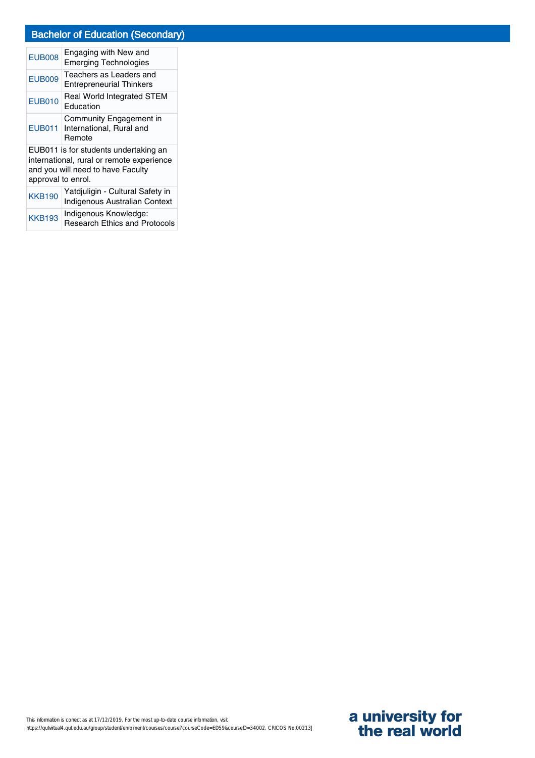# Bachelor of Education (Secondary)

| <b>EUB008</b>                                                                                                                                 | Engaging with New and<br><b>Emerging Technologies</b>                    |  |
|-----------------------------------------------------------------------------------------------------------------------------------------------|--------------------------------------------------------------------------|--|
| <b>EUB009</b>                                                                                                                                 | Teachers as Leaders and<br><b>Entrepreneurial Thinkers</b>               |  |
| <b>EUB010</b>                                                                                                                                 | Real World Integrated STEM<br>Education                                  |  |
| <b>EUB011</b>                                                                                                                                 | Community Engagement in<br>International, Rural and<br>Remote            |  |
| EUB011 is for students undertaking an<br>international, rural or remote experience<br>and you will need to have Faculty<br>approval to enrol. |                                                                          |  |
| <b>KKB190</b>                                                                                                                                 | Yatdjuligin - Cultural Safety in<br><b>Indigenous Australian Context</b> |  |
| <b>KKB193</b>                                                                                                                                 | Indigenous Knowledge:<br><b>Research Ethics and Protocols</b>            |  |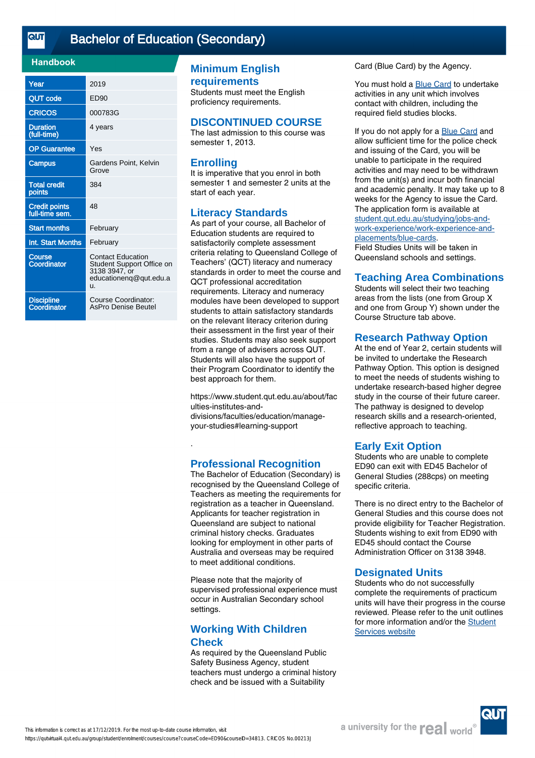<u>तान</u>

# [Bachelor of Education \(Secondary\)](https://qutvirtual4.qut.edu.au/group/student/enrolment/courses/course?courseCode=ED90&courseID=34813)

## **Handbook**

| Year                                   | 2019                                                                                                   |
|----------------------------------------|--------------------------------------------------------------------------------------------------------|
| <b>QUT code</b>                        | ED90                                                                                                   |
| <b>CRICOS</b>                          | 000783G                                                                                                |
| <b>Duration</b><br>(full-time)         | 4 years                                                                                                |
| <b>OP Guarantee</b>                    | Yes                                                                                                    |
| <b>Campus</b>                          | Gardens Point, Kelvin<br>Grove                                                                         |
| <b>Total credit</b><br>points          | 384                                                                                                    |
| <b>Credit points</b><br>full-time sem. | 48                                                                                                     |
| <b>Start months</b>                    | February                                                                                               |
| Int. Start Months                      | February                                                                                               |
| Course<br>Coordinator                  | <b>Contact Education</b><br>Student Support Office on<br>3138 3947, or<br>educationenq@qut.edu.a<br>u. |
| Discipline<br>Coordinator              | Course Coordinator:<br><b>AsPro Denise Beutel</b>                                                      |

# **Minimum English requirements**

Students must meet the English proficiency requirements.

#### **DISCONTINUED COURSE**

The last admission to this course was semester 1, 2013.

## **Enrolling**

It is imperative that you enrol in both semester 1 and semester 2 units at the start of each year.

## **Literacy Standards**

As part of your course, all Bachelor of Education students are required to satisfactorily complete assessment criteria relating to Queensland College of Teachers' (QCT) literacy and numeracy standards in order to meet the course and QCT professional accreditation requirements. Literacy and numeracy modules have been developed to support students to attain satisfactory standards on the relevant literacy criterion during their assessment in the first year of their studies. Students may also seek support from a range of advisers across QUT. Students will also have the support of their Program Coordinator to identify the best approach for them.

https://www.student.qut.edu.au/about/fac ulties-institutes-and-

divisions/faculties/education/manageyour-studies#learning-support

# **Professional Recognition**

.

The Bachelor of Education (Secondary) is recognised by the Queensland College of Teachers as meeting the requirements for registration as a teacher in Queensland. Applicants for teacher registration in Queensland are subject to national criminal history checks. Graduates looking for employment in other parts of Australia and overseas may be required to meet additional conditions.

Please note that the majority of supervised professional experience must occur in Australian Secondary school settings.

# **Working With Children Check**

As required by the Queensland Public Safety Business Agency, student teachers must undergo a criminal history check and be issued with a Suitability

Card (Blue Card) by the Agency.

You must hold a **Blue Card** to undertake activities in any unit which involves contact with children, including the required field studies blocks.

If you do not apply for a [Blue Card](http://student.qut.edu.au/studying/jobs-and-work-experience/work-experience-and-placements/blue-cards) and allow sufficient time for the police check and issuing of the Card, you will be unable to participate in the required activities and may need to be withdrawn from the unit(s) and incur both financial and academic penalty. It may take up to 8 weeks for the Agency to issue the Card. The application form is available at [student.qut.edu.au/studying/jobs-and](http://student.qut.edu.au/studying/jobs-and-work-experience/work-experience-and-placements/blue-cards)[work-experience/work-experience-and](http://student.qut.edu.au/studying/jobs-and-work-experience/work-experience-and-placements/blue-cards)[placements/blue-cards](http://student.qut.edu.au/studying/jobs-and-work-experience/work-experience-and-placements/blue-cards).

Field Studies Units will be taken in Queensland schools and settings.

#### **Teaching Area Combinations**

Students will select their two teaching areas from the lists (one from Group X and one from Group Y) shown under the Course Structure tab above.

## **Research Pathway Option**

At the end of Year 2, certain students will be invited to undertake the Research Pathway Option. This option is designed to meet the needs of students wishing to undertake research-based higher degree study in the course of their future career. The pathway is designed to develop research skills and a research-oriented, reflective approach to teaching.

#### **Early Exit Option**

Students who are unable to complete ED90 can exit with ED45 Bachelor of General Studies (288cps) on meeting specific criteria.

There is no direct entry to the Bachelor of General Studies and this course does not provide eligibility for Teacher Registration. Students wishing to exit from ED90 with ED45 should contact the Course Administration Officer on 3138 3948.

#### **Designated Units**

Students who do not successfully complete the requirements of practicum units will have their progress in the course reviewed. Please refer to the unit outlines for more information and/or the [Student](http://www.student.qut.edu.au/studying/assessment/academic-performance/exclusion/designated-units) [Services website](http://www.student.qut.edu.au/studying/assessment/academic-performance/exclusion/designated-units)

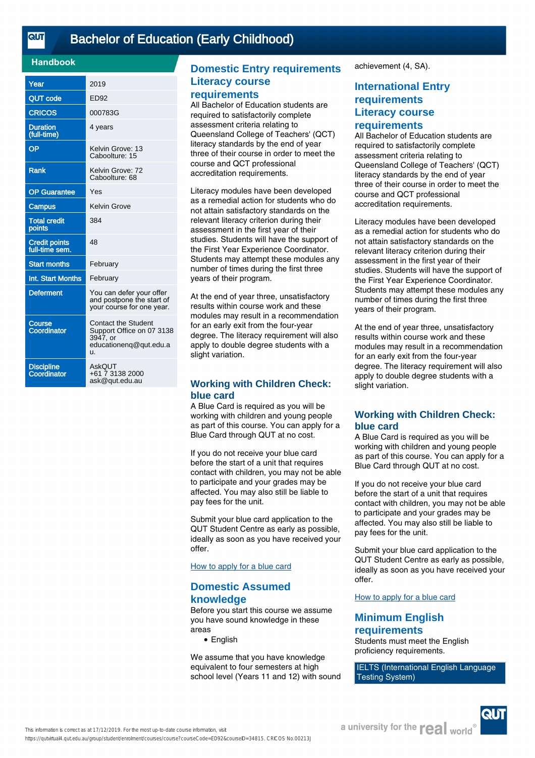#### **Handbook**

| Year                             | 2019                                                                                                |
|----------------------------------|-----------------------------------------------------------------------------------------------------|
| <b>QUT code</b>                  | <b>ED92</b>                                                                                         |
| <b>CRICOS</b>                    | 000783G                                                                                             |
| <b>Duration</b><br>(full-time)   | 4 years                                                                                             |
| OP                               | Kelvin Grove: 13<br>Caboolture: 15                                                                  |
| Rank                             | Kelvin Grove: 72<br>Caboolture: 68                                                                  |
| <b>OP Guarantee</b>              | Yes                                                                                                 |
| Campus                           | <b>Kelvin Grove</b>                                                                                 |
| <b>Total credit</b><br>points    | 384                                                                                                 |
| Credit points<br>full-time sem.  | 48                                                                                                  |
| <b>Start months</b>              | February                                                                                            |
| Int. Start Months                | February                                                                                            |
| <b>Deferment</b>                 | You can defer your offer<br>and postpone the start of<br>your course for one year.                  |
| <b>Course</b><br>Coordinator     | <b>Contact the Student</b><br>Support Office on 07 3138<br>3947, or<br>educationeng@qut.edu.a<br>u. |
| <b>Discipline</b><br>Coordinator | AskOUT<br>+61 7 3138 2000<br>ask@qut.edu.au                                                         |

# **Domestic Entry requirements Literacy course**

#### **requirements**

All Bachelor of Education students are required to satisfactorily complete assessment criteria relating to Queensland College of Teachers' (QCT) literacy standards by the end of year three of their course in order to meet the course and QCT professional accreditation requirements.

Literacy modules have been developed as a remedial action for students who do not attain satisfactory standards on the relevant literacy criterion during their assessment in the first year of their studies. Students will have the support of the First Year Experience Coordinator. Students may attempt these modules any number of times during the first three years of their program.

At the end of year three, unsatisfactory results within course work and these modules may result in a recommendation for an early exit from the four-year degree. The literacy requirement will also apply to double degree students with a slight variation.

# **Working with Children Check: blue card**

A Blue Card is required as you will be working with children and young people as part of this course. You can apply for a Blue Card through QUT at no cost.

If you do not receive your blue card before the start of a unit that requires contact with children, you may not be able to participate and your grades may be affected. You may also still be liable to pay fees for the unit.

Submit your blue card application to the QUT Student Centre as early as possible, ideally as soon as you have received your offer.

## [How to apply for a blue card](https://cms.qut.edu.au/student/studying/jobs-and-work-experience/work-experience-and-placements/blue-cards)

# **Domestic Assumed knowledge**

Before you start this course we assume you have sound knowledge in these areas

● English

We assume that you have knowledge equivalent to four semesters at high school level (Years 11 and 12) with sound achievement (4, SA).

# **International Entry requirements Literacy course requirements**

All Bachelor of Education students are required to satisfactorily complete assessment criteria relating to Queensland College of Teachers' (QCT) literacy standards by the end of year three of their course in order to meet the course and QCT professional accreditation requirements.

Literacy modules have been developed as a remedial action for students who do not attain satisfactory standards on the relevant literacy criterion during their assessment in the first year of their studies. Students will have the support of the First Year Experience Coordinator. Students may attempt these modules any number of times during the first three years of their program.

At the end of year three, unsatisfactory results within course work and these modules may result in a recommendation for an early exit from the four-year degree. The literacy requirement will also apply to double degree students with a slight variation.

#### **Working with Children Check: blue card**

A Blue Card is required as you will be working with children and young people as part of this course. You can apply for a Blue Card through QUT at no cost.

If you do not receive your blue card before the start of a unit that requires contact with children, you may not be able to participate and your grades may be affected. You may also still be liable to pay fees for the unit.

Submit your blue card application to the QUT Student Centre as early as possible, ideally as soon as you have received your offer.

## [How to apply for a blue card](https://cms.qut.edu.au/student/studying/jobs-and-work-experience/work-experience-and-placements/blue-cards)

## **Minimum English requirements**

Students must meet the English proficiency requirements.

IELTS (International English Language Testing System)



This information is correct as at 17/12/2019. For the most up-to-date course information, visit https://qutvirtual4.qut.edu.au/group/student/enrolment/courses/course?courseCode=ED92&courseID=34815. CRICOS No.00213J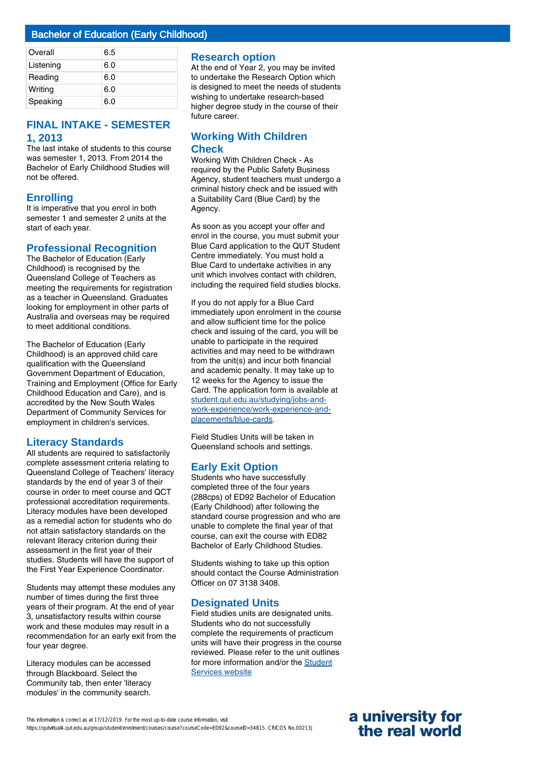| Overall   | 6.5 |
|-----------|-----|
| Listening | 6.0 |
| Reading   | 6.0 |
| Writing   | 6.0 |
| Speaking  | 6.0 |

# **FINAL INTAKE - SEMESTER 1, 2013**

The last intake of students to this course was semester 1, 2013. From 2014 the Bachelor of Early Childhood Studies will not be offered.

# **Enrolling**

It is imperative that you enrol in both semester 1 and semester 2 units at the start of each year.

# **Professional Recognition**

The Bachelor of Education (Early Childhood) is recognised by the Queensland College of Teachers as meeting the requirements for registration as a teacher in Queensland. Graduates looking for employment in other parts of Australia and overseas may be required to meet additional conditions.

The Bachelor of Education (Early Childhood) is an approved child care qualification with the Queensland Government Department of Education, Training and Employment (Office for Early Childhood Education and Care), and is accredited by the New South Wales Department of Community Services for employment in children's services.

# **Literacy Standards**

All students are required to satisfactorily complete assessment criteria relating to Queensland College of Teachers' literacy standards by the end of year 3 of their course in order to meet course and QCT professional accreditation requirements. Literacy modules have been developed as a remedial action for students who do not attain satisfactory standards on the relevant literacy criterion during their assessment in the first year of their studies. Students will have the support of the First Year Experience Coordinator.

Students may attempt these modules any number of times during the first three years of their program. At the end of year 3, unsatisfactory results within course work and these modules may result in a recommendation for an early exit from the four year degree.

Literacy modules can be accessed through Blackboard. Select the Community tab, then enter 'literacy modules' in the community search.

#### **Research option**

At the end of Year 2, you may be invited to undertake the Research Option which is designed to meet the needs of students wishing to undertake research-based higher degree study in the course of their future career.

## **Working With Children Check**

Working With Children Check - As required by the Public Safety Business Agency, student teachers must undergo a criminal history check and be issued with a Suitability Card (Blue Card) by the Agency.

As soon as you accept your offer and enrol in the course, you must submit your Blue Card application to the QUT Student Centre immediately. You must hold a Blue Card to undertake activities in any unit which involves contact with children, including the required field studies blocks.

If you do not apply for a Blue Card immediately upon enrolment in the course and allow sufficient time for the police check and issuing of the card, you will be unable to participate in the required activities and may need to be withdrawn from the unit(s) and incur both financial and academic penalty. It may take up to 12 weeks for the Agency to issue the Card. The application form is available at [student.qut.edu.au/studying/jobs-and](http://student.qut.edu.au/studying/jobs-and-work-experience/work-experience-and-placements/blue-cards)[work-experience/work-experience-and](http://student.qut.edu.au/studying/jobs-and-work-experience/work-experience-and-placements/blue-cards)[placements/blue-cards](http://student.qut.edu.au/studying/jobs-and-work-experience/work-experience-and-placements/blue-cards).

Field Studies Units will be taken in Queensland schools and settings.

# **Early Exit Option**

Students who have successfully completed three of the four years (288cps) of ED92 Bachelor of Education (Early Childhood) after following the standard course progression and who are unable to complete the final year of that course, can exit the course with ED82 Bachelor of Early Childhood Studies.

Students wishing to take up this option should contact the Course Administration Officer on 07 3138 3408.

# **Designated Units**

Field studies units are designated units. Students who do not successfully complete the requirements of practicum units will have their progress in the course reviewed. Please refer to the unit outlines for more information and/or the [Student](http://www.student.qut.edu.au/studying/assessment/academic-performance/exclusion/designated-units) [Services website](http://www.student.qut.edu.au/studying/assessment/academic-performance/exclusion/designated-units)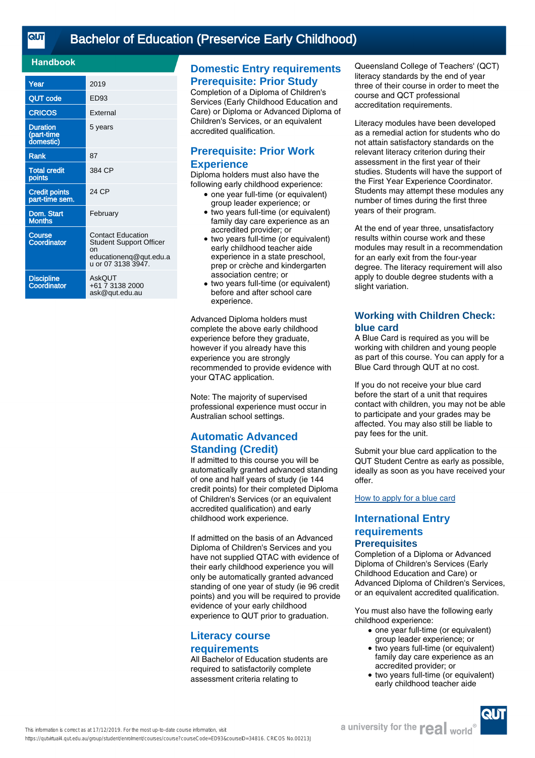# [Bachelor of Education \(Preservice Early Childhood\)](https://qutvirtual4.qut.edu.au/group/student/enrolment/courses/course?courseCode=ED93&courseID=34816)

#### **Handbook**

| Year                                       | 2019                                                                                                             |
|--------------------------------------------|------------------------------------------------------------------------------------------------------------------|
| <b>QUT code</b>                            | ED <sub>93</sub>                                                                                                 |
| <b>CRICOS</b>                              | External                                                                                                         |
| <b>Duration</b><br>(part-time<br>domestic) | 5 years                                                                                                          |
| <b>Rank</b>                                | 87                                                                                                               |
| <b>Total credit</b><br>points              | 384 CP                                                                                                           |
| <b>Credit points</b><br>part-time sem.     | 24 CP                                                                                                            |
| Dom. Start<br><b>Months</b>                | February                                                                                                         |
| <b>Course</b><br>Coordinator               | <b>Contact Education</b><br><b>Student Support Officer</b><br>nn<br>educationenq@qut.edu.a<br>u or 07 3138 3947. |
| <b>Discipline</b><br>Coordinator           | AskQUT<br>+61 7 3138 2000<br>ask@qut.edu.au                                                                      |

# **Domestic Entry requirements Prerequisite: Prior Study**

Completion of a Diploma of Children's Services (Early Childhood Education and Care) or Diploma or Advanced Diploma of Children's Services, or an equivalent accredited qualification.

# **Prerequisite: Prior Work Experience**

Diploma holders must also have the following early childhood experience:

- one year full-time (or equivalent) group leader experience; or
- two years full-time (or equivalent) family day care experience as an accredited provider; or ●
- two years full-time (or equivalent) early childhood teacher aide experience in a state preschool, prep or crèche and kindergarten association centre; or
- two years full-time (or equivalent) before and after school care experience.  $\bullet$

Advanced Diploma holders must complete the above early childhood experience before they graduate, however if you already have this experience you are strongly recommended to provide evidence with your QTAC application.

Note: The majority of supervised professional experience must occur in Australian school settings.

# **Automatic Advanced Standing (Credit)**

If admitted to this course you will be automatically granted advanced standing of one and half years of study (ie 144 credit points) for their completed Diploma of Children's Services (or an equivalent accredited qualification) and early childhood work experience.

If admitted on the basis of an Advanced Diploma of Children's Services and you have not supplied QTAC with evidence of their early childhood experience you will only be automatically granted advanced standing of one year of study (ie 96 credit points) and you will be required to provide evidence of your early childhood experience to QUT prior to graduation.

# **Literacy course requirements**

All Bachelor of Education students are required to satisfactorily complete assessment criteria relating to

Queensland College of Teachers' (QCT) literacy standards by the end of year three of their course in order to meet the course and QCT professional accreditation requirements.

Literacy modules have been developed as a remedial action for students who do not attain satisfactory standards on the relevant literacy criterion during their assessment in the first year of their studies. Students will have the support of the First Year Experience Coordinator. Students may attempt these modules any number of times during the first three years of their program.

At the end of year three, unsatisfactory results within course work and these modules may result in a recommendation for an early exit from the four-year degree. The literacy requirement will also apply to double degree students with a slight variation.

# **Working with Children Check: blue card**

A Blue Card is required as you will be working with children and young people as part of this course. You can apply for a Blue Card through QUT at no cost.

If you do not receive your blue card before the start of a unit that requires contact with children, you may not be able to participate and your grades may be affected. You may also still be liable to pay fees for the unit.

Submit your blue card application to the QUT Student Centre as early as possible, ideally as soon as you have received your offer.

#### [How to apply for a blue card](https://cms.qut.edu.au/student/studying/jobs-and-work-experience/work-experience-and-placements/blue-cards)

# **International Entry requirements Prerequisites**

Completion of a Diploma or Advanced Diploma of Children's Services (Early Childhood Education and Care) or Advanced Diploma of Children's Services, or an equivalent accredited qualification.

You must also have the following early childhood experience:

- one year full-time (or equivalent) group leader experience; or
- two years full-time (or equivalent) family day care experience as an accredited provider; or  $\bullet$
- two years full-time (or equivalent) early childhood teacher aide ●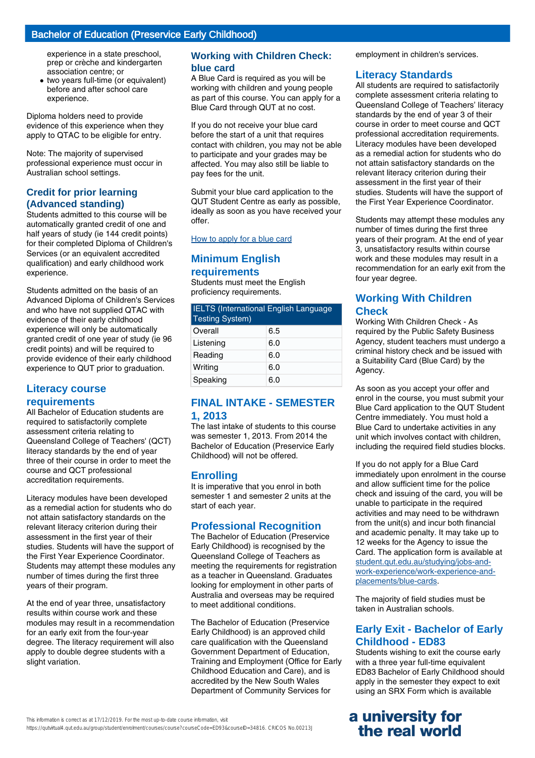# Bachelor of Education (Preservice Early Childhood)

experience in a state preschool, prep or crèche and kindergarten association centre; or

• two years full-time (or equivalent) before and after school care experience.

Diploma holders need to provide evidence of this experience when they apply to QTAC to be eligible for entry.

Note: The majority of supervised professional experience must occur in Australian school settings.

# **Credit for prior learning (Advanced standing)**

Students admitted to this course will be automatically granted credit of one and half years of study (ie 144 credit points) for their completed Diploma of Children's Services (or an equivalent accredited qualification) and early childhood work experience.

Students admitted on the basis of an Advanced Diploma of Children's Services and who have not supplied QTAC with evidence of their early childhood experience will only be automatically granted credit of one year of study (ie 96 credit points) and will be required to provide evidence of their early childhood experience to QUT prior to graduation.

# **Literacy course requirements**

All Bachelor of Education students are required to satisfactorily complete assessment criteria relating to Queensland College of Teachers' (QCT) literacy standards by the end of year three of their course in order to meet the course and QCT professional accreditation requirements.

Literacy modules have been developed as a remedial action for students who do not attain satisfactory standards on the relevant literacy criterion during their assessment in the first year of their studies. Students will have the support of the First Year Experience Coordinator. Students may attempt these modules any number of times during the first three years of their program.

At the end of year three, unsatisfactory results within course work and these modules may result in a recommendation for an early exit from the four-year degree. The literacy requirement will also apply to double degree students with a slight variation.

# **Working with Children Check: blue card**

A Blue Card is required as you will be working with children and young people as part of this course. You can apply for a Blue Card through QUT at no cost.

If you do not receive your blue card before the start of a unit that requires contact with children, you may not be able to participate and your grades may be affected. You may also still be liable to pay fees for the unit.

Submit your blue card application to the QUT Student Centre as early as possible, ideally as soon as you have received your offer.

[How to apply for a blue card](https://cms.qut.edu.au/student/studying/jobs-and-work-experience/work-experience-and-placements/blue-cards)

# **Minimum English requirements**

Students must meet the English proficiency requirements.

| <b>IELTS (International English Language</b><br><b>Testing System)</b> |     |
|------------------------------------------------------------------------|-----|
| Overall                                                                | 6.5 |
| Listening                                                              | 6.0 |
| Reading                                                                | 6.0 |
| Writing                                                                | 6.0 |
| Speaking                                                               | 6.0 |

# **FINAL INTAKE - SEMESTER 1, 2013**

The last intake of students to this course was semester 1, 2013. From 2014 the Bachelor of Education (Preservice Early Childhood) will not be offered.

# **Enrolling**

It is imperative that you enrol in both semester 1 and semester 2 units at the start of each year.

# **Professional Recognition**

The Bachelor of Education (Preservice Early Childhood) is recognised by the Queensland College of Teachers as meeting the requirements for registration as a teacher in Queensland. Graduates looking for employment in other parts of Australia and overseas may be required to meet additional conditions.

The Bachelor of Education (Preservice Early Childhood) is an approved child care qualification with the Queensland Government Department of Education, Training and Employment (Office for Early Childhood Education and Care), and is accredited by the New South Wales Department of Community Services for

This information is correct as at 17/12/2019. For the most up-to-date course information, visit

https://qutvirtual4.qut.edu.au/group/student/enrolment/courses/course?courseCode=ED93&courseID=34816. CRICOS No.00213J

employment in children's services.

# **Literacy Standards**

All students are required to satisfactorily complete assessment criteria relating to Queensland College of Teachers' literacy standards by the end of year 3 of their course in order to meet course and QCT professional accreditation requirements. Literacy modules have been developed as a remedial action for students who do not attain satisfactory standards on the relevant literacy criterion during their assessment in the first year of their studies. Students will have the support of the First Year Experience Coordinator.

Students may attempt these modules any number of times during the first three years of their program. At the end of year 3, unsatisfactory results within course work and these modules may result in a recommendation for an early exit from the four year degree.

# **Working With Children Check**

Working With Children Check - As required by the Public Safety Business Agency, student teachers must undergo a criminal history check and be issued with a Suitability Card (Blue Card) by the Agency.

As soon as you accept your offer and enrol in the course, you must submit your Blue Card application to the QUT Student Centre immediately. You must hold a Blue Card to undertake activities in any unit which involves contact with children, including the required field studies blocks.

If you do not apply for a Blue Card immediately upon enrolment in the course and allow sufficient time for the police check and issuing of the card, you will be unable to participate in the required activities and may need to be withdrawn from the unit(s) and incur both financial and academic penalty. It may take up to 12 weeks for the Agency to issue the Card. The application form is available at [student.qut.edu.au/studying/jobs-and](http://student.qut.edu.au/studying/jobs-and-work-experience/work-experience-and-placements/blue-cards)[work-experience/work-experience-and](http://student.qut.edu.au/studying/jobs-and-work-experience/work-experience-and-placements/blue-cards)[placements/blue-cards](http://student.qut.edu.au/studying/jobs-and-work-experience/work-experience-and-placements/blue-cards).

The majority of field studies must be taken in Australian schools.

# **Early Exit - Bachelor of Early Childhood - ED83**

Students wishing to exit the course early with a three year full-time equivalent ED83 Bachelor of Early Childhood should apply in the semester they expect to exit using an SRX Form which is available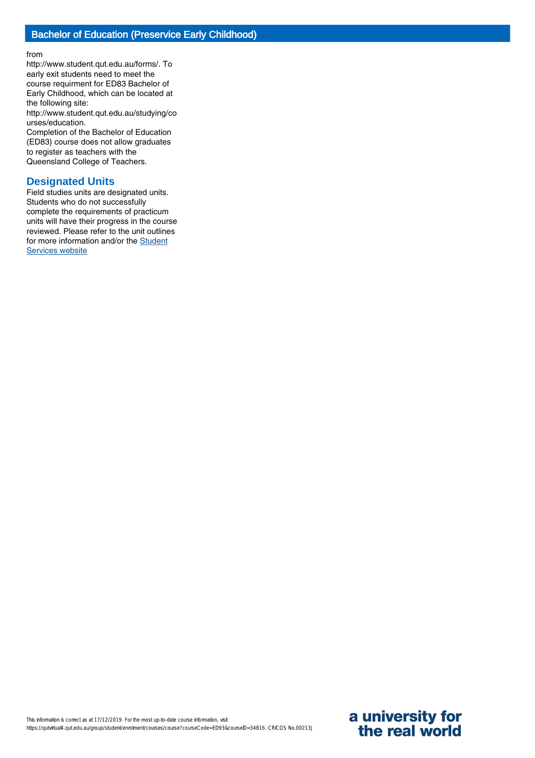from

http://www.student.qut.edu.au/forms/. To early exit students need to meet the course requirment for ED83 Bachelor of Early Childhood, which can be located at the following site:

http://www.student.qut.edu.au/studying/co urses/education.

Completion of the Bachelor of Education (ED83) course does not allow graduates to register as teachers with the Queensland College of Teachers.

## **Designated Units**

Field studies units are designated units. Students who do not successfully complete the requirements of practicum units will have their progress in the course reviewed. Please refer to the unit outlines for more information and/or the [Student](http://www.student.qut.edu.au/studying/assessment/academic-performance/exclusion/designated-units) [Services website](http://www.student.qut.edu.au/studying/assessment/academic-performance/exclusion/designated-units)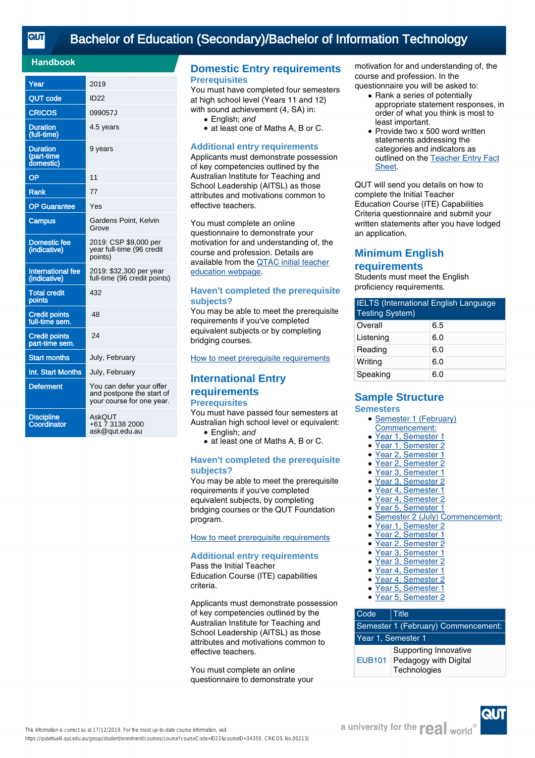# [Bachelor of Education \(Secondary\)/Bachelor of Information Technology](https://qutvirtual4.qut.edu.au/group/student/enrolment/courses/course?courseCode=ID22&courseID=34350)

#### **Handbook**

| Year                                       | 2019                                                                               |
|--------------------------------------------|------------------------------------------------------------------------------------|
| <b>QUT code</b>                            | <b>ID22</b>                                                                        |
| CRICOS                                     | 099057J                                                                            |
| <b>Duration</b><br>(full-time)             | 4.5 years                                                                          |
| <b>Duration</b><br>(part-time<br>domestic) | 9 years                                                                            |
| <b>OP</b>                                  | 11                                                                                 |
| <b>Rank</b>                                | 77                                                                                 |
| <b>OP</b> Guarantee                        | Yes                                                                                |
| <b>Campus</b>                              | Gardens Point, Kelvin<br>Grove                                                     |
| <b>Domestic fee</b><br>(indicative)        | 2019: CSP \$9,000 per<br>year full-time (96 credit<br>points)                      |
| <b>International fee</b><br>(indicative)   | 2019: \$32,300 per year<br>full-time (96 credit points)                            |
| <b>Total credit</b><br>points              | 432                                                                                |
| <b>Credit points</b><br>full-time sem.     | 48                                                                                 |
| <b>Credit points</b><br>part-time sem.     | 24                                                                                 |
| <b>Start months</b>                        | July, February                                                                     |
| Int. Start Months                          | July, February                                                                     |
| <b>Deferment</b>                           | You can defer your offer<br>and postpone the start of<br>your course for one year. |
| <b>Discipline</b><br>Coordinator           | <b>AskQUT</b><br>+61 7 3138 2000<br>ask@qut.edu.au                                 |

## **Domestic Entry requirements Prerequisites**

You must have completed four semesters at high school level (Years 11 and 12) with sound achievement (4, SA) in:

- English: and
- at least one of Maths A, B or C.

#### **Additional entry requirements**

Applicants must demonstrate possession of key competencies outlined by the Australian Institute for Teaching and School Leadership (AITSL) as those attributes and motivations common to effective teachers.

You must complete an online questionnaire to demonstrate your motivation for and understanding of, the course and profession. Details are available from the [QTAC initial teacher](http://www.qtac.edu.au/courses---institutions/initial-teacher-education) [education webpage](http://www.qtac.edu.au/courses---institutions/initial-teacher-education).

#### **Haven't completed the prerequisite subjects?**

You may be able to meet the prerequisite requirements if you've completed equivalent subjects or by completing bridging courses.

[How to meet prerequisite requirements](https://www.qut.edu.au/study/applying/undergraduate-applications/prerequisite-subjects)

# **International Entry**

#### **requirements Prerequisites**

You must have passed four semesters at Australian high school level or equivalent:

- English: and
- at least one of Maths A, B or C.

#### **Haven't completed the prerequisite subjects?**

You may be able to meet the prerequisite requirements if you've completed equivalent subjects, by completing bridging courses or the QUT Foundation program.

[How to meet prerequisite requirements](https://www.qut.edu.au/study/applying/undergraduate-applications/prerequisite-subjects)

#### **Additional entry requirements**

Pass the Initial Teacher Education Course (ITE) capabilities criteria.

Applicants must demonstrate possession of key competencies outlined by the Australian Institute for Teaching and School Leadership (AITSL) as those attributes and motivations common to effective teachers.

You must complete an online questionnaire to demonstrate your motivation for and understanding of, the course and profession. In the questionnaire you will be asked to:

- Rank a series of potentially appropriate statement responses, in order of what you think is most to least important.
- Provide two x 500 word written statements addressing the categories and indicators as outlined on the [Teacher Entry Fact](https://www.qtac.edu.au/ArticleDocuments/173/Teacher%20Entry%20Fact%20Sheet.pdf.aspx) [Sheet.](https://www.qtac.edu.au/ArticleDocuments/173/Teacher%20Entry%20Fact%20Sheet.pdf.aspx) ●

QUT will send you details on how to complete the Initial Teacher Education Course (ITE) Capabilities Criteria questionnaire and submit your written statements after you have lodged an application.

# **Minimum English requirements**

Students must meet the English proficiency requirements.

| <b>IELTS (International English Language</b><br><b>Testing System)</b> |     |
|------------------------------------------------------------------------|-----|
| Overall                                                                | 6.5 |
| Listening                                                              | 6.0 |
| Reading                                                                | 6.0 |
| Writing                                                                | 6.0 |
| Speaking                                                               | 6.0 |

#### **Sample Structure Semesters**

#### • Semester 1 (February)

- Commencement:
- Year 1, Semester 1
- Year 1, Semester 2
- Year 2, Semester 1
- Year 2, Semester 2
- Year 3, Semester 1
- Year 3, Semester 2
- Year 4, Semester 1
- Year 4, Semester 2
- Year 5, Semester 1
- Semester 2 (July) Commencement:<br>• Year 1, Semester 2
- Year 1, Semester 2
- Year 2, Semester 1
- Year 2, Semester 2
- Year 3, Semester 1
- Year 3, Semester 2
- Year 4, Semester 1
- Year 4, Semester 2
- Year 5, Semester 1<br>• Year 5, Semester 2 Year 5, Semester 2

#### Code Title Semester 1 (February) Commencement: Year 1, Semester 1 EUB101 Pedagogy with Digital Supporting Innovative **Technologies**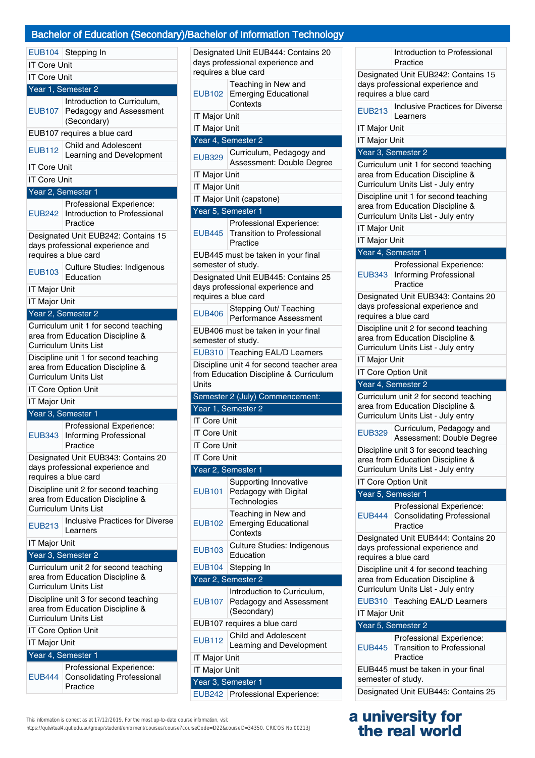# y)/Bachelor of Information Technology

|                      | <b>Bachelor of Education (Seconda</b>                                                                     |
|----------------------|-----------------------------------------------------------------------------------------------------------|
|                      | EUB104 Stepping In                                                                                        |
| <b>IT Core Unit</b>  |                                                                                                           |
| <b>IT Core Unit</b>  |                                                                                                           |
|                      | Year 1, Semester 2                                                                                        |
|                      | Introduction to Curriculum,                                                                               |
| EUB107               | Pedagogy and Assessment<br>(Secondary)                                                                    |
|                      | EUB107 requires a blue card                                                                               |
| <b>EUB112</b>        | <b>Child and Adolescent</b><br>Learning and Development                                                   |
| IT Core Unit         |                                                                                                           |
| <b>IT Core Unit</b>  |                                                                                                           |
|                      | Year 2, Semester 1                                                                                        |
| <b>EUB242</b>        | Professional Experience:<br>Introduction to Professional<br>Practice                                      |
|                      | Designated Unit EUB242: Contains 15<br>days professional experience and<br>requires a blue card           |
| <b>EUB103</b>        | <b>Culture Studies: Indigenous</b><br>Education                                                           |
| <b>IT Major Unit</b> |                                                                                                           |
| <b>IT Major Unit</b> |                                                                                                           |
|                      | Year 2, Semester 2                                                                                        |
|                      | Curriculum unit 1 for second teaching                                                                     |
|                      | area from Education Discipline &<br>Curriculum Units List                                                 |
|                      | Discipline unit 1 for second teaching                                                                     |
|                      | area from Education Discipline &<br><b>Curriculum Units List</b>                                          |
|                      | IT Core Option Unit                                                                                       |
| <b>IT Major Unit</b> |                                                                                                           |
|                      | Year 3, Semester 1                                                                                        |
| <b>EUB343</b>        | Professional Experience:<br>Informing Professional<br>Practice                                            |
|                      | Designated Unit EUB343: Contains 20<br>days professional experience and<br>requires a blue card           |
|                      | Discipline unit 2 for second teaching                                                                     |
|                      | area from Education Discipline &<br><b>Curriculum Units List</b>                                          |
| <b>EUB213</b>        | <b>Inclusive Practices for Diverse</b><br>Learners                                                        |
| IT Major Unit        |                                                                                                           |
|                      | Year 3, Semester 2                                                                                        |
|                      | Curriculum unit 2 for second teaching<br>area from Education Discipline &<br><b>Curriculum Units List</b> |
|                      | Discipline unit 3 for second teaching<br>area from Education Discipline &<br><b>Curriculum Units List</b> |
|                      | <b>IT Core Option Unit</b>                                                                                |
| <b>IT Major Unit</b> |                                                                                                           |
|                      | Year 4, Semester 1                                                                                        |
|                      | Professional Experience:                                                                                  |
| EUB444               | <b>Consolidating Professional</b>                                                                         |

| Designated Unit EUB444: Contains 20<br>days professional experience and<br>requires a blue card |                                                                                                 |  |  |
|-------------------------------------------------------------------------------------------------|-------------------------------------------------------------------------------------------------|--|--|
| EUB102                                                                                          | Teaching in New and<br><b>Emerging Educational</b><br>Contexts                                  |  |  |
| IT Major Unit                                                                                   |                                                                                                 |  |  |
| IT Major Unit                                                                                   |                                                                                                 |  |  |
|                                                                                                 | Year 4, Semester 2                                                                              |  |  |
| <b>EUB329</b>                                                                                   | Curriculum, Pedagogy and<br>Assessment: Double Degree                                           |  |  |
| <b>IT Major Unit</b>                                                                            |                                                                                                 |  |  |
| <b>IT Major Unit</b>                                                                            |                                                                                                 |  |  |
|                                                                                                 | IT Major Unit (capstone)                                                                        |  |  |
|                                                                                                 | Year 5, Semester 1                                                                              |  |  |
|                                                                                                 | Professional Experience:                                                                        |  |  |
| <b>EUB445</b>                                                                                   | <b>Transition to Professional</b><br>Practice                                                   |  |  |
| semester of study.                                                                              | EUB445 must be taken in your final                                                              |  |  |
|                                                                                                 | Designated Unit EUB445: Contains 25<br>days professional experience and<br>requires a blue card |  |  |
| <b>EUB406</b>                                                                                   | Stepping Out/ Teaching<br>Performance Assessment                                                |  |  |
|                                                                                                 | EUB406 must be taken in your final<br>semester of study.                                        |  |  |
|                                                                                                 | EUB310 Teaching EAL/D Learners                                                                  |  |  |
|                                                                                                 | Discipline unit 4 for second teacher area                                                       |  |  |
| Units                                                                                           | from Education Discipline & Curriculum                                                          |  |  |
|                                                                                                 | Semester 2 (July) Commencement:                                                                 |  |  |
|                                                                                                 | Year 1, Semester 2                                                                              |  |  |
| <b>IT Core Unit</b>                                                                             |                                                                                                 |  |  |
| <b>IT Core Unit</b>                                                                             |                                                                                                 |  |  |
| IT Core Unit                                                                                    |                                                                                                 |  |  |
| <b>IT Core Unit</b>                                                                             |                                                                                                 |  |  |
|                                                                                                 | Year 2, Semester 1                                                                              |  |  |
| <b>EUB101</b>                                                                                   | Supporting Innovative<br>Pedagogy with Digital                                                  |  |  |
|                                                                                                 | Technologies                                                                                    |  |  |
| <b>EUB102</b>                                                                                   | Teaching in New and<br><b>Emerging Educational</b><br>Contexts                                  |  |  |
| <b>EUB103</b>                                                                                   | Culture Studies: Indigenous<br>Education                                                        |  |  |
| <b>EUB104</b>                                                                                   | Stepping In                                                                                     |  |  |
| Year 2, Semester 2                                                                              |                                                                                                 |  |  |
|                                                                                                 | Introduction to Curriculum,                                                                     |  |  |
| EUB107                                                                                          | Pedagogy and Assessment<br>(Secondary)                                                          |  |  |
|                                                                                                 | EUB107 requires a blue card                                                                     |  |  |
| <b>EUB112</b>                                                                                   | <b>Child and Adolescent</b><br>Learning and Development                                         |  |  |
| IT Major Unit                                                                                   |                                                                                                 |  |  |
| IT Major Unit                                                                                   |                                                                                                 |  |  |
|                                                                                                 | Year 3, Semester 1                                                                              |  |  |
| <b>EUB242</b>                                                                                   | Professional Experience:                                                                        |  |  |

Introduction to Professional **Practice** Designated Unit EUB242: Contains 15 days professional experience and requires a blue card EUB213 | Inclusive Practices for Diverse Learners IT Major Unit IT Major Unit Year 3, Semester 2 Curriculum unit 1 for second teaching area from Education Discipline & Curriculum Units List - July entry Discipline unit 1 for second teaching area from Education Discipline & Curriculum Units List - July entry IT Major Unit IT Major Unit Year 4, Semester 1 EUB343 Informing Professional Professional Experience: Practice Designated Unit EUB343: Contains 20 days professional experience and requires a blue card Discipline unit 2 for second teaching area from Education Discipline & Curriculum Units List - July entry IT Major Unit IT Core Option Unit Year 4, Semester 2 Curriculum unit 2 for second teaching area from Education Discipline & Curriculum Units List - July entry EUB329 Curriculum, Pedagogy and Assessment: Double Degree Discipline unit 3 for second teaching area from Education Discipline & Curriculum Units List - July entry IT Core Option Unit Year 5, Semester 1 EUB444 Professional Experience: Consolidating Professional Practice Designated Unit EUB444: Contains 20 days professional experience and requires a blue card Discipline unit 4 for second teaching area from Education Discipline & Curriculum Units List - July entry EUB310 Teaching EAL/D Learners IT Major Unit Year 5, Semester 2 EUB445 Professional Experience: Transition to Professional Practice EUB445 must be taken in your final semester of study. Designated Unit EUB445: Contains 25

# **a university for the real world**

This information is correct as at 17/12/2019. For the most up-to-date course information, visit

Practice

https://qutvirtual4.qut.edu.au/group/student/enrolment/courses/course?courseCode=ID22&courseID=34350. CRICOS No.00213J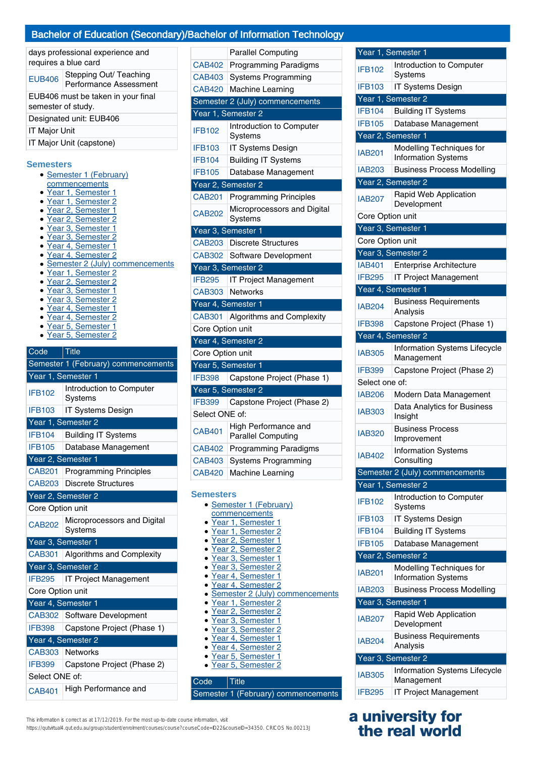# Bachelor of Education (Secondary)/Bachelor of Information Technology

| days professional experience and<br>requires a blue card |                                                  |  |
|----------------------------------------------------------|--------------------------------------------------|--|
| <b>EUB406</b>                                            | Stepping Out/ Teaching<br>Performance Assessment |  |
| EUB406 must be taken in your final<br>semester of study. |                                                  |  |
| Designated unit: EUB406                                  |                                                  |  |
| <b>IT Major Unit</b>                                     |                                                  |  |
| IT Major Unit (capstone)                                 |                                                  |  |
| Samaetare                                                |                                                  |  |

#### **Semesters**

- Semester 1 (February)
- commencements
- Year 1, Semester 1
- Year 1, Semester 2
- Year 2, Semester 1
- Year 2, Semester 2
- Year 3, Semester 1 ● Year 3, Semester 2
- Year 4, Semester 1
- Year 4, Semester 2
- Semester 2 (July) commencements<br>• Year 1, Semester 2
- Year 1, Semester 2
- Year 2, Semester 2
- Year 3, Semester 1
- Year 3, Semester 2
- Year 4, Semester 1
- Year 4, Semester 2
- Year 5, Semester 1
- Year 5, Semester 2

| Code               | <b>Title</b>                                  |  |
|--------------------|-----------------------------------------------|--|
|                    | Semester 1 (February) commencements           |  |
|                    | Year 1, Semester 1                            |  |
| <b>IFB102</b>      | Introduction to Computer<br>Systems           |  |
| <b>IFB103</b>      | IT Systems Design                             |  |
|                    | Year 1, Semester 2                            |  |
| <b>IFB104</b>      | <b>Building IT Systems</b>                    |  |
| <b>IFB105</b>      | Database Management                           |  |
| Year 2, Semester 1 |                                               |  |
| <b>CAB201</b>      | <b>Programming Principles</b>                 |  |
| <b>CAB203</b>      | <b>Discrete Structures</b>                    |  |
|                    | Year <sub>2</sub> , Semester <sub>2</sub>     |  |
| Core Option unit   |                                               |  |
| <b>CAB202</b>      | Microprocessors and Digital<br><b>Systems</b> |  |
|                    | Year 3, Semester 1                            |  |
|                    | CAB301 Algorithms and Complexity              |  |
|                    | Year <sub>3</sub> , Semester 2                |  |
| <b>IFB295</b>      | IT Project Management                         |  |
| Core Option unit   |                                               |  |
| Year 4, Semester 1 |                                               |  |
|                    | CAB302 Software Development                   |  |
| <b>IFB398</b>      | Capstone Project (Phase 1)                    |  |
|                    | Year 4, Semester 2                            |  |
| CAB303             | <b>Networks</b>                               |  |
| <b>IFB399</b>      | Capstone Project (Phase 2)                    |  |
|                    |                                               |  |

| Select ONE of: |                             |
|----------------|-----------------------------|
|                | CAB401 High Performance and |

|                    | <b>Parallel Computing</b>                                |
|--------------------|----------------------------------------------------------|
| CAB402             | <b>Programming Paradigms</b>                             |
| CAB403             | <b>Systems Programming</b>                               |
| <b>CAB420</b>      | Machine Learning                                         |
|                    | Semester 2 (July) commencements                          |
|                    | Year 1, Semester 2                                       |
| <b>IFB102</b>      | Introduction to Computer<br>Systems                      |
| <b>IFB103</b>      | <b>IT Systems Design</b>                                 |
| <b>IFB104</b>      | <b>Building IT Systems</b>                               |
| <b>IFB105</b>      | Database Management                                      |
|                    | Year 2, Semester 2                                       |
| <b>CAB201</b>      | <b>Programming Principles</b>                            |
| <b>CAB202</b>      | Microprocessors and Digital<br>Systems                   |
| Year 3, Semester 1 |                                                          |
| <b>CAB203</b>      | <b>Discrete Structures</b>                               |
| <b>CAB302</b>      | Software Development                                     |
|                    | Year 3, Semester 2                                       |
| <b>IFB295</b>      | <b>IT Project Management</b>                             |
| CAB303             | <b>Networks</b>                                          |
| Year 4, Semester 1 |                                                          |
| <b>CAB301</b>      | <b>Algorithms and Complexity</b>                         |
| Core Option unit   |                                                          |
|                    | Year 4, Semester 2                                       |
| Core Option unit   |                                                          |
| Year 5, Semester 1 |                                                          |
| <b>IFB398</b>      | Capstone Project (Phase 1)                               |
|                    | Year 5, Semester 2                                       |
| <b>IFB399</b>      | Capstone Project (Phase 2)                               |
| Select ONE of:     |                                                          |
| <b>CAB401</b>      | <b>High Performance and</b><br><b>Parallel Computing</b> |
| <b>CAB402</b>      | <b>Programming Paradigms</b>                             |
| CAB403             | <b>Systems Programming</b>                               |
| <b>CAB420</b>      | Machine Learning                                         |
|                    |                                                          |

#### **Semesters**

| • Semester 1 (February)                             |
|-----------------------------------------------------|
| commencements                                       |
| • Year 1, Semester 1                                |
| • Year 1, Semester 2                                |
| • Year 2, Semester 1                                |
| • Year 2, Semester 2                                |
| • Year 3, Semester 1                                |
| • Year 3. Semester 2                                |
| • Year 4, Semester 1                                |
| • Year 4, Semester 2                                |
| • Semester 2 (July) commencements                   |
| $\mathbf{v}$ $\mathbf{v}$ $\mathbf{v}$ $\mathbf{v}$ |

- Year 1, Semester 2
- Year 2, Semester 2
- Year 3, Semester 1
- Year 3, Semester 2
- Year 4, Semester 1
- Year 4, Semester 2
- Year 5, Semester 1
- Year 5, Semester 2

# Code Title

Semester 1 (February) commencements

|                  | Year 1, Semester 1                                     |
|------------------|--------------------------------------------------------|
| <b>IFB102</b>    | Introduction to Computer<br><b>Systems</b>             |
| <b>IFB103</b>    | <b>IT Systems Design</b>                               |
|                  | Year 1, Semester 2                                     |
| <b>IFB104</b>    | <b>Building IT Systems</b>                             |
| <b>IFB105</b>    | Database Management                                    |
|                  | Year 2, Semester 1                                     |
| <b>IAB201</b>    | Modelling Techniques for<br><b>Information Systems</b> |
| <b>IAB203</b>    | <b>Business Process Modelling</b>                      |
|                  | Year 2, Semester 2                                     |
| <b>IAB207</b>    | Rapid Web Application<br>Development                   |
| Core Option unit |                                                        |
|                  | Year 3, Semester 1                                     |
| Core Option unit |                                                        |
|                  | Year 3, Semester 2                                     |
| <b>IAB401</b>    | Enterprise Architecture                                |
| <b>IFB295</b>    | <b>IT Project Management</b>                           |
|                  | Year 4, Semester 1                                     |
| <b>IAB204</b>    | <b>Business Requirements</b><br>Analysis               |
| <b>IFB398</b>    | Capstone Project (Phase 1)                             |
|                  | Year 4, Semester 2                                     |
| <b>IAB305</b>    | Information Systems Lifecycle<br>Management            |
| <b>IFB399</b>    | Capstone Project (Phase 2)                             |
| Select one of:   |                                                        |
| <b>IAB206</b>    | Modern Data Management                                 |
| <b>IAB303</b>    | Data Analytics for Business<br>Insight                 |
| <b>IAB320</b>    | <b>Business Process</b><br>Improvement                 |
| <b>IAB402</b>    | <b>Information Systems</b><br>Consulting               |
|                  | Semester 2 (July) commencements                        |
|                  | Year 1, Semester 2                                     |
| <b>IFB102</b>    | Introduction to Computer<br><b>Systems</b>             |
| <b>IFB103</b>    | IT Systems Design                                      |
| <b>IFB104</b>    | <b>Building IT Systems</b>                             |
| <b>IFB105</b>    | Database Management                                    |
|                  | Year 2, Semester 2                                     |
| IAB201           | Modelling Techniques for<br><b>Information Systems</b> |
| <b>IAB203</b>    | <b>Business Process Modelling</b>                      |
|                  | Year 3, Semester 1                                     |
| <b>IAB207</b>    | Rapid Web Application<br>Development                   |
| <b>IAB204</b>    | <b>Business Requirements</b><br>Analysis               |
|                  | Year 3, Semester 2                                     |
| <b>IAB305</b>    | Information Systems Lifecycle<br>Management            |
| <b>IFB295</b>    | IT Project Management                                  |

# **a university for the real world**

This information is correct as at 17/12/2019. For the most up-to-date course information, visit

https://qutvirtual4.qut.edu.au/group/student/enrolment/courses/course?courseCode=ID22&courseID=34350. CRICOS No.00213J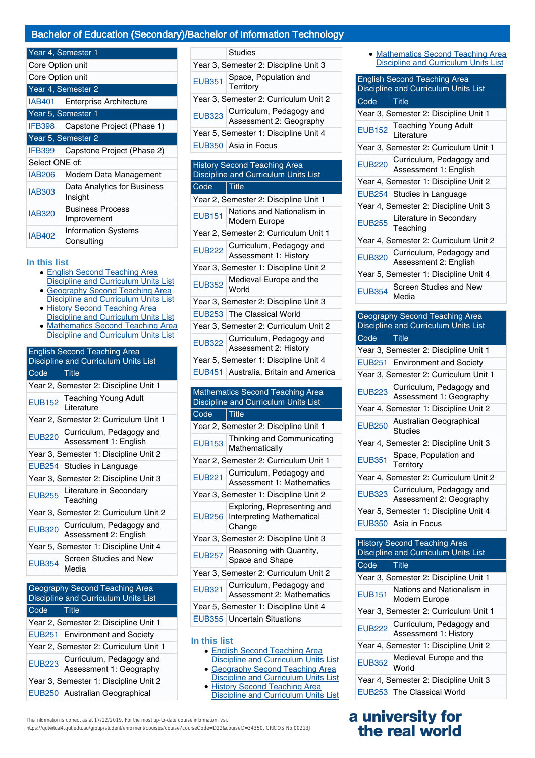## Bachelor of Education (Secondary)/Bachelor of Information Technology

| Year 4, Semester 1 |                                          |
|--------------------|------------------------------------------|
| Core Option unit   |                                          |
| Core Option unit   |                                          |
|                    | Year 4, Semester 2                       |
| IAB401             | <b>Enterprise Architecture</b>           |
| Year 5, Semester 1 |                                          |
| <b>IFB398</b>      | Capstone Project (Phase 1)               |
| Year 5, Semester 2 |                                          |
| <b>IFB399</b>      | Capstone Project (Phase 2)               |
| Select ONE of:     |                                          |
| <b>IAB206</b>      | Modern Data Management                   |
| <b>IAB303</b>      | Data Analytics for Business<br>Insight   |
| <b>IAB320</b>      | <b>Business Process</b><br>Improvement   |
| <b>IAB402</b>      | <b>Information Systems</b><br>Consulting |

#### **In this list**

- English Second Teaching Area Discipline and Curriculum Units List
- Geography Second Teaching Area Discipline and Curriculum Units List
- **History Second Teaching Area** ●
- **Discipline and Curriculum Units List** Mathematics Second Teaching Area Discipline and Curriculum Units List ●

| <b>English Second Teaching Area</b><br>Discipline and Curriculum Units List |                                                   |
|-----------------------------------------------------------------------------|---------------------------------------------------|
| Code                                                                        | <u>Title</u>                                      |
| Year 2, Semester 2: Discipline Unit 1                                       |                                                   |
| <b>EUB152</b>                                                               | <b>Teaching Young Adult</b><br>Literature         |
| Year 2, Semester 2: Curriculum Unit 1                                       |                                                   |
| <b>EUB220</b>                                                               | Curriculum, Pedagogy and<br>Assessment 1: English |
| Year 3, Semester 1: Discipline Unit 2                                       |                                                   |
|                                                                             | EUB254 Studies in Language                        |
| Year 3, Semester 2: Discipline Unit 3                                       |                                                   |
| <b>EUB255</b>                                                               | Literature in Secondary<br>Teaching               |
| Year 3, Semester 2: Curriculum Unit 2                                       |                                                   |
| <b>EUB320</b>                                                               | Curriculum, Pedagogy and<br>Assessment 2: English |
| Year 5, Semester 1: Discipline Unit 4                                       |                                                   |
| <b>EUB354</b>                                                               | Screen Studies and New<br>Media                   |

| Geography Second Teaching Area<br>Discipline and Curriculum Units List |  |
|------------------------------------------------------------------------|--|
| Title                                                                  |  |
| Year 2, Semester 2: Discipline Unit 1                                  |  |
| EUB251 Environment and Society                                         |  |
| Year 2, Semester 2: Curriculum Unit 1                                  |  |
| Curriculum, Pedagogy and<br>Assessment 1: Geography                    |  |
| Year 3, Semester 1: Discipline Unit 2                                  |  |
| EUB250 Australian Geographical                                         |  |
|                                                                        |  |

|                                       | Studies                                             |
|---------------------------------------|-----------------------------------------------------|
| Year 3, Semester 2: Discipline Unit 3 |                                                     |
| <b>EUB351</b>                         | Space, Population and<br>Territory                  |
| Year 3, Semester 2: Curriculum Unit 2 |                                                     |
| <b>EUB323</b>                         | Curriculum, Pedagogy and<br>Assessment 2: Geography |
| Year 5, Semester 1: Discipline Unit 4 |                                                     |
|                                       | EUB350   Asia in Focus                              |
|                                       |                                                     |
| <b>History Second Teaching Area</b>   |                                                     |

# Discipline and Curriculum Units List Code Title

| Year 2, Semester 2: Discipline Unit 1                                           |                                                          |  |
|---------------------------------------------------------------------------------|----------------------------------------------------------|--|
| <b>EUB151</b>                                                                   | Nations and Nationalism in<br>Modern Europe              |  |
| Year 2, Semester 2: Curriculum Unit 1                                           |                                                          |  |
|                                                                                 | EUB222 Curriculum, Pedagogy and<br>Assessment 1: History |  |
| Year 3, Semester 1: Discipline Unit 2                                           |                                                          |  |
|                                                                                 | EUB352 Medieval Europe and the                           |  |
|                                                                                 | Year 3, Semester 2: Discipline Unit 3                    |  |
|                                                                                 | EUB253 The Classical World                               |  |
|                                                                                 | Year 3, Semester 2: Curriculum Unit 2                    |  |
|                                                                                 | EUB322 Curriculum, Pedagogy and<br>Assessment 2: History |  |
| Year 5, Semester 1: Discipline Unit 4                                           |                                                          |  |
|                                                                                 | EUB451 Australia, Britain and America                    |  |
|                                                                                 |                                                          |  |
| <b>Mathematics Second Teaching Area</b><br>Discipline and Curriculum Units List |                                                          |  |

# Code Title

| Year 2, Semester 2: Discipline Unit 1 |                                                                           |
|---------------------------------------|---------------------------------------------------------------------------|
| <b>EUB153</b>                         | Thinking and Communicating<br>Mathematically                              |
|                                       | Year 2, Semester 2: Curriculum Unit 1                                     |
| <b>EUB221</b>                         | Curriculum, Pedagogy and<br><b>Assessment 1: Mathematics</b>              |
| Year 3, Semester 1: Discipline Unit 2 |                                                                           |
|                                       | Exploring, Representing and<br>EUB256 Interpreting Mathematical<br>Change |
| Year 3, Semester 2: Discipline Unit 3 |                                                                           |
| <b>EUB257</b>                         | Reasoning with Quantity,<br>Space and Shape                               |
| Year 3, Semester 2: Curriculum Unit 2 |                                                                           |
| <b>EUB321</b>                         | Curriculum, Pedagogy and<br><b>Assessment 2: Mathematics</b>              |
| Year 5, Semester 1: Discipline Unit 4 |                                                                           |
|                                       | EUB355   Uncertain Situations                                             |
|                                       |                                                                           |

#### **In this list**

- English Second Teaching Area Discipline and Curriculum Units List
- Geography Second Teaching Area Discipline and Curriculum Units List
- History Second Teaching Area
- Discipline and Curriculum Units List

| <b>English Second Teaching Area</b><br>Discipline and Curriculum Units List |                                                          |
|-----------------------------------------------------------------------------|----------------------------------------------------------|
| Code                                                                        | $\vert$ Title                                            |
| Year 3, Semester 2: Discipline Unit 1                                       |                                                          |
|                                                                             | EUB152 Teaching Young Adult                              |
| Year 3, Semester 2: Curriculum Unit 1                                       |                                                          |
|                                                                             | EUB220 Curriculum, Pedagogy and<br>Assessment 1: English |
| Year 4, Semester 1: Discipline Unit 2                                       |                                                          |
|                                                                             | EUB254 Studies in Language                               |
| Year 4, Semester 2: Discipline Unit 3                                       |                                                          |
|                                                                             | EUB255 Literature in Secondary<br>Teaching               |
| Year 4, Semester 2: Curriculum Unit 2                                       |                                                          |
| <b>EUB320</b>                                                               | Curriculum, Pedagogy and<br>Assessment 2: English        |
| Year 5, Semester 1: Discipline Unit 4                                       |                                                          |
| <b>EUB354</b>                                                               | Screen Studies and New<br>Media                          |

| Geography Second Teaching Area<br>Discipline and Curriculum Units List      |                                                          |  |
|-----------------------------------------------------------------------------|----------------------------------------------------------|--|
| Code                                                                        | Title                                                    |  |
|                                                                             | Year 3, Semester 2: Discipline Unit 1                    |  |
| <b>EUB251</b>                                                               | <b>Environment and Society</b>                           |  |
|                                                                             | Year 3, Semester 2: Curriculum Unit 1                    |  |
| <b>EUB223</b>                                                               | Curriculum, Pedagogy and<br>Assessment 1: Geography      |  |
|                                                                             | Year 4, Semester 1: Discipline Unit 2                    |  |
| <b>EUB250</b>                                                               | Australian Geographical<br>Studies                       |  |
|                                                                             | Year 4, Semester 2: Discipline Unit 3                    |  |
| <b>EUB351</b>                                                               | Space, Population and<br>Territory                       |  |
|                                                                             | Year 4, Semester 2: Curriculum Unit 2                    |  |
| <b>EUB323</b>                                                               | Curriculum, Pedagogy and<br>Assessment 2: Geography      |  |
| Year 5, Semester 1: Discipline Unit 4                                       |                                                          |  |
|                                                                             | EUB350 Asia in Focus                                     |  |
|                                                                             |                                                          |  |
| <b>History Second Teaching Area</b><br>Discipline and Curriculum Units List |                                                          |  |
| Code                                                                        | <b>Title</b>                                             |  |
| Year 3, Semester 2: Discipline Unit 1                                       |                                                          |  |
| <b>EUB151</b>                                                               | Nations and Nationalism in<br>Modern Europe              |  |
| Year 3, Semester 2: Curriculum Unit 1                                       |                                                          |  |
| <b>EUB222</b>                                                               | Curriculum, Pedagogy and<br><b>Assessment 1: History</b> |  |
| Year 4, Semester 1: Discipline Unit 2                                       |                                                          |  |
| <b>EUB352</b>                                                               | Medieval Europe and the<br>World                         |  |
| Year 4, Semester 2: Discipline Unit 3                                       |                                                          |  |

# EUB253 The Classical World

# **a university for the real world**

This information is correct as at 17/12/2019. For the most up-to-date course information, visit https://qutvirtual4.qut.edu.au/group/student/enrolment/courses/course?courseCode=ID22&courseID=34350. CRICOS No.00213J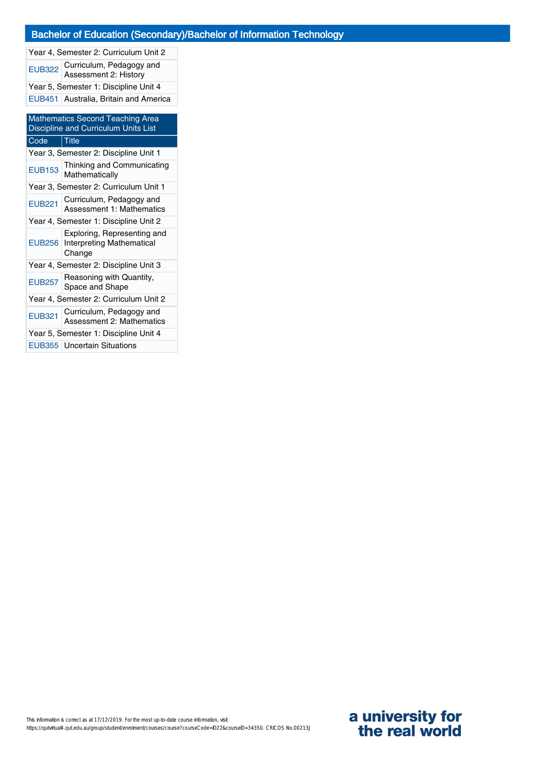Year 4, Semester 2: Curriculum Unit 2 EUB322 Curriculum, Pedagogy and Assessment 2: History Year 5, Semester 1: Discipline Unit 4 EUB451 Australia, Britain and America

| <b>Mathematics Second Teaching Area</b><br>Discipline and Curriculum Units List |                                                                    |  |
|---------------------------------------------------------------------------------|--------------------------------------------------------------------|--|
| Code                                                                            | <b>Title</b>                                                       |  |
| Year 3, Semester 2: Discipline Unit 1                                           |                                                                    |  |
| <b>EUB153</b>                                                                   | Thinking and Communicating<br>Mathematically                       |  |
|                                                                                 | Year 3, Semester 2: Curriculum Unit 1                              |  |
| <b>EUB221</b>                                                                   | Curriculum, Pedagogy and<br>Assessment 1: Mathematics              |  |
| Year 4, Semester 1: Discipline Unit 2                                           |                                                                    |  |
| EUB256                                                                          | Exploring, Representing and<br>Interpreting Mathematical<br>Change |  |
| Year 4, Semester 2: Discipline Unit 3                                           |                                                                    |  |
| <b>EUB257</b>                                                                   | Reasoning with Quantity,<br>Space and Shape                        |  |
| Year 4, Semester 2: Curriculum Unit 2                                           |                                                                    |  |
| <b>EUB321</b>                                                                   | Curriculum, Pedagogy and<br>Assessment 2: Mathematics              |  |
|                                                                                 | Year 5, Semester 1: Discipline Unit 4                              |  |
|                                                                                 | EUB355   Uncertain Situations                                      |  |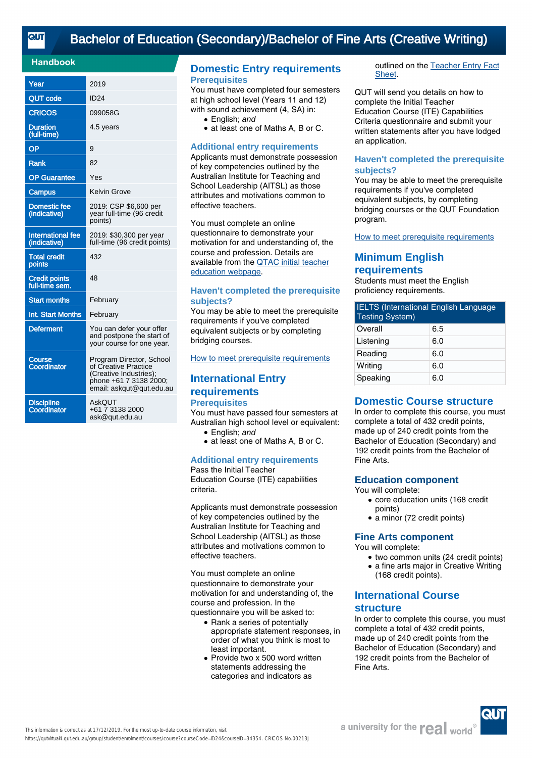# [Bachelor of Education \(Secondary\)/Bachelor of Fine Arts \(Creative Writing\)](https://qutvirtual4.qut.edu.au/group/student/enrolment/courses/course?courseCode=ID24&courseID=34354)

#### **Handbook**

| Year                                     | 2019                                                                                                                             |
|------------------------------------------|----------------------------------------------------------------------------------------------------------------------------------|
| <b>QUT code</b>                          | <b>ID24</b>                                                                                                                      |
| <b>CRICOS</b>                            | 099058G                                                                                                                          |
| <b>Duration</b><br>(full-time)           | 4.5 years                                                                                                                        |
| OP                                       | 9                                                                                                                                |
| Rank                                     | 82                                                                                                                               |
| <b>OP Guarantee</b>                      | Yes                                                                                                                              |
| Campus                                   | Kelvin Grove                                                                                                                     |
| <b>Domestic fee</b><br>(indicative)      | 2019: CSP \$6,600 per<br>year full-time (96 credit<br>points)                                                                    |
| <b>International fee</b><br>(indicative) | 2019: \$30,300 per year<br>full-time (96 credit points)                                                                          |
| <b>Total credit</b><br>points            | 432                                                                                                                              |
| <b>Credit points</b><br>full-time sem.   | 48                                                                                                                               |
| <b>Start months</b>                      | February                                                                                                                         |
| Int. Start Months                        | February                                                                                                                         |
| <b>Deferment</b>                         | You can defer your offer<br>and postpone the start of<br>your course for one year.                                               |
| <b>Course</b><br>Coordinator             | Program Director, School<br>of Creative Practice<br>(Creative Industries);<br>phone +61 7 3138 2000;<br>email: askqut@qut.edu.au |
| <b>Discipline</b><br>Coordinator         | AskOUT<br>+61 7 3138 2000<br>ask@qut.edu.au                                                                                      |

## **Domestic Entry requirements Prerequisites**

You must have completed four semesters at high school level (Years 11 and 12) with sound achievement (4, SA) in:

- English: and
- at least one of Maths A, B or C.

#### **Additional entry requirements**

Applicants must demonstrate possession of key competencies outlined by the Australian Institute for Teaching and School Leadership (AITSL) as those attributes and motivations common to effective teachers.

You must complete an online questionnaire to demonstrate your motivation for and understanding of, the course and profession. Details are available from the [QTAC initial teacher](http://www.qtac.edu.au/courses---institutions/initial-teacher-education) [education webpage](http://www.qtac.edu.au/courses---institutions/initial-teacher-education).

#### **Haven't completed the prerequisite subjects?**

You may be able to meet the prerequisite requirements if you've completed equivalent subjects or by completing bridging courses.

[How to meet prerequisite requirements](https://www.qut.edu.au/study/applying/undergraduate-applications/prerequisite-subjects)

# **International Entry requirements**

# **Prerequisites**

You must have passed four semesters at Australian high school level or equivalent:

- English: and
- at least one of Maths A, B or C.

#### **Additional entry requirements** Pass the Initial Teacher

Education Course (ITE) capabilities criteria.

Applicants must demonstrate possession of key competencies outlined by the Australian Institute for Teaching and School Leadership (AITSL) as those attributes and motivations common to effective teachers.

You must complete an online questionnaire to demonstrate your motivation for and understanding of, the course and profession. In the questionnaire you will be asked to:

- Rank a series of potentially appropriate statement responses, in order of what you think is most to least important.
- Provide two x 500 word written statements addressing the categories and indicators as

outlined on the [Teacher Entry Fact](https://www.qtac.edu.au/ArticleDocuments/173/Teacher%20Entry%20Fact%20Sheet.pdf.aspx) [Sheet.](https://www.qtac.edu.au/ArticleDocuments/173/Teacher%20Entry%20Fact%20Sheet.pdf.aspx)

QUT will send you details on how to complete the Initial Teacher Education Course (ITE) Capabilities Criteria questionnaire and submit your written statements after you have lodged an application.

#### **Haven't completed the prerequisite subjects?**

You may be able to meet the prerequisite requirements if you've completed equivalent subjects, by completing bridging courses or the QUT Foundation program.

How to meet prerequisite requirements

# **Minimum English requirements**

Students must meet the English proficiency requirements.

| <b>IELTS (International English Language</b><br><b>Testing System)</b> |     |  |
|------------------------------------------------------------------------|-----|--|
| Overall                                                                | 6.5 |  |
| Listening                                                              | 6.0 |  |
| Reading                                                                | 6.0 |  |
| Writing                                                                | 6.0 |  |
| Speaking                                                               | 6.0 |  |

# **Domestic Course structure**

In order to complete this course, you must complete a total of 432 credit points, made up of 240 credit points from the Bachelor of Education (Secondary) and 192 credit points from the Bachelor of Fine Arts.

## **Education component**

You will complete:

- core education units (168 credit points)
- a minor (72 credit points)

## **Fine Arts component**

You will complete:

- two common units (24 credit points)
- a fine arts major in Creative Writing
- (168 credit points).

# **International Course**

# **structure**

In order to complete this course, you must complete a total of 432 credit points, made up of 240 credit points from the Bachelor of Education (Secondary) and 192 credit points from the Bachelor of Fine Arts.

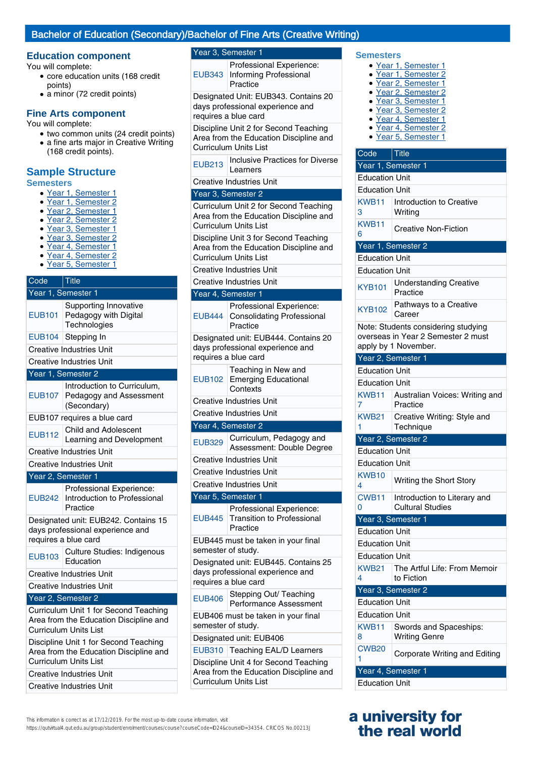## Bachelor of Education (Secondary)/Bachelor of Fine Arts (Creative Writing)

# **Education component** Year 3, Semester 1

You will complete:

- core education units (168 credit points)
- a minor (72 credit points)

## **Fine Arts component**

You will complete:

- two common units (24 credit points) • a fine arts major in Creative Writing
- (168 credit points).

# **Sample Structure**

#### **Semesters**

- Year 1, Semester 1
- Year 1, Semester 2
- Year 2, Semester 1
- Year 2, Semester 2
- Year 3, Semester 1
- Year 3, Semester 2
- Year 4, Semester 1 Year 4, Semester 2
- Year 5, Semester 1

#### Code Title Year 1, Semester 1 EUB101 Supporting Innovative Pedagogy with Digital **Technologies** EUB104 Stepping In Creative Industries Unit Creative Industries Unit Year 1, Semester 2 EUB107 Introduction to Curriculum, Pedagogy and Assessment (Secondary) EUB107 requires a blue card EUB112 Child and Adolescent Learning and Development Creative Industries Unit Creative Industries Unit Year 2, Semester 1 EUB242 Introduction to Professional Professional Experience: Practice Designated unit: EUB242. Contains 15 days professional experience and requires a blue card EUB103 Culture Studies: Indigenous Education Creative Industries Unit Creative Industries Unit Year 2, Semester 2 Curriculum Unit 1 for Second Teaching Area from the Education Discipline and Curriculum Units List Discipline Unit 1 for Second Teaching Area from the Education Discipline and

Curriculum Units List Creative Industries Unit

Creative Industries Unit

EUB343 Informing Professional Professional Experience: Practice

Designated Unit: EUB343. Contains 20 days professional experience and requires a blue card

Discipline Unit 2 for Second Teaching Area from the Education Discipline and Curriculum Units List

**EUB213** Inclusive Practices for Diverse Learners

Creative Industries Unit

#### Year 3, Semester 2

Curriculum Unit 2 for Second Teaching Area from the Education Discipline and Curriculum Units List

Discipline Unit 3 for Second Teaching Area from the Education Discipline and Curriculum Units List

Creative Industries Unit

| <b>Creative Industries Unit</b>                                                                  |                                                                                                  |  |  |
|--------------------------------------------------------------------------------------------------|--------------------------------------------------------------------------------------------------|--|--|
|                                                                                                  | Year 4, Semester 1                                                                               |  |  |
| <b>EUB444</b>                                                                                    | Professional Experience:<br><b>Consolidating Professional</b><br>Practice                        |  |  |
|                                                                                                  | Designated unit: EUB444. Contains 20<br>days professional experience and<br>requires a blue card |  |  |
| <b>EUB102</b>                                                                                    | Teaching in New and<br><b>Emerging Educational</b><br>Contexts                                   |  |  |
|                                                                                                  | <b>Creative Industries Unit</b>                                                                  |  |  |
|                                                                                                  | <b>Creative Industries Unit</b>                                                                  |  |  |
|                                                                                                  | Year 4, Semester 2                                                                               |  |  |
| <b>EUB329</b>                                                                                    | Curriculum, Pedagogy and<br>Assessment: Double Degree                                            |  |  |
|                                                                                                  | <b>Creative Industries Unit</b>                                                                  |  |  |
|                                                                                                  | <b>Creative Industries Unit</b>                                                                  |  |  |
| <b>Creative Industries Unit</b>                                                                  |                                                                                                  |  |  |
| Year 5, Semester 1                                                                               |                                                                                                  |  |  |
| <b>EUB445</b>                                                                                    | Professional Experience:<br><b>Transition to Professional</b><br>Practice                        |  |  |
| EUB445 must be taken in your final<br>semester of study.                                         |                                                                                                  |  |  |
| Designated unit: EUB445. Contains 25<br>days professional experience and<br>requires a blue card |                                                                                                  |  |  |
| <b>EUB406</b>                                                                                    | Stepping Out/ Teaching<br><b>Performance Assessment</b>                                          |  |  |
| semester of study.                                                                               | EUB406 must be taken in your final                                                               |  |  |
|                                                                                                  | Designated unit: EUB406                                                                          |  |  |
|                                                                                                  | EUB310 Teaching EAL/D Learners                                                                   |  |  |
| Discipline Unit 4 for Second Teaching<br>Area from the Education Discipline and                  |                                                                                                  |  |  |

## **Semesters**

- Year 1, Semester 1
- Year 1, Semester 2
- Year 2, Semester 1 ● Year 2, Semester 2
- Year 3, Semester 1
- Year 3, Semester 2
- Year 4, Semester 1
- Year 4, Semester 2
- Year 5, Semester 1

| Code                  | Title                                          |
|-----------------------|------------------------------------------------|
|                       | Year 1, Semester 1                             |
| <b>Education Unit</b> |                                                |
| <b>Education Unit</b> |                                                |
| KWB11                 | Introduction to Creative                       |
| 3                     | Writing                                        |
| KWB11<br>6            | Creative Non-Fiction                           |
|                       | Year 1, Semester 2                             |
| <b>Education Unit</b> |                                                |
| <b>Education Unit</b> |                                                |
|                       |                                                |
| <b>KYB101</b>         | <b>Understanding Creative</b><br>Practice      |
| KYB102                | Pathways to a Creative<br>Career               |
|                       | Note: Students considering studying            |
|                       | overseas in Year 2 Semester 2 must             |
|                       | apply by 1 November.                           |
| Year 2, Semester 1    |                                                |
| <b>Education Unit</b> |                                                |
| <b>Education Unit</b> |                                                |
| KWB11<br>7            | Australian Voices: Writing and<br>Practice     |
| <b>KWB21</b>          | Creative Writing: Style and                    |
| 1                     | Technique                                      |
|                       | Year <sub>2</sub> , Semester <sub>2</sub>      |
| <b>Education Unit</b> |                                                |
| <b>Education Unit</b> |                                                |
| KWB10<br>4            | Writing the Short Story                        |
| CWB <sub>11</sub>     | Introduction to Literary and                   |
| 0                     | <b>Cultural Studies</b>                        |
| Year 3, Semester 1    |                                                |
| <b>Education Unit</b> |                                                |
| <b>Education Unit</b> |                                                |
| <b>Education Unit</b> |                                                |
| <b>KWB21</b>          | The Artful Life: From Memoir                   |
| 4                     | to Fiction                                     |
|                       | Year 3, Semester 2                             |
| <b>Education Unit</b> |                                                |
| <b>Education Unit</b> |                                                |
| KWB11<br>8            | Swords and Spaceships:<br><b>Writing Genre</b> |
| <b>CWB20</b><br>1     | Corporate Writing and Editing                  |
|                       | Year 4, Semester 1                             |
| <b>Education Unit</b> |                                                |

# **a university for the real world**

This information is correct as at 17/12/2019. For the most up-to-date course information, visit

https://qutvirtual4.qut.edu.au/group/student/enrolment/courses/course?courseCode=ID24&courseID=34354. CRICOS No.00213J

Curriculum Units List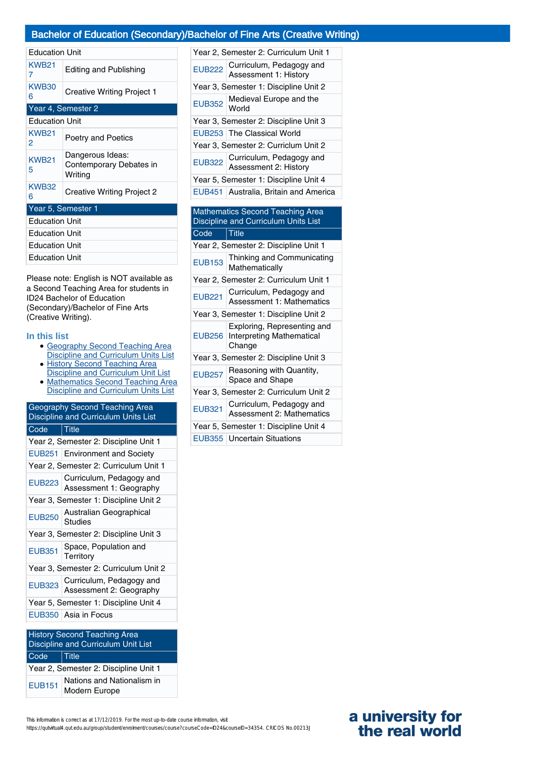# Bachelor of Education (Secondary)/Bachelor of Fine Arts (Creative Writing)

| <b>Education Unit</b> |                                                        |  |
|-----------------------|--------------------------------------------------------|--|
| KWB21<br>7            | <b>Editing and Publishing</b>                          |  |
| <b>KWB30</b><br>6     | <b>Creative Writing Project 1</b>                      |  |
|                       | Year 4, Semester 2                                     |  |
| <b>Education Unit</b> |                                                        |  |
| <b>KWB21</b><br>2     | Poetry and Poetics                                     |  |
| <b>KWB21</b><br>5     | Dangerous Ideas:<br>Contemporary Debates in<br>Writing |  |
| <b>KWB32</b><br>6     | Creative Writing Project 2                             |  |
|                       | Year 5, Semester 1                                     |  |
| <b>Education Unit</b> |                                                        |  |
| <b>Education Unit</b> |                                                        |  |
| <b>Education Unit</b> |                                                        |  |
| Education Unit        |                                                        |  |

Please note: English is NOT available as a Second Teaching Area for students in ID24 Bachelor of Education (Secondary)/Bachelor of Fine Arts (Creative Writing).

#### **In this list**

- Geography Second Teaching Area Discipline and Curriculum Units List
- **History Second Teaching Area** Discipline and Curriculum Unit List ●
- Mathematics Second Teaching Area Discipline and Curriculum Units List ●

| Geography Second Teaching Area<br>Discipline and Curriculum Units List |                                                     |  |
|------------------------------------------------------------------------|-----------------------------------------------------|--|
| Code                                                                   | <b>Title</b>                                        |  |
|                                                                        | Year 2, Semester 2: Discipline Unit 1               |  |
|                                                                        | <b>EUB251</b> Environment and Society               |  |
|                                                                        | Year 2, Semester 2: Curriculum Unit 1               |  |
| <b>EUB223</b>                                                          | Curriculum, Pedagogy and<br>Assessment 1: Geography |  |
| Year 3, Semester 1: Discipline Unit 2                                  |                                                     |  |
| <b>EUB250</b>                                                          | Australian Geographical<br><b>Studies</b>           |  |
| Year 3, Semester 2: Discipline Unit 3                                  |                                                     |  |
| <b>EUB351</b>                                                          | Space, Population and<br>Territory                  |  |
| Year 3, Semester 2: Curriculum Unit 2                                  |                                                     |  |
| <b>EUB323</b>                                                          | Curriculum, Pedagogy and<br>Assessment 2: Geography |  |
| Year 5, Semester 1: Discipline Unit 4                                  |                                                     |  |
|                                                                        | EUB350   Asia in Focus                              |  |
|                                                                        |                                                     |  |

| <b>History Second Teaching Area</b><br>Discipline and Curriculum Unit List |                                             |  |
|----------------------------------------------------------------------------|---------------------------------------------|--|
| Code                                                                       | $\vert$ Title                               |  |
| Year 2, Semester 2: Discipline Unit 1                                      |                                             |  |
| <b>EUB151</b>                                                              | Nations and Nationalism in<br>Modern Europe |  |

| Year 2, Semester 2: Curriculum Unit 1 |                                                          |  |
|---------------------------------------|----------------------------------------------------------|--|
|                                       | EUB222 Curriculum, Pedagogy and<br>Assessment 1: History |  |
|                                       | Year 3, Semester 1: Discipline Unit 2                    |  |
|                                       | EUB352 Medieval Europe and the                           |  |
| Year 3, Semester 2: Discipline Unit 3 |                                                          |  |
|                                       | EUB253 The Classical World                               |  |
| Year 3, Semester 2: Curriclum Unit 2  |                                                          |  |
|                                       | EUB322 Curriculum, Pedagogy and<br>Assessment 2: History |  |
| Year 5, Semester 1: Discipline Unit 4 |                                                          |  |
|                                       | EUB451 Australia, Britain and America                    |  |
|                                       |                                                          |  |
|                                       | <b>Mathematics Second Teaching Area</b>                  |  |

# Discipline and Curriculum Units List Code Title Year 2, Semester 2: Discipline Unit 1 EUB153 Thinking and Communicating Mathematically Year 2, Semester 2: Curriculum Unit 1

- EUB221 Curriculum, Pedagogy and Assessment 1: Mathematics
- Year 3, Semester 1: Discipline Unit 2 EUB256 Interpreting Mathematical Exploring, Representing and Change
- Year 3, Semester 2: Discipline Unit 3
- EUB257 Reasoning with Quantity, Space and Shape Year 3, Semester 2: Curriculum Unit 2
- EUB321 Curriculum, Pedagogy and
- Assessment 2: Mathematics Year 5, Semester 1: Discipline Unit 4
- EUB355 Uncertain Situations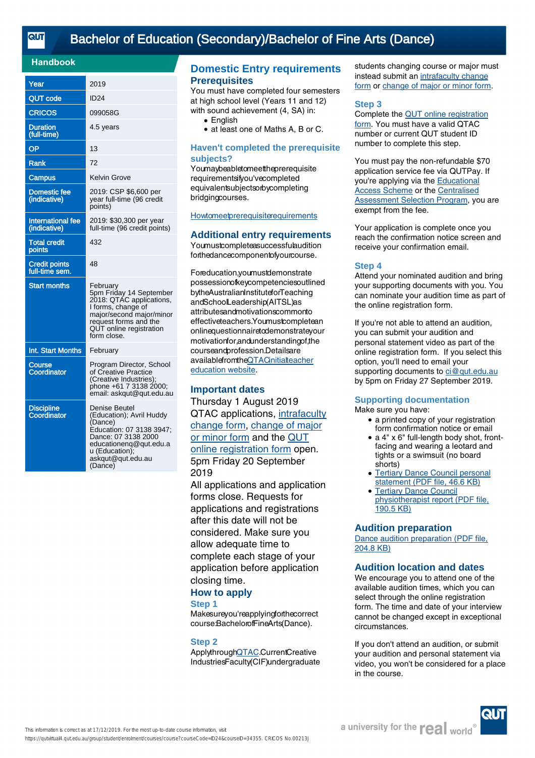# [Bachelor of Education \(Secondary\)/Bachelor of Fine Arts \(Dance\)](https://qutvirtual4.qut.edu.au/group/student/enrolment/courses/course?courseCode=ID24&courseID=34355)

## **Handbook**

| Year                                   | 2019                                                                                                                                                                                 |
|----------------------------------------|--------------------------------------------------------------------------------------------------------------------------------------------------------------------------------------|
| <b>QUT code</b>                        | <b>ID24</b>                                                                                                                                                                          |
| <b>CRICOS</b>                          | 099058G                                                                                                                                                                              |
| <b>Duration</b><br>(full-time)         | 4.5 years                                                                                                                                                                            |
| OP                                     | 13                                                                                                                                                                                   |
| Rank                                   | 72                                                                                                                                                                                   |
| <b>Campus</b>                          | Kelvin Grove                                                                                                                                                                         |
| <b>Domestic fee</b><br>(indicative)    | 2019: CSP \$6,600 per<br>year full-time (96 credit<br>points)                                                                                                                        |
| International fee<br>(indicative)      | 2019: \$30,300 per year<br>full-time (96 credit points)                                                                                                                              |
| <b>Total credit</b><br>points          | 432                                                                                                                                                                                  |
| <b>Credit points</b><br>full-time sem. | 48                                                                                                                                                                                   |
| <b>Start months</b>                    | February<br>5pm Friday 14 September<br>2018: QTÁC applications,<br>I forms, change of<br>major/second major/minor<br>request forms and the<br>QUT online registration<br>form close. |
| Int. Start Months                      | February                                                                                                                                                                             |
| Course<br><b>Coordinator</b>           | Program Director, School<br>of Creative Practice<br>(Creative Industries);<br>phone +61 7 3138 2000;<br>email: askgut@gut.edu.au                                                     |
| <b>Discipline</b><br>Coordinator       | Denise Beutel<br>(Education); Avril Huddy<br>(Dance)<br>Education: 07 3138 3947;<br>Dance: 07 3138 2000<br>educationenq@qut.edu.a<br>u (Education);<br>askqut@qut.edu.au<br>(Dance)  |

## **Domestic Entry requirements Prerequisites**

You must have completed four semesters at high school level (Years 11 and 12) with sound achievement (4, SA) in:

- English
- at least one of Maths A, B or C.

#### **Haven't completed the prerequisite subjects?**

Youmaybeabletomeettheprerequisite requirementsifyou'vecompleted equivalentsubjectsorbycompleting bridgingcourses.

## **[Howtomeetprerequisitere](https://cms.qut.edu.au/corpsite/study/applying/prerequisite-subjects-bachelor-of-education)quirements**

#### **Additional entry requirements**

Youmustcompleteasuccessfulaudition forthedancecomponentofyourcourse.

Foreducation,youmustdemonstrate possessionofkeycompetenciesoutlined bytheAustralianInstituteforTeaching andSchoolLeadership(AITSL)as attributesandmotivationscommonto effectiveteachers.Youmustcompletean onlinequestionnairetodemonstrateyour motivationfor,andunderstandingof,the courseandprofession.Detailsare availablefromt[heQTACinitialtea](http://www.qtac.edu.au/courses---institutions/initial-teacher-education)cher [education](http://www.qtac.edu.au/courses---institutions/initial-teacher-education) website.

## **Important dates**

Thursday 1 August 2019 QTAC applications[, intrafacu](http://external-apps.qut.edu.au/studentservices/ri/i-form)lty [change](http://external-apps.qut.edu.au/studentservices/ri/i-form) form, change [of major](https://secure.qut.edu.au/studentservices/qut/cm) [or minor form](https://secure.qut.edu.au/studentservices/qut/cm) and the [QUT](https://qutvirtual2.qut.edu.au/adtn) [online registration form](https://qutvirtual2.qut.edu.au/adtn) open. 5pm Friday 20 September 2019

All applications and application forms close. Requests for applications and registrations after this date will not be considered. Make sure you allow adequate time to complete each stage of your application before application closing time.

## **How to apply**

#### **Step 1**

Makesureyou'reapplyingforthecorrect course:BachelorofFineArts(Dance).

#### **Step 2**

Applythroug[hQTAC](http://www.qtac.edu.au).CurrentCreative IndustriesFaculty(CIF)undergraduate students changing course or major must instead submit an [intrafaculty change](http://external-apps.qut.edu.au/studentservices/ri/i-form) [form](http://external-apps.qut.edu.au/studentservices/ri/i-form) or [change of major or minor form](https://secure.qut.edu.au/studentservices/qut/cm).

#### **Step 3**

Complete the [QUT online registration](https://qutvirtual2.qut.edu.au/adtn) [form](https://qutvirtual2.qut.edu.au/adtn). You must have a valid QTAC number or current QUT student ID number to complete this step.

You must pay the non-refundable \$70 application service fee via QUTPay. If you're applying via the [Educational](https://cms.qut.edu.au/corpsite/study/applying/adjustment-schemes) [Access Scheme](https://cms.qut.edu.au/corpsite/study/applying/adjustment-schemes) or the [Centralised](https://cms.qut.edu.au/corpsite/study/applying/centralised-assessment-selection-program) **[Assessment Selection Program](https://cms.qut.edu.au/corpsite/study/applying/centralised-assessment-selection-program), you are** exempt from the fee.

Your application is complete once you reach the confirmation notice screen and receive your confirmation email.

#### **Step 4**

Attend your nominated audition and bring your supporting documents with you. You can nominate your audition time as part of the online registration form.

If you're not able to attend an audition, you can submit your audition and personal statement video as part of the online registration form. If you select this option, you'll need to email your supporting documents to [ci@qut.edu.au](mailto:ci@qut.edu.au) by 5pm on Friday 27 September 2019.

# **Supporting documentation**

Make sure you have:

- a printed copy of your registration form confirmation notice or email
- a 4" x 6" full-length body shot, frontfacing and wearing a leotard and tights or a swimsuit (no board shorts)
- [Tertiary Dance Council personal](https://cms.qut.edu.au/__data/assets/pdf_file/0007/475810/Tertiary-Dance-Council-Personal-Statement-Form.pdf) [statement \(PDF file, 46.6 KB\)](https://cms.qut.edu.au/__data/assets/pdf_file/0007/475810/Tertiary-Dance-Council-Personal-Statement-Form.pdf) ●
- **[Tertiary Dance Council](https://cms.qut.edu.au/__data/assets/pdf_file/0008/475766/Tertiary-Dance-Council-Physiotherapist-Examination-Report.pdf)** [physiotherapist report \(PDF file,](https://cms.qut.edu.au/__data/assets/pdf_file/0008/475766/Tertiary-Dance-Council-Physiotherapist-Examination-Report.pdf) [190.5 KB\)](https://cms.qut.edu.au/__data/assets/pdf_file/0008/475766/Tertiary-Dance-Council-Physiotherapist-Examination-Report.pdf) ●

#### **Audition preparation**

[Dance audition preparation \(PDF file,](https://cms.qut.edu.au/__data/assets/pdf_file/0006/475584/dance-audition-preparation-domestic.pdf) [204.8 KB\)](https://cms.qut.edu.au/__data/assets/pdf_file/0006/475584/dance-audition-preparation-domestic.pdf)

#### **Audition location and dates**

We encourage you to attend one of the available audition times, which you can select through the online registration form. The time and date of your interview cannot be changed except in exceptional circumstances.

If you don't attend an audition, or submit your audition and personal statement via video, you won't be considered for a place in the course.

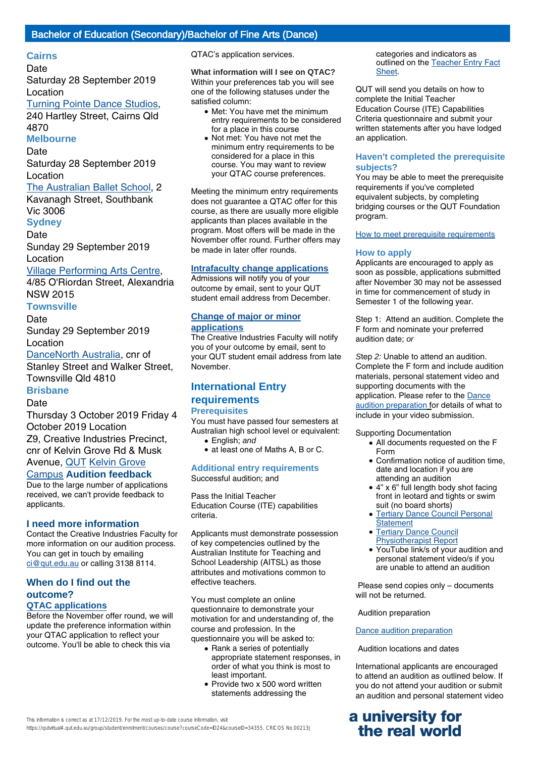#### **Cairns**

#### **Date**

Saturday 28 September 2019 Location

# Turning [Pointe Dance](http://turningpointe.com.au/) Studios,

240 Hartley Street, Cairns Qld 4870

## **Melbourne**

Date

Saturday 28 September 2019 Location

#### The [Australian Ballet](https://www.australianballetschool.com.au/) School, 2

Kavanagh Street, Southbank Vic 3006 **Sydney**

#### **Date**

Sunday 29 September 2019 Location

## [Village Performing](http://villagebroadway.com/) Arts Centre,

4/85 O'Riordan Street, Alexandria NSW 2015

# **Townsville**

# **Date**

Sunday 29 September 2019 Location

[DanceNorth](http://www.dancenorth.com.au/) Australia, cnr of Stanley Street and Walker Street, Townsville Qld 4810

# **Brisbane**

**Date** 

Thursday 3 October 2019 Friday 4 October 2019 Location Z9, Creative Industries Precinct,

cnr of Kelvin Grove Rd & Musk

# Avenue, [QUT](https://cms.qut.edu.au/corpsite/about/campuses-and-facilities/kelvin-grove-campus/maps-and-getting-here) Kelvin Grove

#### Campus **[Audition feedbac](https://cms.qut.edu.au/corpsite/about/campuses-and-facilities/kelvin-grove-campus/maps-and-getting-here)k**

Due to the large number of applications received, we can't provide feedback to applicants.

#### **I need more information**

Contact the Creative Industries Faculty for more information on our audition process. You can get in touch by emailing [ci@qut.edu.au](mailto:ci@qut.edu.au) or calling 3138 8114.

## **When do I find out the outcome? QTAC applications**

Before the November offer round, we will update the preference information within your QTAC application to reflect your outcome. You'll be able to check this via

QTAC's application services.

## **What information will I see on QTAC?**

Within your preferences tab you will see one of the following statuses under the satisfied column:

- Met: You have met the minimum entry requirements to be considered for a place in this course
- Not met: You have not met the minimum entry requirements to be considered for a place in this course. You may want to review your QTAC course preferences.

Meeting the minimum entry requirements does not guarantee a QTAC offer for this course, as there are usually more eligible applicants than places available in the program. Most offers will be made in the November offer round. Further offers may be made in later offer rounds.

#### **Intrafaculty change applications**

Admissions will notify you of your outcome by email, sent to your QUT student email address from December.

#### **Change of major or minor applications**

The Creative Industries Faculty will notify you of your outcome by email, sent to your QUT student email address from late November.

# **International Entry requirements**

# **Prerequisites**

You must have passed four semesters at Australian high school level or equivalent:

- English; and
- at least one of Maths A, B or C.
- 

**Additional entry requirements** Successful audition; and

Pass the Initial Teacher Education Course (ITE) capabilities criteria.

Applicants must demonstrate possession of key competencies outlined by the Australian Institute for Teaching and School Leadership (AITSL) as those attributes and motivations common to effective teachers.

You must complete an online questionnaire to demonstrate your motivation for and understanding of, the course and profession. In the questionnaire you will be asked to:

- Rank a series of potentially appropriate statement responses, in order of what you think is most to least important.
- Provide two x 500 word written statements addressing the

categories and indicators as outlined on the [Teacher Entry Fact](https://www.qtac.edu.au/ArticleDocuments/173/Teacher%20Entry%20Fact%20Sheet.pdf.aspx) [Sheet.](https://www.qtac.edu.au/ArticleDocuments/173/Teacher%20Entry%20Fact%20Sheet.pdf.aspx)

QUT will send you details on how to complete the Initial Teacher Education Course (ITE) Capabilities Criteria questionnaire and submit your written statements after you have lodged an application.

#### **Haven't completed the prerequisite subjects?**

You may be able to meet the prerequisite requirements if you've completed equivalent subjects, by completing bridging courses or the QUT Foundation program.

[How to meet prerequisite requirements](https://www.qut.edu.au/study/applying/undergraduate-applications/prerequisite-subjects)

#### **How to apply**

Applicants are encouraged to apply as soon as possible, applications submitted after November 30 may not be assessed in time for commencement of study in Semester 1 of the following year.

Step 1: Attend an audition. Complete the F form and nominate your preferred audition date; or

Step 2: Unable to attend an audition. Complete the F form and include audition materials, personal statement video and supporting documents with the application. Please refer to the [Dance](https://cms.qut.edu.au/?a=475584) [audition preparation](https://cms.qut.edu.au/?a=475584) for details of what to include in your video submission.

Supporting Documentation

- All documents requested on the F Form
- Confirmation notice of audition time, date and location if you are attending an audition
- 4" x 6" full length body shot facing front in leotard and tights or swim suit (no board shorts)
- [Tertiary Dance Council Personal](https://www.qut.edu.au/?a=475810) **[Statement](https://www.qut.edu.au/?a=475810)** ●
- [Tertiary Dance Council](https://cms.qut.edu.au/?a=475766) [Physiotherapist Report](https://cms.qut.edu.au/?a=475766)
- YouTube link/s of your audition and personal statement video/s if you are unable to attend an audition

 Please send copies only – documents will not be returned.

#### Audition preparation

#### [Dance audition preparation](https://cms.qut.edu.au/?a=475585)

Audition locations and dates

International applicants are encouraged to attend an audition as outlined below. If you do not attend your audition or submit an audition and personal statement video

# **a university for the real world**

This information is correct as at 17/12/2019. For the most up-to-date course information, visit https://qutvirtual4.qut.edu.au/group/student/enrolment/courses/course?courseCode=ID24&courseID=34355. CRICOS No.00213J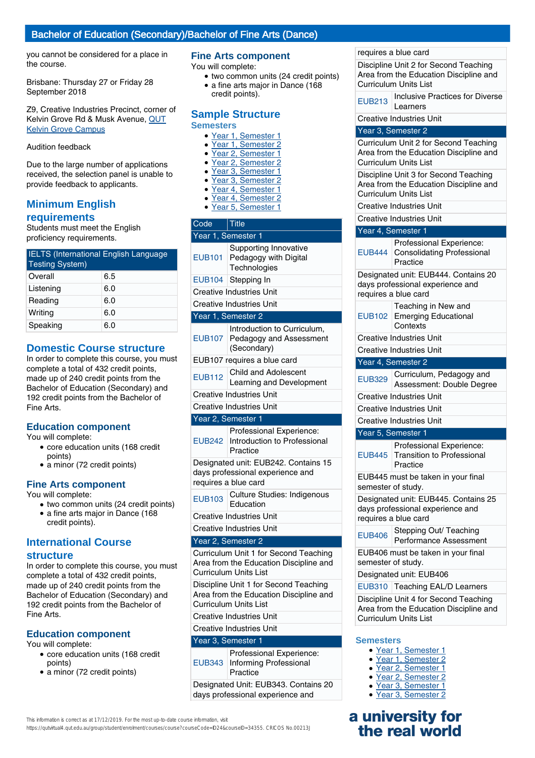## Bachelor of Education (Secondary)/Bachelor of Fine Arts (Dance)

you cannot be considered for a place in the course.

Brisbane: Thursday 27 or Friday 28 September 2018

Z9, Creative Industries Precinct, corner of Kelvin Grove Rd & Musk Avenue, [QUT](https://www.qut.edu.au/campuses-and-facilities/kelvin-grove-campus/maps-and-getting-here) [Kelvin Grove Campus](https://www.qut.edu.au/campuses-and-facilities/kelvin-grove-campus/maps-and-getting-here)

#### Audition feedback

Due to the large number of applications received, the selection panel is unable to provide feedback to applicants.

# **Minimum English requirements**

Students must meet the English proficiency requirements.

| <b>IELTS</b> (International English Language<br><b>Testing System)</b> |     |  |
|------------------------------------------------------------------------|-----|--|
| Overall                                                                | 6.5 |  |
| Listening                                                              | 6.0 |  |
| Reading                                                                | 6.0 |  |
| Writing                                                                | 6.0 |  |
| Speaking                                                               | 6.0 |  |

# **Domestic Course structure**

In order to complete this course, you must complete a total of 432 credit points, made up of 240 credit points from the Bachelor of Education (Secondary) and 192 credit points from the Bachelor of Fine Arts.

#### **Education component**

You will complete:

- core education units (168 credit points)
- a minor (72 credit points)

## **Fine Arts component**

You will complete:

- two common units (24 credit points)
- a fine arts major in Dance (168 credit points).

# **International Course structure**

In order to complete this course, you must complete a total of 432 credit points, made up of 240 credit points from the Bachelor of Education (Secondary) and 192 credit points from the Bachelor of Fine Arts.

## **Education component**

- You will complete:
	- core education units (168 credit points)
	- a minor (72 credit points)

#### **Fine Arts component**

You will complete:

- two common units (24 credit points)
- a fine arts major in Dance (168 credit points).

#### **Sample Structure Semesters**

- Year 1, Semester 1
- Year 1, Semester 2
- Year 2, Semester 1
- Year 2, Semester 2
- Year 3, Semester 1
- Year 3, Semester 2 Year 4, Semester 1
- Year 4, Semester 2
- Year 5, Semester 1

| Year 1, Semester 1<br>Supporting Innovative                                                      |  |  |
|--------------------------------------------------------------------------------------------------|--|--|
|                                                                                                  |  |  |
| <b>EUB101</b><br>Pedagogy with Digital<br>Technologies                                           |  |  |
| EUB104 Stepping In                                                                               |  |  |
| <b>Creative Industries Unit</b>                                                                  |  |  |
| Creative Industries Unit                                                                         |  |  |
| Year 1, Semester 2                                                                               |  |  |
| Introduction to Curriculum,<br>EUB107<br>Pedagogy and Assessment<br>(Secondary)                  |  |  |
| EUB107 requires a blue card                                                                      |  |  |
| Child and Adolescent<br><b>EUB112</b><br>Learning and Development                                |  |  |
| <b>Creative Industries Unit</b>                                                                  |  |  |
| <b>Creative Industries Unit</b>                                                                  |  |  |
| Year 2, Semester 1                                                                               |  |  |
| Professional Experience:<br>Introduction to Professional<br><b>EUB242</b><br>Practice            |  |  |
| Designated unit: EUB242. Contains 15<br>days professional experience and<br>requires a blue card |  |  |
| Culture Studies: Indigenous<br><b>EUB103</b><br>Education                                        |  |  |
| <b>Creative Industries Unit</b>                                                                  |  |  |
| <b>Creative Industries Unit</b>                                                                  |  |  |

#### Year 2, Semester 2

Curriculum Unit 1 for Second Teaching Area from the Education Discipline and Curriculum Units List

Discipline Unit 1 for Second Teaching Area from the Education Discipline and Curriculum Units List

Creative Industries Unit

# Creative Industries Unit

## Year 3, Semester 1

| Professional Experience:<br>EUB343   Informing Professional<br>Practice |
|-------------------------------------------------------------------------|
| Designated Unit: EUB343. Contains 20                                    |

days professional experience and

#### requires a blue card

Discipline Unit 2 for Second Teaching Area from the Education Discipline and Curriculum Units List

EUB213 | Inclusive Practices for Diverse Learners

Creative Industries Unit

#### Year 3, Semester 2

Curriculum Unit 2 for Second Teaching Area from the Education Discipline and Curriculum Units List

Discipline Unit 3 for Second Teaching Area from the Education Discipline and Curriculum Units List

- Creative Industries Unit
- Creative Industries Unit

## Year 4, Semester 1

| <b>EUB444</b>      | Professional Experience:<br><b>Consolidating Professional</b><br>Practice                        |  |
|--------------------|--------------------------------------------------------------------------------------------------|--|
|                    | Designated unit: EUB444. Contains 20<br>days professional experience and<br>requires a blue card |  |
| <b>EUB102</b>      | Teaching in New and<br><b>Emerging Educational</b><br>Contexts                                   |  |
|                    | <b>Creative Industries Unit</b>                                                                  |  |
|                    | <b>Creative Industries Unit</b>                                                                  |  |
|                    | Year 4, Semester 2                                                                               |  |
| <b>EUB329</b>      | Curriculum, Pedagogy and<br>Assessment: Double Degree                                            |  |
|                    | <b>Creative Industries Unit</b>                                                                  |  |
|                    | <b>Creative Industries Unit</b>                                                                  |  |
|                    | <b>Creative Industries Unit</b>                                                                  |  |
| Year 5, Semester 1 |                                                                                                  |  |
|                    |                                                                                                  |  |
| <b>EUB445</b>      | Professional Experience:<br><b>Transition to Professional</b><br>Practice                        |  |
| semester of study. | EUB445 must be taken in your final                                                               |  |
|                    | Designated unit: EUB445. Contains 25<br>days professional experience and<br>requires a blue card |  |
| <b>EUB406</b>      | Stepping Out/ Teaching<br>Performance Assessment                                                 |  |
| semester of study. | EUB406 must be taken in your final                                                               |  |
|                    | Designated unit: EUB406                                                                          |  |
| <b>EUB310</b>      | <b>Teaching EAL/D Learners</b>                                                                   |  |

#### **Semesters**

- Year 1, Semester 1
- Year 1, Semester 2
- Year 2, Semester 1
- Year 2, Semester 2
- Year 3, Semester 1
- Year 3, Semester 2

# **a university for the real world**

https://qutvirtual4.qut.edu.au/group/student/enrolment/courses/course?courseCode=ID24&courseID=34355. CRICOS No.00213J

This information is correct as at 17/12/2019. For the most up-to-date course information, visit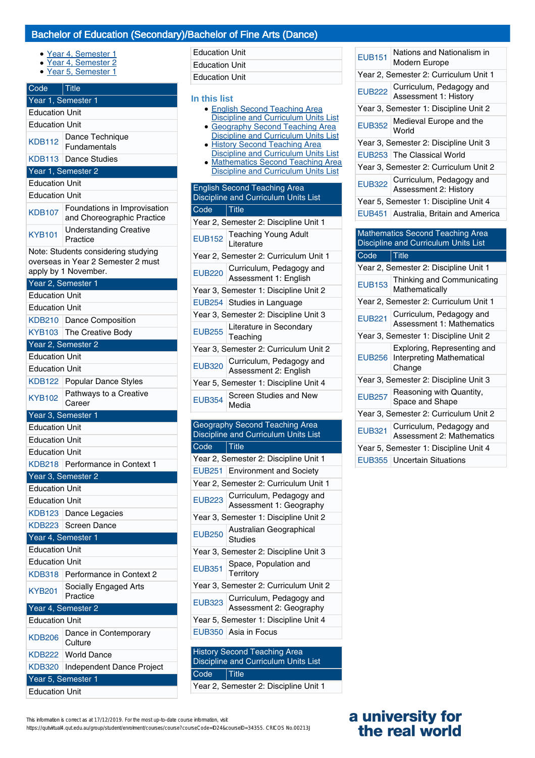# Bachelor of Education (Secondary)/Bachelor of Fine Arts (Dance)

Education Unit Education Unit

- Year 4, Semester 1
- Year 4, Semester 2
- Year 5, Semester 1

| Code                  | $\vert$ Title                                              |  |
|-----------------------|------------------------------------------------------------|--|
|                       | Year 1, Semester 1                                         |  |
| <b>Education Unit</b> |                                                            |  |
| <b>Education Unit</b> |                                                            |  |
| <b>KDB112</b>         | Dance Technique<br>Fundamentals                            |  |
| <b>KDB113</b>         | <b>Dance Studies</b>                                       |  |
|                       | Year 1, Semester 2                                         |  |
| <b>Education Unit</b> |                                                            |  |
| <b>Education Unit</b> |                                                            |  |
| <b>KDB107</b>         | Foundations in Improvisation<br>and Choreographic Practice |  |
| <b>KYB101</b>         | <b>Understanding Creative</b><br>Practice                  |  |
|                       | Note: Students considering studying                        |  |
|                       | overseas in Year 2 Semester 2 must                         |  |
|                       | apply by 1 November.                                       |  |
|                       | Year 2, Semester 1                                         |  |
| <b>Education Unit</b> |                                                            |  |
| <b>Education Unit</b> |                                                            |  |
|                       | KDB210 Dance Composition                                   |  |
| <b>KYB103</b>         | The Creative Body                                          |  |
|                       | Year 2, Semester 2                                         |  |
| <b>Education Unit</b> |                                                            |  |
| <b>Education Unit</b> |                                                            |  |
|                       | KDB122 Popular Dance Styles                                |  |
| <b>KYB102</b>         | Pathways to a Creative<br>Career                           |  |
|                       | Year 3, Semester 1                                         |  |
| <b>Education Unit</b> |                                                            |  |
| <b>Education Unit</b> |                                                            |  |
| <b>Education Unit</b> |                                                            |  |
|                       | KDB218 Performance in Context 1                            |  |
|                       | Year 3, Semester 2                                         |  |
| <b>Education Unit</b> |                                                            |  |
| <b>Education Unit</b> |                                                            |  |
| <b>KDB123</b>         | Dance Legacies                                             |  |
| KDB223                | Screen Dance                                               |  |
|                       | Year 4, Semester 1                                         |  |
|                       |                                                            |  |
| <b>Education Unit</b> |                                                            |  |
| <b>Education Unit</b> |                                                            |  |
| KDB318                | Performance in Context 2                                   |  |
| KYB201                | Socially Engaged Arts<br>Practice                          |  |
|                       | Year 4, Semester 2                                         |  |
| <b>Education Unit</b> |                                                            |  |
| <b>KDB206</b>         | Dance in Contemporary<br>Culture                           |  |
| KDB222                | <b>World Dance</b>                                         |  |
| <b>KDB320</b>         | Independent Dance Project                                  |  |
|                       | Year 5, Semester 1                                         |  |
| <b>Education Unit</b> |                                                            |  |

| <b>Education Unit</b>                                                                                                                                                                                                                                                                                                                                       |                                                                             |  |
|-------------------------------------------------------------------------------------------------------------------------------------------------------------------------------------------------------------------------------------------------------------------------------------------------------------------------------------------------------------|-----------------------------------------------------------------------------|--|
| In this list<br><b>English Second Teaching Area</b><br><b>Discipline and Curriculum Units List</b><br>• Geography Second Teaching Area<br><b>Discipline and Curriculum Units List</b><br>· History Second Teaching Area<br><b>Discipline and Curriculum Units List</b><br>· Mathematics Second Teaching Area<br><b>Discipline and Curriculum Units List</b> |                                                                             |  |
|                                                                                                                                                                                                                                                                                                                                                             | <b>English Second Teaching Area</b><br>Discipline and Curriculum Units List |  |
| Code                                                                                                                                                                                                                                                                                                                                                        | $\vert$ Title                                                               |  |
|                                                                                                                                                                                                                                                                                                                                                             | Year 2, Semester 2: Discipline Unit 1                                       |  |
| <b>EUB152</b>                                                                                                                                                                                                                                                                                                                                               | <b>Teaching Young Adult</b><br>Literature                                   |  |
|                                                                                                                                                                                                                                                                                                                                                             | Year 2, Semester 2: Curriculum Unit 1                                       |  |
| <b>EUB220</b>                                                                                                                                                                                                                                                                                                                                               | Curriculum, Pedagogy and<br>Assessment 1: English                           |  |
|                                                                                                                                                                                                                                                                                                                                                             | Year 3, Semester 1: Discipline Unit 2                                       |  |
|                                                                                                                                                                                                                                                                                                                                                             | EUB254 Studies in Language                                                  |  |
|                                                                                                                                                                                                                                                                                                                                                             | Year 3, Semester 2: Discipline Unit 3                                       |  |
| <b>FUB255</b>                                                                                                                                                                                                                                                                                                                                               | Literature in Secondary<br>Teaching                                         |  |
| Year 3, Semester 2: Curriculum Unit 2                                                                                                                                                                                                                                                                                                                       |                                                                             |  |
| <b>EUB320</b>                                                                                                                                                                                                                                                                                                                                               | Curriculum, Pedagogy and<br>Assessment 2: English                           |  |
|                                                                                                                                                                                                                                                                                                                                                             | Year 5, Semester 1: Discipline Unit 4                                       |  |
| <b>EUB354</b>                                                                                                                                                                                                                                                                                                                                               | <b>Screen Studies and New</b><br>Media                                      |  |
|                                                                                                                                                                                                                                                                                                                                                             | <b>Geography Second Teaching Area</b>                                       |  |
|                                                                                                                                                                                                                                                                                                                                                             | Discipline and Curriculum Units List                                        |  |
| Code                                                                                                                                                                                                                                                                                                                                                        | <b>Title</b>                                                                |  |
|                                                                                                                                                                                                                                                                                                                                                             | Year 2, Semester 2: Discipline Unit 1                                       |  |
|                                                                                                                                                                                                                                                                                                                                                             | EUB251 Environment and Society                                              |  |
|                                                                                                                                                                                                                                                                                                                                                             | Year 2, Semester 2: Curriculum Unit 1                                       |  |
| <b>EUB223</b>                                                                                                                                                                                                                                                                                                                                               | Curriculum, Pedagogy and<br>Assessment 1: Geography                         |  |
| Year 3, Semester 1: Discipline Unit 2                                                                                                                                                                                                                                                                                                                       |                                                                             |  |
| <b>EUB250</b>                                                                                                                                                                                                                                                                                                                                               | Australian Geographical<br><b>Studies</b>                                   |  |
|                                                                                                                                                                                                                                                                                                                                                             | Year 3, Semester 2: Discipline Unit 3                                       |  |
| <b>EUB351</b>                                                                                                                                                                                                                                                                                                                                               | Space, Population and<br>Territory                                          |  |
|                                                                                                                                                                                                                                                                                                                                                             | Year 3. Semester 2: Curriculum Unit 2                                       |  |

|                                       | Year 2, Semester 2: Discipline Unit 1                                       |  |
|---------------------------------------|-----------------------------------------------------------------------------|--|
|                                       | EUB251 Environment and Society                                              |  |
|                                       | Year 2, Semester 2: Curriculum Unit 1                                       |  |
| <b>EUB223</b>                         | Curriculum, Pedagogy and<br>Assessment 1: Geography                         |  |
| Year 3, Semester 1: Discipline Unit 2 |                                                                             |  |
| <b>EUB250</b>                         | Australian Geographical<br><b>Studies</b>                                   |  |
|                                       | Year 3, Semester 2: Discipline Unit 3                                       |  |
| <b>EUB351</b>                         | Space, Population and<br>Territory                                          |  |
|                                       | Year 3, Semester 2: Curriculum Unit 2                                       |  |
| <b>EUB323</b>                         | Curriculum, Pedagogy and<br>Assessment 2: Geography                         |  |
| Year 5, Semester 1: Discipline Unit 4 |                                                                             |  |
|                                       | EUB350 Asia in Focus                                                        |  |
|                                       |                                                                             |  |
|                                       | <b>History Second Teaching Area</b><br>Diopinling and Curriculum United int |  |

# Discipline and Curriculum Units List Code Title Year 2, Semester 2: Discipline Unit 1

| <b>EUB151</b> | Nations and Nationalism in<br>Modern Europe                               |
|---------------|---------------------------------------------------------------------------|
|               | Year 2, Semester 2: Curriculum Unit 1                                     |
| <b>EUB222</b> | Curriculum, Pedagogy and<br><b>Assessment 1: History</b>                  |
|               | Year 3, Semester 1: Discipline Unit 2                                     |
| <b>EUB352</b> | Medieval Europe and the<br>World                                          |
|               | Year 3, Semester 2: Discipline Unit 3                                     |
| <b>EUB253</b> | The Classical World                                                       |
|               | Year 3, Semester 2: Curriculum Unit 2                                     |
| <b>EUB322</b> | Curriculum, Pedagogy and<br>Assessment 2: History                         |
|               | Year 5, Semester 1: Discipline Unit 4                                     |
| <b>EUB451</b> | Australia, Britain and America                                            |
|               | Discipline and Curriculum Units List                                      |
| Code          | $ $ Title                                                                 |
|               | Year 2, Semester 2: Discipline Unit 1                                     |
| <b>EUB153</b> | Thinking and Communicating<br>Mathematically                              |
|               | Year 2, Semester 2: Curriculum Unit 1                                     |
|               | Curriculum, Pedagogy and<br><b>Assessment 1: Mathematics</b>              |
| <b>EUB221</b> | Year 3, Semester 1: Discipline Unit 2                                     |
| <b>EUB256</b> | Exploring, Representing and<br><b>Interpreting Mathematical</b><br>Change |
|               | Year 3, Semester 2: Discipline Unit 3                                     |
| <b>EUB257</b> | Reasoning with Quantity,<br>Space and Shape                               |
|               | Year 3, Semester 2: Curriculum Unit 2                                     |
| <b>EUB321</b> | Curriculum, Pedagogy and<br><b>Assessment 2: Mathematics</b>              |
|               | Year 5, Semester 1: Discipline Unit 4                                     |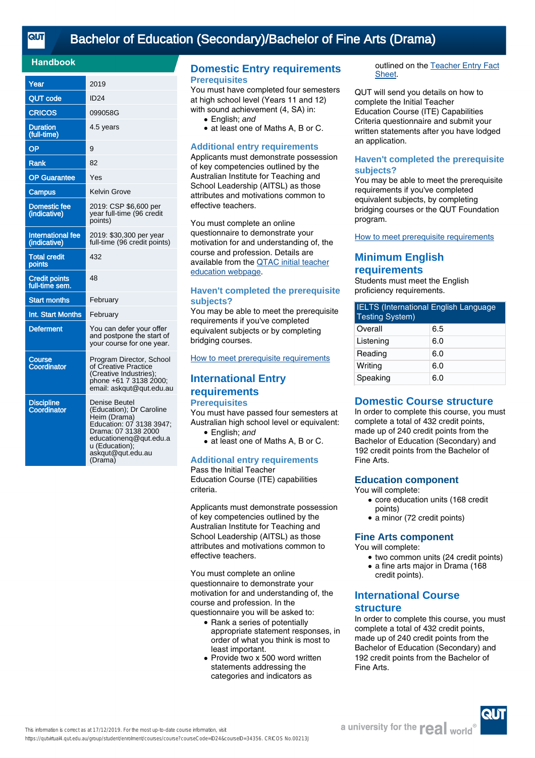# [Bachelor of Education \(Secondary\)/Bachelor of Fine Arts \(Drama\)](https://qutvirtual4.qut.edu.au/group/student/enrolment/courses/course?courseCode=ID24&courseID=34356)

#### **Handbook**

| Year                                     | 2019                                                                                                                                                                                     |
|------------------------------------------|------------------------------------------------------------------------------------------------------------------------------------------------------------------------------------------|
| <b>QUT code</b>                          | <b>ID24</b>                                                                                                                                                                              |
| CRICOS                                   | 099058G                                                                                                                                                                                  |
| <b>Duration</b><br>(full-time)           | 4.5 years                                                                                                                                                                                |
| OP                                       | 9                                                                                                                                                                                        |
| <b>Rank</b>                              | 82                                                                                                                                                                                       |
| <b>OP</b> Guarantee                      | Yes                                                                                                                                                                                      |
| Campus                                   | Kelvin Grove                                                                                                                                                                             |
| <b>Domestic fee</b><br>(indicative)      | 2019: CSP \$6,600 per<br>year full-time (96 credit<br>points)                                                                                                                            |
| <b>International fee</b><br>(indicative) | 2019: \$30,300 per year<br>full-time (96 credit points)                                                                                                                                  |
| <b>Total credit</b><br>points            | 432                                                                                                                                                                                      |
| <b>Credit points</b><br>full-time sem.   | 48                                                                                                                                                                                       |
| <b>Start months</b>                      | February                                                                                                                                                                                 |
| Int. Start Months                        | February                                                                                                                                                                                 |
| <b>Deferment</b>                         | You can defer your offer<br>and postpone the start of<br>your course for one year.                                                                                                       |
| Course<br>Coordinator                    | Program Director, School<br>of Creative Practice<br>(Creative Industries);<br>phone +61 7 3138 2000;<br>email: askgut@gut.edu.au                                                         |
| <b>Discipline</b><br>Coordinator         | Denise Beutel<br>(Education); Dr Caroline<br>Heim (Drama)<br>Education: 07 3138 3947;<br>Drama: 07 3138 2000<br>educationenq@qut.edu.a<br>u (Education);<br>askqut@qut.edu.au<br>(Drama) |

# **Domestic Entry requirements Prerequisites**

You must have completed four semesters at high school level (Years 11 and 12) with sound achievement (4, SA) in:

- English: and
- at least one of Maths A, B or C.

#### **Additional entry requirements**

Applicants must demonstrate possession of key competencies outlined by the Australian Institute for Teaching and School Leadership (AITSL) as those attributes and motivations common to effective teachers.

You must complete an online questionnaire to demonstrate your motivation for and understanding of, the course and profession. Details are available from the [QTAC initial teacher](http://www.qtac.edu.au/courses---institutions/initial-teacher-education) [education webpage](http://www.qtac.edu.au/courses---institutions/initial-teacher-education).

#### **Haven't completed the prerequisite subjects?**

You may be able to meet the prerequisite requirements if you've completed equivalent subjects or by completing bridging courses.

[How to meet prerequisite requirements](https://www.qut.edu.au/study/applying/undergraduate-applications/prerequisite-subjects)

# **International Entry requirements Prerequisites**

You must have passed four semesters at Australian high school level or equivalent:

- English: and
- at least one of Maths A, B or C.

#### **Additional entry requirements** Pass the Initial Teacher

Education Course (ITE) capabilities criteria.

Applicants must demonstrate possession of key competencies outlined by the Australian Institute for Teaching and School Leadership (AITSL) as those attributes and motivations common to effective teachers.

You must complete an online questionnaire to demonstrate your motivation for and understanding of, the course and profession. In the questionnaire you will be asked to:

- Rank a series of potentially appropriate statement responses, in order of what you think is most to least important.
- Provide two x 500 word written statements addressing the categories and indicators as

outlined on the [Teacher Entry Fact](https://www.qtac.edu.au/ArticleDocuments/173/Teacher%20Entry%20Fact%20Sheet.pdf.aspx) [Sheet.](https://www.qtac.edu.au/ArticleDocuments/173/Teacher%20Entry%20Fact%20Sheet.pdf.aspx)

QUT will send you details on how to complete the Initial Teacher Education Course (ITE) Capabilities Criteria questionnaire and submit your written statements after you have lodged an application.

#### **Haven't completed the prerequisite subjects?**

You may be able to meet the prerequisite requirements if you've completed equivalent subjects, by completing bridging courses or the QUT Foundation program.

[How to meet prerequisite requirements](https://www.qut.edu.au/study/applying/undergraduate-applications/prerequisite-subjects)

# **Minimum English requirements**

Students must meet the English proficiency requirements.

| <b>IELTS</b> (International English Language<br><b>Testing System)</b> |     |
|------------------------------------------------------------------------|-----|
| Overall                                                                | 6.5 |
| Listening                                                              | 6.0 |
| Reading                                                                | 6.0 |
| Writing                                                                | 6.0 |
| Speaking                                                               | 6.0 |

# **Domestic Course structure**

In order to complete this course, you must complete a total of 432 credit points, made up of 240 credit points from the Bachelor of Education (Secondary) and 192 credit points from the Bachelor of Fine Arts.

## **Education component**

You will complete:

- core education units (168 credit points)
- a minor (72 credit points)

## **Fine Arts component**

- You will complete:
	- two common units (24 credit points)
	- a fine arts major in Drama (168
	- credit points).

# **International Course**

# **structure**

In order to complete this course, you must complete a total of 432 credit points, made up of 240 credit points from the Bachelor of Education (Secondary) and 192 credit points from the Bachelor of Fine Arts.

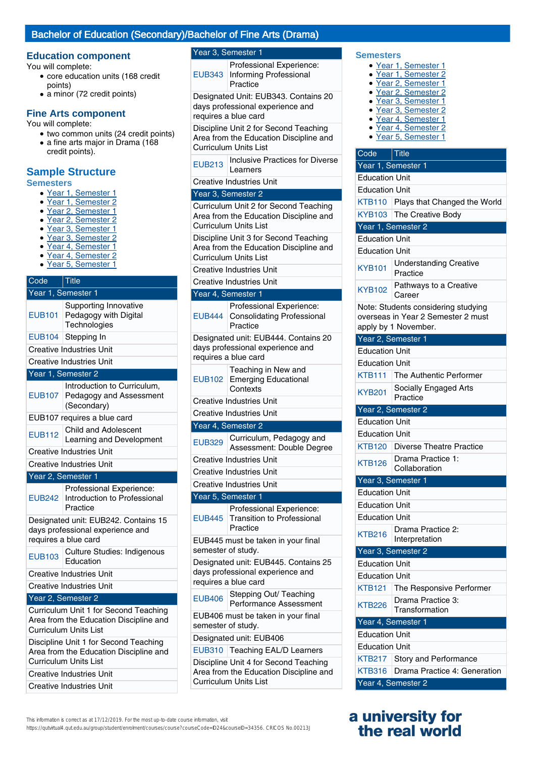# Bachelor of Education (Secondary)/Bachelor of Fine Arts (Drama)

#### **Education component**

You will complete:

- core education units (168 credit points)
- a minor (72 credit points)

## **Fine Arts component**

You will complete:

- two common units (24 credit points) • a fine arts major in Drama (168 credit points).
- **Sample Structure**

#### **Semesters**

- Year 1, Semester 1
- Year 1, Semester 2
- Year 2, Semester 1
- Year 2, Semester 2
- Year 3, Semester 1
- Year 3, Semester 2
- Year 4, Semester 1
- Year 4, Semester 2 ● Year 5, Semester 1

#### Code Title Year 1, Semester 1 EUB101 Supporting Innovative Pedagogy with Digital **Technologies** EUB104 Stepping In Creative Industries Unit Creative Industries Unit Year 1, Semester 2 EUB107 Introduction to Curriculum, Pedagogy and Assessment (Secondary) EUB107 requires a blue card EUB112 Child and Adolescent Learning and Development Creative Industries Unit Creative Industries Unit Year 2, Semester 1 EUB242 Introduction to Professional Professional Experience: Practice Designated unit: EUB242. Contains 15 days professional experience and requires a blue card EUB103 Culture Studies: Indigenous Education Creative Industries Unit Creative Industries Unit

#### Year 2, Semester 2

Curriculum Unit 1 for Second Teaching Area from the Education Discipline and Curriculum Units List

Discipline Unit 1 for Second Teaching Area from the Education Discipline and Curriculum Units List Creative Industries Unit

Creative Industries Unit

#### Year 3, Semester 1

EUB343 Informing Professional Professional Experience: Practice

Designated Unit: EUB343. Contains 20 days professional experience and requires a blue card

Discipline Unit 2 for Second Teaching Area from the Education Discipline and Curriculum Units List

**EUB213** Inclusive Practices for Diverse Learners

Creative Industries Unit

#### Year 3, Semester 2

Curriculum Unit 2 for Second Teaching Area from the Education Discipline and Curriculum Units List

Discipline Unit 3 for Second Teaching Area from the Education Discipline and Curriculum Units List

Creative Industries Unit

| <b>Creative Industries Unit</b>                                                                  |                                                                                                          |  |
|--------------------------------------------------------------------------------------------------|----------------------------------------------------------------------------------------------------------|--|
|                                                                                                  | Year 4, Semester 1                                                                                       |  |
| <b>EUB444</b>                                                                                    | Professional Experience:<br><b>Consolidating Professional</b><br>Practice                                |  |
| Designated unit: EUB444. Contains 20<br>days professional experience and<br>requires a blue card |                                                                                                          |  |
| <b>EUB102</b>                                                                                    | Teaching in New and<br><b>Emerging Educational</b><br>Contexts                                           |  |
|                                                                                                  | Creative Industries Unit                                                                                 |  |
|                                                                                                  | <b>Creative Industries Unit</b>                                                                          |  |
|                                                                                                  | Year 4, Semester 2                                                                                       |  |
| <b>EUB329</b>                                                                                    | Curriculum, Pedagogy and<br>Assessment: Double Degree                                                    |  |
|                                                                                                  | <b>Creative Industries Unit</b>                                                                          |  |
|                                                                                                  | Creative Industries Unit                                                                                 |  |
|                                                                                                  | <b>Creative Industries Unit</b>                                                                          |  |
|                                                                                                  | Year 5, Semester 1                                                                                       |  |
| <b>EUB445</b>                                                                                    | Professional Experience:<br><b>Transition to Professional</b><br>Practice                                |  |
| semester of study.                                                                               | EUB445 must be taken in your final                                                                       |  |
| Designated unit: EUB445. Contains 25<br>days professional experience and<br>requires a blue card |                                                                                                          |  |
| <b>EUB406</b>                                                                                    | Stepping Out/ Teaching<br>Performance Assessment                                                         |  |
| EUB406 must be taken in your final<br>semester of study.                                         |                                                                                                          |  |
|                                                                                                  | Designated unit: EUB406                                                                                  |  |
| <b>EUB310</b>                                                                                    | Teaching EAL/D Learners                                                                                  |  |
|                                                                                                  | Discipline Unit 4 for Second Teaching<br>Area from the Education Discipline and<br>Curriculum Units List |  |

#### **Semesters**

- Year 1, Semester 1
- Year 1, Semester 2
- Year 2, Semester 1
- Year 2, Semester 2 Year 3, Semester 1
- Year 3, Semester 2
- Year 4, Semester 1
- Year 4, Semester 2
- Year 5, Semester 1

| Title                                                                                             |  |
|---------------------------------------------------------------------------------------------------|--|
| Year 1, Semester 1                                                                                |  |
| <b>Education Unit</b>                                                                             |  |
| <b>Education Unit</b>                                                                             |  |
| KTB110 Plays that Changed the World                                                               |  |
| KYB103 The Creative Body                                                                          |  |
| Year 1, Semester 2                                                                                |  |
| <b>Education Unit</b>                                                                             |  |
| <b>Education Unit</b>                                                                             |  |
| <b>Understanding Creative</b><br>Practice                                                         |  |
| Pathways to a Creative<br>Career                                                                  |  |
| Note: Students considering studying<br>overseas in Year 2 Semester 2 must<br>apply by 1 November. |  |
| Year 2, Semester 1                                                                                |  |
| <b>Education Unit</b>                                                                             |  |
| <b>Education Unit</b>                                                                             |  |
| KTB111<br>The Authentic Performer                                                                 |  |
| Socially Engaged Arts<br>Practice                                                                 |  |
| Year 2, Semester 2                                                                                |  |
| <b>Education Unit</b>                                                                             |  |
| <b>Education Unit</b>                                                                             |  |
| KTB120 Diverse Theatre Practice                                                                   |  |
| Drama Practice 1:<br>Collaboration                                                                |  |
| Year 3, Semester 1                                                                                |  |
| <b>Education Unit</b>                                                                             |  |
| <b>Education Unit</b>                                                                             |  |
| <b>Education Unit</b>                                                                             |  |
| Drama Practice 2:<br>Interpretation                                                               |  |
| Year 3, Semester 2                                                                                |  |
| <b>Education Unit</b>                                                                             |  |
| <b>Education Unit</b>                                                                             |  |
| KTB121 The Responsive Performer                                                                   |  |
| Drama Practice 3:<br>Transformation                                                               |  |
|                                                                                                   |  |
| Year 4, Semester 1                                                                                |  |
| <b>Education Unit</b>                                                                             |  |
| <b>Education Unit</b>                                                                             |  |
| KTB217 Story and Performance                                                                      |  |
| Drama Practice 4: Generation                                                                      |  |
|                                                                                                   |  |

# **a university for the real world**

#### This information is correct as at 17/12/2019. For the most up-to-date course information, visit

https://qutvirtual4.qut.edu.au/group/student/enrolment/courses/course?courseCode=ID24&courseID=34356. CRICOS No.00213J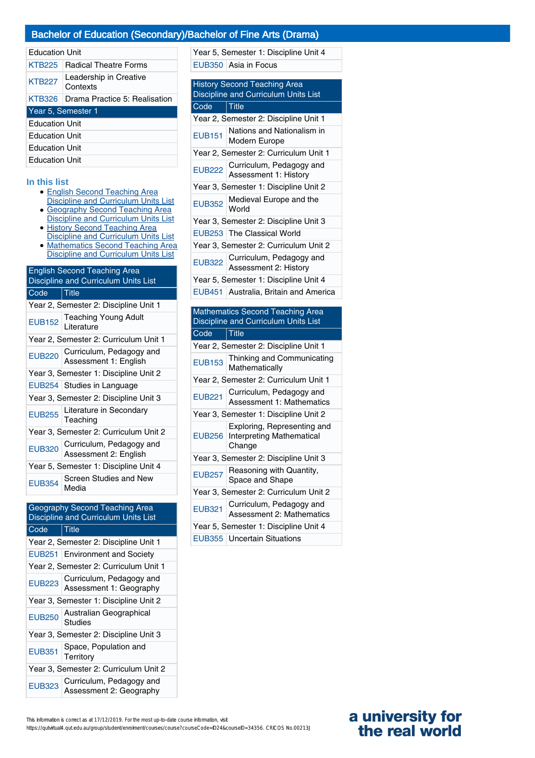# Bachelor of Education (Secondary)/Bachelor of Fine Arts (Drama)

| Education Unit |  |
|----------------|--|
|----------------|--|

| <b>KTB225</b>         | <b>Radical Theatre Forms</b>           |
|-----------------------|----------------------------------------|
| <b>KTB227</b>         | Leadership in Creative<br>Contexts     |
|                       | KTB326   Drama Practice 5: Realisation |
| Year 5, Semester 1    |                                        |
| <b>Education Unit</b> |                                        |
| <b>Education Unit</b> |                                        |
| <b>Education Unit</b> |                                        |
| <b>Education Unit</b> |                                        |

#### **In this list**

- English Second Teaching Area
- Discipline and Curriculum Units List • Geography Second Teaching Area Discipline and Curriculum Units List
- History Second Teaching Area Discipline and Curriculum Units List
- Mathematics Second Teaching Area Discipline and Curriculum Units List

| <b>English Second Teaching Area</b><br>Discipline and Curriculum Units List |                                                          |  |
|-----------------------------------------------------------------------------|----------------------------------------------------------|--|
| Code                                                                        | Title                                                    |  |
| Year 2, Semester 2: Discipline Unit 1                                       |                                                          |  |
| <b>EUB152</b>                                                               | Teaching Young Adult<br>Literature                       |  |
| Year 2, Semester 2: Curriculum Unit 1                                       |                                                          |  |
|                                                                             | EUB220 Curriculum, Pedagogy and<br>Assessment 1: English |  |
| Year 3, Semester 1: Discipline Unit 2                                       |                                                          |  |
|                                                                             | EUB254 Studies in Language                               |  |
| Year 3, Semester 2: Discipline Unit 3                                       |                                                          |  |
|                                                                             | EUB255 Literature in Secondary                           |  |
| Year 3, Semester 2: Curriculum Unit 2                                       |                                                          |  |
| <b>EUB320</b>                                                               | Curriculum, Pedagogy and<br>Assessment 2: English        |  |
| Year 5, Semester 1: Discipline Unit 4                                       |                                                          |  |
| <b>EUB354</b>                                                               | Screen Studies and New<br>Media                          |  |

| Geography Second Teaching Area<br>Discipline and Curriculum Units List |                                                     |  |
|------------------------------------------------------------------------|-----------------------------------------------------|--|
| Code                                                                   | <b>Title</b>                                        |  |
| Year 2, Semester 2: Discipline Unit 1                                  |                                                     |  |
|                                                                        | EUB251 Environment and Society                      |  |
| Year 2, Semester 2: Curriculum Unit 1                                  |                                                     |  |
| <b>EUB223</b>                                                          | Curriculum, Pedagogy and<br>Assessment 1: Geography |  |
| Year 3, Semester 1: Discipline Unit 2                                  |                                                     |  |
| <b>EUB250</b>                                                          | Australian Geographical<br>Studies                  |  |
| Year 3, Semester 2: Discipline Unit 3                                  |                                                     |  |
| <b>EUB351</b>                                                          | Space, Population and<br>Territory                  |  |
| Year 3, Semester 2: Curriculum Unit 2                                  |                                                     |  |
| <b>EUB323</b>                                                          | Curriculum, Pedagogy and<br>Assessment 2: Geography |  |

| <b>History Second Teaching Area</b><br>Discipline and Curriculum Units List     |                                                                           |  |
|---------------------------------------------------------------------------------|---------------------------------------------------------------------------|--|
| Code                                                                            | $ $ Title                                                                 |  |
| Year 2, Semester 2: Discipline Unit 1                                           |                                                                           |  |
| <b>EUB151</b>                                                                   | Nations and Nationalism in<br>Modern Europe                               |  |
| Year 2, Semester 2: Curriculum Unit 1                                           |                                                                           |  |
| <b>EUB222</b>                                                                   | Curriculum, Pedagogy and<br>Assessment 1: History                         |  |
| Year 3, Semester 1: Discipline Unit 2                                           |                                                                           |  |
| <b>EUB352</b>                                                                   | Medieval Europe and the<br>World                                          |  |
|                                                                                 | Year 3, Semester 2: Discipline Unit 3                                     |  |
|                                                                                 | EUB253 The Classical World                                                |  |
|                                                                                 | Year 3, Semester 2: Curriculum Unit 2                                     |  |
| <b>EUB322</b>                                                                   | Curriculum, Pedagogy and<br>Assessment 2: History                         |  |
| Year 5, Semester 1: Discipline Unit 4                                           |                                                                           |  |
| <b>EUB451</b>                                                                   | Australia, Britain and America                                            |  |
| <b>Mathematics Second Teaching Area</b><br>Discipline and Curriculum Units List |                                                                           |  |
|                                                                                 |                                                                           |  |
| Code                                                                            | <b>Title</b>                                                              |  |
|                                                                                 | Year 2, Semester 2: Discipline Unit 1                                     |  |
| <b>EUB153</b>                                                                   | Thinking and Communicating<br>Mathematically                              |  |
|                                                                                 | Year 2, Semester 2: Curriculum Unit 1                                     |  |
| <b>EUB221</b>                                                                   | Curriculum, Pedagogy and<br><b>Assessment 1: Mathematics</b>              |  |
|                                                                                 | Year 3, Semester 1: Discipline Unit 2                                     |  |
| <b>EUB256</b>                                                                   | Exploring, Representing and<br><b>Interpreting Mathematical</b><br>Change |  |
|                                                                                 | Year 3, Semester 2: Discipline Unit 3                                     |  |
| <b>EUB257</b>                                                                   | Reasoning with Quantity,<br>Space and Shape                               |  |
|                                                                                 | Year 3, Semester 2: Curriculum Unit 2                                     |  |
| <b>EUB321</b>                                                                   | Curriculum, Pedagogy and<br><b>Assessment 2: Mathematics</b>              |  |
|                                                                                 | Year 5, Semester 1: Discipline Unit 4                                     |  |

Year 5, Semester 1: Discipline Unit 4

EUB350 Asia in Focus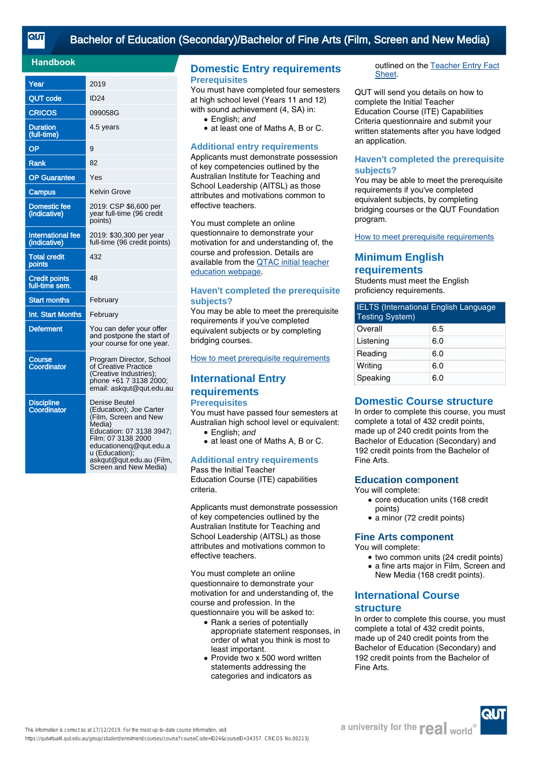# [Bachelor of Education \(Secondary\)/Bachelor of Fine Arts \(Film, Screen and New Media\)](https://qutvirtual4.qut.edu.au/group/student/enrolment/courses/course?courseCode=ID24&courseID=34357)

#### **Handbook**

| Year                                     | 2019                                                                                                                                                                                                                                  |
|------------------------------------------|---------------------------------------------------------------------------------------------------------------------------------------------------------------------------------------------------------------------------------------|
| <b>QUT code</b>                          | <b>ID24</b>                                                                                                                                                                                                                           |
| <b>CRICOS</b>                            | 099058G                                                                                                                                                                                                                               |
| <b>Duration</b><br>(full-time)           | 4.5 years                                                                                                                                                                                                                             |
| OP                                       | 9                                                                                                                                                                                                                                     |
| <b>Rank</b>                              | 82                                                                                                                                                                                                                                    |
| <b>OP Guarantee</b>                      | Yes                                                                                                                                                                                                                                   |
| Campus                                   | <b>Kelvin Grove</b>                                                                                                                                                                                                                   |
| <b>Domestic fee</b><br>(indicative)      | 2019: CSP \$6,600 per<br>year full-time (96 credit<br>points)                                                                                                                                                                         |
| <b>International fee</b><br>(indicative) | 2019: \$30,300 per year<br>full-time (96 credit points)                                                                                                                                                                               |
| <b>Total credit</b><br>points            | 432                                                                                                                                                                                                                                   |
| <b>Credit points</b><br>full-time sem.   | 48                                                                                                                                                                                                                                    |
| <b>Start months</b>                      | February                                                                                                                                                                                                                              |
| Int. Start Months                        | February                                                                                                                                                                                                                              |
| <b>Deferment</b>                         | You can defer your offer<br>and postpone the start of<br>your course for one year.                                                                                                                                                    |
| Course<br>Coordinator                    | Program Director, School<br>of Creative Practice<br>(Creative Industries);<br>phone +61 7 3138 2000;<br>email: askqut@qut.edu.au                                                                                                      |
| <b>Discipline</b><br>Coordinator         | <b>Denise Beutel</b><br>(Education); Joe Carter<br>(Film, Screen and New<br>Media)<br>Education: 07 3138 3947;<br>Film: 07 3138 2000<br>educationenq@qut.edu.a<br>u (Education);<br>askqut@qut.edu.au (Film,<br>Screen and New Media) |

#### **Domestic Entry requirements Prerequisites**

You must have completed four semesters at high school level (Years 11 and 12) with sound achievement (4, SA) in:

- English: and
- at least one of Maths A, B or C.

#### **Additional entry requirements**

Applicants must demonstrate possession of key competencies outlined by the Australian Institute for Teaching and School Leadership (AITSL) as those attributes and motivations common to effective teachers.

You must complete an online questionnaire to demonstrate your motivation for and understanding of, the course and profession. Details are available from the [QTAC initial teacher](http://www.qtac.edu.au/courses---institutions/initial-teacher-education) [education webpage](http://www.qtac.edu.au/courses---institutions/initial-teacher-education).

#### **Haven't completed the prerequisite subjects?**

You may be able to meet the prerequisite requirements if you've completed equivalent subjects or by completing bridging courses.

[How to meet prerequisite requirements](https://www.qut.edu.au/study/applying/undergraduate-applications/prerequisite-subjects)

# **International Entry requirements Prerequisites**

You must have passed four semesters at Australian high school level or equivalent:

- English: and
- at least one of Maths A, B or C.

# **Additional entry requirements**

Pass the Initial Teacher Education Course (ITE) capabilities criteria.

Applicants must demonstrate possession of key competencies outlined by the Australian Institute for Teaching and School Leadership (AITSL) as those attributes and motivations common to effective teachers.

You must complete an online questionnaire to demonstrate your motivation for and understanding of, the course and profession. In the questionnaire you will be asked to:

- Rank a series of potentially appropriate statement responses, in order of what you think is most to least important.
- Provide two x 500 word written statements addressing the categories and indicators as

outlined on the [Teacher Entry Fact](https://www.qtac.edu.au/ArticleDocuments/173/Teacher%20Entry%20Fact%20Sheet.pdf.aspx) [Sheet.](https://www.qtac.edu.au/ArticleDocuments/173/Teacher%20Entry%20Fact%20Sheet.pdf.aspx)

QUT will send you details on how to complete the Initial Teacher Education Course (ITE) Capabilities Criteria questionnaire and submit your written statements after you have lodged an application.

#### **Haven't completed the prerequisite subjects?**

You may be able to meet the prerequisite requirements if you've completed equivalent subjects, by completing bridging courses or the QUT Foundation program.

[How to meet prerequisite requirements](https://www.qut.edu.au/study/applying/undergraduate-applications/prerequisite-subjects)

# **Minimum English requirements**

Students must meet the English proficiency requirements.

| <b>IELTS</b> (International English Language<br><b>Testing System)</b> |     |  |  |
|------------------------------------------------------------------------|-----|--|--|
| Overall                                                                | 6.5 |  |  |
| Listening                                                              | 6.0 |  |  |
| Reading                                                                | 6.0 |  |  |
| Writing                                                                | 6.0 |  |  |
| Speaking                                                               | 6.0 |  |  |

## **Domestic Course structure**

In order to complete this course, you must complete a total of 432 credit points, made up of 240 credit points from the Bachelor of Education (Secondary) and 192 credit points from the Bachelor of Fine Arts.

## **Education component**

You will complete:

- core education units (168 credit points)
- a minor (72 credit points)

#### **Fine Arts component**

You will complete:

- two common units (24 credit points)
- a fine arts major in Film, Screen and New Media (168 credit points).
- **International Course**

## **structure**

In order to complete this course, you must complete a total of 432 credit points, made up of 240 credit points from the Bachelor of Education (Secondary) and 192 credit points from the Bachelor of Fine Arts.

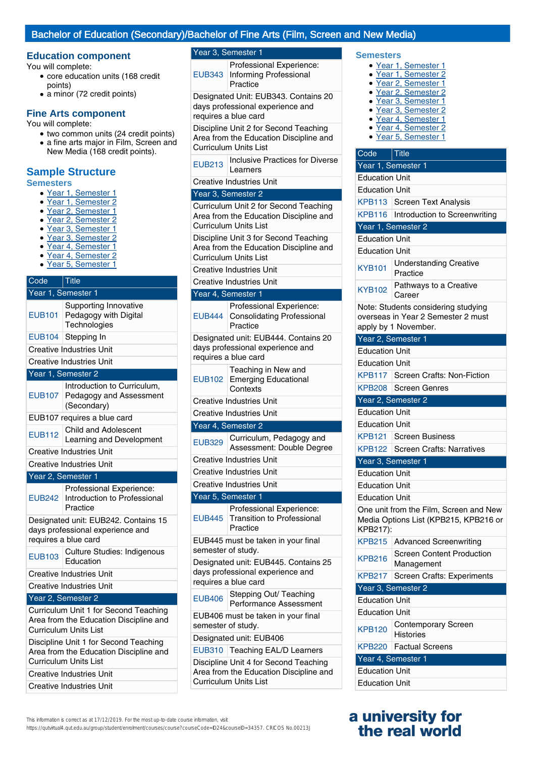## Bachelor of Education (Secondary)/Bachelor of Fine Arts (Film, Screen and New Media)

## **Education component** The Year 3, Semester 1 **Semesters**

You will complete:

- core education units (168 credit points)
- a minor (72 credit points)

### **Fine Arts component**

You will complete:

• two common units (24 credit points) • a fine arts major in Film, Screen and New Media (168 credit points).

## **Sample Structure**

#### **Semesters**

- Year 1, Semester 1
- Year 1, Semester 2
- Year 2, Semester 1
- Year 2, Semester 2
- Year 3, Semester 1
- Year 3, Semester 2
- Year 4, Semester 1 Year 4, Semester 2
- Year 5, Semester 1

### Code Title Year 1, Semester 1 EUB101 Supporting Innovative Pedagogy with Digital **Technologies** EUB104 Stepping In Creative Industries Unit Creative Industries Unit Year 1, Semester 2 EUB107 Pedagogy and Assessment Introduction to Curriculum, (Secondary) EUB107 requires a blue card EUB112 Child and Adolescent Learning and Development Creative Industries Unit Creative Industries Unit Year 2, Semester 1 EUB242 Introduction to Professional Professional Experience: Practice Designated unit: EUB242. Contains 15 days professional experience and requires a blue card EUB103 Culture Studies: Indigenous Education Creative Industries Unit Creative Industries Unit Year 2, Semester 2 Curriculum Unit 1 for Second Teaching Area from the Education Discipline and Curriculum Units List Discipline Unit 1 for Second Teaching

Area from the Education Discipline and Curriculum Units List Creative Industries Unit

Creative Industries Unit

EUB343 Informing Professional Professional Experience: Practice

Designated Unit: EUB343. Contains 20 days professional experience and requires a blue card

Discipline Unit 2 for Second Teaching Area from the Education Discipline and Curriculum Units List

**EUB213** Inclusive Practices for Diverse Learners

Creative Industries Unit

#### Year 3, Semester 2

Curriculum Unit 2 for Second Teaching Area from the Education Discipline and Curriculum Units List

Discipline Unit 3 for Second Teaching Area from the Education Discipline and Curriculum Units List

Creative Industries Unit

| <b>Creative Industries Unit</b>                                                                  |                                                                           |  |
|--------------------------------------------------------------------------------------------------|---------------------------------------------------------------------------|--|
| Year 4, Semester 1                                                                               |                                                                           |  |
| <b>EUB444</b>                                                                                    | Professional Experience:<br><b>Consolidating Professional</b><br>Practice |  |
| Designated unit: EUB444. Contains 20<br>days professional experience and<br>requires a blue card |                                                                           |  |
| <b>EUB102</b>                                                                                    | Teaching in New and<br><b>Emerging Educational</b><br>Contexts            |  |
|                                                                                                  | <b>Creative Industries Unit</b>                                           |  |
|                                                                                                  | <b>Creative Industries Unit</b>                                           |  |
|                                                                                                  | Year 4, Semester 2                                                        |  |
| <b>EUB329</b>                                                                                    | Curriculum, Pedagogy and<br>Assessment: Double Degree                     |  |
|                                                                                                  | <b>Creative Industries Unit</b>                                           |  |
|                                                                                                  | <b>Creative Industries Unit</b>                                           |  |
|                                                                                                  | <b>Creative Industries Unit</b>                                           |  |
|                                                                                                  | Year 5, Semester 1                                                        |  |
| <b>EUB445</b>                                                                                    | Professional Experience:<br><b>Transition to Professional</b><br>Practice |  |
| EUB445 must be taken in your final<br>semester of study.                                         |                                                                           |  |
| Designated unit: EUB445. Contains 25<br>days professional experience and<br>requires a blue card |                                                                           |  |
| <b>EUB406</b>                                                                                    | Stepping Out/ Teaching<br>Performance Assessment                          |  |
| EUB406 must be taken in your final<br>semester of study.                                         |                                                                           |  |
|                                                                                                  | Designated unit: EUB406                                                   |  |
| <b>EUB310</b>                                                                                    | <b>Teaching EAL/D Learners</b>                                            |  |
| Discipline Unit 4 for Second Teaching<br>Area from the Education Discipline and                  |                                                                           |  |

- Year 1, Semester 1
- Year 1, Semester 2
- Year 2, Semester 1
- Year 2, Semester 2
- Year 3, Semester 1 ● Year 3, Semester 2
- Year 4, Semester 1
- Year 4, Semester 2
- Year 5, Semester 1
- 

## Code Title Year 1, Semester 1 Education Unit Education Unit KPB113 Screen Text Analysis KPB116 | Introduction to Screenwriting Year 1, Semester 2 Education Unit Education Unit KYB101 Understanding Creative Practice KYB102 Pathways to a Creative Career Note: Students considering studying overseas in Year 2 Semester 2 must apply by 1 November. Year 2, Semester 1 Education Unit Education Unit KPB117 Screen Crafts: Non-Fiction KPB208 Screen Genres Year 2, Semester 2 Education Unit Education Unit KPB121 Screen Business KPB122 Screen Crafts: Narratives Year 3, Semester 1 Education Unit Education Unit Education Unit One unit from the Film, Screen and New Media Options List (KPB215, KPB216 or KPB217): KPB215 Advanced Screenwriting KPB216 Screen Content Production Management KPB217 Screen Crafts: Experiments Year 3, Semester 2 Education Unit Education Unit KPB120 Contemporary Screen **Histories** KPB220 Factual Screens Year 4, Semester 1 Education Unit Education Unit

## **a university for the real world**

This information is correct as at 17/12/2019. For the most up-to-date course information, visit

https://qutvirtual4.qut.edu.au/group/student/enrolment/courses/course?courseCode=ID24&courseID=34357. CRICOS No.00213J

Curriculum Units List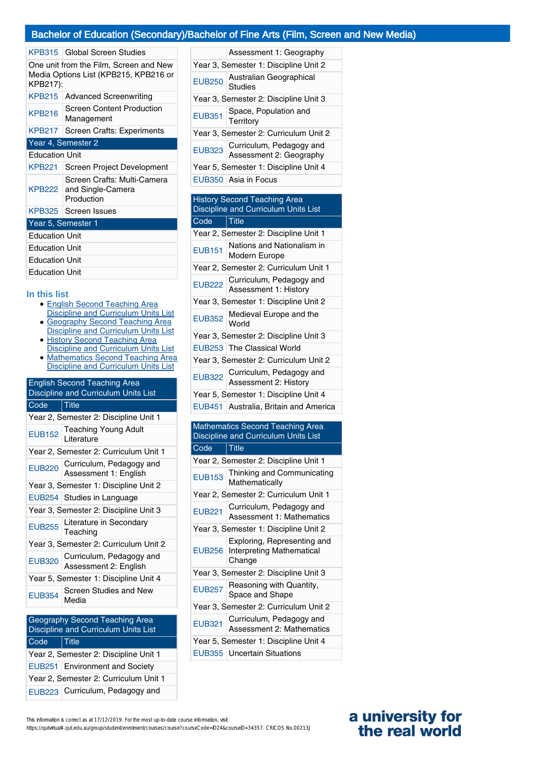### Bachelor of Education (Secondary)/Bachelor of Fine Arts (Film, Screen and New Media)

| Global Screen Studies                                                                       |  |  |
|---------------------------------------------------------------------------------------------|--|--|
| One unit from the Film, Screen and New<br>Media Options List (KPB215, KPB216 or<br>KPB217): |  |  |
| <b>Advanced Screenwriting</b>                                                               |  |  |
| Screen Content Production<br>Management                                                     |  |  |
| KPB217   Screen Crafts: Experiments                                                         |  |  |
| Year 4, Semester 2                                                                          |  |  |
| <b>Education Unit</b>                                                                       |  |  |
|                                                                                             |  |  |
| Screen Project Development                                                                  |  |  |
| Screen Crafts: Multi-Camera<br>KPB222 and Single-Camera<br>Production                       |  |  |
| KPB325   Screen Issues                                                                      |  |  |
| Year 5, Semester 1                                                                          |  |  |
| <b>Education Unit</b>                                                                       |  |  |
| <b>Education Unit</b>                                                                       |  |  |
| <b>Education Unit</b>                                                                       |  |  |
|                                                                                             |  |  |

#### **In this list**

- English Second Teaching Area Discipline and Curriculum Units List
- Geography Second Teaching Area Discipline and Curriculum Units List
- History Second Teaching Area Discipline and Curriculum Units List
- Mathematics Second Teaching Area Discipline and Curriculum Units List

| <b>English Second Teaching Area</b><br>Discipline and Curriculum Units List |                                                   |  |
|-----------------------------------------------------------------------------|---------------------------------------------------|--|
| Code                                                                        | <u>Title</u>                                      |  |
|                                                                             | Year 2, Semester 2: Discipline Unit 1             |  |
| <b>EUB152</b>                                                               | <b>Teaching Young Adult</b><br>Literature         |  |
| Year 2, Semester 2: Curriculum Unit 1                                       |                                                   |  |
| <b>EUB220</b>                                                               | Curriculum, Pedagogy and<br>Assessment 1: English |  |
|                                                                             | Year 3, Semester 1: Discipline Unit 2             |  |
|                                                                             | EUB254   Studies in Language                      |  |
| Year 3, Semester 2: Discipline Unit 3                                       |                                                   |  |
| <b>EUB255</b>                                                               | Literature in Secondary<br>Teaching               |  |
| Year 3, Semester 2: Curriculum Unit 2                                       |                                                   |  |
| <b>EUB320</b>                                                               | Curriculum, Pedagogy and<br>Assessment 2: English |  |
| Year 5, Semester 1: Discipline Unit 4                                       |                                                   |  |
| <b>EUB354</b>                                                               | Screen Studies and New<br>Media                   |  |

## Geography Second Teaching Area Discipline and Curriculum Units List Code Title Year 2, Semester 2: Discipline Unit 1 EUB251 Environment and Society Year 2, Semester 2: Curriculum Unit 1 EUB223 Curriculum, Pedagogy and

|                                       | Assessment 1: Geography                             |  |
|---------------------------------------|-----------------------------------------------------|--|
| Year 3, Semester 1: Discipline Unit 2 |                                                     |  |
| <b>EUB250</b>                         | Australian Geographical<br>Studies                  |  |
| Year 3, Semester 2: Discipline Unit 3 |                                                     |  |
| <b>EUB351</b>                         | Space, Population and<br>Territory                  |  |
| Year 3, Semester 2: Curriculum Unit 2 |                                                     |  |
| <b>EUB323</b>                         | Curriculum, Pedagogy and<br>Assessment 2: Geography |  |
| Year 5, Semester 1: Discipline Unit 4 |                                                     |  |
|                                       | EUB350   Asia in Focus                              |  |

#### History Second Teaching Area Discipline and Curriculum Units List Code Title

| ovuc          | סוורו                                                    |
|---------------|----------------------------------------------------------|
|               | Year 2, Semester 2: Discipline Unit 1                    |
| <b>EUB151</b> | Nations and Nationalism in<br>Modern Europe              |
|               | Year 2, Semester 2: Curriculum Unit 1                    |
|               | EUB222 Curriculum, Pedagogy and<br>Assessment 1: History |
|               | Year 3, Semester 1: Discipline Unit 2                    |
|               | EUB352 Medieval Europe and the                           |
|               | Year 3, Semester 2: Discipline Unit 3                    |
|               | EUB253 The Classical World                               |
|               | Year 3, Semester 2: Curriculum Unit 2                    |
|               | EUB322 Curriculum, Pedagogy and<br>Assessment 2: History |
|               | Year 5, Semester 1: Discipline Unit 4                    |
|               | EUB451 Australia, Britain and America                    |

#### Mathematics Second Teaching Area Discipline and Curriculum Units List Code Title

|                                       | Year 2, Semester 2: Discipline Unit 1                                     |
|---------------------------------------|---------------------------------------------------------------------------|
| <b>EUB153</b>                         | Thinking and Communicating<br>Mathematically                              |
|                                       | Year 2, Semester 2: Curriculum Unit 1                                     |
| <b>EUB221</b>                         | Curriculum, Pedagogy and<br><b>Assessment 1: Mathematics</b>              |
|                                       | Year 3, Semester 1: Discipline Unit 2                                     |
| <b>EUB256</b>                         | Exploring, Representing and<br><b>Interpreting Mathematical</b><br>Change |
|                                       | Year 3, Semester 2: Discipline Unit 3                                     |
| <b>EUB257</b>                         | Reasoning with Quantity,<br>Space and Shape                               |
| Year 3, Semester 2: Curriculum Unit 2 |                                                                           |
| <b>EUB321</b>                         | Curriculum, Pedagogy and<br><b>Assessment 2: Mathematics</b>              |
|                                       | Year 5, Semester 1: Discipline Unit 4                                     |
|                                       | EUB355   Uncertain Situations                                             |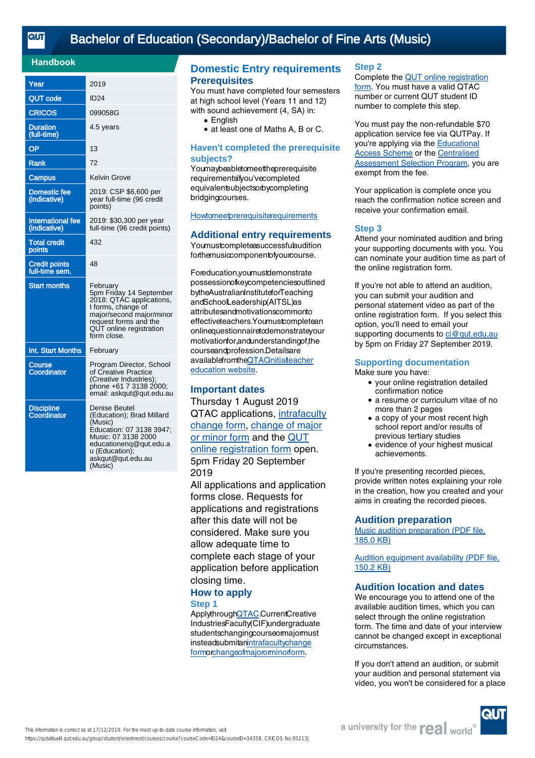## [Bachelor of Education \(Secondary\)/Bachelor of Fine Arts \(Music\)](https://qutvirtual4.qut.edu.au/group/student/enrolment/courses/course?courseCode=ID24&courseID=34358)

### **Handbook**

| Year                                     | 2019                                                                                                                                                                                        |
|------------------------------------------|---------------------------------------------------------------------------------------------------------------------------------------------------------------------------------------------|
| <b>QUT code</b>                          | <b>ID24</b>                                                                                                                                                                                 |
| <b>CRICOS</b>                            | 099058G                                                                                                                                                                                     |
| <b>Duration</b><br>(full-time)           | 4.5 years                                                                                                                                                                                   |
| OP                                       | 13                                                                                                                                                                                          |
| <b>Rank</b>                              | 72                                                                                                                                                                                          |
| Campus                                   | Kelvin Grove                                                                                                                                                                                |
| <b>Domestic fee</b><br>(indicative)      | 2019: CSP \$6,600 per<br>year full-time (96 credit<br>points)                                                                                                                               |
| <b>International fee</b><br>(indicative) | 2019: \$30,300 per year<br>full-time (96 credit points)                                                                                                                                     |
| <b>Total credit</b><br>points            | 432                                                                                                                                                                                         |
| <b>Credit points</b><br>full-time sem.   | 48                                                                                                                                                                                          |
| <b>Start months</b>                      | February<br>5pm Friday 14 September<br>2018: QTÁC applications,<br>I forms, change of<br>major/second major/minor<br>request forms and the<br>QUT online registration<br>form close.        |
| Int. Start Months                        | February                                                                                                                                                                                    |
| Course<br><b>Coordinator</b>             | Program Director, School<br>of Creative Practice<br>(Creative Industries);<br>phone +61 7 3138 2000;<br>email: askgut@gut.edu.au                                                            |
| <b>Discipline</b><br>Coordinator         | <b>Denise Beutel</b><br>(Education); Brad Millard<br>(Music)<br>Education: 07 3138 3947;<br>Music: 07 3138 2000<br>educationenq@qut.edu.a<br>u (Education);<br>askqut@qut.edu.au<br>(Music) |

### **Domestic Entry requirements Prerequisites**

You must have completed four semesters at high school level (Years 11 and 12) with sound achievement (4, SA) in:

- English
- at least one of Maths A, B or C.

#### **Haven't completed the prerequisite subjects?**

Youmaybeabletomeettheprerequisite requirementsifyou'vecompleted equivalentsubjectsorbycompleting bridgingcourses.

### **[Howtomeetprerequisitere](https://cms.qut.edu.au/corpsite/study/applying/prerequisite-subjects-bachelor-of-education)quirements**

#### **Additional entry requirements**

Youmustcompleteasuccessfulaudition forthemusiccomponentofyourcourse.

Foreducation,youmustdemonstrate possessionofkeycompetenciesoutlined bytheAustralianInstituteforTeaching andSchoolLeadership(AITSL)as attributesandmotivationscommonto effectiveteachers.Youmustcompletean onlinequestionnairetodemonstrateyour motivationfor,andunderstandingof,the courseandprofession.Detailsare availablefromt[heQTACinitialtea](http://www.qtac.edu.au/courses---institutions/initial-teacher-education)cher [education](http://www.qtac.edu.au/courses---institutions/initial-teacher-education) website.

### **Important dates**

Thursday 1 August 2019 QTAC applications[, intrafacu](http://external-apps.qut.edu.au/studentservices/ri/i-form)lty [change](http://external-apps.qut.edu.au/studentservices/ri/i-form) form, change [of major](https://secure.qut.edu.au/studentservices/qut/cm) [or minor form](https://secure.qut.edu.au/studentservices/qut/cm) and the [QUT](https://qutvirtual2.qut.edu.au/adtn) [online registration form](https://qutvirtual2.qut.edu.au/adtn) open. 5pm Friday 20 September 2019

All applications and application forms close. Requests for applications and registrations after this date will not be considered. Make sure you allow adequate time to complete each stage of your application before application closing time.

#### **How to apply Step 1**

Applythroug[hQTAC](http://www.qtac.edu.au).CurrentCreative IndustriesFaculty(CIF)undergraduate studentschangingcourseormajormust insteadsubmita[nintrafacultychange](http://external-apps.qut.edu.au/studentservices/ri/i-form) [formo](http://external-apps.qut.edu.au/studentservices/ri/i-form)[rchangeofmajororminorform](https://secure.qut.edu.au/studentservices/qut/cm).

#### **Step 2**

Complete the [QUT online registration](https://qutvirtual2.qut.edu.au/adtn) [form](https://qutvirtual2.qut.edu.au/adtn). You must have a valid QTAC number or current QUT student ID number to complete this step.

You must pay the non-refundable \$70 application service fee via QUTPay. If you're applying via the [Educational](https://cms.qut.edu.au/corpsite/study/applying/adjustment-schemes) [Access Scheme](https://cms.qut.edu.au/corpsite/study/applying/adjustment-schemes) or the [Centralised](https://cms.qut.edu.au/corpsite/study/applying/centralised-assessment-selection-program) [Assessment Selection Program](https://cms.qut.edu.au/corpsite/study/applying/centralised-assessment-selection-program), you are exempt from the fee.

Your application is complete once you reach the confirmation notice screen and receive your confirmation email.

#### **Step 3**

Attend your nominated audition and bring your supporting documents with you. You can nominate your audition time as part of the online registration form.

If you're not able to attend an audition, you can submit your audition and personal statement video as part of the online registration form. If you select this option, you'll need to email your supporting documents to [ci@qut.edu.au](mailto:ci@qut.edu.au) by 5pm on Friday 27 September 2019.

#### **Supporting documentation**

Make sure you have:

- your online registration detailed confirmation notice
- a resume or curriculum vitae of no more than 2 pages
- a copy of your most recent high school report and/or results of previous tertiary studies
- evidence of your highest musical achievements. ●

If you're presenting recorded pieces, provide written notes explaining your role in the creation, how you created and your aims in creating the recorded pieces.

#### **Audition preparation**

[Music audition preparation \(PDF file,](https://cms.qut.edu.au/__data/assets/pdf_file/0004/475807/music-audition-preparation-domestic.pdf) [185.0 KB\)](https://cms.qut.edu.au/__data/assets/pdf_file/0004/475807/music-audition-preparation-domestic.pdf)

[Audition equipment availability \(PDF file,](https://cms.qut.edu.au/__data/assets/pdf_file/0018/710163/music-audition-equipment-availability.pdf) [150.2 KB\)](https://cms.qut.edu.au/__data/assets/pdf_file/0018/710163/music-audition-equipment-availability.pdf)

#### **Audition location and dates**

We encourage you to attend one of the available audition times, which you can select through the online registration form. The time and date of your interview cannot be changed except in exceptional circumstances.

If you don't attend an audition, or submit your audition and personal statement via video, you won't be considered for a place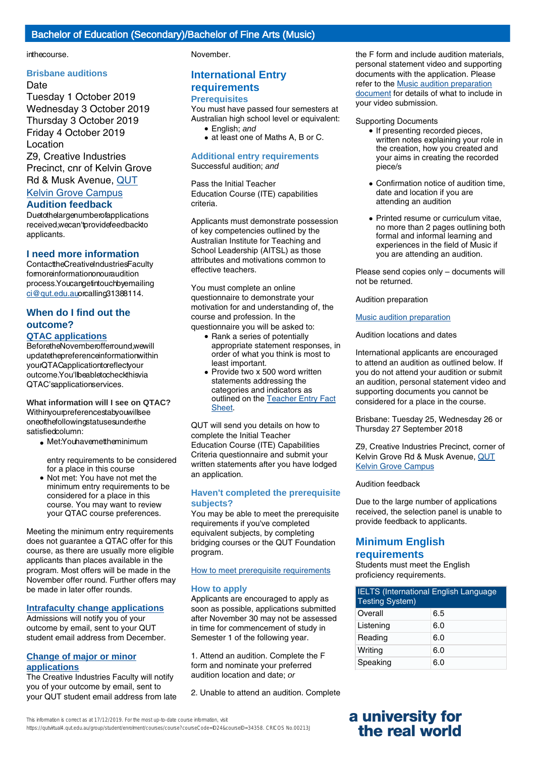#### inthecourse.

#### **Brisbane auditions**

Date Tuesday 1 October 2019 Wednesday 3 October 2019 Thursday 3 October 2019 Friday 4 October 2019 Location Z9, Creative Industries Precinct, cnr of Kelvin Grove Rd & Musk Avenue, [QUT](https://cms.qut.edu.au/corpsite/about/campuses-and-facilities/kelvin-grove-campus/maps-and-getting-here)

## Kelvin [Grove Campus](https://cms.qut.edu.au/corpsite/about/campuses-and-facilities/kelvin-grove-campus/maps-and-getting-here)

## **Audition feedback**

Duetothelargenumberofapplications received,wecan'tprovidefeedbackto applicants.

#### **I need more information**

ContacttheCreativeIndustriesFaculty formoreinformationonouraudition process.Youcangetintouchbyemailing [ci@qut.edu.auo](mailto:ci@qut.edu.au)rcalling31388114.

## **When do I find out the outcome?**

#### **QTAC applications**

BeforetheNovemberofferround,wewill updatethepreferenceinformationwithin yourQTACapplicationtoreflectyour outcome.You'llbeabletocheckthisvia QTAC'sapplicationservices.

**What information will I see on QTAC?** Withinyourpreferencestabyouwillsee oneofthefollowingstatusesunderthe satisfiedcolumn:

• Met:Youhavemettheminimum

entry requirements to be considered for a place in this course

• Not met: You have not met the minimum entry requirements to be considered for a place in this course. You may want to review your QTAC course preferences.

Meeting the minimum entry requirements does not guarantee a QTAC offer for this course, as there are usually more eligible applicants than places available in the program. Most offers will be made in the November offer round. Further offers may be made in later offer rounds.

#### **Intrafaculty change applications**

Admissions will notify you of your outcome by email, sent to your QUT student email address from December.

#### **Change of major or minor applications**

The Creative Industries Faculty will notify you of your outcome by email, sent to your QUT student email address from late November.

# **International Entry**

#### **requirements Prerequisites**

You must have passed four semesters at Australian high school level or equivalent:

- English; and
- at least one of Maths A, B or C.

#### **Additional entry requirements** Successful audition; and

Pass the Initial Teacher Education Course (ITE) capabilities criteria.

Applicants must demonstrate possession of key competencies outlined by the Australian Institute for Teaching and School Leadership (AITSL) as those attributes and motivations common to effective teachers.

You must complete an online questionnaire to demonstrate your motivation for and understanding of, the course and profession. In the questionnaire you will be asked to:

- Rank a series of potentially appropriate statement responses, in order of what you think is most to least important.
- Provide two x 500 word written statements addressing the categories and indicators as outlined on the [Teacher Entry Fact](https://www.qtac.edu.au/ArticleDocuments/173/Teacher%20Entry%20Fact%20Sheet.pdf.aspx) [Sheet.](https://www.qtac.edu.au/ArticleDocuments/173/Teacher%20Entry%20Fact%20Sheet.pdf.aspx)

QUT will send you details on how to complete the Initial Teacher Education Course (ITE) Capabilities Criteria questionnaire and submit your written statements after you have lodged an application.

#### **Haven't completed the prerequisite subjects?**

You may be able to meet the prerequisite requirements if you've completed equivalent subjects, by completing bridging courses or the QUT Foundation program.

#### [How to meet prerequisite requirements](https://www.qut.edu.au/study/applying/undergraduate-applications/prerequisite-subjects)

#### **How to apply**

Applicants are encouraged to apply as soon as possible, applications submitted after November 30 may not be assessed in time for commencement of study in Semester 1 of the following year.

1. Attend an audition. Complete the F form and nominate your preferred audition location and date; or

2. Unable to attend an audition. Complete

the F form and include audition materials, personal statement video and supporting documents with the application. Please refer to the [Music audition preparation](https://cms.qut.edu.au/?a=475807) [document](https://cms.qut.edu.au/?a=475807) for details of what to include in your video submission.

#### Supporting Documents

- If presenting recorded pieces, written notes explaining your role in the creation, how you created and your aims in creating the recorded piece/s
- Confirmation notice of audition time, date and location if you are attending an audition
- Printed resume or curriculum vitae, no more than 2 pages outlining both formal and informal learning and experiences in the field of Music if you are attending an audition.

Please send copies only – documents will not be returned.

Audition preparation

[Music audition preparation](https://cms.qut.edu.au/?a=475808)

Audition locations and dates

International applicants are encouraged to attend an audition as outlined below. If you do not attend your audition or submit an audition, personal statement video and supporting documents you cannot be considered for a place in the course.

Brisbane: Tuesday 25, Wednesday 26 or Thursday 27 September 2018

Z9, Creative Industries Precinct, corner of Kelvin Grove Rd & Musk Avenue, [QUT](https://www.qut.edu.au/campuses-and-facilities/kelvin-grove-campus/maps-and-getting-here) [Kelvin Grove Campus](https://www.qut.edu.au/campuses-and-facilities/kelvin-grove-campus/maps-and-getting-here)

#### Audition feedback

Due to the large number of applications received, the selection panel is unable to provide feedback to applicants.

# **Minimum English**

## **requirements**

Students must meet the English proficiency requirements.

| <b>IELTS</b> (International English Language<br><b>Testing System)</b> |     |
|------------------------------------------------------------------------|-----|
| Overall                                                                | 6.5 |
| Listening                                                              | 6.0 |
| Reading                                                                | 6.0 |
| Writing                                                                | 6.0 |
| Speaking                                                               | 6.0 |

This information is correct as at 17/12/2019. For the most up-to-date course information, visit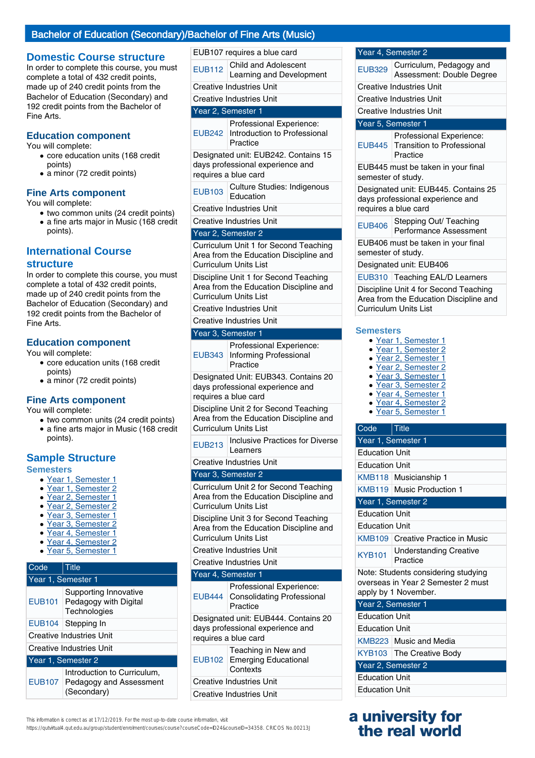### Bachelor of Education (Secondary)/

## **Domestic Course structure**

In order to complete this course, you must complete a total of 432 credit points, made up of 240 credit points from the Bachelor of Education (Secondary) and 192 credit points from the Bachelor of Fine Arts.

#### **Education component**

You will complete:

- core education units (168 credit points)
- a minor (72 credit points)

#### **Fine Arts component**

You will complete:

- two common units (24 credit points) • a fine arts major in Music (168 credit
- points).

## **International Course**

#### **structure**

In order to complete this course, you must complete a total of 432 credit points, made up of 240 credit points from the Bachelor of Education (Secondary) and 192 credit points from the Bachelor of Fine Arts.

#### **Education component**

You will complete:

- core education units (168 credit points)
- a minor (72 credit points)

#### **Fine Arts component**

You will complete:

● two common units (24 credit points) • a fine arts major in Music (168 credit points).

## **Sample Structure**

**Semesters**

- Year 1, Semester 1
- Year 1, Semester 2
- Year 2, Semester 1
- Year 2, Semester 2
- Year 3, Semester 1
- Year 3, Semester 2
- Year 4, Semester 1
- Year 4, Semester 2
- Year 5, Semester 1

#### Code Title Year 1, Semester 1 EUB101 Supporting Innovative Pedagogy with Digital **Technologies** EUB104 Stepping In Creative Industries Unit Creative Industries Unit Year 1, Semester 2 EUB107 Introduction to Curriculum, Pedagogy and Assessment (Secondary)

|                                 |               | <b>Bachelor of Fine Arts (Music)</b>                                        |
|---------------------------------|---------------|-----------------------------------------------------------------------------|
|                                 |               | EUB107 requires a blue card                                                 |
|                                 | <b>EUB112</b> | Child and Adolescent<br>Learning and Development                            |
|                                 |               | <b>Creative Industries Unit</b>                                             |
| <b>Creative Industries Unit</b> |               |                                                                             |
| Year 2, Semester 1              |               |                                                                             |
|                                 |               | Professional Experience:<br>EUB242 Introduction to Professional<br>Practice |
|                                 |               | Designated unit: EUB242. Contains 15<br>days professional experience and    |

requires a blue card

| <b>EUB103</b> | Culture Studies: Indigenous |
|---------------|-----------------------------|
|               | Education                   |

Creative Industries Unit

Creative Industries Unit

#### Year 2, Semester 2

Curriculum Unit 1 for Second Teaching Area from the Education Discipline and Curriculum Units List

Discipline Unit 1 for Second Teaching Area from the Education Discipline and Curriculum Units List

Creative Industries Unit

Creative Industries Unit

#### Year 3, Semester 1

| EUB343                                                                   | Professional Experience:<br>Informing Professional<br>Practice |  |
|--------------------------------------------------------------------------|----------------------------------------------------------------|--|
| Designated Unit: EUB343. Contains 20<br>days professional experience and |                                                                |  |

requires a blue card

Discipline Unit 2 for Second Teaching Area from the Education Discipline and Curriculum Units List

EUB213 | Inclusive Practices for Diverse Learners

Creative Industries Unit

#### Year 3, Semester 2

Curriculum Unit 2 for Second Teaching Area from the Education Discipline and Curriculum Units List

Discipline Unit 3 for Second Teaching Area from the Education Discipline and Curriculum Units List

#### Creative Industries Unit

Creative Industries Unit

| orcanve maasures onn                                                                             |                                                                           |
|--------------------------------------------------------------------------------------------------|---------------------------------------------------------------------------|
| Year 4, Semester 1                                                                               |                                                                           |
|                                                                                                  | Professional Experience:<br>EUB444 Consolidating Professional<br>Practice |
| Designated unit: EUB444. Contains 20<br>days professional experience and<br>requires a blue card |                                                                           |
|                                                                                                  | Teaching in New and<br>EUB102 Emerging Educational<br>Contexts            |
| <b>Creative Industries Unit</b>                                                                  |                                                                           |

Creative Industries Unit

|                       | EUB445 must be taken in your final<br>semester of study.                                                 |  |
|-----------------------|----------------------------------------------------------------------------------------------------------|--|
|                       | Designated unit: EUB445. Contains 25<br>days professional experience and<br>requires a blue card         |  |
| <b>EUB406</b>         | Stepping Out/ Teaching<br>Performance Assessment                                                         |  |
| semester of study.    | EUB406 must be taken in your final                                                                       |  |
|                       | Designated unit: EUB406                                                                                  |  |
|                       | EUB310 Teaching EAL/D Learners                                                                           |  |
|                       | Discipline Unit 4 for Second Teaching<br>Area from the Education Discipline and<br>Curriculum Units List |  |
| <b>Semesters</b>      |                                                                                                          |  |
|                       | • Year 1, Semester 1<br>· Year 1, Semester 2                                                             |  |
|                       | · Year 2, Semester 1                                                                                     |  |
|                       | Year 2, Semester 2<br>· Year 3, Semester 1                                                               |  |
| $\bullet$             | Year 3, Semester 2                                                                                       |  |
| ٠                     | Year 4, Semester 1                                                                                       |  |
|                       | Year 4, Semester 2<br>Vear 5, Semester 1                                                                 |  |
|                       |                                                                                                          |  |
| Code                  | $ $ Title                                                                                                |  |
| Year 1, Semester 1    |                                                                                                          |  |
| <b>Education Unit</b> |                                                                                                          |  |
| <b>Education Unit</b> |                                                                                                          |  |
|                       | KMB118 Musicianship 1                                                                                    |  |
|                       | KMB119 Music Production 1                                                                                |  |
|                       | Year 1, Semester 2                                                                                       |  |
| <b>Education Unit</b> |                                                                                                          |  |
| <b>Education Unit</b> |                                                                                                          |  |
|                       | <b>KMB109 Creative Practice in Music</b>                                                                 |  |
| <b>KYB101</b>         | <b>Understanding Creative</b><br>Practice                                                                |  |
|                       | Note: Students considering studying<br>overseas in Year 2 Semester 2 must                                |  |
|                       | apply by 1 November.                                                                                     |  |
| Year 2, Semester 1    |                                                                                                          |  |
| <b>Education Unit</b> |                                                                                                          |  |

Year 4, Semester 2

Creative Industries Unit Creative Industries Unit Creative Industries Unit Year 5, Semester 1

EUB329 Curriculum, Pedagogy and

EUB445 Transition to Professional

Practice

Assessment: Double Degree

Professional Experience:

- Education Unit
- KMB223 Music and Media KYB103 The Creative Body
- Year 2, Semester 2 Education Unit
- Education Unit

## **a university for the real world**

This information is correct as at 17/12/2019. For the most up-to-date course information, visit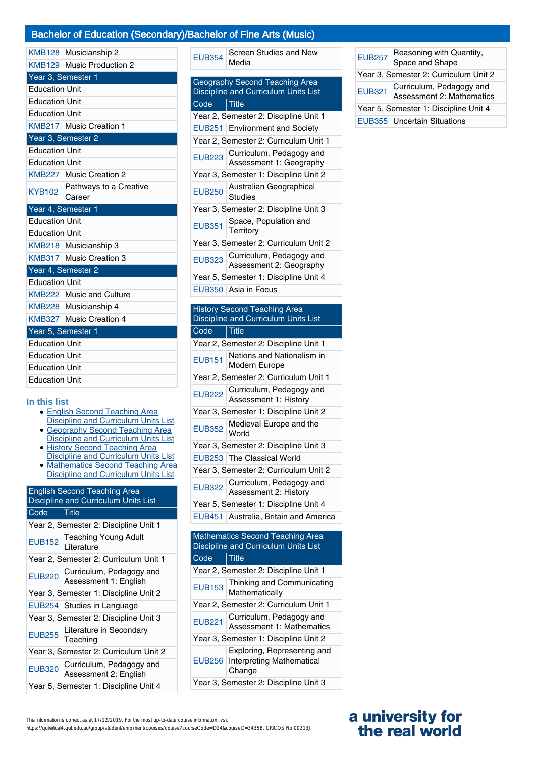## Bachelor of Education (Secondary)/Bachelor of Fine Arts (Music)

|                       | KMB128 Musicianship 2       |
|-----------------------|-----------------------------|
|                       | KMB129   Music Production 2 |
|                       | Year 3, Semester 1          |
| <b>Education Unit</b> |                             |
| <b>Education Unit</b> |                             |
| <b>Education Unit</b> |                             |
|                       | KMB217 Music Creation 1     |
|                       | Year 3, Semester 2          |
| <b>Education Unit</b> |                             |
| <b>Education Unit</b> |                             |
|                       | KMB227 Music Creation 2     |
| <b>KYB102</b>         | Pathways to a Creative      |
|                       | Career                      |
| Year 4, Semester 1    |                             |
| <b>Education Unit</b> |                             |
| <b>Education Unit</b> |                             |
|                       | KMB218 Musicianship 3       |
|                       | KMB317 Music Creation 3     |
|                       | Year 4, Semester 2          |
| <b>Education Unit</b> |                             |
|                       | KMB222   Music and Culture  |
|                       | KMB228 Musicianship 4       |
|                       | KMB327 Music Creation 4     |
|                       | Year 5, Semester 1          |
| <b>Education Unit</b> |                             |
| <b>Education Unit</b> |                             |
| <b>Education Unit</b> |                             |
| <b>Education Unit</b> |                             |
|                       |                             |

#### **In this list**

- English Second Teaching Area
- Discipline and Curriculum Units List **Geography Second Teaching Area** • Geography Second Teaching Area<br>Discipline and Curriculum Units List
- History Second Teaching Area Discipline and Curriculum Units List
- Mathematics Second Teaching Area Discipline and Curriculum Units List

| <b>English Second Teaching Area</b><br>Discipline and Curriculum Units List |                                                   |
|-----------------------------------------------------------------------------|---------------------------------------------------|
| Code                                                                        | <b>Title</b>                                      |
|                                                                             | Year 2, Semester 2: Discipline Unit 1             |
| <b>EUB152</b>                                                               | <b>Teaching Young Adult</b><br>Literature         |
|                                                                             | Year 2, Semester 2: Curriculum Unit 1             |
| <b>EUB220</b>                                                               | Curriculum, Pedagogy and<br>Assessment 1: English |
|                                                                             | Year 3, Semester 1: Discipline Unit 2             |
|                                                                             | EUB254 Studies in Language                        |
|                                                                             | Year 3, Semester 2: Discipline Unit 3             |
| <b>EUB255</b>                                                               | Literature in Secondary<br>Teaching               |
|                                                                             | Year 3, Semester 2: Curriculum Unit 2             |
| <b>EUB320</b>                                                               | Curriculum, Pedagogy and<br>Assessment 2: English |
|                                                                             | Year 5, Semester 1: Discipline Unit 4             |

| <b>EUB354</b>                                                          | Screen Studies and New<br>Media                     |  |
|------------------------------------------------------------------------|-----------------------------------------------------|--|
| Geography Second Teaching Area<br>Discipline and Curriculum Units List |                                                     |  |
| Code                                                                   | <b>Title</b>                                        |  |
|                                                                        | Year 2, Semester 2: Discipline Unit 1               |  |
|                                                                        | EUB251 Environment and Society                      |  |
|                                                                        | Year 2, Semester 2: Curriculum Unit 1               |  |
| <b>EUB223</b>                                                          | Curriculum, Pedagogy and<br>Assessment 1: Geography |  |
| Year 3, Semester 1: Discipline Unit 2                                  |                                                     |  |
| <b>EUB250</b>                                                          | Australian Geographical<br>Studies                  |  |
|                                                                        | Year 3, Semester 2: Discipline Unit 3               |  |
| <b>EUB351</b>                                                          | Space, Population and<br>Territory                  |  |
|                                                                        | Year 3, Semester 2: Curriculum Unit 2               |  |
| <b>EUB323</b>                                                          | Curriculum, Pedagogy and<br>Assessment 2: Geography |  |
|                                                                        | Year 5, Semester 1: Discipline Unit 4               |  |
|                                                                        | EUB350 Asia in Focus                                |  |

## **History Second Teaching Area** Discipline and Curriculum Units List

| $\overline{Code}$                     | Title                                                    |  |
|---------------------------------------|----------------------------------------------------------|--|
|                                       | Year 2, Semester 2: Discipline Unit 1                    |  |
| <b>EUB151</b>                         | Nations and Nationalism in<br>Modern Europe              |  |
|                                       | Year 2, Semester 2: Curriculum Unit 1                    |  |
|                                       | EUB222 Curriculum, Pedagogy and<br>Assessment 1: History |  |
| Year 3, Semester 1: Discipline Unit 2 |                                                          |  |
|                                       | EUB352 Medieval Europe and the                           |  |
|                                       | Year 3, Semester 2: Discipline Unit 3                    |  |
|                                       | EUB253   The Classical World                             |  |
| Year 3, Semester 2: Curriculum Unit 2 |                                                          |  |
|                                       | EUB322 Curriculum, Pedagogy and<br>Assessment 2: History |  |
|                                       | Year 5, Semester 1: Discipline Unit 4                    |  |
|                                       | EUB451 Australia, Britain and America                    |  |

| <b>Mathematics Second Teaching Area</b><br>Discipline and Curriculum Units List |                                                                           |  |
|---------------------------------------------------------------------------------|---------------------------------------------------------------------------|--|
| Code                                                                            | Title                                                                     |  |
|                                                                                 | Year 2, Semester 2: Discipline Unit 1                                     |  |
| <b>EUB153</b>                                                                   | Thinking and Communicating<br>Mathematically                              |  |
| Year 2, Semester 2: Curriculum Unit 1                                           |                                                                           |  |
| <b>EUB221</b>                                                                   | Curriculum, Pedagogy and<br>Assessment 1: Mathematics                     |  |
| Year 3, Semester 1: Discipline Unit 2                                           |                                                                           |  |
|                                                                                 | Exploring, Representing and<br>EUB256 Interpreting Mathematical<br>Change |  |
| Year 3, Semester 2: Discipline Unit 3                                           |                                                                           |  |

| <b>EUB257</b>                         | Reasoning with Quantity,<br>Space and Shape           |
|---------------------------------------|-------------------------------------------------------|
| Year 3, Semester 2: Curriculum Unit 2 |                                                       |
| <b>EUB321</b>                         | Curriculum, Pedagogy and<br>Assessment 2: Mathematics |
| Year 5, Semester 1: Discipline Unit 4 |                                                       |
|                                       | <b>EUB355 Uncertain Situations</b>                    |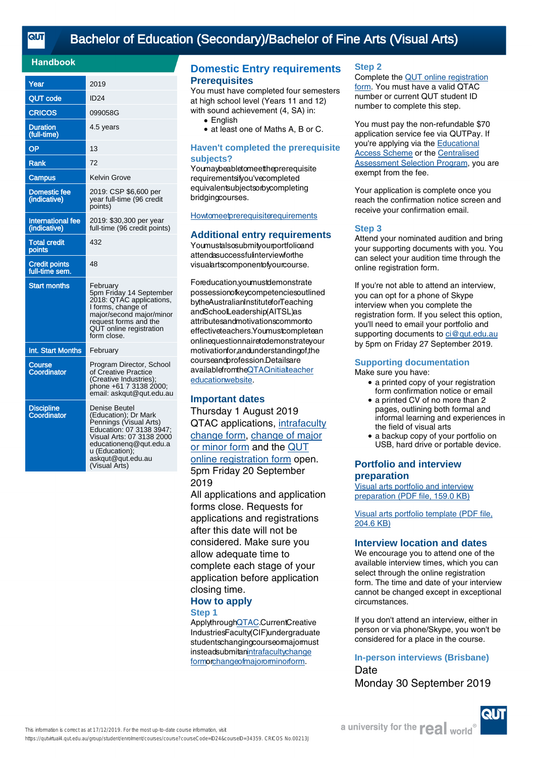## [Bachelor of Education \(Secondary\)/Bachelor of Fine Arts \(Visual Arts\)](https://qutvirtual4.qut.edu.au/group/student/enrolment/courses/course?courseCode=ID24&courseID=34359)

### **Handbook**

| Year                                   | 2019                                                                                                                                                                                                       |
|----------------------------------------|------------------------------------------------------------------------------------------------------------------------------------------------------------------------------------------------------------|
| <b>QUT code</b>                        | <b>ID24</b>                                                                                                                                                                                                |
| CRICOS                                 | 099058G                                                                                                                                                                                                    |
| <b>Duration</b><br>(full-time)         | 4.5 years                                                                                                                                                                                                  |
| OP                                     | 13                                                                                                                                                                                                         |
| Rank                                   | 72                                                                                                                                                                                                         |
| Campus                                 | Kelvin Grove                                                                                                                                                                                               |
| <b>Domestic fee</b><br>(indicative)    | 2019: CSP \$6,600 per<br>year full-time (96 credit<br>points)                                                                                                                                              |
| International fee<br>(indicative)      | 2019: \$30,300 per year<br>full-time (96 credit points)                                                                                                                                                    |
| <b>Total credit</b><br>points          | 432                                                                                                                                                                                                        |
| <b>Credit points</b><br>full-time sem. | 48                                                                                                                                                                                                         |
| <b>Start months</b>                    | February<br>5pm Friday 14 September<br>2018: QTAC applications,<br>I forms, change of<br>major/second major/minor<br>request forms and the<br>QUT online registration<br>form close.                       |
| Int. Start Months                      | February                                                                                                                                                                                                   |
| Course<br><b>Coordinator</b>           | Program Director, School<br>of Creative Practice<br>(Creative Industries);<br>phone +61 7 3138 2000;<br>email: askgut@gut.edu.au                                                                           |
| <b>Discipline</b><br>Coordinator       | Denise Beutel<br>(Education); Dr Mark<br>Pennings (Visual Arts)<br>Education: 07 3138 3947;<br>Visual Arts: 07 3138 2000<br>educationenq@qut.edu.a<br>u (Education);<br>askqut@qut.edu.au<br>(Visual Arts) |

## **Domestic Entry requirements Prerequisites**

You must have completed four semesters at high school level (Years 11 and 12) with sound achievement (4, SA) in:

- English
- at least one of Maths A, B or C.

#### **Haven't completed the prerequisite subjects?**

Youmaybeabletomeettheprerequisite requirementsifyou'vecompleted equivalentsubjectsorbycompleting bridgingcourses.

### **[Howtomeetprerequisitere](https://cms.qut.edu.au/corpsite/study/applying/prerequisite-subjects-bachelor-of-education)quirements**

#### **Additional entry requirements**

Youmustalsosubmityourportfolioand attendasuccessfulinterviewforthe visualartscomponentofyourcourse.

Foreducation,youmustdemonstrate possessionofkeycompetenciesoutlined bytheAustralianInstituteforTeaching andSchoolLeadership(AITSL)as attributesandmotivationscommonto effectiveteachers.Youmustcompletean onlinequestionnairetodemonstrateyour motivationfor,andunderstandingof,the courseandprofession.Detailsare availablefromt[heQTACinitialtea](http://www.qtac.edu.au/courses---institutions/initial-teacher-education)cher [educationwebsite](http://www.qtac.edu.au/courses---institutions/initial-teacher-education).

#### **Important dates**

Thursday 1 August 2019 QTAC application[s, intrafacu](http://external-apps.qut.edu.au/studentservices/ri/i-form)lty [change](http://external-apps.qut.edu.au/studentservices/ri/i-form) form, [change](https://secure.qut.edu.au/studentservices/qut/cm) of major [or minor form](https://secure.qut.edu.au/studentservices/qut/cm) and t[he QU](https://qutvirtual2.qut.edu.au/adtn)T [online registration for](https://qutvirtual2.qut.edu.au/adtn)m open. 5pm Friday 20 September 2019

All applications and application forms close. Requests for applications and registrations after this date will not be considered. Make sure you allow adequate time to complete each stage of your application before application closing tim[e.](http://www.qtac.edu.au)

#### **How to apply Step 1**

ApplythroughQTAC.CurrentCreative IndustriesFacult[y\(CIF\)undergradua](http://external-apps.qut.edu.au/studentservices/ri/i-form)te [stude](http://external-apps.qut.edu.au/studentservices/ri/i-form)[ntschangingcourseormajorm](https://secure.qut.edu.au/studentservices/qut/cm)ust insteadsubmitanintrafacultychange formorchangeofmajororminorform.

#### **Step 2**

Complete the [QUT online registration](https://qutvirtual2.qut.edu.au/adtn) [form](https://qutvirtual2.qut.edu.au/adtn). You must have a valid QTAC number or current QUT student ID number to complete this step.

You must pay the non-refundable \$70 application service fee via QUTPay. If you're applying via the [Educational](https://cms.qut.edu.au/corpsite/study/applying/adjustment-schemes) [Access Scheme](https://cms.qut.edu.au/corpsite/study/applying/adjustment-schemes) or the [Centralised](https://cms.qut.edu.au/corpsite/study/applying/centralised-assessment-selection-program) [Assessment Selection Program](https://cms.qut.edu.au/corpsite/study/applying/centralised-assessment-selection-program), you are exempt from the fee.

Your application is complete once you reach the confirmation notice screen and receive your confirmation email.

#### **Step 3**

Attend your nominated audition and bring your supporting documents with you. You can select your audition time through the online registration form.

If you're not able to attend an interview, you can opt for a phone of Skype interview when you complete the registration form. If you select this option, you'll need to email your portfolio and supporting documents to [ci@qut.edu.au](mailto:ci@qut.edu.au) by 5pm on Friday 27 September 2019.

## **Supporting documentation**

Make sure you have:

- a printed copy of your registration form confirmation notice or email
- a printed CV of no more than 2 pages, outlining both formal and informal learning and experiences in the field of visual arts
- a backup copy of your portfolio on USB, hard drive or portable device.

### **Portfolio and interview preparation**

[Visual arts portfolio and interview](https://cms.qut.edu.au/__data/assets/pdf_file/0008/475811/visual-arts-portfolio-preparation-domestic.pdf) [preparation \(PDF file, 159.0 KB\)](https://cms.qut.edu.au/__data/assets/pdf_file/0008/475811/visual-arts-portfolio-preparation-domestic.pdf)

[Visual arts portfolio template \(PDF file,](https://cms.qut.edu.au/__data/assets/pdf_file/0011/867242/visual-arts-portfolio-template.pdf) [204.6 KB\)](https://cms.qut.edu.au/__data/assets/pdf_file/0011/867242/visual-arts-portfolio-template.pdf)

#### **Interview location and dates**

We encourage you to attend one of the available interview times, which you can select through the online registration form. The time and date of your interview cannot be changed except in exceptional circumstances.

If you don't attend an interview, either in person or via phone/Skype, you won't be considered for a place in the course.

**In-person interviews (Brisbane) Date** Monday 30 September 2019

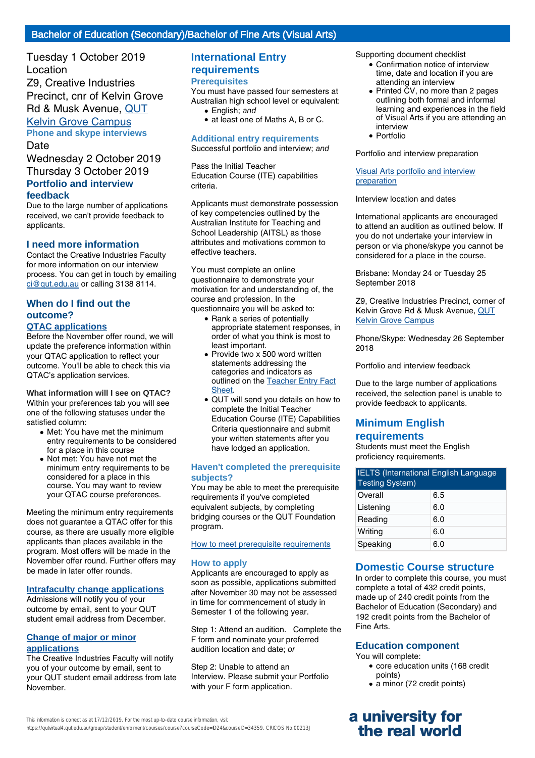Tuesday 1 October 2019 Location Z9, Creative Industries Precinct, cnr of K[elvin](https://cms.qut.edu.au/corpsite/about/campuses-and-facilities/kelvin-grove-campus/maps-and-getting-here) Grove [Rd & Musk Avenue](https://cms.qut.edu.au/corpsite/about/campuses-and-facilities/kelvin-grove-campus/maps-and-getting-here), QUT Kelvin Grove Campus **Phone and skype interviews** Date

Wednesday 2 October 2019 Thursday 3 October 2019 **Portfolio and interview feedback**

Due to the large number of applications received, we can't provide feedback to applicants.

#### **I need more information**

Contact the Creative Industries Faculty [for more inform](mailto:ci@qut.edu.au)ation on our interview process. You can get in touch by emailing ci@qut.edu.au or calling 3138 8114.

## **When do I find out the outcome?**

## **QTAC applications**

Before the November offer round, we will update the preference information within your QTAC application to reflect your outcome. You'll be able to check this via QTAC's application services.

**What information will I see on QTAC?** Within your preferences tab you will see one of the following statuses under the satisfied column:

- Met: You have met the minimum entry requirements to be considered for a place in this course
- Not met: You have not met the minimum entry requirements to be considered for a place in this course. You may want to review your QTAC course preferences.

Meeting the minimum entry requirements does not guarantee a QTAC offer for this course, as there are usually more eligible applicants than places available in the program. Most offers will be made in the November offer round. Further offers may be made in later offer rounds.

#### **Intrafaculty change applications**

Admissions will notify you of your outcome by email, sent to your QUT student email address from December.

#### **Change of major or minor applications**

The Creative Industries Faculty will notify you of your outcome by email, sent to your QUT student email address from late November.

## **International Entry requirements**

#### **Prerequisites**

You must have passed four semesters at Australian high school level or equivalent:

- English: and
- at least one of Maths A, B or C.

### **Additional entry requirements**

Successful portfolio and interview; and

Pass the Initial Teacher Education Course (ITE) capabilities criteria.

Applicants must demonstrate possession of key competencies outlined by the Australian Institute for Teaching and School Leadership (AITSL) as those attributes and motivations common to effective teachers.

You must complete an online questionnaire to demonstrate your motivation for and understanding of, the course and profession. In the questionnaire you will be asked to:

- Rank a series of potentially appropriate statement responses, in order of what you think is most to least important.
- Provide two x 500 word written statements addressing the categories and indicators as outlined on the [Teacher Entry Fact](https://www.qtac.edu.au/ArticleDocuments/173/Teacher%20Entry%20Fact%20Sheet.pdf.aspx) [Sheet.](https://www.qtac.edu.au/ArticleDocuments/173/Teacher%20Entry%20Fact%20Sheet.pdf.aspx)
- QUT will send you details on how to complete the Initial Teacher Education Course (ITE) Capabilities Criteria questionnaire and submit your written statements after you have lodged an application.

#### **Haven't completed the prerequisite subjects?**

You may be able to meet the prerequisite requirements if you've completed equivalent subjects, by completing bridging courses or the QUT Foundation program.

#### [How to meet prerequisite requirements](https://www.qut.edu.au/study/applying/undergraduate-applications/prerequisite-subjects)

#### **How to apply**

Applicants are encouraged to apply as soon as possible, applications submitted after November 30 may not be assessed in time for commencement of study in Semester 1 of the following year.

Step 1: Attend an audition. Complete the F form and nominate your preferred audition location and date; or

Step 2: Unable to attend an Interview. Please submit your Portfolio with your F form application.

Supporting document checklist

- Confirmation notice of interview time, date and location if you are attending an interview
- Printed CV, no more than 2 pages outlining both formal and informal learning and experiences in the field of Visual Arts if you are attending an interview ●
- Portfolio

Portfolio and interview preparation

[Visual Arts portfolio and interview](https://cms.qut.edu.au/?a=475767) [preparation](https://cms.qut.edu.au/?a=475767)

Interview location and dates

International applicants are encouraged to attend an audition as outlined below. If you do not undertake your interview in person or via phone/skype you cannot be considered for a place in the course.

Brisbane: Monday 24 or Tuesday 25 September 2018

Z9, Creative Industries Precinct, corner of Kelvin Grove Rd & Musk Avenue, [QUT](https://www.qut.edu.au/campuses-and-facilities/kelvin-grove-campus/maps-and-getting-here) [Kelvin Grove Campus](https://www.qut.edu.au/campuses-and-facilities/kelvin-grove-campus/maps-and-getting-here)

Phone/Skype: Wednesday 26 September 2018

Portfolio and interview feedback

Due to the large number of applications received, the selection panel is unable to provide feedback to applicants.

## **Minimum English requirements**

Students must meet the English proficiency requirements.

| <b>IELTS</b> (International English Language<br><b>Testing System)</b> |     |
|------------------------------------------------------------------------|-----|
| Overall                                                                | 6.5 |
| Listening                                                              | 6.0 |
| Reading                                                                | 6.0 |
| Writing                                                                | 6.0 |
| Speaking                                                               | 6.0 |

### **Domestic Course structure**

In order to complete this course, you must complete a total of 432 credit points, made up of 240 credit points from the Bachelor of Education (Secondary) and 192 credit points from the Bachelor of Fine Arts.

#### **Education component**

You will complete:

- core education units (168 credit points)
- a minor (72 credit points)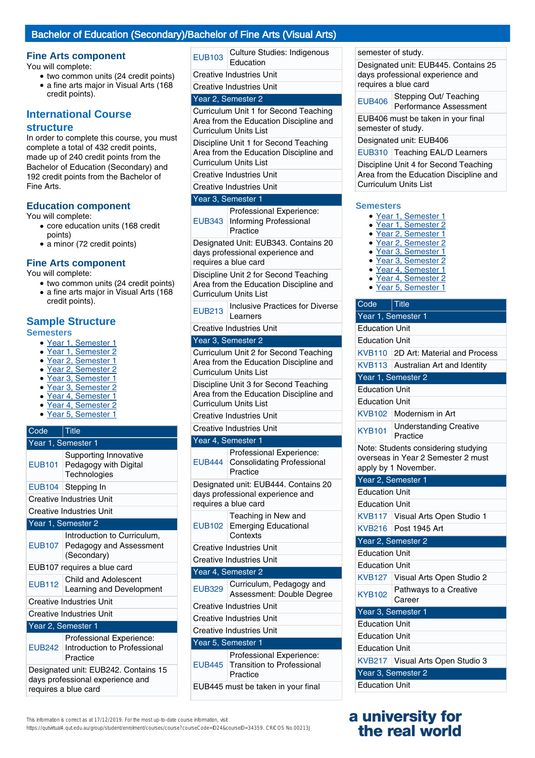### Bachelor of Education (Secondary)/Bachelor of Fine Arts (Visual Arts)

#### **Fine Arts component**

You will complete:

- two common units (24 credit points)
- a fine arts major in Visual Arts (168 credit points).

### **International Course structure**

In order to complete this course, you must complete a total of 432 credit points, made up of 240 credit points from the Bachelor of Education (Secondary) and 192 credit points from the Bachelor of Fine Arts.

#### **Education component**

You will complete:

- core education units (168 credit points)
- a minor (72 credit points)

#### **Fine Arts component**

You will complete:

- two common units (24 credit points)
- a fine arts major in Visual Arts (168 credit points).

## **Sample Structure**

- **Semesters**
	- Year 1, Semester 1
	- Year 1, Semester 2
	- Year 2, Semester 1
	- Year 2, Semester 2
	- Year 3, Semester 1 ● Year 3, Semester 2
	- Year 4, Semester 1
	- Year 4, Semester 2
	- Year 5, Semester 1

| Code                                                                     | Title                                                                 |  |
|--------------------------------------------------------------------------|-----------------------------------------------------------------------|--|
|                                                                          | Year 1, Semester 1                                                    |  |
| <b>EUB101</b>                                                            | Supporting Innovative<br>Pedagogy with Digital<br>Technologies        |  |
|                                                                          | EUB104   Stepping In                                                  |  |
|                                                                          | <b>Creative Industries Unit</b>                                       |  |
|                                                                          | <b>Creative Industries Unit</b>                                       |  |
|                                                                          | Year 1, Semester 2                                                    |  |
| <b>EUB107</b>                                                            | Introduction to Curriculum,<br>Pedagogy and Assessment<br>(Secondary) |  |
| EUB107 requires a blue card                                              |                                                                       |  |
| <b>EUB112</b>                                                            | <b>Child and Adolescent</b><br>Learning and Development               |  |
| <b>Creative Industries Unit</b>                                          |                                                                       |  |
|                                                                          | Creative Industries Unit                                              |  |
|                                                                          | Year 2, Semester 1                                                    |  |
| <b>EUB242</b>                                                            | Professional Experience:<br>Introduction to Professional<br>Practice  |  |
| Designated unit: EUB242. Contains 15<br>davs professional experience and |                                                                       |  |

requires a blue card

EUB103 Culture Studies: Indigenous Education

Creative Industries Unit

Creative Industries Unit

#### Year 2, Semester 2

Curriculum Unit 1 for Second Teaching Area from the Education Discipline and Curriculum Units List

Discipline Unit 1 for Second Teaching Area from the Education Discipline and Curriculum Units List

Creative Industries Unit

Creative Industries Unit

#### Year 3, Semester 1

| Professional Experience:      |
|-------------------------------|
| EUB343 Informing Professional |
| Practice                      |

Designated Unit: EUB343. Contains 20 days professional experience and requires a blue card

Discipline Unit 2 for Second Teaching Area from the Education Discipline and Curriculum Units List

EUB213 | Inclusive Practices for Diverse Learners

Creative Industries Unit

#### Year 3, Semester 2

Curriculum Unit 2 for Second Teaching Area from the Education Discipline and Curriculum Units List

Discipline Unit 3 for Second Teaching Area from the Education Discipline and Curriculum Units List

Creative Industries Unit

#### Creative Industries Unit

#### Year 4, Semester 1

| <b>EUB444</b>                                                                                    | Professional Experience:<br><b>Consolidating Professional</b><br>Practice |  |
|--------------------------------------------------------------------------------------------------|---------------------------------------------------------------------------|--|
| Designated unit: EUB444. Contains 20<br>days professional experience and<br>requires a blue card |                                                                           |  |
| EUB102                                                                                           | Teaching in New and<br><b>Emerging Educational</b><br>Contexts            |  |
| <b>Creative Industries Unit</b>                                                                  |                                                                           |  |
| Creative Industries Unit                                                                         |                                                                           |  |
| Year 4, Semester 2                                                                               |                                                                           |  |
| <b>EUB329</b>                                                                                    | Curriculum, Pedagogy and<br>Assessment: Double Degree                     |  |
|                                                                                                  | Creative Industries Unit                                                  |  |
| Creative Industries Unit                                                                         |                                                                           |  |
| <b>Creative Industries Unit</b>                                                                  |                                                                           |  |
| Year 5, Semester 1                                                                               |                                                                           |  |
| <b>EUB445</b>                                                                                    | Professional Experience:<br><b>Transition to Professional</b><br>Practice |  |
|                                                                                                  | EUB445 must be taken in your final                                        |  |

This information is correct as at 17/12/2019. For the most up-to-date course information, visit

https://qutvirtual4.qut.edu.au/group/student/enrolment/courses/course?courseCode=ID24&courseID=34359. CRICOS No.00213J

semester of study.

Designated unit: EUB445. Contains 25 days professional experience and requires a blue card

EUB406 Stepping Out/ Teaching Performance Assessment

EUB406 must be taken in your final semester of study.

Designated unit: EUB406

EUB310 Teaching EAL/D Learners

Discipline Unit 4 for Second Teaching Area from the Education Discipline and Curriculum Units List

#### **Semesters**

- Year 1, Semester 1
- Year 1, Semester 2
- Year 2, Semester 1
- Year 2, Semester 2
- Year 3, Semester 1
- Year 3, Semester 2
- Year 4, Semester 1
- Year 4, Semester 2
- Year 5, Semester 1

| Code                  | $\vert$ Title                                                                                     |  |  |
|-----------------------|---------------------------------------------------------------------------------------------------|--|--|
| Year 1, Semester 1    |                                                                                                   |  |  |
| <b>Education Unit</b> |                                                                                                   |  |  |
| <b>Education Unit</b> |                                                                                                   |  |  |
|                       | KVB110 2D Art: Material and Process                                                               |  |  |
|                       | KVB113 Australian Art and Identity                                                                |  |  |
|                       | Year 1, Semester 2                                                                                |  |  |
| <b>Education Unit</b> |                                                                                                   |  |  |
| <b>Education Unit</b> |                                                                                                   |  |  |
|                       | KVB102 Modernism in Art                                                                           |  |  |
| <b>KYB101</b>         | <b>Understanding Creative</b><br>Practice                                                         |  |  |
|                       | Note: Students considering studying<br>overseas in Year 2 Semester 2 must<br>apply by 1 November. |  |  |
| Year 2, Semester 1    |                                                                                                   |  |  |
| <b>Education Unit</b> |                                                                                                   |  |  |
| <b>Education Unit</b> |                                                                                                   |  |  |
|                       | KVB117 Visual Arts Open Studio 1                                                                  |  |  |
|                       | KVB216   Post 1945 Art                                                                            |  |  |
|                       | Year 2, Semester 2                                                                                |  |  |
| <b>Education Unit</b> |                                                                                                   |  |  |
| <b>Education Unit</b> |                                                                                                   |  |  |
|                       | KVB127 Visual Arts Open Studio 2                                                                  |  |  |
| <b>KYB102</b>         | Pathways to a Creative<br>Career                                                                  |  |  |
| Year 3, Semester 1    |                                                                                                   |  |  |
| <b>Education Unit</b> |                                                                                                   |  |  |
| <b>Education Unit</b> |                                                                                                   |  |  |
| <b>Education Unit</b> |                                                                                                   |  |  |
|                       | KVB217 Visual Arts Open Studio 3                                                                  |  |  |
|                       | Year 3, Semester 2                                                                                |  |  |
| <b>Education Unit</b> |                                                                                                   |  |  |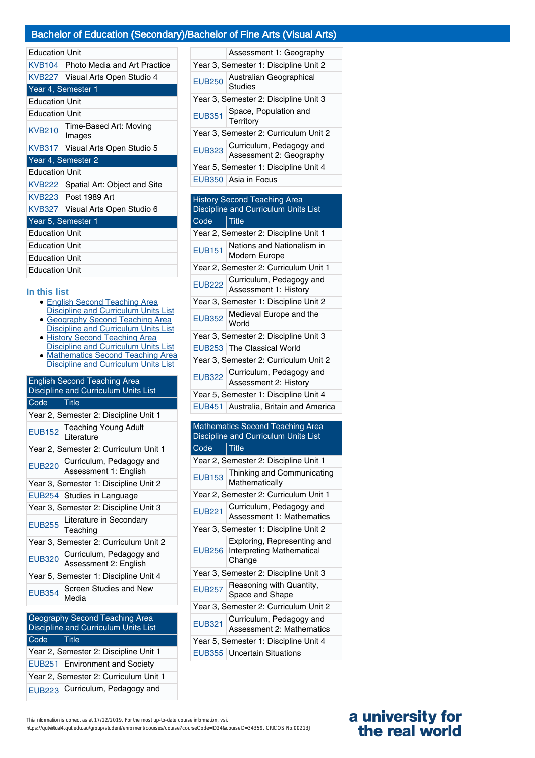### Bachelor of Education (Secondary)/Bachelor of Fine Arts (Visual Arts)

|  |  | <b>Education Unit</b> |  |  |
|--|--|-----------------------|--|--|
|--|--|-----------------------|--|--|

| Luuvauvu vuu          |                                     |  |
|-----------------------|-------------------------------------|--|
|                       | KVB104 Photo Media and Art Practice |  |
|                       | KVB227   Visual Arts Open Studio 4  |  |
|                       | Year 4, Semester 1                  |  |
| <b>Education Unit</b> |                                     |  |
| <b>Education Unit</b> |                                     |  |
| <b>KVB210</b>         | Time-Based Art: Moving<br>Images    |  |
|                       | KVB317   Visual Arts Open Studio 5  |  |
|                       | Year 4, Semester 2                  |  |
| <b>Education Unit</b> |                                     |  |
|                       | KVB222 Spatial Art: Object and Site |  |
|                       | KVB223 Post 1989 Art                |  |
|                       | KVB327 Visual Arts Open Studio 6    |  |
| Year 5, Semester 1    |                                     |  |
| <b>Education Unit</b> |                                     |  |
| <b>Education Unit</b> |                                     |  |
| <b>Education Unit</b> |                                     |  |
| <b>Education Unit</b> |                                     |  |

## **In this list**

- English Second Teaching Area Discipline and Curriculum Units List
- Geography Second Teaching Area Discipline and Curriculum Units List
- History Second Teaching Area Discipline and Curriculum Units List
- Mathematics Second Teaching Area Discipline and Curriculum Units List

| <b>English Second Teaching Area</b><br>Discipline and Curriculum Units List |                                                   |  |
|-----------------------------------------------------------------------------|---------------------------------------------------|--|
| Code                                                                        | <u>Title</u>                                      |  |
|                                                                             | Year 2, Semester 2: Discipline Unit 1             |  |
| <b>EUB152</b>                                                               | <b>Teaching Young Adult</b><br>Literature         |  |
|                                                                             | Year 2, Semester 2: Curriculum Unit 1             |  |
| <b>EUB220</b>                                                               | Curriculum, Pedagogy and<br>Assessment 1: English |  |
| Year 3, Semester 1: Discipline Unit 2                                       |                                                   |  |
|                                                                             | EUB254 Studies in Language                        |  |
| Year 3, Semester 2: Discipline Unit 3                                       |                                                   |  |
| <b>EUB255</b>                                                               | Literature in Secondary<br>Teaching               |  |
| Year 3, Semester 2: Curriculum Unit 2                                       |                                                   |  |
| <b>EUB320</b>                                                               | Curriculum, Pedagogy and<br>Assessment 2: English |  |
| Year 5, Semester 1: Discipline Unit 4                                       |                                                   |  |
| <b>EUB354</b>                                                               | Screen Studies and New<br>Media                   |  |

## Geography Second Teaching Area Discipline and Curriculum Units List Code Title Year 2, Semester 2: Discipline Unit 1 EUB251 Environment and Society Year 2, Semester 2: Curriculum Unit 1 EUB223 Curriculum, Pedagogy and

|                                       | Assessment 1: Geography                             |  |
|---------------------------------------|-----------------------------------------------------|--|
| Year 3, Semester 1: Discipline Unit 2 |                                                     |  |
| <b>EUB250</b>                         | Australian Geographical<br>Studies                  |  |
| Year 3, Semester 2: Discipline Unit 3 |                                                     |  |
| <b>EUB351</b>                         | Space, Population and<br>Territory                  |  |
| Year 3, Semester 2: Curriculum Unit 2 |                                                     |  |
| <b>EUB323</b>                         | Curriculum, Pedagogy and<br>Assessment 2: Geography |  |
| Year 5, Semester 1: Discipline Unit 4 |                                                     |  |
|                                       | EUB350 Asia in Focus                                |  |

#### History Second Teaching Area Discipline and Curriculum Units List Code Title

| ∪∪ue          | ⊥ue                                                      |  |
|---------------|----------------------------------------------------------|--|
|               | Year 2, Semester 2: Discipline Unit 1                    |  |
| <b>EUB151</b> | Nations and Nationalism in<br>Modern Europe              |  |
|               | Year 2, Semester 2: Curriculum Unit 1                    |  |
|               | EUB222 Curriculum, Pedagogy and<br>Assessment 1: History |  |
|               | Year 3, Semester 1: Discipline Unit 2                    |  |
|               | EUB352 Medieval Europe and the                           |  |
|               | Year 3, Semester 2: Discipline Unit 3                    |  |
|               | EUB253 The Classical World                               |  |
|               | Year 3, Semester 2: Curriculum Unit 2                    |  |
|               | EUB322 Curriculum, Pedagogy and<br>Assessment 2: History |  |
|               | Year 5, Semester 1: Discipline Unit 4                    |  |
|               | EUB451 Australia, Britain and America                    |  |

#### Mathematics Second Teaching Area Discipline and Curriculum Units List Code Title

|                                       | Year 2, Semester 2: Discipline Unit 1                              |
|---------------------------------------|--------------------------------------------------------------------|
| <b>EUB153</b>                         | Thinking and Communicating<br>Mathematically                       |
| Year 2, Semester 2: Curriculum Unit 1 |                                                                    |
| <b>EUB221</b>                         | Curriculum, Pedagogy and<br><b>Assessment 1: Mathematics</b>       |
|                                       | Year 3, Semester 1: Discipline Unit 2                              |
| <b>EUB256</b>                         | Exploring, Representing and<br>Interpreting Mathematical<br>Change |
|                                       | Year 3, Semester 2: Discipline Unit 3                              |
| <b>EUB257</b>                         | Reasoning with Quantity,<br>Space and Shape                        |
| Year 3, Semester 2: Curriculum Unit 2 |                                                                    |
| <b>EUB321</b>                         | Curriculum, Pedagogy and<br><b>Assessment 2: Mathematics</b>       |
| Year 5, Semester 1: Discipline Unit 4 |                                                                    |
|                                       | EUB355   Uncertain Situations                                      |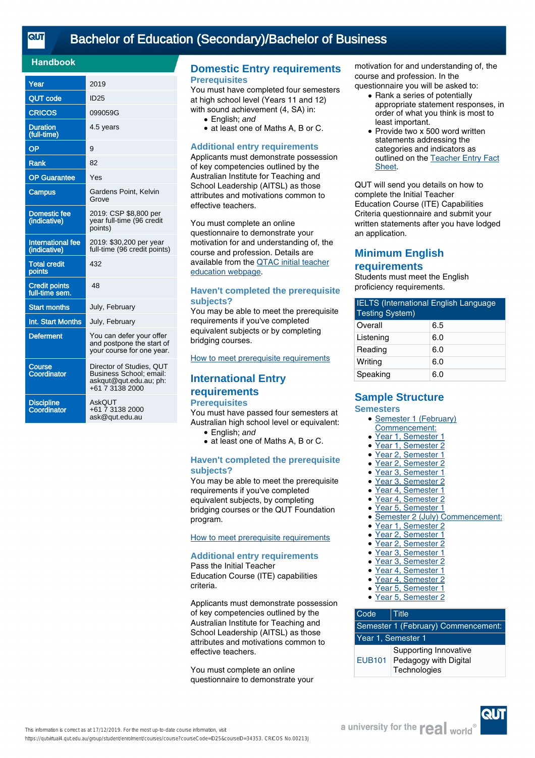#### **Handbook**

| Year                                     | 2019                                                                                             |
|------------------------------------------|--------------------------------------------------------------------------------------------------|
| QUT code                                 | <b>ID25</b>                                                                                      |
| <b>CRICOS</b>                            | 099059G                                                                                          |
| <b>Duration</b><br>(full-time)           | 4.5 years                                                                                        |
| OP                                       | 9                                                                                                |
| <b>Rank</b>                              | 82                                                                                               |
| <b>OP</b> Guarantee                      | Yes                                                                                              |
| Campus                                   | Gardens Point, Kelvin<br>Grove                                                                   |
| <b>Domestic fee</b><br>(indicative)      | 2019: CSP \$8,800 per<br>year full-time (96 credit<br>points)                                    |
| <b>International fee</b><br>(indicative) | 2019: \$30,200 per year<br>full-time (96 credit points)                                          |
| <b>Total credit</b><br>points            | 432                                                                                              |
| <b>Credit points</b><br>full-time sem.   | 48                                                                                               |
| <b>Start months</b>                      | July, February                                                                                   |
| Int. Start Months                        | July, February                                                                                   |
| <b>Deferment</b>                         | You can defer your offer<br>and postpone the start of<br>your course for one year.               |
| Course<br>Coordinator                    | Director of Studies, QUT<br>Business School; email:<br>askqut@qut.edu.au; ph:<br>+61 7 3138 2000 |
| <b>Discipline</b><br>Coordinator         | AskQUT<br>+61 7 3138 2000<br>ask@qut.edu.au                                                      |

### **Domestic Entry requirements Prerequisites**

You must have completed four semesters at high school level (Years 11 and 12) with sound achievement (4, SA) in:

- English: and
- at least one of Maths A, B or C.

#### **Additional entry requirements**

Applicants must demonstrate possession of key competencies outlined by the Australian Institute for Teaching and School Leadership (AITSL) as those attributes and motivations common to effective teachers.

You must complete an online questionnaire to demonstrate your motivation for and understanding of, the course and profession. Details are available from the [QTAC initial teacher](http://www.qtac.edu.au/courses---institutions/initial-teacher-education) [education webpage](http://www.qtac.edu.au/courses---institutions/initial-teacher-education).

#### **Haven't completed the prerequisite subjects?**

You may be able to meet the prerequisite requirements if you've completed equivalent subjects or by completing bridging courses.

[How to meet prerequisite requirements](https://www.qut.edu.au/study/applying/undergraduate-applications/prerequisite-subjects)

## **International Entry requirements**

#### **Prerequisites**

You must have passed four semesters at Australian high school level or equivalent:

- English: and
- at least one of Maths A, B or C.

#### **Haven't completed the prerequisite subjects?**

You may be able to meet the prerequisite requirements if you've completed equivalent subjects, by completing bridging courses or the QUT Foundation program.

[How to meet prerequisite requirements](https://www.qut.edu.au/study/applying/undergraduate-applications/prerequisite-subjects)

#### **Additional entry requirements**

Pass the Initial Teacher Education Course (ITE) capabilities criteria.

Applicants must demonstrate possession of key competencies outlined by the Australian Institute for Teaching and School Leadership (AITSL) as those attributes and motivations common to effective teachers.

You must complete an online questionnaire to demonstrate your motivation for and understanding of, the course and profession. In the questionnaire you will be asked to:

- Rank a series of potentially appropriate statement responses, in order of what you think is most to least important.
- Provide two x 500 word written statements addressing the categories and indicators as outlined on the [Teacher Entry Fact](https://www.qtac.edu.au/ArticleDocuments/173/Teacher%20Entry%20Fact%20Sheet.pdf.aspx) [Sheet.](https://www.qtac.edu.au/ArticleDocuments/173/Teacher%20Entry%20Fact%20Sheet.pdf.aspx) ●

QUT will send you details on how to complete the Initial Teacher Education Course (ITE) Capabilities Criteria questionnaire and submit your written statements after you have lodged an application.

## **Minimum English requirements**

Students must meet the English proficiency requirements.

| <b>IELTS (International English Language</b><br><b>Testing System)</b> |     |  |
|------------------------------------------------------------------------|-----|--|
| Overall                                                                | 6.5 |  |
| Listening                                                              | 6.0 |  |
| Reading                                                                | 6.0 |  |
| Writing                                                                | 6.0 |  |
| Speaking                                                               | 6.0 |  |

#### **Sample Structure Semesters**

#### • Semester 1 (February)

- Commencement:
- Year 1, Semester 1
- Year 1, Semester 2
- Year 2, Semester 1
- Year 2, Semester 2
- Year 3, Semester 1
- Year 3, Semester 2
- Year 4, Semester 1
- Year 4, Semester 2
- Year 5, Semester 1
- Semester 2 (July) Commencement:<br>• Year 1, Semester 2
- Year 1, Semester 2
- Year 2, Semester 1
- Year 2, Semester 2
- Year 3, Semester 1
- Year 3, Semester 2 ● Year 4, Semester 1
- Year 4, Semester 2
- 
- Year 5, Semester 1<br>• Year 5, Semester 2 Year 5, Semester 2

#### Code Title Semester 1 (February) Commencement: Year 1, Semester 1 EUB101 Pedagogy with Digital Supporting Innovative **Technologies**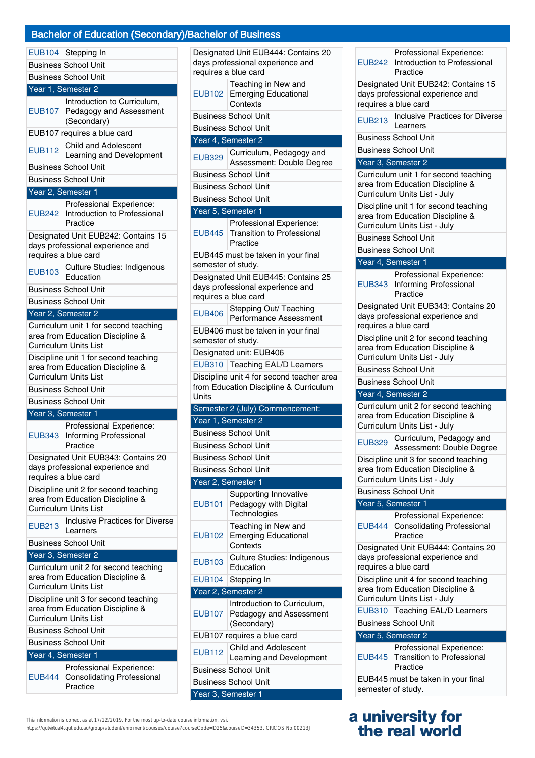## dary)/Bachelor of Business

|               | <b>Bachelor of Education (Seconda</b>                                                                                      |
|---------------|----------------------------------------------------------------------------------------------------------------------------|
|               |                                                                                                                            |
|               | EUB104 Stepping In<br><b>Business School Unit</b>                                                                          |
|               | <b>Business School Unit</b>                                                                                                |
|               | Year 1, Semester 2                                                                                                         |
|               | Introduction to Curriculum,<br>EUB107 Pedagogy and Assessment<br>(Secondary)                                               |
|               | EUB107 requires a blue card                                                                                                |
| <b>EUB112</b> | Child and Adolescent<br>Learning and Development                                                                           |
|               | <b>Business School Unit</b>                                                                                                |
|               | <b>Business School Unit</b>                                                                                                |
|               | Year 2, Semester 1                                                                                                         |
| <b>EUB242</b> | Professional Experience:<br>Introduction to Professional<br>Practice                                                       |
|               | Designated Unit EUB242: Contains 15                                                                                        |
|               | days professional experience and<br>requires a blue card                                                                   |
| <b>EUB103</b> | Culture Studies: Indigenous<br>Education                                                                                   |
|               | <b>Business School Unit</b>                                                                                                |
|               | <b>Business School Unit</b>                                                                                                |
|               |                                                                                                                            |
|               | Year 2, Semester 2                                                                                                         |
|               | Curriculum unit 1 for second teaching<br>area from Education Discipline &<br>Curriculum Units List                         |
|               | Discipline unit 1 for second teaching<br>area from Education Discipline &<br>Curriculum Units List                         |
|               | <b>Business School Unit</b>                                                                                                |
|               | <b>Business School Unit</b>                                                                                                |
|               | Year 3, Semester 1                                                                                                         |
| <b>EUB343</b> | Professional Experience:<br><b>Informing Professional</b><br>Practice                                                      |
|               | Designated Unit EUB343: Contains 20<br>days professional experience and                                                    |
|               | requires a blue card<br>Discipline unit 2 for second teaching<br>area from Education Discipline &<br>Curriculum Units List |
| <b>EUB213</b> | <b>Inclusive Practices for Diverse</b><br>Learners                                                                         |
|               | <b>Business School Unit</b>                                                                                                |
|               | Year 3, Semester 2                                                                                                         |
|               | Curriculum unit 2 for second teaching<br>area from Education Discipline &<br><b>Curriculum Units List</b>                  |
|               | Discipline unit 3 for second teaching<br>area from Education Discipline &<br><b>Curriculum Units List</b>                  |

Business School Unit

Year 4, Semester 1

| Professional Experience:          |
|-----------------------------------|
| EUB444 Consolidating Professional |
| Practice                          |

Designated Unit EUB444: Contains 20 days professional experience and requires a blue card EUB102 Emerging Educational Teaching in New and **Contexts** Business School Unit Business School Unit Year 4, Semester 2 EUB329 Curriculum, Pedagogy and Assessment: Double Degree Business School Unit Business School Unit Business School Unit Year 5, Semester 1 EUB445 Professional Experience: Transition to Professional Practice EUB445 must be taken in your final semester of study. Designated Unit EUB445: Contains 25 days professional experience and requires a blue card EUB406 Stepping Out/ Teaching Performance Assessment EUB406 must be taken in your final semester of study. Designated unit: EUB406 EUB310 Teaching EAL/D Learners Discipline unit 4 for second teacher area from Education Discipline & Curriculum **Units** Semester 2 (July) Commencement: Year 1, Semester 2 Business School Unit Business School Unit Business School Unit Business School Unit Year 2, Semester 1 EUB101 Supporting Innovative Pedagogy with Digital **Technologies** EUB102 Teaching in New and Emerging Educational **Contexts** EUB103 Culture Studies: Indigenous Education EUB<sub>104</sub> Stepping In Year 2, Semester 2 EUB107 Pedagogy and Assessment Introduction to Curriculum, (Secondary) EUB107 requires a blue card EUB112 Child and Adolescent Learning and Development Business School Unit Business School Unit Year 3, Semester 1

Practice Designated Unit EUB242: Contains 15 days professional experience and requires a blue card EUB213 | Inclusive Practices for Diverse Learners Business School Unit Business School Unit Year 3, Semester 2 Curriculum unit 1 for second teaching area from Education Discipline & Curriculum Units List - July Discipline unit 1 for second teaching area from Education Discipline & Curriculum Units List - July Business School Unit Business School Unit Year 4, Semester 1 EUB343 Informing Professional Professional Experience: **Practice** Designated Unit EUB343: Contains 20 days professional experience and requires a blue card Discipline unit 2 for second teaching area from Education Discipline & Curriculum Units List - July Business School Unit Business School Unit Year 4, Semester 2 Curriculum unit 2 for second teaching area from Education Discipline & Curriculum Units List - July EUB329 Curriculum, Pedagogy and Assessment: Double Degree Discipline unit 3 for second teaching area from Education Discipline & Curriculum Units List - July Business School Unit Year 5, Semester 1 EUB444 Professional Experience: Consolidating Professional Practice Designated Unit EUB444: Contains 20 days professional experience and requires a blue card Discipline unit 4 for second teaching area from Education Discipline & Curriculum Units List - July EUB310 Teaching EAL/D Learners Business School Unit Year 5, Semester 2 EUB445 Professional Experience: Transition to Professional **Practice** EUB445 must be taken in your final semester of study.

EUB242

Professional Experience: Introduction to Professional

## **a university for the real world**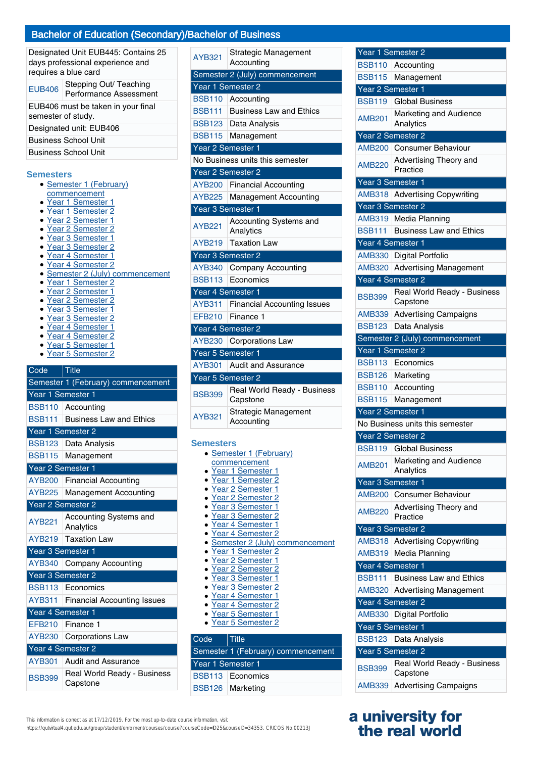| Designated Unit EUB445: Contains 25<br>days professional experience and<br>requires a blue card |                                                  |  |
|-------------------------------------------------------------------------------------------------|--------------------------------------------------|--|
| <b>EUB406</b>                                                                                   | Stepping Out/ Teaching<br>Performance Assessment |  |
| EUB406 must be taken in your final<br>semester of study.                                        |                                                  |  |
| Designated unit: EUB406                                                                         |                                                  |  |
| <b>Business School Unit</b><br><b>Business School Unit</b>                                      |                                                  |  |

#### **Semesters**

- Semester 1 (February) **commencement**
- Year 1 Semester 1
- Year 1 Semester 2
- Year 2 Semester 1
- Year 2 Semester 2
- Year 3 Semester 1
- Year 3 Semester 2
- Year 4 Semester 1
- Year 4 Semester 2
- Semester 2 (July) commencement
- Year 1 Semester 2
- Year 2 Semester 1
- Year 2 Semester 2
- Year 3 Semester 1
- Year 3 Semester 2
- Year 4 Semester 1
- Year 4 Semester 2
- Year 5 Semester 1<br>• Year 5 Semester 2
- Year 5 Semester 2

## Code Title

| Semester 1 (February) commencement |                                         |  |
|------------------------------------|-----------------------------------------|--|
| Year 1 Semester 1                  |                                         |  |
|                                    | BSB110 Accounting                       |  |
| <b>BSB111</b>                      | <b>Business Law and Ethics</b>          |  |
| Year 1 Semester 2                  |                                         |  |
| <b>BSB123</b>                      | Data Analysis                           |  |
| <b>BSB115</b>                      | Management                              |  |
| Year 2 Semester 1                  |                                         |  |
| <b>AYB200</b>                      | <b>Financial Accounting</b>             |  |
| <b>AYB225</b>                      | <b>Management Accounting</b>            |  |
|                                    | Year 2 Semester 2                       |  |
| <b>AYB221</b>                      | Accounting Systems and                  |  |
|                                    | Analytics                               |  |
| <b>AYB219</b>                      | <b>Taxation Law</b>                     |  |
| Year 3 Semester 1                  |                                         |  |
| <b>AYB340</b>                      | <b>Company Accounting</b>               |  |
|                                    | Year 3 Semester 2                       |  |
| <b>BSB113</b>                      | Economics                               |  |
| AYB311                             | <b>Financial Accounting Issues</b>      |  |
| Year 4 Semester 1                  |                                         |  |
| <b>EFB210</b>                      | Finance 1                               |  |
| <b>AYB230</b>                      | <b>Corporations Law</b>                 |  |
| Year 4 Semester 2                  |                                         |  |
| AYB301                             | <b>Audit and Assurance</b>              |  |
| <b>BSB399</b>                      | Real World Ready - Business<br>Capstone |  |

| <b>AYB321</b>     | Strategic Management<br>Accounting      |
|-------------------|-----------------------------------------|
|                   | Semester 2 (July) commencement          |
| Year 1 Semester 2 |                                         |
| <b>BSB110</b>     | Accounting                              |
| <b>BSB111</b>     | <b>Business Law and Ethics</b>          |
| <b>BSB123</b>     | Data Analysis                           |
| <b>BSB115</b>     | Management                              |
| Year 2 Semester 1 |                                         |
|                   | No Business units this semester         |
| Year 2 Semester 2 |                                         |
| <b>AYB200</b>     | <b>Financial Accounting</b>             |
| <b>AYB225</b>     | <b>Management Accounting</b>            |
| Year 3 Semester 1 |                                         |
| <b>AYB221</b>     | Accounting Systems and<br>Analytics     |
| <b>AYB219</b>     | <b>Taxation Law</b>                     |
| Year 3 Semester 2 |                                         |
| <b>AYB340</b>     | <b>Company Accounting</b>               |
| <b>BSB113</b>     | Economics                               |
| Year 4 Semester 1 |                                         |
| AYB311            | <b>Financial Accounting Issues</b>      |
| <b>EFB210</b>     | Finance 1                               |
| Year 4 Semester 2 |                                         |
| <b>AYB230</b>     | Corporations Law                        |
| Year 5 Semester 1 |                                         |
| <b>AYB301</b>     | Audit and Assurance                     |
| Year 5 Semester 2 |                                         |
| <b>BSB399</b>     | Real World Ready - Business<br>Capstone |
| <b>AYB321</b>     | Strategic Management<br>Accounting      |
| Samactarc         |                                         |

#### **Semesters**

| • Semester 1 (February)          |
|----------------------------------|
| commencement                     |
| Year 1 Semester 1                |
| • Year 1 Semester 2              |
| • Year 2 Semester 1              |
| • Year 2 Semester 2              |
| • Year 3 Semester 1              |
| • Year 3 Semester 2              |
| Year 4 Semester 1                |
| Year 4 Semester 2                |
| • Semester 2 (July) commencement |
| • Year 1 Semester 2              |
| ▶ Year 2 Semester 1              |
| • Year 2 Semester 2              |
| Year 3 Semester 1                |
| Year 3 Semester 2                |
| Year 4 Semester 1                |
| · Year 4 Semester 2              |
| Year 5 Semester 1                |
| Year 5 Semester 2                |

## Code Title Semester 1 (February) commencement Year 1 Semester 1 BSB113 Economics BSB126 Marketing

| This information is correct as at 17/12/2019. For the most up-to-date course information, visit |  |
|-------------------------------------------------------------------------------------------------|--|

https://qutvirtual4.qut.edu.au/group/student/enrolment/courses/course?courseCode=ID25&courseID=34353. CRICOS No.00213J

| Year 1 Semester 2       |                                                         |
|-------------------------|---------------------------------------------------------|
| <b>BSB110</b>           | Accounting                                              |
| <b>BSB115</b>           | Management                                              |
| Year 2 Semester 1       |                                                         |
| <b>BSB119</b>           | <b>Global Business</b>                                  |
| <b>AMB201</b>           | Marketing and Audience<br>Analytics                     |
|                         | Year 2 Semester 2                                       |
| <b>AMB200</b>           | <b>Consumer Behaviour</b>                               |
| <b>AMB220</b>           | Advertising Theory and<br>Practice                      |
| Year 3 Semester 1       |                                                         |
|                         | AMB318 Advertising Copywriting                          |
|                         | Year 3 Semester 2                                       |
| AMB319                  | Media Planning                                          |
| <b>BSB111</b>           | <b>Business Law and Ethics</b>                          |
| Year 4 Semester 1       |                                                         |
| AMB330                  | Digital Portfolio                                       |
| <b>AMB320</b>           | <b>Advertising Management</b>                           |
|                         | Year 4 Semester 2                                       |
|                         | Real World Ready - Business                             |
| <b>BSB399</b><br>AMB339 | Capstone<br><b>Advertising Campaigns</b>                |
| <b>BSB123</b>           |                                                         |
|                         | Data Analysis                                           |
|                         | Semester 2 (July) commencement                          |
|                         | Year 1 Semester 2                                       |
| <b>BSB113</b>           | Economics                                               |
| <b>BSB126</b>           | Marketing                                               |
| <b>BSB110</b>           | Accounting                                              |
| <b>BSB115</b>           | Management                                              |
| Year 2 Semester 1       |                                                         |
|                         | No Business units this semester                         |
|                         | Year 2 Semester 2                                       |
| AMB201                  | <b>BSB119 Global Business</b><br>Marketing and Audience |
|                         | Analytics                                               |
| Year 3 Semester 1       |                                                         |
| <b>AMB200</b>           | <b>Consumer Behaviour</b>                               |
| <b>AMB220</b>           | Advertising Theory and<br>Practice                      |
| Year 3 Semester 2       |                                                         |
| <b>AMB318</b>           | <b>Advertising Copywriting</b>                          |
| <b>AMB319</b>           | Media Planning                                          |
| Year 4 Semester 1       |                                                         |
| <b>BSB111</b>           | <b>Business Law and Ethics</b>                          |
| AMB320                  | <b>Advertising Management</b>                           |
|                         | Year 4 Semester 2                                       |
| <b>AMB330</b>           | Digital Portfolio                                       |
| Year 5 Semester 1       |                                                         |
| <b>BSB123</b>           | Data Analysis                                           |
|                         | Year 5 Semester 2                                       |
|                         | Real World Ready - Business                             |
| <b>BSB399</b>           | Capstone                                                |
| <b>AMB339</b>           | <b>Advertising Campaigns</b>                            |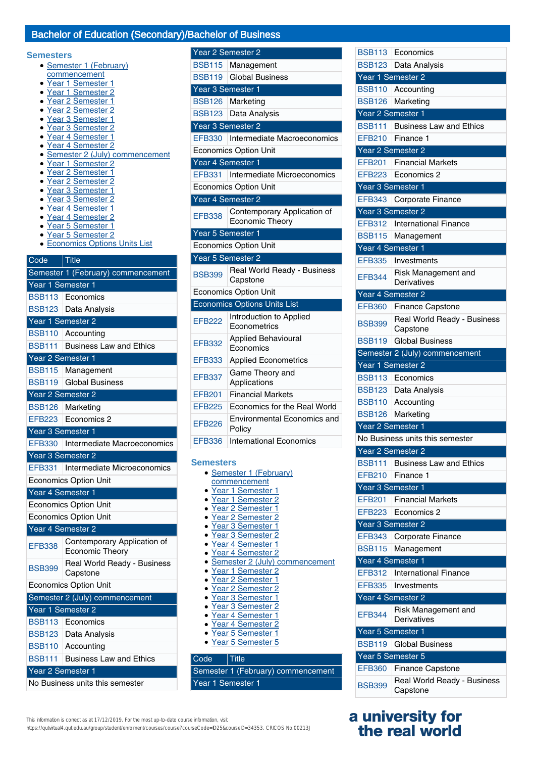Year 2 Semester 2

#### **Semesters**

- Semester 1 (February) commencement
- Year 1 Semester 1
- Year 1 Semester 2
- Year 2 Semester 1
- Year 2 Semester 2
- Year 3 Semester 1
- Year 3 Semester 2
- Year 4 Semester 1
- 
- Year 4 Semester 2<br>• Semester 2 (July) Semester 2 (July) commencement
- Year 1 Semester 2
- Year 2 Semester 1
- Year 2 Semester 2
- Year 3 Semester 1
- Year 3 Semester 2
- Year 4 Semester 1
- Year 4 Semester 2
- Year 5 Semester 1
- Year 5 Semester 2
- Economics Options Units List

## Code Title Semester 1 (February) commencement Year 1 Semester 1 BSB113 Economics BSB123 Data Analysis Year 1 Semester 2 BSB110 Accounting BSB111 Business Law and Ethics Year 2 Semester 1 BSB115 Management BSB119 Global Business Year 2 Semester 2 BSB126 Marketing EFB223 Economics 2 Year 3 Semester 1 EFB330 Intermediate Macroeconomics Year 3 Semester 2 EFB331 Intermediate Microeconomics Economics Option Unit Year 4 Semester 1 Economics Option Unit Economics Option Unit Year 4 Semester 2 EFB338 Contemporary Application of Economic Theory BSB399 Real World Ready - Business **Capstone** Economics Option Unit Semester 2 (July) commencement Year 1 Semester 2 BSB113 Economics BSB123 Data Analysis BSB110 Accounting BSB111 Business Law and Ethics Year 2 Semester 1 No Business units this semester

| <b>BSB115</b>     | Management                                            |
|-------------------|-------------------------------------------------------|
| <b>BSB119</b>     | <b>Global Business</b>                                |
| Year 3 Semester 1 |                                                       |
| <b>BSB126</b>     | Marketing                                             |
| <b>BSB123</b>     | Data Analysis                                         |
| Year 3 Semester 2 |                                                       |
| <b>EFB330</b>     | Intermediate Macroeconomics                           |
|                   | <b>Economics Option Unit</b>                          |
| Year 4 Semester 1 |                                                       |
| <b>EFB331</b>     | Intermediate Microeconomics                           |
|                   | <b>Economics Option Unit</b>                          |
|                   | Year 4 Semester 2                                     |
| EFB338            | Contemporary Application of<br><b>Economic Theory</b> |
| Year 5 Semester 1 |                                                       |
|                   | <b>Economics Option Unit</b>                          |
| Year 5 Semester 2 |                                                       |
| <b>BSB399</b>     | Real World Ready - Business<br>Capstone               |
|                   | <b>Economics Option Unit</b>                          |
|                   | <b>Economics Options Units List</b>                   |
| <b>EFB222</b>     | Introduction to Applied<br>Econometrics               |
| <b>EFB332</b>     | <b>Applied Behavioural</b><br>Economics               |
| <b>EFB333</b>     | <b>Applied Econometrics</b>                           |
| <b>EFB337</b>     | Game Theory and<br>Applications                       |
| <b>EFB201</b>     | <b>Financial Markets</b>                              |
| <b>FFB225</b>     | Economics for the Real World                          |
| <b>EFB226</b>     | <b>Environmental Economics and</b><br>Policy          |
| <b>EFB336</b>     | International Economics                               |

#### • Semester 1 (February) **commencement** Year 1 Semester 1 ● Year 1 Semester 2 ● Year 2 Semester 1 ● Year 2 Semester 2 ● Year 3 Semester 1 ● Year 3 Semester 2 Year 4 Semester 1 ● Year 4 Semester 2 • Semester 2 (July) commencement ● Year 1 Semester 2 • Year 2 Semester 1 ● Year 2 Semester 2 ● Year 3 Semester 1 ● Year 3 Semester 2 ● Year 4 Semester 1

- 
- Year 4 Semester 2
- Year 5 Semester 1
- Year 5 Semester 5

## Code Title Semester 1 (February) commencement Year 1 Semester 1

This information is correct as at 17/12/2019. For the most up-to-date course information, visit

https://qutvirtual4.qut.edu.au/group/student/enrolment/courses/course?courseCode=ID25&courseID=34353. CRICOS No.00213J

| <b>BSB113</b>                      | Economics                                           |  |
|------------------------------------|-----------------------------------------------------|--|
| <b>BSB123</b>                      | Data Analysis                                       |  |
| Year 1 Semester 2                  |                                                     |  |
| <b>BSB110</b>                      | Accounting                                          |  |
| <b>BSB126</b>                      | Marketing                                           |  |
| Year 2 Semester 1                  |                                                     |  |
| <b>BSB111</b>                      | <b>Business Law and Ethics</b>                      |  |
| <b>EFB210</b>                      | Finance 1                                           |  |
| Year 2 Semester 2                  |                                                     |  |
| EFB201                             | <b>Financial Markets</b>                            |  |
| <b>EFB223</b>                      | Economics 2                                         |  |
| Year 3 Semester 1                  |                                                     |  |
| <b>EFB343</b>                      | Corporate Finance                                   |  |
|                                    | Year 3 Semester 2                                   |  |
| <b>EFB312</b>                      | <b>International Finance</b>                        |  |
| <b>BSB115</b>                      | Management                                          |  |
| Year 4 Semester 1<br><b>EFB335</b> | Investments                                         |  |
|                                    |                                                     |  |
| <b>EFB344</b>                      | Risk Management and<br>Derivatives                  |  |
|                                    | Year 4 Semester 2                                   |  |
| <b>EFB360</b>                      | <b>Finance Capstone</b>                             |  |
| <b>BSB399</b>                      | Real World Ready - Business                         |  |
|                                    | Capstone                                            |  |
| <b>BSB119</b>                      | <b>Global Business</b>                              |  |
|                                    | Semester 2 (July) commencement<br>Year 1 Semester 2 |  |
|                                    |                                                     |  |
| <b>BSB113</b>                      | Economics<br>BSB123 Data Analysis                   |  |
| <b>BSB110</b>                      | Accounting                                          |  |
| <b>BSB126</b>                      | Marketing                                           |  |
| Year 2 Semester 1                  |                                                     |  |
|                                    | No Business units this semester                     |  |
| Year 2 Semester 2                  |                                                     |  |
| <b>BSB111</b>                      | <b>Business Law and Ethics</b>                      |  |
| <b>EFB210</b>                      | Finance 1                                           |  |
| Year 3 Semester 1                  |                                                     |  |
| <b>EFB201</b>                      | <b>Financial Markets</b>                            |  |
| <b>EFB223</b>                      | Economics 2                                         |  |
|                                    | Year 3 Semester 2                                   |  |
| <b>EFB343</b>                      | Corporate Finance                                   |  |
| <b>BSB115</b>                      | Management                                          |  |
| Year 4 Semester 1                  |                                                     |  |
| <b>EFB312</b>                      | <b>International Finance</b>                        |  |
| <b>EFB335</b>                      | Investments                                         |  |
| Year 4 Semester 2                  |                                                     |  |
| <b>EFB344</b>                      | Risk Management and                                 |  |
|                                    | Derivatives                                         |  |
|                                    | Year 5 Semester 1                                   |  |
| <b>BSB119</b>                      | <b>Global Business</b>                              |  |
|                                    | Year 5 Semester 5                                   |  |
| <b>EFB360</b>                      | <b>Finance Capstone</b>                             |  |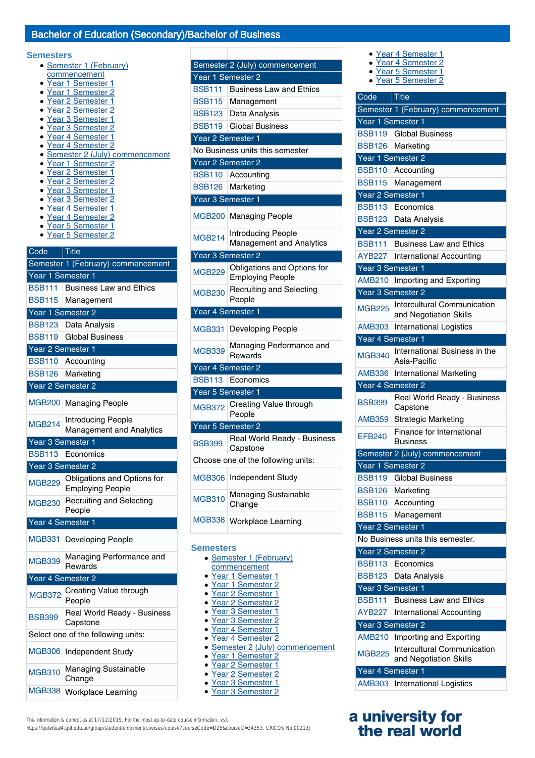#### **Semesters**

- Semester 1 (February)
- commencement
- Year 1 Semester 1
- Year 1 Semester 2
- Year 2 Semester 1
- Year 2 Semester 2 ● Year 3 Semester 1
- 
- Year 3 Semester 2
- Year 4 Semester 1
- Year 4 Semester 2 • Semester 2 (July) commencement
- Year 1 Semester 2
- 
- Year 2 Semester 1
- Year 2 Semester 2
- Year 3 Semester 1
- Year 3 Semester 2
- Year 4 Semester 1
- Year 4 Semester 2
- Year 5 Semester 1
- Year 5 Semester 2

Code Title

## Semester 1 (February) commencement Year 1 Semester 1 BSB111 Business Law and Ethics BSB115 Management Year 1 Semester 2 BSB123 Data Analysis BSB119 Global Business Year 2 Semester 1 BSB110 Accounting BSB126 Marketing Year 2 Semester 2 MGB200 Managing People MGB214 Introducing People Management and Analytics Year 3 Semester 1 BSB113 Economics Year 3 Semester 2 MGB229 Obligations and Options for Employing People MGB230 Recruiting and Selecting People Year 4 Semester 1 MGB331 Developing People MGB339 Managing Performance and **Rewards** Year 4 Semester 2 MGB372 Creating Value through People BSB399 Real World Ready - Business **Capstone** Select one of the following units: MGB306 Independent Study MGB310 Managing Sustainable Change MGB338 Workplace Learning

| Semester 2 (July) commencement     |                                                              |  |
|------------------------------------|--------------------------------------------------------------|--|
| Year 1 Semester 2                  |                                                              |  |
| <b>BSB111</b>                      | <b>Business Law and Ethics</b>                               |  |
| <b>BSB115</b>                      | Management                                                   |  |
| <b>BSB123</b>                      | Data Analysis                                                |  |
| <b>BSB119</b>                      | <b>Global Business</b>                                       |  |
| Year 2 Semester 1                  |                                                              |  |
|                                    | No Business units this semester                              |  |
| Year 2 Semester 2                  |                                                              |  |
| <b>BSB110</b>                      | Accounting                                                   |  |
| <b>BSB126</b>                      | Marketing                                                    |  |
| Year 3 Semester 1                  |                                                              |  |
| <b>MGB200</b>                      | <b>Managing People</b>                                       |  |
| <b>MGB214</b>                      | <b>Introducing People</b><br><b>Management and Analytics</b> |  |
| Year 3 Semester 2                  |                                                              |  |
| <b>MGB229</b>                      | Obligations and Options for<br><b>Employing People</b>       |  |
| <b>MGB230</b>                      | Recruiting and Selecting<br>People                           |  |
| Year 4 Semester 1                  |                                                              |  |
| <b>MGB331</b>                      | Developing People                                            |  |
| <b>MGB339</b>                      | Managing Performance and<br>Rewards                          |  |
| Year 4 Semester 2                  |                                                              |  |
| <b>BSB113</b>                      | Economics                                                    |  |
| Year 5 Semester 1                  |                                                              |  |
| <b>MGB372</b>                      | Creating Value through<br>People                             |  |
| Year 5 Semester 2                  |                                                              |  |
| <b>BSB399</b>                      | Real World Ready - Business<br>Capstone                      |  |
| Choose one of the following units: |                                                              |  |
| <b>MGB306</b>                      | Independent Study                                            |  |
| <b>MGB310</b>                      | Managing Sustainable<br>Change                               |  |
| <b>MGB338</b>                      | <b>Workplace Learning</b>                                    |  |

#### **Semesters**

| • Semester 1 (February) |
|-------------------------|
| commencement            |
| • Year 1 Semester 1     |
| • Year 1 Semester 2     |

- <u>emester</u> ● Year 2 Semester 1
- Year 2 Semester 2
- Year 3 Semester 1
- Year 3 Semester 2
- Year 4 Semester 1
- Year 4 Semester 2
- Semester 2 (July) commencement
- Year 1 Semester 2
- Year 2 Semester 1
- Year 2 Semester 2
- Year 3 Semester 1
- Year 3 Semester 2
- Year 4 Semester 2
	- Year 5 Semester 1

● Year 4 Semester 1

● Year 5 Semester 2

| Code              | <b>Title</b>                                                 |
|-------------------|--------------------------------------------------------------|
|                   | Semester 1 (February) commencement                           |
| Year 1 Semester 1 |                                                              |
| <b>BSB119</b>     | <b>Global Business</b>                                       |
| <b>BSB126</b>     | Marketing                                                    |
| Year 1 Semester 2 |                                                              |
| <b>BSB110</b>     | Accounting                                                   |
| <b>BSB115</b>     | Management                                                   |
| Year 2 Semester 1 |                                                              |
| <b>BSB113</b>     | Economics                                                    |
| <b>BSB123</b>     | Data Analysis                                                |
| Year 2 Semester 2 |                                                              |
| <b>BSB111</b>     | <b>Business Law and Ethics</b>                               |
| <b>AYB227</b>     | <b>International Accounting</b>                              |
| Year 3 Semester 1 |                                                              |
| <b>AMB210</b>     | Importing and Exporting                                      |
| Year 3 Semester 2 |                                                              |
| <b>MGB225</b>     | <b>Intercultural Communication</b><br>and Negotiation Skills |
| <b>AMB303</b>     | <b>International Logistics</b>                               |
| Year 4 Semester 1 |                                                              |
| <b>MGB340</b>     | International Business in the<br>Asia-Pacific                |
| <b>AMB336</b>     | <b>International Marketing</b>                               |
| Year 4 Semester 2 |                                                              |
| <b>BSB399</b>     | Real World Ready - Business<br>Capstone                      |
| <b>AMB359</b>     | <b>Strategic Marketing</b>                                   |
| <b>FFB240</b>     | Finance for International<br><b>Business</b>                 |
|                   | Semester 2 (July) commencement                               |
| Year 1 Semester 2 |                                                              |
|                   | <b>BSB119</b>   Global Business                              |
| <b>BSB126</b>     | Marketing                                                    |
| <b>BSB110</b>     | Accounting                                                   |
| <b>BSB115</b>     | Management                                                   |
| Year 2 Semester 1 |                                                              |
|                   | No Business units this semester.                             |
| Year 2 Semester 2 |                                                              |
| <b>BSB113</b>     | Economics                                                    |
| <b>BSB123</b>     | Data Analysis                                                |
| Year 3 Semester 1 |                                                              |
| <b>BSB111</b>     | <b>Business Law and Ethics</b>                               |
| <b>AYB227</b>     | International Accounting                                     |
| Year 3 Semester 2 |                                                              |
| <b>AMB210</b>     | Importing and Exporting                                      |
| <b>MGB225</b>     | <b>Intercultural Communication</b><br>and Negotiation Skills |
| Year 4 Semester 1 |                                                              |
| <b>AMB303</b>     | <b>International Logistics</b>                               |
|                   |                                                              |

## **a university for the real world**

This information is correct as at 17/12/2019. For the most up-to-date course information, visit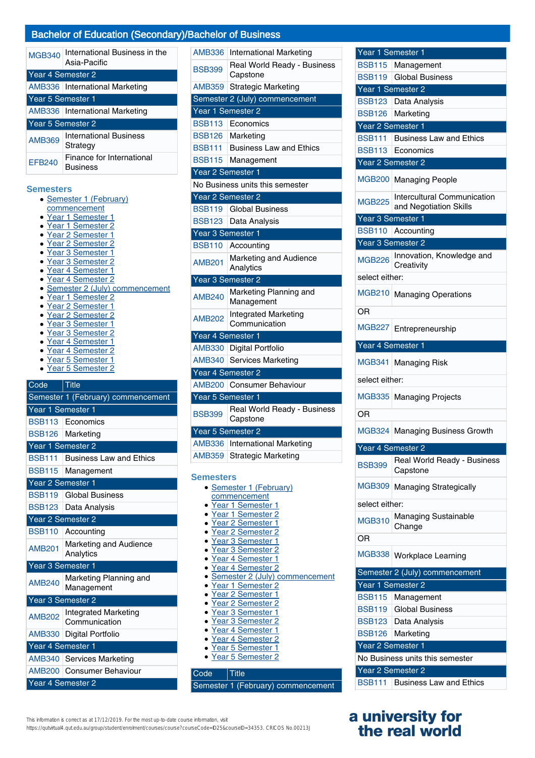| <b>MGB340</b>     | International Business in the<br>Asia-Pacific |  |
|-------------------|-----------------------------------------------|--|
| Year 4 Semester 2 |                                               |  |
|                   | AMB336   International Marketing              |  |
| Year 5 Semester 1 |                                               |  |
|                   | AMB336 International Marketing                |  |
| Year 5 Semester 2 |                                               |  |
| <b>AMB369</b>     | <b>International Business</b><br>Strategy     |  |
| <b>FFB240</b>     | Finance for International<br>Business         |  |

#### **Semesters**

- Semester 1 (February) commencement ● Year 1 Semester 1
- Year 1 Semester 2
- Year 2 Semester 1
- Year 2 Semester 2
- Year 3 Semester 1
- Year 3 Semester 2
- Year 4 Semester 1
- Year 4 Semester 2
- Semester 2 (July) commencement
- Year 1 Semester 2
- Year 2 Semester 1
- Year 2 Semester 2
- Year 3 Semester 1
- Year 3 Semester 2
- Year 4 Semester 1
- Year 4 Semester 2
- Year 5 Semester 1<br>• Year 5 Semester 2
- Year 5 Semester 2

## Code Title Semester 1 (February) commencement Year 1 Semester 1 BSB113 Economics BSB126 Marketing Year 1 Semester 2 BSB111 Business Law and Ethics BSB115 Management Year 2 Semester 1 BSB119 Global Business BSB123 Data Analysis Year 2 Semester 2 BSB110 Accounting AMB<sub>201</sub> Marketing and Audience Analytics Year 3 Semester 1 AMB240 Marketing Planning and Management Year 3 Semester 2 AMB202 Integrated Marketing Communication AMB330 Digital Portfolio Year 4 Semester 1 AMB340 Services Marketing AMB200 Consumer Behaviour Year 4 Semester 2

| <b>AMB336</b>     | International Marketing                      |
|-------------------|----------------------------------------------|
| <b>BSB399</b>     | Real World Ready - Business<br>Capstone      |
| <b>AMB359</b>     | <b>Strategic Marketing</b>                   |
|                   | Semester 2 (July) commencement               |
| Year 1 Semester 2 |                                              |
| <b>BSB113</b>     | Economics                                    |
| <b>BSB126</b>     | Marketing                                    |
| <b>BSB111</b>     | <b>Business Law and Ethics</b>               |
| <b>BSB115</b>     | Management                                   |
| Year 2 Semester 1 |                                              |
|                   | No Business units this semester              |
| Year 2 Semester 2 |                                              |
| <b>BSB119</b>     | <b>Global Business</b>                       |
| <b>BSB123</b>     | Data Analysis                                |
| Year 3 Semester 1 |                                              |
| <b>BSB110</b>     | Accounting                                   |
| AMB201            | Marketing and Audience<br>Analytics          |
| Year 3 Semester 2 |                                              |
| <b>AMB240</b>     | Marketing Planning and<br>Management         |
| <b>AMB202</b>     | <b>Integrated Marketing</b><br>Communication |
| Year 4 Semester 1 |                                              |
| <b>AMB330</b>     | Digital Portfolio                            |
| <b>AMB340</b>     | Services Marketing                           |
| Year 4 Semester 2 |                                              |
|                   | AMB200 Consumer Behaviour                    |
| Year 5 Semester 1 |                                              |
| <b>BSB399</b>     | Real World Ready - Business<br>Capstone      |
| Year 5 Semester 2 |                                              |
| <b>AMB336</b>     | International Marketing                      |
| <b>AMB359</b>     | <b>Strategic Marketing</b>                   |

#### **Se**

| Semesters                        |  |
|----------------------------------|--|
| • Semester 1 (February)          |  |
| commencement                     |  |
| • Year 1 Semester 1              |  |
| Year 1 Semester 2                |  |
| • Year 2 Semester 1              |  |
| • Year 2 Semester 2              |  |
| • Year 3 Semester 1              |  |
| · Year 3 Semester 2              |  |
| • Year 4 Semester 1              |  |
| • Year 4 Semester 2              |  |
| • Semester 2 (July) commencement |  |
| • Year 1 Semester 2              |  |
| · Year 2 Semester 1              |  |
| · Year 2 Semester 2              |  |
| • Year 3 Semester 1              |  |
| • Year 3 Semester 2              |  |
| • Year 4 Semester 1              |  |
| • Year 4 Semester 2              |  |
| · Year 5 Semester 1              |  |
| • Year 5 Semester 2              |  |
|                                  |  |
| Code<br>Title                    |  |

Semester 1 (February) commencement

| Year 1 Semester 1 |                                                              |
|-------------------|--------------------------------------------------------------|
|                   | BSB115   Management                                          |
| BSB119            | <b>Global Business</b>                                       |
|                   | Year 1 Semester 2                                            |
|                   | BSB123 Data Analysis                                         |
| <b>BSB126</b>     | Marketing                                                    |
| Year 2 Semester 1 |                                                              |
| <b>BSB111</b>     | <b>Business Law and Ethics</b>                               |
| <b>BSB113</b>     | Economics                                                    |
|                   | Year 2 Semester 2                                            |
| MGB200            | <b>Managing People</b>                                       |
| <b>MGB225</b>     | <b>Intercultural Communication</b><br>and Negotiation Skills |
| Year 3 Semester 1 |                                                              |
| BSB110            | Accounting                                                   |
|                   | Year 3 Semester 2                                            |
| MGB226            | Innovation, Knowledge and<br>Creativity                      |
| select either:    |                                                              |
| MGB210            | <b>Managing Operations</b>                                   |
| OR                |                                                              |
| MGB227            | Entrepreneurship                                             |
| Year 4 Semester 1 |                                                              |
| MGB341            | Managing Risk                                                |
| select either:    |                                                              |
| MGB335            | <b>Managing Projects</b>                                     |
| OR                |                                                              |
|                   | MGB324   Managing Business Growth                            |
| Year 4 Semester 2 |                                                              |
| <b>BSB399</b>     | Real World Ready - Business<br>Capstone                      |
| MGB309            | <b>Managing Strategically</b>                                |
| select either:    |                                                              |
| <b>MGB310</b>     | Managing Sustainable<br>Change                               |
| OR                |                                                              |
| MGB338            | <b>Workplace Learning</b>                                    |
|                   | Semester 2 (July) commencement                               |
|                   | Year 1 Semester 2                                            |
| <b>BSB115</b>     | Management                                                   |
| <b>BSB119</b>     | <b>Global Business</b>                                       |
|                   | BSB123 Data Analysis                                         |
|                   | BSB126 Marketing                                             |
| Year 2 Semester 1 |                                                              |
|                   | No Business units this semester                              |
|                   | Year 2 Semester 2                                            |
|                   | <b>BSB111</b> Business Law and Ethics                        |

## **a university for the real world**

This information is correct as at 17/12/2019. For the most up-to-date course information, visit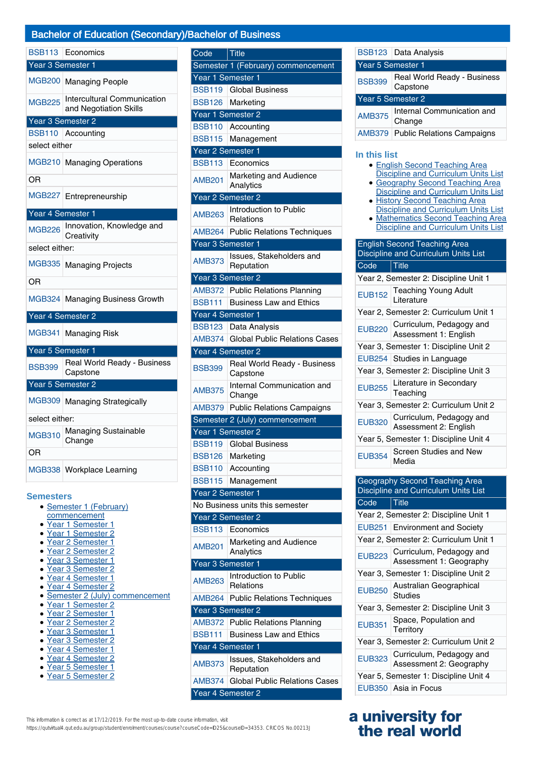|                   | BSB113 Economics                                             |
|-------------------|--------------------------------------------------------------|
| Year 3 Semester 1 |                                                              |
| <b>MGB200</b>     | <b>Managing People</b>                                       |
| <b>MGB225</b>     | <b>Intercultural Communication</b><br>and Negotiation Skills |
| Year 3 Semester 2 |                                                              |
| <b>BSB110</b>     | Accounting                                                   |
| select either     |                                                              |
| <b>MGB210</b>     | <b>Managing Operations</b>                                   |
| OR                |                                                              |
| <b>MGB227</b>     | Entrepreneurship                                             |
| Year 4 Semester 1 |                                                              |
| <b>MGB226</b>     | Innovation, Knowledge and<br>Creativity                      |
| select either:    |                                                              |
| <b>MGB335</b>     | <b>Managing Projects</b>                                     |
| ΟR                |                                                              |
|                   | MGB324 Managing Business Growth                              |
| Year 4 Semester 2 |                                                              |
| <b>MGB341</b>     | Managing Risk                                                |
| Year 5 Semester 1 |                                                              |
| <b>BSB399</b>     | Real World Ready - Business<br>Capstone                      |
| Year 5 Semester 2 |                                                              |
| MGB309            | <b>Managing Strategically</b>                                |
| select either:    |                                                              |
| <b>MGB310</b>     | Managing Sustainable<br>Change                               |
| OR                |                                                              |
| <b>MGB338</b>     | Workplace Learning                                           |

#### **Semesters**

- Semester 1 (February)
- commencement
- Year 1 Semester 1 ● Year 1 Semester 2
- Year 2 Semester 1
- Year 2 Semester 2
- Year 3 Semester 1
- Year 3 Semester 2
- Year 4 Semester 1
- Year 4 Semester 2
- Semester 2 (July) commencement
- Year 1 Semester 2
- Year 2 Semester 1
- Year 2 Semester 2
- Year 3 Semester 1
- Year 3 Semester 2 ● Year 4 Semester 1
- 
- Year 4 Semester 2<br>● Year 5 Semester 1 Year 5 Semester 1
- Year 5 Semester 2

| Code              | Title                                   |
|-------------------|-----------------------------------------|
|                   | Semester 1 (February) commencement      |
|                   | Year 1 Semester 1                       |
| <b>BSB119</b>     | <b>Global Business</b>                  |
| <b>BSB126</b>     | Marketing                               |
|                   | Year 1 Semester 2                       |
| <b>BSB110</b>     | Accounting                              |
| <b>BSB115</b>     | Management                              |
| Year 2 Semester 1 |                                         |
| <b>BSB113</b>     | Economics                               |
| AMB201            | Marketing and Audience                  |
|                   | Analytics<br>Year 2 Semester 2          |
|                   | Introduction to Public                  |
| <b>AMB263</b>     | Relations                               |
| <b>AMB264</b>     | <b>Public Relations Techniques</b>      |
|                   | Year 3 Semester 1                       |
|                   | Issues, Stakeholders and                |
| <b>AMB373</b>     | Reputation                              |
|                   | Year 3 Semester 2                       |
|                   | AMB372 Public Relations Planning        |
| BSB111            | <b>Business Law and Ethics</b>          |
|                   | Year 4 Semester 1                       |
| <b>BSB123</b>     | Data Analysis                           |
| <b>AMB374</b>     | <b>Global Public Relations Cases</b>    |
|                   | Year 4 Semester 2                       |
| <b>BSB399</b>     | Real World Ready - Business<br>Capstone |
| AMB375            | Internal Communication and<br>Change    |
| AMB379            | <b>Public Relations Campaigns</b>       |
|                   | Semester 2 (July) commencement          |
|                   | Year 1 Semester 2                       |
|                   | <b>BSB119   Global Business</b>         |
| <b>BSB126</b>     | Marketing                               |
| <b>BSB110</b>     | Accounting                              |
| <b>BSB115</b>     | Management                              |
|                   | Year 2 Semester 1                       |
|                   | No Business units this semester         |
|                   | Year 2 Semester 2                       |
| <b>BSB113</b>     | Economics                               |
| <b>AMB201</b>     | Marketing and Audience<br>Analytics     |
|                   | Year 3 Semester 1                       |
| AMB263            | Introduction to Public<br>Relations     |
| <b>AMB264</b>     | <b>Public Relations Techniques</b>      |
|                   | Year 3 Semester 2                       |
| AMB372            | <b>Public Relations Planning</b>        |
| <b>BSB111</b>     | <b>Business Law and Ethics</b>          |
|                   |                                         |
| Year 4 Semester 1 |                                         |
| <b>AMB373</b>     | Issues, Stakeholders and<br>Reputation  |
| <b>AMB374</b>     | <b>Global Public Relations Cases</b>    |

BSB123 Data Analysis Year 5 Semester 1 BSB399 Real World Ready - Business Capstone Year 5 Semester 2 AMB375 Internal Communication and Change AMB379 Public Relations Campaigns

|               | AMB379 Public Relations Campaigns                                                                                                                                                                                                                                                                                                                          |
|---------------|------------------------------------------------------------------------------------------------------------------------------------------------------------------------------------------------------------------------------------------------------------------------------------------------------------------------------------------------------------|
| In this list  | <b>English Second Teaching Area</b><br><b>Discipline and Curriculum Units List</b><br><b>Geography Second Teaching Area</b><br><b>Discipline and Curriculum Units List</b><br><b>History Second Teaching Area</b><br><b>Discipline and Curriculum Units List</b><br><b>Mathematics Second Teaching Area</b><br><b>Discipline and Curriculum Units List</b> |
|               | <b>English Second Teaching Area</b><br>Discipline and Curriculum Units List                                                                                                                                                                                                                                                                                |
| Code          | <b>Title</b>                                                                                                                                                                                                                                                                                                                                               |
|               | Year 2, Semester 2: Discipline Unit 1                                                                                                                                                                                                                                                                                                                      |
| <b>EUB152</b> | <b>Teaching Young Adult</b><br>Literature                                                                                                                                                                                                                                                                                                                  |
|               | Year 2, Semester 2: Curriculum Unit 1                                                                                                                                                                                                                                                                                                                      |
| <b>EUB220</b> | Curriculum, Pedagogy and<br>Assessment 1: English                                                                                                                                                                                                                                                                                                          |
|               | Year 3, Semester 1: Discipline Unit 2                                                                                                                                                                                                                                                                                                                      |
| <b>FUB254</b> | Studies in Language                                                                                                                                                                                                                                                                                                                                        |
|               | Year 3, Semester 2: Discipline Unit 3                                                                                                                                                                                                                                                                                                                      |
| <b>EUB255</b> | Literature in Secondary<br>Teaching                                                                                                                                                                                                                                                                                                                        |
|               | Year 3, Semester 2: Curriculum Unit 2                                                                                                                                                                                                                                                                                                                      |
| <b>EUB320</b> | Curriculum, Pedagogy and<br>Assessment 2: English                                                                                                                                                                                                                                                                                                          |
|               | Year 5, Semester 1: Discipline Unit 4                                                                                                                                                                                                                                                                                                                      |
| <b>EUB354</b> | Screen Studies and New<br>Media                                                                                                                                                                                                                                                                                                                            |

| Geography Second Teaching Area<br>Discipline and Curriculum Units List |                                                     |  |
|------------------------------------------------------------------------|-----------------------------------------------------|--|
| Code                                                                   | <b>Title</b>                                        |  |
|                                                                        | Year 2, Semester 2: Discipline Unit 1               |  |
|                                                                        | EUB251 Environment and Society                      |  |
|                                                                        | Year 2, Semester 2: Curriculum Unit 1               |  |
| <b>EUB223</b>                                                          | Curriculum, Pedagogy and<br>Assessment 1: Geography |  |
| Year 3, Semester 1: Discipline Unit 2                                  |                                                     |  |
| <b>EUB250</b>                                                          | Australian Geographical<br><b>Studies</b>           |  |
| Year 3, Semester 2: Discipline Unit 3                                  |                                                     |  |
| <b>EUB351</b>                                                          | Space, Population and<br>Territory                  |  |
| Year 3, Semester 2: Curriculum Unit 2                                  |                                                     |  |
| <b>EUB323</b>                                                          | Curriculum, Pedagogy and<br>Assessment 2: Geography |  |
| Year 5, Semester 1: Discipline Unit 4                                  |                                                     |  |
|                                                                        | EUB350 Asia in Focus                                |  |

## **a university for the real world**

This information is correct as at 17/12/2019. For the most up-to-date course information, visit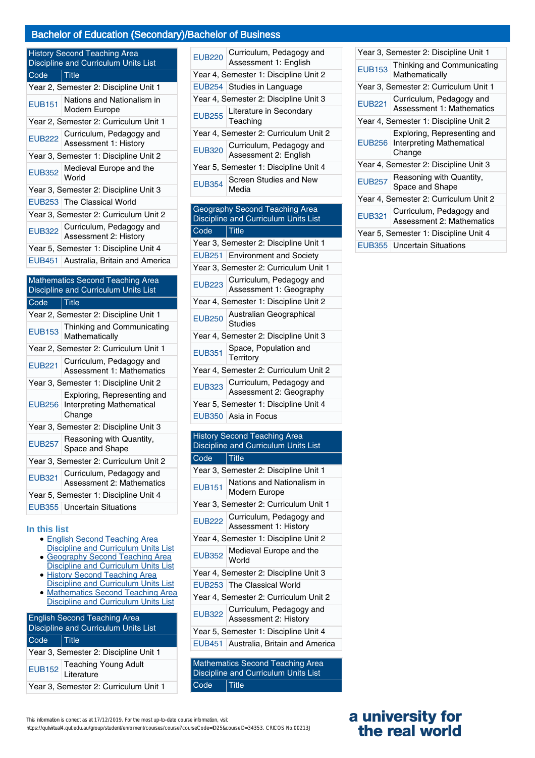| <b>History Second Teaching Area</b><br>Discipline and Curriculum Units List     |                                                                           |  |
|---------------------------------------------------------------------------------|---------------------------------------------------------------------------|--|
| Code                                                                            | Title                                                                     |  |
|                                                                                 | Year 2, Semester 2: Discipline Unit 1                                     |  |
| <b>EUB151</b>                                                                   | Nations and Nationalism in<br>Modern Europe                               |  |
|                                                                                 | Year 2, Semester 2: Curriculum Unit 1                                     |  |
| <b>EUB222</b>                                                                   | Curriculum, Pedagogy and<br>Assessment 1: History                         |  |
|                                                                                 | Year 3, Semester 1: Discipline Unit 2                                     |  |
| <b>EUB352</b>                                                                   | Medieval Europe and the<br>World                                          |  |
|                                                                                 | Year 3, Semester 2: Discipline Unit 3                                     |  |
|                                                                                 | EUB253 The Classical World                                                |  |
|                                                                                 | Year 3, Semester 2: Curriculum Unit 2                                     |  |
| <b>EUB322</b>                                                                   | Curriculum, Pedagogy and<br>Assessment 2: History                         |  |
|                                                                                 | Year 5, Semester 1: Discipline Unit 4                                     |  |
|                                                                                 | EUB451 Australia, Britain and America                                     |  |
| <b>Mathematics Second Teaching Area</b><br>Discipline and Curriculum Units List |                                                                           |  |
|                                                                                 |                                                                           |  |
| Code                                                                            | Title                                                                     |  |
|                                                                                 | Year 2, Semester 2: Discipline Unit 1                                     |  |
| <b>EUB153</b>                                                                   | Thinking and Communicating<br>Mathematically                              |  |
|                                                                                 | Year 2, Semester 2: Curriculum Unit 1                                     |  |
| <b>EUB221</b>                                                                   | Curriculum, Pedagogy and<br><b>Assessment 1: Mathematics</b>              |  |
|                                                                                 | Year 3, Semester 1: Discipline Unit 2                                     |  |
| <b>EUB256</b>                                                                   | Exploring, Representing and<br><b>Interpreting Mathematical</b><br>Change |  |
|                                                                                 | Year 3, Semester 2: Discipline Unit 3                                     |  |
| <b>EUB257</b>                                                                   | Reasoning with Quantity,<br>Space and Shape                               |  |
|                                                                                 | Year 3, Semester 2: Curriculum Unit 2                                     |  |
| <b>EUB321</b>                                                                   | Curriculum, Pedagogy and<br><b>Assessment 2: Mathematics</b>              |  |
|                                                                                 | Year 5, Semester 1: Discipline Unit 4                                     |  |

#### **In this list**

- English Second Teaching Area Discipline and Curriculum Units List
- Geography Second Teaching Area Discipline and Curriculum Units List
- **History Second Teaching Area** Discipline and Curriculum Units List ●
- **Mathematics Second Teaching Area** Discipline and Curriculum Units List  $\bullet$

| <b>English Second Teaching Area</b><br>Discipline and Curriculum Units List |         |  |
|-----------------------------------------------------------------------------|---------|--|
| $\overline{Code}$                                                           | ∣ Title |  |
| Year 3, Semester 2: Discipline Unit 1                                       |         |  |
| EUB152 Teaching Young Adult                                                 |         |  |
| Year 3, Semester 2: Curriculum Unit 1                                       |         |  |

| <b>EUB220</b>                         | Curriculum, Pedagogy and<br>Assessment 1: English                      |  |
|---------------------------------------|------------------------------------------------------------------------|--|
| Year 4, Semester 1: Discipline Unit 2 |                                                                        |  |
|                                       | EUB254 Studies in Language                                             |  |
| Year 4, Semester 2: Discipline Unit 3 |                                                                        |  |
| <b>EUB255</b>                         | Literature in Secondary<br>Teaching                                    |  |
|                                       | Year 4, Semester 2: Curriculum Unit 2                                  |  |
| <b>EUB320</b>                         | Curriculum, Pedagogy and<br>Assessment 2: English                      |  |
|                                       | Year 5, Semester 1: Discipline Unit 4                                  |  |
| <b>EUB354</b>                         | <b>Screen Studies and New</b><br>Media                                 |  |
|                                       |                                                                        |  |
|                                       | Geography Second Teaching Area<br>Discipline and Curriculum Units List |  |
| Code                                  | <b>Title</b>                                                           |  |
|                                       | Year 3, Semester 2: Discipline Unit 1                                  |  |
|                                       | <b>EUB251</b> Environment and Society                                  |  |
|                                       | Year 3, Semester 2: Curriculum Unit 1                                  |  |
| <b>EUB223</b>                         | Curriculum, Pedagogy and<br>Assessment 1: Geography                    |  |
|                                       | Year 4, Semester 1: Discipline Unit 2                                  |  |

EUB250 Australian Geographical Studies

Year 4, Semester 2: Discipline Unit 3 EUB351 Space, Population and **Territory** 

Year 4, Semester 2: Curriculum Unit 2 EUB323 Curriculum, Pedagogy and

Year 5, Semester 1: Discipline Unit 4

EUB350 Asia in Focus

Assessment 2: Geography

|                                             | <b>History Second Teaching Area</b>                      |  |
|---------------------------------------------|----------------------------------------------------------|--|
| <b>Discipline and Curriculum Units List</b> |                                                          |  |
| Code                                        | <b>Title</b>                                             |  |
| Year 3, Semester 2: Discipline Unit 1       |                                                          |  |
|                                             | Nations and Nationalism in                               |  |
| <b>EUB151</b>                               | Modern Europe                                            |  |
|                                             | Year 3, Semester 2: Curriculum Unit 1                    |  |
|                                             | EUB222 Curriculum, Pedagogy and<br>Assessment 1: History |  |
|                                             |                                                          |  |
| Year 4, Semester 1: Discipline Unit 2       |                                                          |  |

- EUB352 Medieval Europe and the World
- Year 4, Semester 2: Discipline Unit 3 EUB253 The Classical World
- Year 4, Semester 2: Curriculum Unit 2 EUB322 Curriculum, Pedagogy and
- Assessment 2: History Year 5, Semester 1: Discipline Unit 4
- EUB451 Australia, Britain and America

Mathematics Second Teaching Area Discipline and Curriculum Units List Code Title

| Year 3, Semester 2: Discipline Unit 1                        |                                                                           |  |
|--------------------------------------------------------------|---------------------------------------------------------------------------|--|
| <b>EUB153</b>                                                | Thinking and Communicating<br>Mathematically                              |  |
| Year 3, Semester 2: Curriculum Unit 1                        |                                                                           |  |
| <b>EUB221</b>                                                | Curriculum, Pedagogy and<br><b>Assessment 1: Mathematics</b>              |  |
| Year 4, Semester 1: Discipline Unit 2                        |                                                                           |  |
|                                                              | Exploring, Representing and<br>EUB256 Interpreting Mathematical<br>Change |  |
| Year 4, Semester 2: Discipline Unit 3                        |                                                                           |  |
| Reasoning with Quantity,<br><b>EUB257</b><br>Space and Shape |                                                                           |  |
| Year 4, Semester 2: Curriculum Unit 2                        |                                                                           |  |
| <b>EUB321</b>                                                | Curriculum, Pedagogy and<br><b>Assessment 2: Mathematics</b>              |  |
| Year 5, Semester 1: Discipline Unit 4                        |                                                                           |  |
|                                                              | <b>EUB355   Uncertain Situations</b>                                      |  |

## **a university for the real world**

This information is correct as at 17/12/2019. For the most up-to-date course information, visit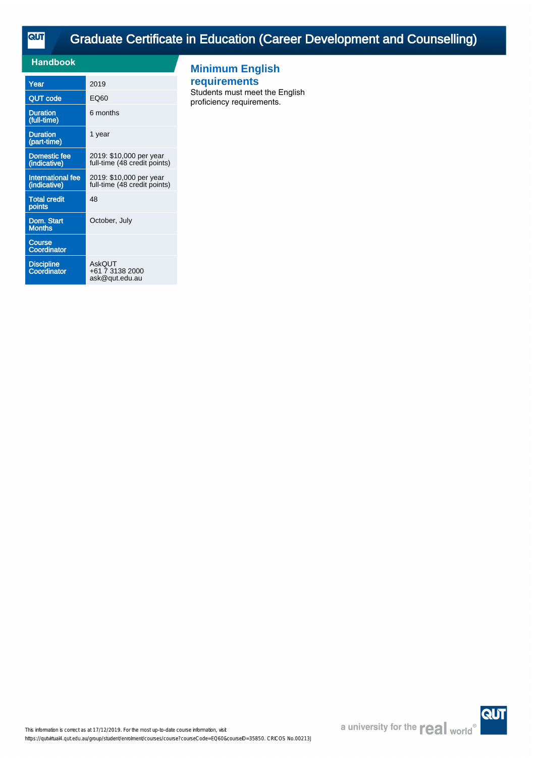**QUT** 

# [Graduate Certificate in Education \(Career Development and Counselling\)](https://qutvirtual4.qut.edu.au/group/student/enrolment/courses/course?courseCode=EQ60&courseID=35850)

| Handbook                                 |                                                         |
|------------------------------------------|---------------------------------------------------------|
| Year                                     | 2019                                                    |
| <b>QUT code</b>                          | EQ60                                                    |
| <b>Duration</b><br>(full-time)           | 6 months                                                |
| <b>Duration</b><br>(part-time)           | 1 year                                                  |
| <b>Domestic fee</b><br>(indicative)      | 2019: \$10,000 per year<br>full-time (48 credit points) |
| <b>International fee</b><br>(indicative) | 2019: \$10,000 per year<br>full-time (48 credit points) |
| <b>Total credit</b><br>points            | 48                                                      |
| Dom. Start<br>Months                     | October, July                                           |
| <b>Course</b><br><b>Coordinator</b>      |                                                         |
| <b>Discipline</b><br>Coordinator         | AskQUT<br>+61 7 3138 2000<br>ask@qut.edu.au             |

## **Minimum English**

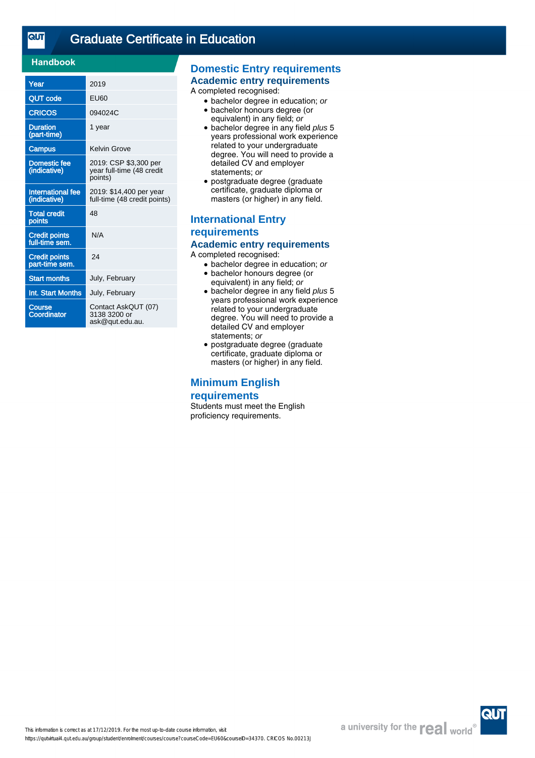$\overline{\text{cuf}}$ 

## [Graduate Certificate in Education](https://qutvirtual4.qut.edu.au/group/student/enrolment/courses/course?courseCode=EU60&courseID=34370)

## **Handbook**

| Year                                     | 2019                                                          |
|------------------------------------------|---------------------------------------------------------------|
| <b>QUT code</b>                          | EU60                                                          |
| <b>CRICOS</b>                            | 094024C                                                       |
| <b>Duration</b><br>(part-time)           | 1 year                                                        |
| Campus                                   | Kelvin Grove                                                  |
| <b>Domestic fee</b><br>(indicative)      | 2019: CSP \$3,300 per<br>year full-time (48 credit<br>points) |
| <b>International fee</b><br>(indicative) | 2019: \$14,400 per year<br>full-time (48 credit points)       |
| <b>Total credit</b><br>points            | 48                                                            |
| <b>Credit points</b><br>full-time sem.   | N/A                                                           |
| <b>Credit points</b><br>part-time sem.   | 24                                                            |
| <b>Start months</b>                      | July, February                                                |
| <b>Int. Start Months</b>                 | July, February                                                |
| <b>Course</b><br>Coordinator             | Contact AskQUT (07)<br>3138 3200 or<br>ask@qut.edu.au.        |

## **Domestic Entry requirements**

#### **Academic entry requirements**

A completed recognised:

- bachelor degree in education; or
- bachelor honours degree (or equivalent) in any field; or
- bachelor degree in any field plus 5 years professional work experience related to your undergraduate degree. You will need to provide a detailed CV and employer statements; or
- postgraduate degree (graduate certificate, graduate diploma or masters (or higher) in any field.

## **International Entry requirements Academic entry requirements**

A completed recognised:

- bachelor degree in education; or
- bachelor honours degree (or equivalent) in any field; or
- bachelor degree in any field plus 5 years professional work experience related to your undergraduate degree. You will need to provide a detailed CV and employer statements; or
- postgraduate degree (graduate certificate, graduate diploma or masters (or higher) in any field.

### **Minimum English**

#### **requirements**

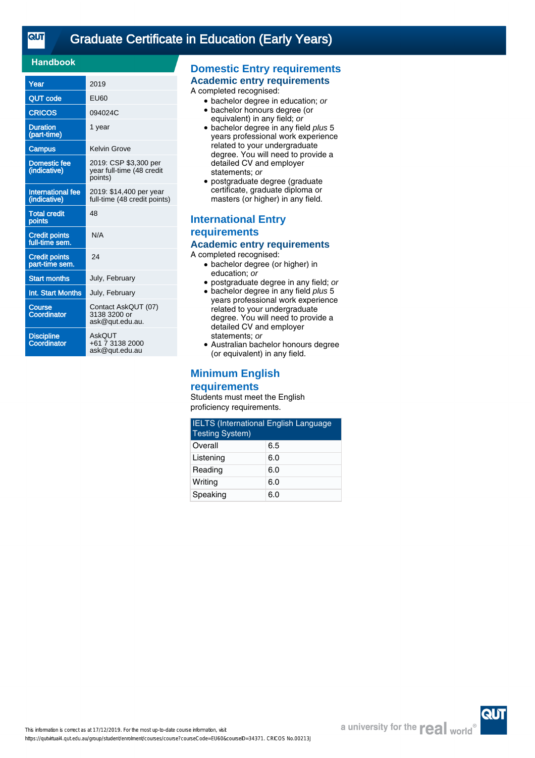| Year                                     | 2019                                                          |
|------------------------------------------|---------------------------------------------------------------|
| <b>QUT</b> code                          | EU60                                                          |
| <b>CRICOS</b>                            | 094024C                                                       |
| <b>Duration</b><br>(part-time)           | 1 year                                                        |
| Campus                                   | Kelvin Grove                                                  |
| Domestic fee<br>(indicative)             | 2019: CSP \$3,300 per<br>year full-time (48 credit<br>points) |
| <b>International fee</b><br>(indicative) | 2019: \$14,400 per year<br>full-time (48 credit points)       |
| <b>Total credit</b><br>points            | 48                                                            |
| <b>Credit points</b><br>full-time sem.   | N/A                                                           |
| <b>Credit points</b><br>part-time sem.   | 24                                                            |
| <b>Start months</b>                      | July, February                                                |
| Int. Start Months                        | July, February                                                |
| Course<br>Coordinator                    | Contact AskQUT (07)<br>3138 3200 or<br>ask@qut.edu.au.        |
| <b>Discipline</b><br>Coordinator         | AskOUT<br>+61 7 3138 2000<br>ask@qut.edu.au                   |

## **Domestic Entry requirements**

### **Academic entry requirements**

A completed recognised:

- bachelor degree in education; or
- bachelor honours degree (or equivalent) in any field; or
- bachelor degree in any field plus 5 years professional work experience related to your undergraduate degree. You will need to provide a detailed CV and employer statements; or
- postgraduate degree (graduate certificate, graduate diploma or masters (or higher) in any field.

## **International Entry requirements Academic entry requirements**

A completed recognised:

- bachelor degree (or higher) in education; or
- postgraduate degree in any field; or
- bachelor degree in any field plus 5 years professional work experience related to your undergraduate degree. You will need to provide a detailed CV and employer statements; or
- Australian bachelor honours degree (or equivalent) in any field.

## **Minimum English**

#### **requirements**

| <b>IELTS</b> (International English Language<br><b>Testing System)</b> |     |  |
|------------------------------------------------------------------------|-----|--|
| Overall                                                                | 6.5 |  |
| Listening                                                              | 6.0 |  |
| Reading                                                                | 6.0 |  |
| Writing                                                                | 6.0 |  |
| Speaking                                                               | 6.0 |  |

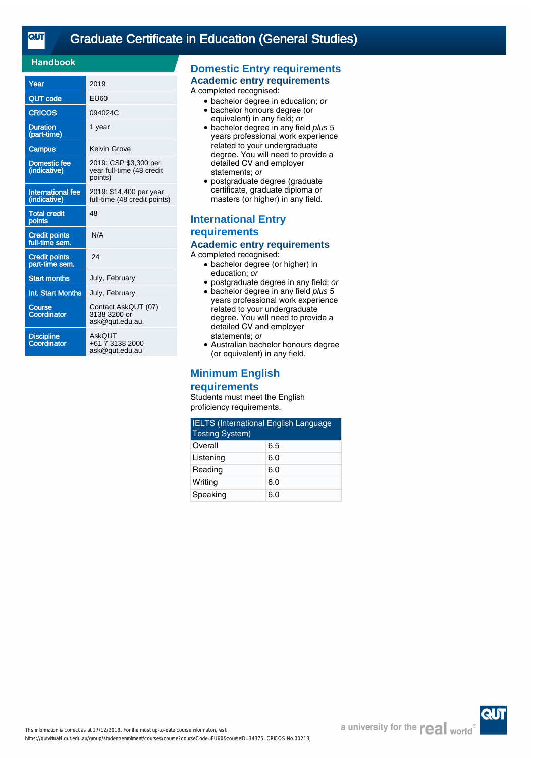| Year                                     | 2019                                                          |
|------------------------------------------|---------------------------------------------------------------|
| <b>QUT</b> code                          | EU60                                                          |
| <b>CRICOS</b>                            | 094024C                                                       |
| <b>Duration</b><br>(part-time)           | 1 year                                                        |
| Campus                                   | Kelvin Grove                                                  |
| Domestic fee<br>(indicative)             | 2019: CSP \$3,300 per<br>year full-time (48 credit<br>points) |
| <b>International fee</b><br>(indicative) | 2019: \$14,400 per year<br>full-time (48 credit points)       |
| <b>Total credit</b><br>points            | 48                                                            |
| <b>Credit points</b><br>full-time sem.   | N/A                                                           |
| <b>Credit points</b><br>part-time sem.   | 24                                                            |
| <b>Start months</b>                      | July, February                                                |
| Int. Start Months                        | July, February                                                |
| Course<br>Coordinator                    | Contact AskQUT (07)<br>3138 3200 or<br>ask@qut.edu.au.        |
| <b>Discipline</b><br>Coordinator         | AskOUT<br>+61 7 3138 2000<br>ask@qut.edu.au                   |

## **Domestic Entry requirements**

### **Academic entry requirements**

A completed recognised:

- bachelor degree in education; or
- bachelor honours degree (or equivalent) in any field; or
- bachelor degree in any field plus 5 years professional work experience related to your undergraduate degree. You will need to provide a detailed CV and employer statements; or
- postgraduate degree (graduate certificate, graduate diploma or masters (or higher) in any field.

## **International Entry requirements Academic entry requirements**

A completed recognised:

- bachelor degree (or higher) in education; or
- postgraduate degree in any field; or
- bachelor degree in any field plus 5 years professional work experience related to your undergraduate degree. You will need to provide a detailed CV and employer statements; or
- Australian bachelor honours degree (or equivalent) in any field.

## **Minimum English**

#### **requirements**

| <b>IELTS</b> (International English Language<br><b>Testing System)</b> |     |  |
|------------------------------------------------------------------------|-----|--|
| Overall                                                                | 6.5 |  |
| Listening                                                              | 6.0 |  |
| Reading                                                                | 6.0 |  |
| Writing                                                                | 6.0 |  |
| Speaking                                                               | 6.0 |  |

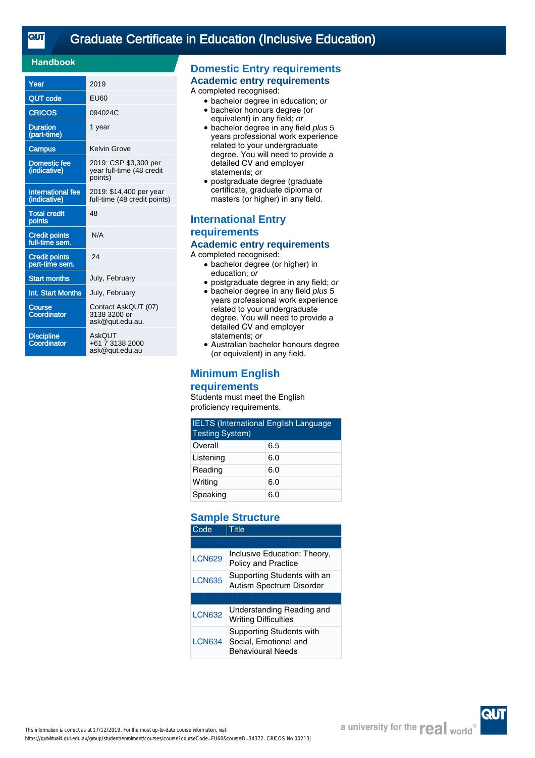| Year                                     | 2019                                                          |
|------------------------------------------|---------------------------------------------------------------|
| <b>QUT</b> code                          | EU60                                                          |
| <b>CRICOS</b>                            | 094024C                                                       |
| <b>Duration</b><br>(part-time)           | 1 year                                                        |
| Campus                                   | <b>Kelvin Grove</b>                                           |
| Domestic fee<br>(indicative)             | 2019: CSP \$3,300 per<br>year full-time (48 credit<br>points) |
| <b>International fee</b><br>(indicative) | 2019: \$14,400 per year<br>full-time (48 credit points)       |
| <b>Total credit</b><br>points            | 48                                                            |
| <b>Credit points</b><br>full-time sem.   | N/A                                                           |
| <b>Credit points</b><br>part-time sem.   | 24                                                            |
| <b>Start months</b>                      | July, February                                                |
| Int. Start Months                        | July, February                                                |
| <b>Course</b><br>Coordinator             | Contact AskQUT (07)<br>3138 3200 or<br>ask@qut.edu.au.        |
| <b>Discipline</b><br>Coordinator         | AskOUT<br>+61 7 3138 2000<br>ask@qut.edu.au                   |

## **Domestic Entry requirements**

### **Academic entry requirements**

A completed recognised:

- bachelor degree in education; or
- bachelor honours degree (or equivalent) in any field; or
- bachelor degree in any field plus 5 years professional work experience related to your undergraduate degree. You will need to provide a detailed CV and employer statements; or
- postgraduate degree (graduate certificate, graduate diploma or masters (or higher) in any field.

## **International Entry requirements Academic entry requirements**

A completed recognised:

- bachelor degree (or higher) in education; or
- postgraduate degree in any field; or
- bachelor degree in any field plus 5 years professional work experience related to your undergraduate degree. You will need to provide a detailed CV and employer statements; or
- Australian bachelor honours degree (or equivalent) in any field.

## **Minimum English**

### **requirements**

Students must meet the English proficiency requirements.

| <b>IELTS (International English Language</b><br><b>Testing System)</b> |     |  |
|------------------------------------------------------------------------|-----|--|
| Overall                                                                | 6.5 |  |
| Listening                                                              | 6.0 |  |
| Reading                                                                | 6.0 |  |
| Writing                                                                | 6.0 |  |
| Speaking                                                               | 6.0 |  |

## **Sample Structure**

| Code                                                                     | Title                                                                         |  |
|--------------------------------------------------------------------------|-------------------------------------------------------------------------------|--|
|                                                                          |                                                                               |  |
| <b>LCN629</b>                                                            | Inclusive Education: Theory,<br><b>Policy and Practice</b>                    |  |
| Supporting Students with an<br><b>LCN635</b><br>Autism Spectrum Disorder |                                                                               |  |
|                                                                          |                                                                               |  |
| <b>LCN632</b>                                                            | Understanding Reading and<br><b>Writing Difficulties</b>                      |  |
| <b>LCN634</b>                                                            | Supporting Students with<br>Social, Emotional and<br><b>Behavioural Needs</b> |  |

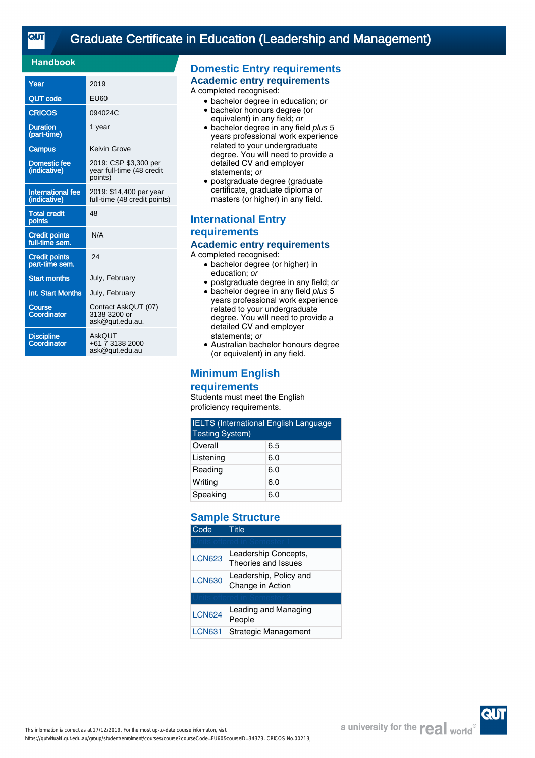| Year                                     | 2019                                                          |
|------------------------------------------|---------------------------------------------------------------|
| <b>QUT</b> code                          | FU60                                                          |
| <b>CRICOS</b>                            | 094024C                                                       |
| <b>Duration</b><br>(part-time)           | 1 year                                                        |
| <b>Campus</b>                            | Kelvin Grove                                                  |
| <b>Domestic fee</b><br>(indicative)      | 2019: CSP \$3,300 per<br>year full-time (48 credit<br>points) |
| <b>International fee</b><br>(indicative) | 2019: \$14,400 per year<br>full-time (48 credit points)       |
| <b>Total credit</b><br>points            | 48                                                            |
| <b>Credit points</b><br>full-time sem.   | N/A                                                           |
| <b>Credit points</b><br>part-time sem.   | 24                                                            |
| <b>Start months</b>                      | July, February                                                |
| Int. Start Months                        | July, February                                                |
| Course<br>Coordinator                    | Contact AskQUT (07)<br>3138 3200 or<br>ask@qut.edu.au.        |
| <b>Discipline</b><br>Coordinator         | AskOUT<br>+61 7 3138 2000<br>ask@qut.edu.au                   |

## **Domestic Entry requirements**

**Academic entry requirements**

A completed recognised:

- bachelor degree in education; or
- bachelor honours degree (or equivalent) in any field; or
- bachelor degree in any field plus 5 years professional work experience related to your undergraduate degree. You will need to provide a detailed CV and employer statements; or
- postgraduate degree (graduate certificate, graduate diploma or masters (or higher) in any field.

## **International Entry requirements Academic entry requirements**

A completed recognised:

- bachelor degree (or higher) in education; or
- postgraduate degree in any field; or
- bachelor degree in any field plus 5 years professional work experience related to your undergraduate degree. You will need to provide a detailed CV and employer statements; or
- Australian bachelor honours degree (or equivalent) in any field.

## **Minimum English**

### **requirements**

Students must meet the English proficiency requirements.

| <b>IELTS (International English Language</b><br><b>Testing System)</b> |     |  |
|------------------------------------------------------------------------|-----|--|
| Overall                                                                | 6.5 |  |
| Listening                                                              | 6.0 |  |
| Reading                                                                | 6.0 |  |
| Writing                                                                | 6.0 |  |
| Speaking                                                               | 6.0 |  |

## **Sample Structure**

| Code          | 'itle                                       |  |
|---------------|---------------------------------------------|--|
|               |                                             |  |
| <b>LCN623</b> | Leadership Concepts,<br>Theories and Issues |  |
| <b>LCN630</b> | Leadership, Policy and<br>Change in Action  |  |
|               |                                             |  |
| <b>LCN624</b> | Leading and Managing<br>People              |  |
| <b>LCN631</b> | Strategic Management                        |  |

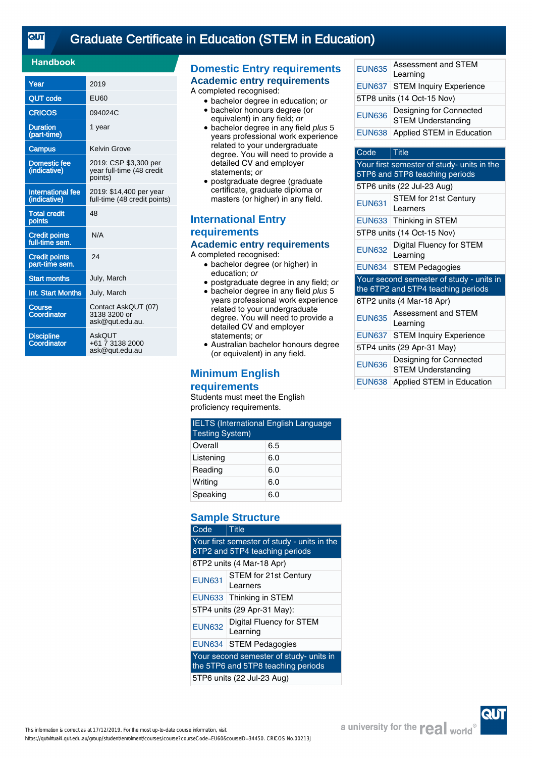## [Graduate Certificate in Education \(STEM in Education\)](https://qutvirtual4.qut.edu.au/group/student/enrolment/courses/course?courseCode=EU60&courseID=34450)

## **Handbook**

| Year                                     | 2019                                                          |
|------------------------------------------|---------------------------------------------------------------|
| <b>QUT</b> code                          | FU60                                                          |
| <b>CRICOS</b>                            | 094024C                                                       |
| <b>Duration</b><br>(part-time)           | 1 year                                                        |
| Campus                                   | Kelvin Grove                                                  |
| Domestic fee<br>(indicative)             | 2019: CSP \$3,300 per<br>year full-time (48 credit<br>points) |
| <b>International fee</b><br>(indicative) | 2019: \$14,400 per year<br>full-time (48 credit points)       |
| <b>Total credit</b><br>points            | 48                                                            |
| <b>Credit points</b><br>full-time sem.   | N/A                                                           |
| <b>Credit points</b><br>part-time sem.   | 24                                                            |
| <b>Start months</b>                      | July, March                                                   |
| Int. Start Months                        | July, March                                                   |
| Course<br>Coordinator                    | Contact AskQUT (07)<br>3138 3200 or<br>ask@qut.edu.au.        |
| <b>Discipline</b><br>Coordinator         | AskOUT<br>+61 7 3138 2000<br>ask@qut.edu.au                   |

## **Domestic Entry requirements**

**Academic entry requirements** A completed recognised:

- bachelor degree in education; or
- bachelor honours degree (or
- equivalent) in any field; or • bachelor degree in any field plus 5 years professional work experience related to your undergraduate degree. You will need to provide a detailed CV and employer statements; or
- postgraduate degree (graduate certificate, graduate diploma or masters (or higher) in any field.

## **International Entry requirements Academic entry requirements**

A completed recognised:

- bachelor degree (or higher) in education; or
- postgraduate degree in any field; or
- bachelor degree in any field plus 5 years professional work experience related to your undergraduate degree. You will need to provide a detailed CV and employer statements; or
- Australian bachelor honours degree (or equivalent) in any field.

## **Minimum English**

### **requirements**

Students must meet the English proficiency requirements.

| <b>IELTS (International English Language</b><br><b>Testing System)</b> |     |
|------------------------------------------------------------------------|-----|
| Overall                                                                | 6.5 |
| Listening                                                              | 6.0 |
| Reading                                                                | 6.0 |
| Writing                                                                | 6.0 |
| Speaking                                                               | 6.0 |

## **Sample Structure**

| Code                                                                          | <b>Title</b>                                |  |
|-------------------------------------------------------------------------------|---------------------------------------------|--|
| Your first semester of study - units in the<br>6TP2 and 5TP4 teaching periods |                                             |  |
| 6TP2 units (4 Mar-18 Apr)                                                     |                                             |  |
| <b>EUN631</b>                                                                 | STEM for 21st Century<br>Learners           |  |
|                                                                               | EUN633 Thinking in STEM                     |  |
| 5TP4 units (29 Apr-31 May):                                                   |                                             |  |
| <b>EUN632</b>                                                                 | <b>Digital Fluency for STEM</b><br>Learning |  |
|                                                                               | EUN634 STEM Pedagogies                      |  |
| Your second semester of study- units in<br>the 5TP6 and 5TP8 teaching periods |                                             |  |
| 5TP6 units (22 Jul-23 Aug)                                                    |                                             |  |

| <b>EUN635</b>              | Assessment and STEM<br>Learning                      |  |
|----------------------------|------------------------------------------------------|--|
|                            | <b>EUN637 STEM Inquiry Experience</b>                |  |
| 5TP8 units (14 Oct-15 Nov) |                                                      |  |
| <b>EUN636</b>              | Designing for Connected<br><b>STEM Understanding</b> |  |
| <b>EUN638</b>              | Applied STEM in Education                            |  |
|                            |                                                      |  |

## Code Title Your first semester of study- units in the 5TP6 and 5TP8 teaching periods 5TP6 units (22 Jul-23 Aug) EUN631 STEM for 21st Century

| EUI VUJ 1                                                                      | Learners                              |  |
|--------------------------------------------------------------------------------|---------------------------------------|--|
|                                                                                | EUN633 Thinking in STEM               |  |
| 5TP8 units (14 Oct-15 Nov)                                                     |                                       |  |
| <b>EUN632</b>                                                                  | Digital Fluency for STEM<br>Learning  |  |
|                                                                                | EUN634 STEM Pedagogies                |  |
| Your second semester of study - units in<br>the 6TP2 and 5TP4 teaching periods |                                       |  |
|                                                                                |                                       |  |
|                                                                                | 6TP2 units (4 Mar-18 Apr)             |  |
| <b>EUN635</b>                                                                  | Assessment and STEM<br>Learning       |  |
|                                                                                | <b>EUN637 STEM Inquiry Experience</b> |  |
|                                                                                | 5TP4 units (29 Apr-31 May)            |  |

EUN638 Applied STEM in Education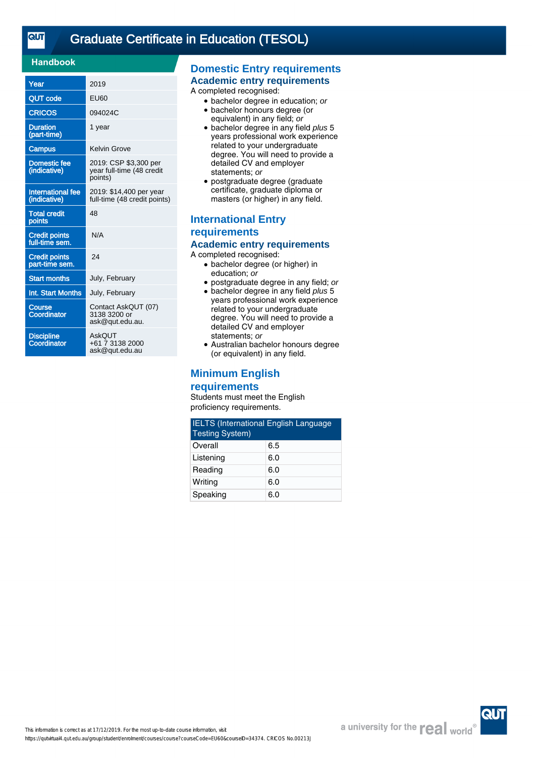| Year                                     | 2019                                                          |
|------------------------------------------|---------------------------------------------------------------|
| QUT code                                 | EU60                                                          |
| <b>CRICOS</b>                            | 094024C                                                       |
| <b>Duration</b><br>(part-time)           | 1 year                                                        |
| Campus                                   | <b>Kelvin Grove</b>                                           |
| <b>Domestic fee</b><br>(indicative)      | 2019: CSP \$3,300 per<br>year full-time (48 credit<br>points) |
| <b>International fee</b><br>(indicative) | 2019: \$14,400 per year<br>full-time (48 credit points)       |
| <b>Total credit</b><br>points            | 48                                                            |
| <b>Credit points</b><br>full-time sem.   | N/A                                                           |
| <b>Credit points</b><br>part-time sem.   | 24                                                            |
| <b>Start months</b>                      | July, February                                                |
| Int. Start Months                        | July, February                                                |
| Course<br>Coordinator                    | Contact AskQUT (07)<br>3138 3200 or<br>ask@qut.edu.au.        |
| <b>Discipline</b><br>Coordinator         | AskQUT<br>+61 7 3138 2000<br>ask@gut.edu.au                   |

## **Domestic Entry requirements**

### **Academic entry requirements**

A completed recognised:

- bachelor degree in education; or
- bachelor honours degree (or equivalent) in any field; or
- bachelor degree in any field plus 5 years professional work experience related to your undergraduate degree. You will need to provide a detailed CV and employer statements; or
- postgraduate degree (graduate certificate, graduate diploma or masters (or higher) in any field.

## **International Entry requirements Academic entry requirements**

A completed recognised:

- bachelor degree (or higher) in education; or
- postgraduate degree in any field; or
- bachelor degree in any field plus 5 years professional work experience related to your undergraduate degree. You will need to provide a detailed CV and employer statements; or
- Australian bachelor honours degree (or equivalent) in any field.

## **Minimum English**

#### **requirements**

| <b>IELTS</b> (International English Language<br><b>Testing System)</b> |     |
|------------------------------------------------------------------------|-----|
| Overall                                                                | 6.5 |
| Listening                                                              | 6.0 |
| Reading                                                                | 6.0 |
| Writing                                                                | 6.0 |
| Speaking                                                               | 6.0 |

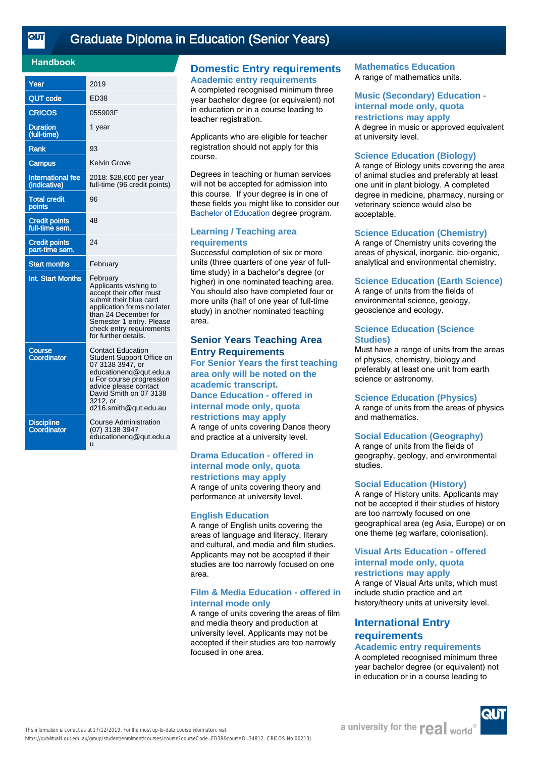## [Graduate Diploma in Education \(Senior Years\)](https://qutvirtual4.qut.edu.au/group/student/enrolment/courses/course?courseCode=ED38&courseID=34812)

### **Handbook**

| Year                                     | 2019                                                                                                                                                                                                                         |
|------------------------------------------|------------------------------------------------------------------------------------------------------------------------------------------------------------------------------------------------------------------------------|
| <b>QUT code</b>                          | ED38                                                                                                                                                                                                                         |
| <b>CRICOS</b>                            | 055903F                                                                                                                                                                                                                      |
| <b>Duration</b><br>(full-time)           | 1 year                                                                                                                                                                                                                       |
| Rank                                     | 93                                                                                                                                                                                                                           |
| Campus                                   | <b>Kelvin Grove</b>                                                                                                                                                                                                          |
| <b>International fee</b><br>(indicative) | 2018: \$28,600 per year<br>full-time (96 credit points)                                                                                                                                                                      |
| <b>Total credit</b><br>points            | 96                                                                                                                                                                                                                           |
| <b>Credit points</b><br>full-time sem.   | 48                                                                                                                                                                                                                           |
| <b>Credit points</b><br>part-time sem.   | 24                                                                                                                                                                                                                           |
| <b>Start months</b>                      | February                                                                                                                                                                                                                     |
| Int. Start Months                        | February<br>Applicants wishing to<br>accept their offer must<br>submit their blue card<br>application forms no later<br>than 24 December for<br>Semester 1 entry. Please<br>check entry requirements<br>for further details. |
| Course<br>Coordinator                    | Contact Education<br>Student Support Office on<br>07 3138 3947, or<br>educationeng@qut.edu.a<br>u For course progression<br>advice please contact<br>David Smith on 07 3138<br>3212, or<br>d216.smith@qut.edu.au             |
| <b>Discipline</b><br>Coordinator         | Course Administration<br>(07) 3138 3947<br>educationeng@qut.edu.a<br>u                                                                                                                                                       |

### **Domestic Entry requirements Academic entry requirements**

A completed recognised minimum three year bachelor degree (or equivalent) not in education or in a course leading to teacher registration.

Applicants who are eligible for teacher registration should not apply for this course.

Degrees in teaching or human services will not be accepted for admission into this course. If your degree is in one of these fields you might like to consider our [Bachelor of Education](https://www.qut.edu.au/study/study-areas/education-courses) degree program.

#### **Learning / Teaching area requirements**

Successful completion of six or more units (three quarters of one year of fulltime study) in a bachelor's degree (or higher) in one nominated teaching area. You should also have completed four or more units (half of one year of full-time study) in another nominated teaching area.

## **Senior Years Teaching Area Entry Requirements**

**For Senior Years the first teaching area only will be noted on the academic transcript. Dance Education - offered in internal mode only, quota restrictions may apply** A range of units covering Dance theory and practice at a university level.

#### **Drama Education - offered in internal mode only, quota restrictions may apply**

A range of units covering theory and performance at university level.

#### **English Education**

A range of English units covering the areas of language and literacy, literary and cultural, and media and film studies. Applicants may not be accepted if their studies are too narrowly focused on one area.

#### **Film & Media Education - offered in internal mode only**

A range of units covering the areas of film and media theory and production at university level. Applicants may not be accepted if their studies are too narrowly focused in one area.

#### **Mathematics Education** A range of mathematics units.

#### **Music (Secondary) Education internal mode only, quota restrictions may apply**

A degree in music or approved equivalent at university level.

#### **Science Education (Biology)**

A range of Biology units covering the area of animal studies and preferably at least one unit in plant biology. A completed degree in medicine, pharmacy, nursing or veterinary science would also be acceptable.

#### **Science Education (Chemistry)**

A range of Chemistry units covering the areas of physical, inorganic, bio-organic, analytical and environmental chemistry.

#### **Science Education (Earth Science)**

A range of units from the fields of environmental science, geology, geoscience and ecology.

#### **Science Education (Science Studies)**

Must have a range of units from the areas of physics, chemistry, biology and preferably at least one unit from earth science or astronomy.

#### **Science Education (Physics)**

A range of units from the areas of physics and mathematics.

#### **Social Education (Geography)**

A range of units from the fields of geography, geology, and environmental studies.

#### **Social Education (History)**

A range of History units. Applicants may not be accepted if their studies of history are too narrowly focused on one geographical area (eg Asia, Europe) or on one theme (eg warfare, colonisation).

#### **Visual Arts Education - offered internal mode only, quota restrictions may apply**

A range of Visual Arts units, which must include studio practice and art history/theory units at university level.

## **International Entry requirements**

## **Academic entry requirements**

A completed recognised minimum three year bachelor degree (or equivalent) not in education or in a course leading to

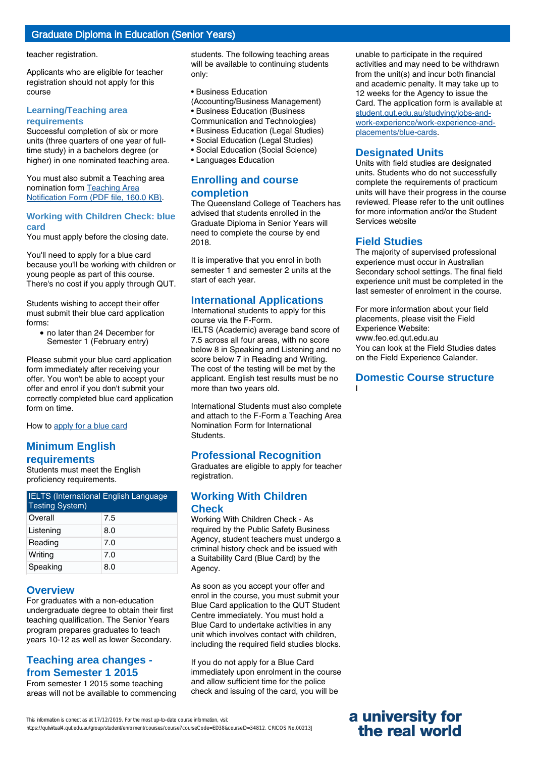## Graduate Diploma in Education (Senior Years)

teacher registration.

Applicants who are eligible for teacher registration should not apply for this course

#### **Learning/Teaching area requirements**

Successful completion of six or more units (three quarters of one year of fulltime study) in a bachelors degree (or higher) in one nominated teaching area.

You must also submit a Teaching area nomination form [Teaching Area](http://cms.qut.edu.au/?a=13940) [Notification Form \(PDF file, 160.0 KB\)](http://cms.qut.edu.au/?a=13940).

### **Working with Children Check: blue card**

You must apply before the closing date.

You'll need to apply for a blue card because you'll be working with children or young people as part of this course. There's no cost if you apply through QUT.

Students wishing to accept their offer must submit their blue card application forms:

• no later than 24 December for Semester 1 (February entry)

Please submit your blue card application form immediately after receiving your offer. You won't be able to accept your offer and enrol if you don't submit your correctly completed blue card application form on time.

How to [apply for a blue card](http://cms.qut.edu.au/student/studying/jobs-and-work-experience/work-experience-and-placements/blue-cards)

## **Minimum English requirements**

Students must meet the English proficiency requirements.

| <b>IELTS</b> (International English Language<br><b>Testing System)</b> |     |
|------------------------------------------------------------------------|-----|
| Overall                                                                | 7.5 |
| Listening                                                              | 8.0 |
| Reading                                                                | 7.0 |
| Writing                                                                | 7.0 |
| Speaking                                                               | 8.0 |

### **Overview**

For graduates with a non-education undergraduate degree to obtain their first teaching qualification. The Senior Years program prepares graduates to teach years 10-12 as well as lower Secondary.

## **Teaching area changes from Semester 1 2015**

From semester 1 2015 some teaching areas will not be available to commencing students. The following teaching areas will be available to continuing students only:

• Business Education

(Accounting/Business Management) • Business Education (Business

- Communication and Technologies)
- Business Education (Legal Studies)
- Social Education (Legal Studies)
- Social Education (Social Science)
- Languages Education

## **Enrolling and course completion**

The Queensland College of Teachers has advised that students enrolled in the Graduate Diploma in Senior Years will need to complete the course by end 2018.

It is imperative that you enrol in both semester 1 and semester 2 units at the start of each year.

## **International Applications**

International students to apply for this course via the F-Form.

IELTS (Academic) average band score of 7.5 across all four areas, with no score below 8 in Speaking and Listening and no score below 7 in Reading and Writing. The cost of the testing will be met by the applicant. English test results must be no more than two years old.

International Students must also complete and attach to the F-Form a Teaching Area Nomination Form for International Students.

## **Professional Recognition**

Graduates are eligible to apply for teacher registration.

## **Working With Children Check**

Working With Children Check - As required by the Public Safety Business Agency, student teachers must undergo a criminal history check and be issued with a Suitability Card (Blue Card) by the Agency.

As soon as you accept your offer and enrol in the course, you must submit your Blue Card application to the QUT Student Centre immediately. You must hold a Blue Card to undertake activities in any unit which involves contact with children, including the required field studies blocks.

If you do not apply for a Blue Card immediately upon enrolment in the course and allow sufficient time for the police check and issuing of the card, you will be

unable to participate in the required activities and may need to be withdrawn from the unit(s) and incur both financial and academic penalty. It may take up to 12 weeks for the Agency to issue the Card. The application form is available at [student.qut.edu.au/studying/jobs-and](http://student.qut.edu.au/studying/jobs-and-work-experience/work-experience-and-placements/blue-cards)[work-experience/work-experience-and](http://student.qut.edu.au/studying/jobs-and-work-experience/work-experience-and-placements/blue-cards)[placements/blue-cards](http://student.qut.edu.au/studying/jobs-and-work-experience/work-experience-and-placements/blue-cards).

## **Designated Units**

Units with field studies are designated units. Students who do not successfully complete the requirements of practicum units will have their progress in the course reviewed. Please refer to the unit outlines for more information and/or the Student Services website

## **Field Studies**

The majority of supervised professional experience must occur in Australian Secondary school settings. The final field experience unit must be completed in the last semester of enrolment in the course.

For more information about your field placements, please visit the Field Experience Website: www.feo.ed.qut.edu.au You can look at the Field Studies dates on the Field Experience Calander.

#### **Domestic Course structure** I

This information is correct as at 17/12/2019. For the most up-to-date course information, visit https://qutvirtual4.qut.edu.au/group/student/enrolment/courses/course?courseCode=ED38&courseID=34812. CRICOS No.00213J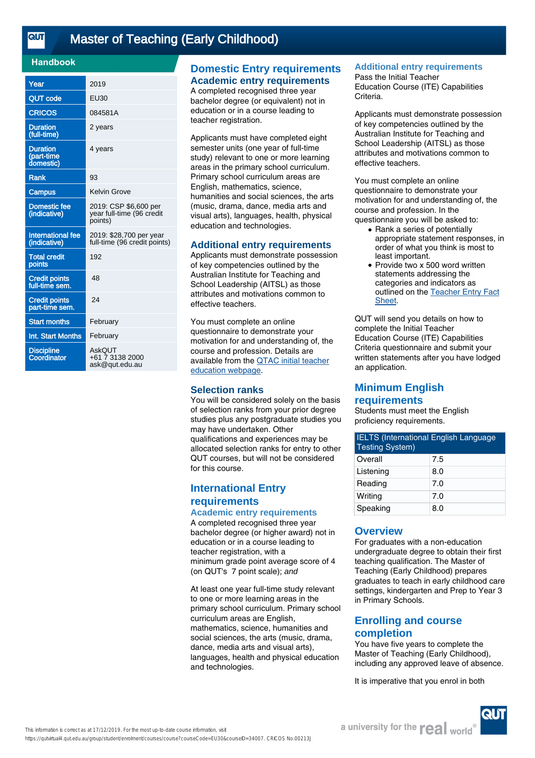<u>तान</u>

## [Master of Teaching \(Early Childhood\)](https://qutvirtual4.qut.edu.au/group/student/enrolment/courses/course?courseCode=EU30&courseID=34007)

### **Handbook**

| Year                                       | 2019                                                          |
|--------------------------------------------|---------------------------------------------------------------|
| QUT code                                   | EU30                                                          |
| <b>CRICOS</b>                              | 084581A                                                       |
| <b>Duration</b><br>(full-time)             | 2 years                                                       |
| <b>Duration</b><br>(part-time<br>domestic) | 4 years                                                       |
| <b>Rank</b>                                | 93                                                            |
| <b>Campus</b>                              | Kelvin Grove                                                  |
| Domestic fee<br>(indicative)               | 2019: CSP \$6,600 per<br>year full-time (96 credit<br>points) |
| <b>International fee</b><br>(indicative)   | 2019: \$28,700 per year<br>full-time (96 credit points)       |
| <b>Total credit</b><br>points              | 192                                                           |
| <b>Credit points</b><br>full-time sem.     | 48                                                            |
| <b>Credit points</b><br>part-time sem.     | 24                                                            |
| <b>Start months</b>                        | February                                                      |
| Int. Start Months                          | February                                                      |
| <b>Discipline</b><br>Coordinator           | AskOUT<br>+61 7 3138 2000<br>ask@qut.edu.au                   |

## **Domestic Entry requirements Academic entry requirements**

A completed recognised three year bachelor degree (or equivalent) not in education or in a course leading to teacher registration.

Applicants must have completed eight semester units (one year of full-time study) relevant to one or more learning areas in the primary school curriculum. Primary school curriculum areas are English, mathematics, science, humanities and social sciences, the arts (music, drama, dance, media arts and visual arts), languages, health, physical education and technologies.

#### **Additional entry requirements**

Applicants must demonstrate possession of key competencies outlined by the Australian Institute for Teaching and School Leadership (AITSL) as those attributes and motivations common to effective teachers.

You must complete an online questionnaire to demonstrate your motivation for and understanding of, the course and profession. Details are available from the [QTAC initial teacher](http://www.qtac.edu.au/courses---institutions/initial-teacher-education) [education webpage](http://www.qtac.edu.au/courses---institutions/initial-teacher-education).

### **Selection ranks**

You will be considered solely on the basis of selection ranks from your prior degree studies plus any postgraduate studies you may have undertaken. Other qualifications and experiences may be allocated selection ranks for entry to other QUT courses, but will not be considered for this course.

## **International Entry requirements Academic entry requirements**

A completed recognised three year bachelor degree (or higher award) not in education or in a course leading to teacher registration, with a minimum grade point average score of 4 (on QUT's 7 point scale); and

At least one year full-time study relevant to one or more learning areas in the primary school curriculum. Primary school curriculum areas are English, mathematics, science, humanities and social sciences, the arts (music, drama, dance, media arts and visual arts), languages, health and physical education and technologies.

## **Additional entry requirements**

Pass the Initial Teacher Education Course (ITE) Capabilities Criteria.

Applicants must demonstrate possession of key competencies outlined by the Australian Institute for Teaching and School Leadership (AITSL) as those attributes and motivations common to effective teachers.

You must complete an online questionnaire to demonstrate your motivation for and understanding of, the course and profession. In the questionnaire you will be asked to:

- Rank a series of potentially appropriate statement responses, in order of what you think is most to least important.
- Provide two x 500 word written statements addressing the categories and indicators as outlined on the [Teacher Entry Fact](https://www.qtac.edu.au/ArticleDocuments/173/Teacher%20Entry%20Fact%20Sheet.pdf.aspx) [Sheet.](https://www.qtac.edu.au/ArticleDocuments/173/Teacher%20Entry%20Fact%20Sheet.pdf.aspx) ●

QUT will send you details on how to complete the Initial Teacher Education Course (ITE) Capabilities Criteria questionnaire and submit your written statements after you have lodged an application.

## **Minimum English requirements**

Students must meet the English

proficiency requirements.

| <b>IELTS</b> (International English Language<br><b>Testing System)</b> |     |
|------------------------------------------------------------------------|-----|
| Overall                                                                | 7.5 |
| Listening                                                              | 8.0 |
| Reading                                                                | 7.0 |
| Writing                                                                | 7.0 |
| Speaking                                                               | 8.0 |

### **Overview**

For graduates with a non-education undergraduate degree to obtain their first teaching qualification. The Master of Teaching (Early Childhood) prepares graduates to teach in early childhood care settings, kindergarten and Prep to Year 3 in Primary Schools.

## **Enrolling and course completion**

You have five years to complete the Master of Teaching (Early Childhood), including any approved leave of absence.

It is imperative that you enrol in both



This information is correct as at 17/12/2019. For the most up-to-date course information, visit https://qutvirtual4.qut.edu.au/group/student/enrolment/courses/course?courseCode=EU30&courseID=34007. CRICOS No.00213J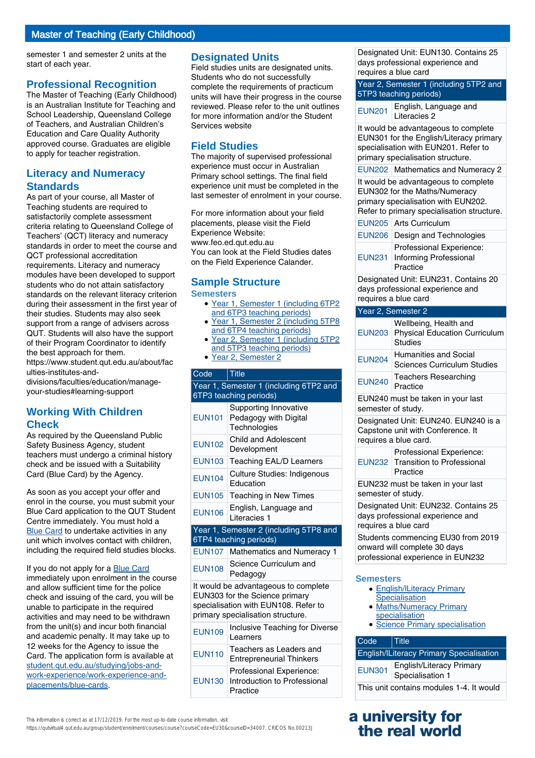## Master of Teaching (Early Childhood)

semester 1 and semester 2 units at the start of each year.

#### **Professional Recognition**

The Master of Teaching (Early Childhood) is an Australian Institute for Teaching and School Leadership, Queensland College of Teachers, and Australian Children's Education and Care Quality Authority approved course. Graduates are eligible to apply for teacher registration.

## **Literacy and Numeracy Standards**

As part of your course, all Master of Teaching students are required to satisfactorily complete assessment criteria relating to Queensland College of Teachers' (QCT) literacy and numeracy standards in order to meet the course and QCT professional accreditation requirements. Literacy and numeracy modules have been developed to support students who do not attain satisfactory standards on the relevant literacy criterion during their assessment in the first year of their studies. Students may also seek support from a range of advisers across QUT. Students will also have the support of their Program Coordinator to identify the best approach for them. https://www.student.qut.edu.au/about/fac

ulties-institutes-anddivisions/faculties/education/manage-

your-studies#learning-support

## **Working With Children Check**

As required by the Queensland Public Safety Business Agency, student teachers must undergo a criminal history check and be issued with a Suitability Card (Blue Card) by the Agency.

As soon as you accept your offer and enrol in the course, you must submit your Blue Card application to the QUT Student Centre immediately. You must hold a [Blue Card](http://student.qut.edu.au/studying/jobs-and-work-experience/work-experience-and-placements/blue-cards) to undertake activities in any unit which involves contact with children, including the required field studies blocks.

If you do not apply for a [Blue Card](http://student.qut.edu.au/studying/jobs-and-work-experience/work-experience-and-placements/blue-cards) immediately upon enrolment in the course and allow sufficient time for the police check and issuing of the card, you will be unable to participate in the required activities and may need to be withdrawn from the unit(s) and incur both financial and academic penalty. It may take up to 12 weeks for the Agency to issue the Card. The application form is available at [student.qut.edu.au/studying/jobs-and](http://student.qut.edu.au/studying/jobs-and-work-experience/work-experience-and-placements/blue-cards)[work-experience/work-experience-and](http://student.qut.edu.au/studying/jobs-and-work-experience/work-experience-and-placements/blue-cards)[placements/blue-cards](http://student.qut.edu.au/studying/jobs-and-work-experience/work-experience-and-placements/blue-cards).

### **Designated Units**

Field studies units are designated units. Students who do not successfully complete the requirements of practicum units will have their progress in the course reviewed. Please refer to the unit outlines for more information and/or the Student Services website

## **Field Studies**

The majority of supervised professional experience must occur in Australian Primary school settings. The final field experience unit must be completed in the last semester of enrolment in your course.

For more information about your field placements, please visit the Field Experience Website: www.feo.ed.qut.edu.au You can look at the Field Studies dates on the Field Experience Calander.

#### **Sample Structure Semesters**

- Year 1, Semester 1 (including 6TP2 and 6TP3 teaching periods)
- Year 1, Semester 2 (including 5TP8 and 6TP4 teaching periods)
- Year 2, Semester 1 (including 5TP2 and 5TP3 teaching periods)
- Year 2, Semester 2

## Code Title Year 1, Semester 1 (including 6TP2 and 6TP3 teaching periods) EUN101 Pedagogy with Digital Supporting Innovative **Technologies** EUN102 Child and Adolescent Development EUN103 Teaching EAL/D Learners EUN104 Culture Studies: Indigenous Education EUN105 Teaching in New Times EUN106 English, Language and Literacies 1 Year 1, Semester 2 (including 5TP8 and 6TP4 teaching periods) EUN107 Mathematics and Numeracy 1 EUN108 Science Curriculum and Pedagogy

It would be advantageous to complete EUN303 for the Science primary specialisation with EUN108. Refer to primary specialisation structure.

| <b>EUN109</b> | Inclusive Teaching for Diverse<br>Learners                           |
|---------------|----------------------------------------------------------------------|
| <b>EUN110</b> | Teachers as Leaders and<br><b>Entrepreneurial Thinkers</b>           |
| <b>EUN130</b> | Professional Experience:<br>Introduction to Professional<br>Practice |

This information is correct as at 17/12/2019. For the most up-to-date course information, visit

https://qutvirtual4.qut.edu.au/group/student/enrolment/courses/course?courseCode=EU30&courseID=34007. CRICOS No.00213J

Designated Unit: EUN130. Contains 25 days professional experience and requires a blue card

Year 2, Semester 1 (including 5TP2 and 5TP3 teaching periods)

EUN201 English, Language and Literacies 2

It would be advantageous to complete EUN301 for the English/Literacy primary specialisation with EUN201. Refer to primary specialisation structure.

EUN202 Mathematics and Numeracy 2

It would be advantageous to complete EUN302 for the Maths/Numeracy primary specialisation with EUN202. Refer to primary specialisation structure.

|               | EUN205 Arts Curriculum                                         |
|---------------|----------------------------------------------------------------|
|               | EUN206 Design and Technologies                                 |
| <b>EUN231</b> | Professional Experience:<br>Informing Professional<br>Practice |

Designated Unit: EUN231. Contains 20 days professional experience and requires a blue card

#### Year 2, Semester 2

| <b>EUN203</b>                                                                                           | Wellbeing, Health and<br><b>Physical Education Curriculum</b><br>Studies                           |  |
|---------------------------------------------------------------------------------------------------------|----------------------------------------------------------------------------------------------------|--|
| <b>EUN204</b>                                                                                           | Humanities and Social<br><b>Sciences Curriculum Studies</b>                                        |  |
| <b>EUN240</b>                                                                                           | <b>Teachers Researching</b><br>Practice                                                            |  |
| EUN240 must be taken in your last<br>semester of study.                                                 |                                                                                                    |  |
|                                                                                                         | Designated Unit: EUN240. EUN240 is a<br>Capstone unit with Conference. It<br>requires a blue card. |  |
|                                                                                                         | Professional Experience:<br>EUN232 Transition to Professional<br>Practice                          |  |
| EUN232 must be taken in your last<br>semester of study.                                                 |                                                                                                    |  |
| Designated Unit: EUN232. Contains 25<br>days professional experience and<br>requires a blue card        |                                                                                                    |  |
| Students commencing EU30 from 2019<br>onward will complete 30 days<br>professional experience in EUN232 |                                                                                                    |  |
| <b>Semesters</b>                                                                                        |                                                                                                    |  |
| <b>English/ILiteracy Primary</b><br>Specialisation<br>• Maths/Numeracy Primary<br>specialisation        |                                                                                                    |  |
| · Science Primary specialisation                                                                        |                                                                                                    |  |

| Code                                            | $\vert$ Title                                |
|-------------------------------------------------|----------------------------------------------|
| <b>English/ILiteracy Primary Specialisation</b> |                                              |
| <b>EUN301</b>                                   | English/Literacy Primary<br>Specialisation 1 |
| This unit contains modules 1-4. It would        |                                              |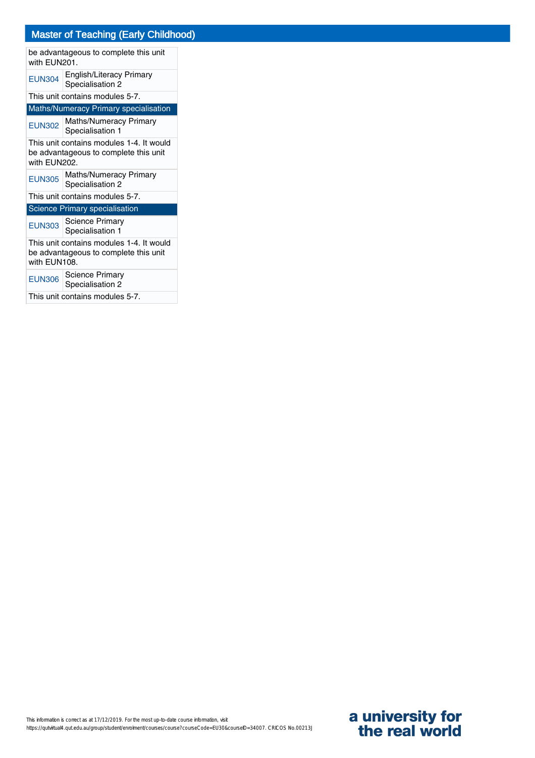## Master of Teaching (Early Childhood)

| be advantageous to complete this unit<br>with EUN201.                                             |                                                   |  |
|---------------------------------------------------------------------------------------------------|---------------------------------------------------|--|
| <b>EUN304</b>                                                                                     | English/Literacy Primary<br>Specialisation 2      |  |
|                                                                                                   | This unit contains modules 5-7.                   |  |
|                                                                                                   | <b>Maths/Numeracy Primary specialisation</b>      |  |
|                                                                                                   | EUN302 Maths/Numeracy Primary<br>Specialisation 1 |  |
| This unit contains modules 1-4. It would<br>be advantageous to complete this unit<br>with EUN202. |                                                   |  |
| <b>EUN305</b>                                                                                     | Maths/Numeracy Primary<br>Specialisation 2        |  |
| This unit contains modules 5-7.                                                                   |                                                   |  |
|                                                                                                   | <b>Science Primary specialisation</b>             |  |
| <b>EUN303</b>                                                                                     | <b>Science Primary</b><br>Specialisation 1        |  |
| This unit contains modules 1-4. It would<br>be advantageous to complete this unit<br>with EUN108. |                                                   |  |
| <b>EUN306</b>                                                                                     | <b>Science Primary</b><br>Specialisation 2        |  |
| This unit contains modules 5-7.                                                                   |                                                   |  |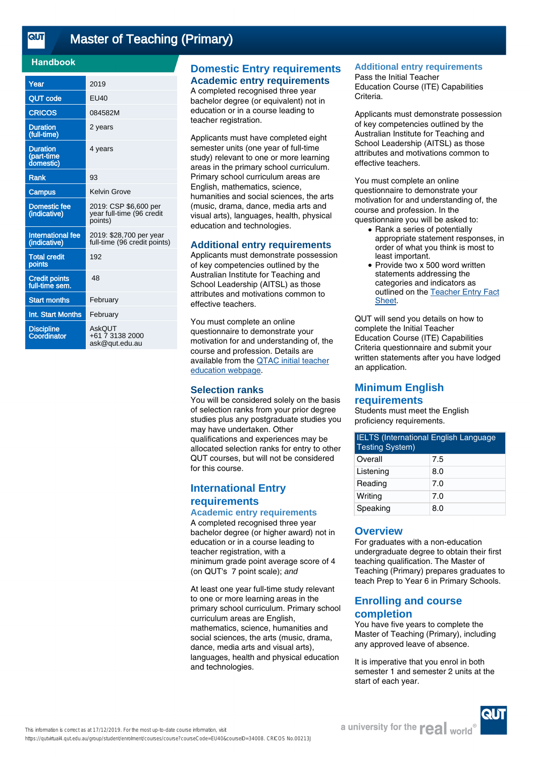<u>तान</u>

## [Master of Teaching \(Primary\)](https://qutvirtual4.qut.edu.au/group/student/enrolment/courses/course?courseCode=EU40&courseID=34008)

### **Handbook**

| Year                                       | 2019                                                          |
|--------------------------------------------|---------------------------------------------------------------|
| <b>QUT code</b>                            | EU40                                                          |
| <b>CRICOS</b>                              | 084582M                                                       |
| <b>Duration</b><br>(full-time)             | 2 years                                                       |
| <b>Duration</b><br>(part-time<br>domestic) | 4 years                                                       |
| <b>Rank</b>                                | 93                                                            |
| Campus                                     | Kelvin Grove                                                  |
| <b>Domestic fee</b><br>(indicative)        | 2019: CSP \$6,600 per<br>year full-time (96 credit<br>points) |
| International fee<br>(indicative)          | 2019: \$28,700 per year<br>full-time (96 credit points)       |
| <b>Total credit</b><br>points              | 192                                                           |
| <b>Credit points</b><br>full-time sem.     | 48                                                            |
| <b>Start months</b>                        | February                                                      |
| Int. Start Months                          | February                                                      |
| <b>Discipline</b><br>Coordinator           | AskOUT<br>+61 7 3138 2000<br>ask@qut.edu.au                   |

## **Domestic Entry requirements Academic entry requirements**

A completed recognised three year bachelor degree (or equivalent) not in education or in a course leading to teacher registration.

Applicants must have completed eight semester units (one year of full-time study) relevant to one or more learning areas in the primary school curriculum. Primary school curriculum areas are English, mathematics, science, humanities and social sciences, the arts (music, drama, dance, media arts and visual arts), languages, health, physical education and technologies.

#### **Additional entry requirements**

Applicants must demonstrate possession of key competencies outlined by the Australian Institute for Teaching and School Leadership (AITSL) as those attributes and motivations common to effective teachers.

You must complete an online questionnaire to demonstrate your motivation for and understanding of, the course and profession. Details are available from the [QTAC initial teacher](http://www.qtac.edu.au/courses---institutions/initial-teacher-education) [education webpage](http://www.qtac.edu.au/courses---institutions/initial-teacher-education).

### **Selection ranks**

You will be considered solely on the basis of selection ranks from your prior degree studies plus any postgraduate studies you may have undertaken. Other qualifications and experiences may be allocated selection ranks for entry to other QUT courses, but will not be considered for this course.

## **International Entry requirements Academic entry requirements**

A completed recognised three year bachelor degree (or higher award) not in education or in a course leading to teacher registration, with a minimum grade point average score of 4 (on QUT's 7 point scale); and

At least one year full-time study relevant to one or more learning areas in the primary school curriculum. Primary school curriculum areas are English, mathematics, science, humanities and social sciences, the arts (music, drama, dance, media arts and visual arts), languages, health and physical education and technologies.

## **Additional entry requirements**

Pass the Initial Teacher Education Course (ITE) Capabilities Criteria.

Applicants must demonstrate possession of key competencies outlined by the Australian Institute for Teaching and School Leadership (AITSL) as those attributes and motivations common to effective teachers.

You must complete an online questionnaire to demonstrate your motivation for and understanding of, the course and profession. In the questionnaire you will be asked to:

- Rank a series of potentially appropriate statement responses, in order of what you think is most to least important.
- Provide two x 500 word written statements addressing the categories and indicators as outlined on the [Teacher Entry Fact](https://www.qtac.edu.au/ArticleDocuments/173/Teacher%20Entry%20Fact%20Sheet.pdf.aspx) [Sheet.](https://www.qtac.edu.au/ArticleDocuments/173/Teacher%20Entry%20Fact%20Sheet.pdf.aspx) ●

QUT will send you details on how to complete the Initial Teacher Education Course (ITE) Capabilities Criteria questionnaire and submit your written statements after you have lodged an application.

## **Minimum English requirements**

Students must meet the English

proficiency requirements.

| <b>IELTS (International English Language</b><br><b>Testing System)</b> |     |
|------------------------------------------------------------------------|-----|
| Overall                                                                | 7.5 |
| Listening                                                              | 8.0 |
| Reading                                                                | 7.0 |
| Writing                                                                | 7.0 |
| Speaking                                                               | 8.0 |

### **Overview**

For graduates with a non-education undergraduate degree to obtain their first teaching qualification. The Master of Teaching (Primary) prepares graduates to teach Prep to Year 6 in Primary Schools.

## **Enrolling and course completion**

You have five years to complete the Master of Teaching (Primary), including any approved leave of absence.

It is imperative that you enrol in both semester 1 and semester 2 units at the start of each year.

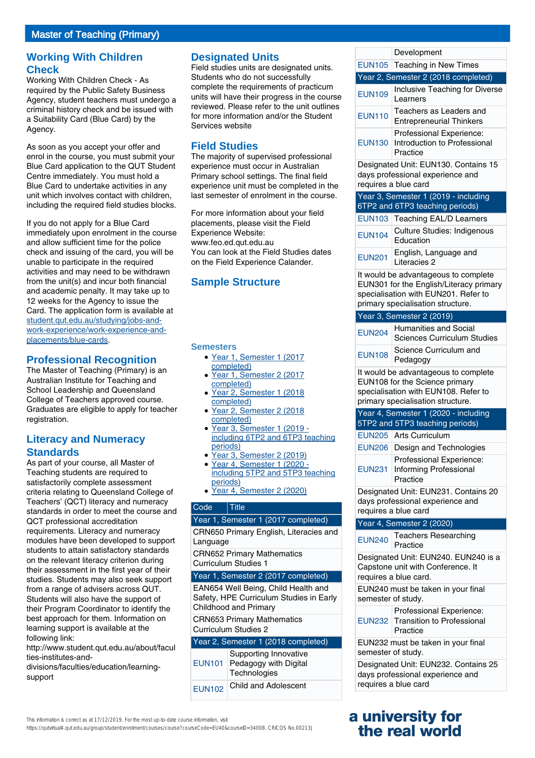## **Working With Children Check**

Working With Children Check - As required by the Public Safety Business Agency, student teachers must undergo a criminal history check and be issued with a Suitability Card (Blue Card) by the Agency.

As soon as you accept your offer and enrol in the course, you must submit your Blue Card application to the QUT Student Centre immediately. You must hold a Blue Card to undertake activities in any unit which involves contact with children, including the required field studies blocks.

If you do not apply for a Blue Card immediately upon enrolment in the course and allow sufficient time for the police check and issuing of the card, you will be unable to participate in the required activities and may need to be withdrawn from the unit(s) and incur both financial and academic penalty. It may take up to 12 weeks for the Agency to issue the Card. The application form is available at [student.qut.edu.au/studying/jobs-and](http://student.qut.edu.au/studying/jobs-and-work-experience/work-experience-and-placements/blue-cards)[work-experience/work-experience-and](http://student.qut.edu.au/studying/jobs-and-work-experience/work-experience-and-placements/blue-cards)[placements/blue-cards](http://student.qut.edu.au/studying/jobs-and-work-experience/work-experience-and-placements/blue-cards).

## **Professional Recognition**

The Master of Teaching (Primary) is an Australian Institute for Teaching and School Leadership and Queensland College of Teachers approved course. Graduates are eligible to apply for teacher registration.

## **Literacy and Numeracy Standards**

As part of your course, all Master of Teaching students are required to satisfactorily complete assessment criteria relating to Queensland College of Teachers' (QCT) literacy and numeracy standards in order to meet the course and QCT professional accreditation requirements. Literacy and numeracy modules have been developed to support students to attain satisfactory standards on the relevant literacy criterion during their assessment in the first year of their studies. Students may also seek support from a range of advisers across QUT. Students will also have the support of their Program Coordinator to identify the best approach for them. Information on learning support is available at the following link:

http://www.student.qut.edu.au/about/facul ties-institutes-and-

divisions/faculties/education/learningsupport

## **Designated Units**

Field studies units are designated units. Students who do not successfully complete the requirements of practicum units will have their progress in the course reviewed. Please refer to the unit outlines for more information and/or the Student Services website

## **Field Studies**

The majority of supervised professional experience must occur in Australian Primary school settings. The final field experience unit must be completed in the last semester of enrolment in the course.

For more information about your field placements, please visit the Field Experience Website: www.feo.ed.qut.edu.au You can look at the Field Studies dates on the Field Experience Calander.

## **Sample Structure**

#### **Semesters**

- Year 1, Semester 1 (2017 completed)
- Year 1, Semester 2 (2017 completed)
- Year 2, Semester 1 (2018) completed) ●
- Year 2, Semester 2 (2018) completed)
- Year 3, Semester 1 (2019 including 6TP2 and 6TP3 teaching periods)
- Year 3, Semester 2 (2019)
- Year 4, Semester 1 (2020 ●
- including 5TP2 and 5TP3 teaching
- periods) ● Year 4, Semester 2 (2020)

### Code Title

| Year 1, Semester 1 (2017 completed)    |
|----------------------------------------|
| CRN650 Primary English, Literacies and |
| Language                               |

CRN652 Primary Mathematics Curriculum Studies 1

#### Year 1, Semester 2 (2017 completed)

EAN654 Well Being, Child Health and Safety, HPE Curriculum Studies in Early Childhood and Primary

CRN653 Primary Mathematics Curriculum Studies 2

### Year 2, Semester 1 (2018 completed)

| <b>EUN101</b> | Supporting Innovative<br>Pedagogy with Digital<br>Technologies |
|---------------|----------------------------------------------------------------|
| <b>EUN102</b> | Child and Adolescent                                           |

| Year 2, Semester 2 (2018 completed)                                                              |                                                                      |
|--------------------------------------------------------------------------------------------------|----------------------------------------------------------------------|
| <b>EUN109</b>                                                                                    | Inclusive Teaching for Diverse<br>Learners                           |
| <b>EUN110</b>                                                                                    | Teachers as Leaders and<br><b>Entrepreneurial Thinkers</b>           |
| EUN130                                                                                           | Professional Experience:<br>Introduction to Professional<br>Practice |
| Designated Unit: EUN130. Contains 15<br>days professional experience and<br>requires a blue card |                                                                      |

Development EUN105 Teaching in New Times

Year 3, Semester 1 (2019 - including 6TP2 and 6TP3 teaching periods)

|               | EUN103 Teaching EAL/D Learners                  |
|---------------|-------------------------------------------------|
| <b>EUN104</b> | <b>Culture Studies: Indigenous</b><br>Education |
| <b>EUN201</b> | English, Language and<br>Literacies 2           |

It would be advantageous to complete EUN301 for the English/Literacy primary specialisation with EUN201. Refer to primary specialisation structure.

#### Year 3, Semester 2 (2019)

| <b>EUN204</b> | <b>Humanities and Social</b><br><b>Sciences Curriculum Studies</b>                                                                                  |
|---------------|-----------------------------------------------------------------------------------------------------------------------------------------------------|
| <b>EUN108</b> | Science Curriculum and<br>Pedagogy                                                                                                                  |
|               | It would be advantageous to complete<br>EUN108 for the Science primary<br>specialisation with EUN108. Refer to<br>primary specialisation structure. |
|               | Year 4, Semester 1 (2020 - including<br>5TP2 and 5TP3 teaching periods)                                                                             |
|               | EUN205   Arts Curriculum                                                                                                                            |
|               |                                                                                                                                                     |

| EUN206 Design and Technologies  |
|---------------------------------|
| <b>Drefeccional Evnoriance:</b> |

| <b>I</b> TUICSSIUITAI LADEITEITUC. |
|------------------------------------|
| EUN231 Informing Professional      |
| Practice                           |

Designated Unit: EUN231. Contains 20 days professional experience and requires a blue card

#### Year 4, Semester 2 (2020)

EUN240 Teachers Researching Practice

Designated Unit: EUN240. EUN240 is a Capstone unit with Conference. It requires a blue card.

EUN240 must be taken in your final semester of study.

| Professional Experience:          |
|-----------------------------------|
| EUN232 Transition to Professional |
| Practice                          |

EUN232 must be taken in your final semester of study.

Designated Unit: EUN232. Contains 25 days professional experience and requires a blue card

## **a university for the real world**

This information is correct as at 17/12/2019. For the most up-to-date course information, visit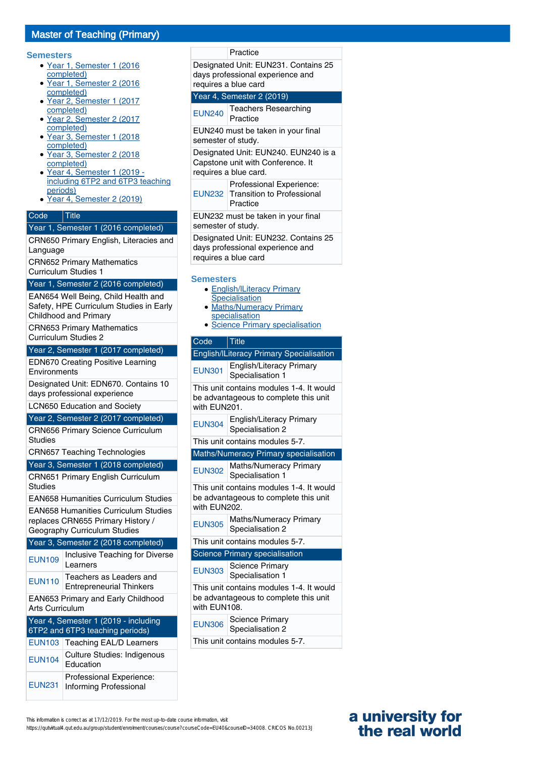## Master of Teaching (Primary)

#### **Semesters**

- Year 1, Semester 1 (2016 completed)
- Year 1, Semester 2 (2016 completed)
- Year 2, Semester 1 (2017 completed) ●
- Year 2, Semester 2 (2017 completed) ●
- Year 3, Semester 1 (2018 completed)
- Year 3, Semester 2 (2018 completed)
- Year 4, Semester 1 (2019 including 6TP2 and 6TP3 teaching periods)
- Year 4, Semester 2 (2019)

#### Code Title

#### Year 1, Semester 1 (2016 completed)

CRN650 Primary English, Literacies and Language CRN652 Primary Mathematics

Curriculum Studies 1

#### Year 1, Semester 2 (2016 completed)

EAN654 Well Being, Child Health and Safety, HPE Curriculum Studies in Early Childhood and Primary

CRN653 Primary Mathematics

Curriculum Studies 2

Year 2, Semester 1 (2017 completed)

EDN670 Creating Positive Learning **Environments** 

Designated Unit: EDN670. Contains 10 days professional experience

LCN650 Education and Society

#### Year 2, Semester 2 (2017 completed)

CRN656 Primary Science Curriculum Studies

CRN657 Teaching Technologies

Year 3, Semester 1 (2018 completed)

CRN651 Primary English Curriculum Studies EAN658 Humanities Curriculum Studies EAN658 Humanities Curriculum Studies replaces CRN655 Primary History / Geography Curriculum Studies Year 3, Semester 2 (2018 completed) EUN109 Inclusive Teaching for Diverse Learners EUN110 Teachers as Leaders and Entrepreneurial Thinkers EAN653 Primary and Early Childhood Arts Curriculum

### Year 4, Semester 1 (2019 - including 6TP2 and 6TP3 teaching periods) EUN103 Teaching EAL/D Learners EUN104 Culture Studies: Indigenous Education EUN231 Informing Professional Professional Experience:

days professional experience and requires a blue card Year 4, Semester 2 (2019) EUN240 Teachers Researching Practice EUN240 must be taken in your final semester of study. Designated Unit: EUN240. EUN240 is a Capstone unit with Conference. It requires a blue card. EUN232 Transition to Professional Professional Experience: Practice EUN232 must be taken in your final semester of study. Designated Unit: EUN232. Contains 25 days professional experience and requires a blue card **Semesters** • English/ILiteracy Primary Specialisation • Maths/Numeracy Primary specialisation

**Practice** 

Designated Unit: EUN231. Contains 25

• Science Primary specialisation

| Code | <b>Title</b> |
|------|--------------|

| <b>English/ILiteracy Primary Specialisation</b>                                                   |                                                     |  |
|---------------------------------------------------------------------------------------------------|-----------------------------------------------------|--|
| <b>EUN301</b>                                                                                     | <b>English/Literacy Primary</b><br>Specialisation 1 |  |
| This unit contains modules 1-4. It would<br>be advantageous to complete this unit<br>with EUN201. |                                                     |  |
| <b>EUN304</b>                                                                                     | English/Literacy Primary<br>Specialisation 2        |  |
| This unit contains modules 5-7.                                                                   |                                                     |  |
|                                                                                                   | Maths/Numeracy Primary specialisation               |  |
| <b>EUN302</b>                                                                                     | Maths/Numeracy Primary<br>Specialisation 1          |  |
| This unit contains modules 1-4. It would<br>be advantageous to complete this unit<br>with EUN202. |                                                     |  |
| <b>EUN305</b>                                                                                     | Maths/Numeracy Primary<br>Specialisation 2          |  |
| This unit contains modules 5-7.                                                                   |                                                     |  |
|                                                                                                   | Science Primary specialisation                      |  |
| <b>EUN303</b>                                                                                     | <b>Science Primary</b><br>Specialisation 1          |  |
| This unit contains modules 1-4. It would<br>be advantageous to complete this unit<br>with EUN108. |                                                     |  |
| <b>EUN306</b>                                                                                     | Science Primary<br>Specialisation 2                 |  |
| This unit contains modules 5-7.                                                                   |                                                     |  |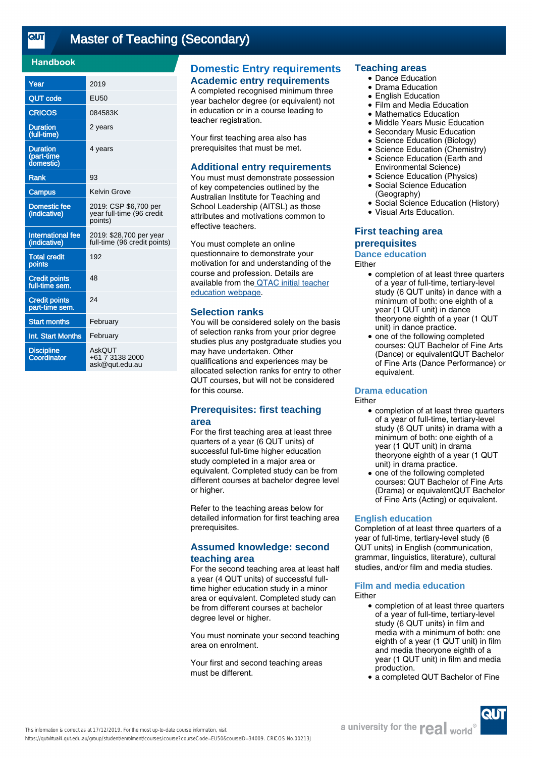$\overline{\text{etr}}$ 

## [Master of Teaching \(Secondary\)](https://qutvirtual4.qut.edu.au/group/student/enrolment/courses/course?courseCode=EU50&courseID=34009)

### **Handbook**

| Year                                       | 2019                                                          |
|--------------------------------------------|---------------------------------------------------------------|
| <b>QUT</b> code                            | <b>EU50</b>                                                   |
| <b>CRICOS</b>                              | 084583K                                                       |
| <b>Duration</b><br>(full-time)             | 2 years                                                       |
| <b>Duration</b><br>(part-time<br>domestic) | 4 years                                                       |
| <b>Rank</b>                                | 93                                                            |
| Campus                                     | Kelvin Grove                                                  |
| <b>Domestic fee</b><br>(indicative)        | 2019: CSP \$6,700 per<br>year full-time (96 credit<br>points) |
| <b>International fee</b><br>(indicative)   | 2019: \$28,700 per year<br>full-time (96 credit points)       |
| <b>Total credit</b><br>points              | 192                                                           |
| <b>Credit points</b><br>full-time sem.     | 48                                                            |
| <b>Credit points</b><br>part-time sem.     | 24                                                            |
| <b>Start months</b>                        | February                                                      |
| Int. Start Months                          | February                                                      |
| <b>Discipline</b><br>Coordinator           | AskOUT<br>+61 7 3138 2000<br>ask@qut.edu.au                   |

## **Domestic Entry requirements Academic entry requirements**

A completed recognised minimum three year bachelor degree (or equivalent) not in education or in a course leading to teacher registration.

Your first teaching area also has prerequisites that must be met.

#### **Additional entry requirements**

You must must demonstrate possession of key competencies outlined by the Australian Institute for Teaching and School Leadership (AITSL) as those attributes and motivations common to effective teachers.

You must complete an online questionnaire to demonstrate your motivation for and understanding of the course and profession. Details are available from th[e QTAC initial teacher](https://www.qtac.edu.au/courses---institutions/teacher-entry) [education webpage](https://www.qtac.edu.au/courses---institutions/teacher-entry).

#### **Selection ranks**

You will be considered solely on the basis of selection ranks from your prior degree studies plus any postgraduate studies you may have undertaken. Other qualifications and experiences may be allocated selection ranks for entry to other QUT courses, but will not be considered for this course.

## **Prerequisites: first teaching area**

For the first teaching area at least three quarters of a year (6 QUT units) of successful full-time higher education study completed in a major area or equivalent. Completed study can be from different courses at bachelor degree level or higher.

Refer to the teaching areas below for detailed information for first teaching area prerequisites.

## **Assumed knowledge: second teaching area**

For the second teaching area at least half a year (4 QUT units) of successful fulltime higher education study in a minor area or equivalent. Completed study can be from different courses at bachelor degree level or higher.

You must nominate your second teaching area on enrolment.

Your first and second teaching areas must be different.

#### **Teaching areas**

- Dance Education
- Drama Education
- **English Education**
- Film and Media Education
- **Mathematics Education**
- Middle Years Music Education
- **Secondary Music Education**
- Science Education (Biology)
- Science Education (Chemistry) Science Education (Earth and  $\bullet$
- Environmental Science) • Science Education (Physics)
- Social Science Education  $\bullet$
- (Geography)
- Social Science Education (History)
- Visual Arts Education.

## **First teaching area prerequisites**

#### **Dance education**

Either

- completion of at least three quarters of a year of full-time, tertiary-level study (6 QUT units) in dance with a minimum of both: one eighth of a year (1 QUT unit) in dance theoryone eighth of a year (1 QUT unit) in dance practice.
- one of the following completed courses: QUT Bachelor of Fine Arts (Dance) or equivalentQUT Bachelor of Fine Arts (Dance Performance) or equivalent. ●

### **Drama education**

#### **Either**

- completion of at least three quarters of a year of full-time, tertiary-level study (6 QUT units) in drama with a minimum of both: one eighth of a year (1 QUT unit) in drama theoryone eighth of a year (1 QUT unit) in drama practice.
- one of the following completed courses: QUT Bachelor of Fine Arts (Drama) or equivalentQUT Bachelor of Fine Arts (Acting) or equivalent. ●

#### **English education**

Completion of at least three quarters of a year of full-time, tertiary-level study (6 QUT units) in English (communication, grammar, linguistics, literature), cultural studies, and/or film and media studies.

## **Film and media education**

- Either
	- completion of at least three quarters of a year of full-time, tertiary-level study (6 QUT units) in film and media with a minimum of both: one eighth of a year (1 QUT unit) in film and media theoryone eighth of a year (1 QUT unit) in film and media production.
	- a completed QUT Bachelor of Fine

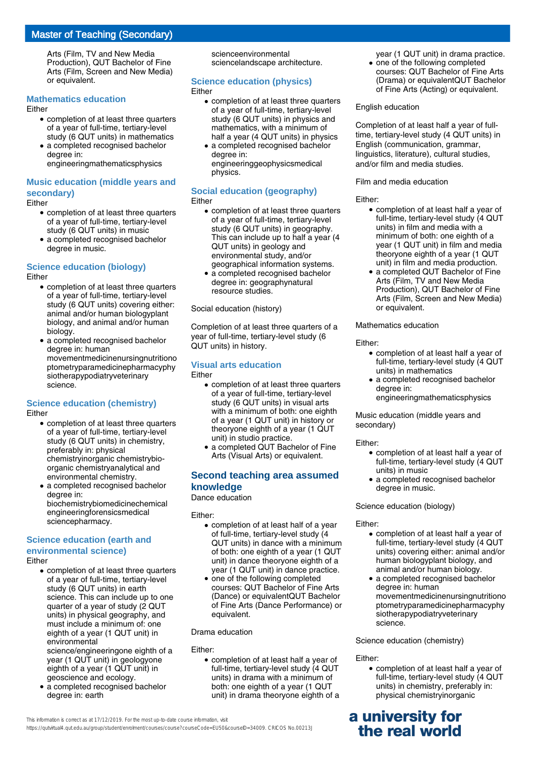## Master of Teaching (Secondary)

Arts (Film, TV and New Media Production), QUT Bachelor of Fine Arts (Film, Screen and New Media) or equivalent.

### **Mathematics education**

#### Either

- completion of at least three quarters of a year of full-time, tertiary-level study (6 QUT units) in mathematics
- a completed recognised bachelor degree in:

engineeringmathematicsphysics

### **Music education (middle years and secondary)**

#### Either

- completion of at least three quarters of a year of full-time, tertiary-level study (6 QUT units) in music
- a completed recognised bachelor degree in music.

## **Science education (biology)**

#### Either

- completion of at least three quarters of a year of full-time, tertiary-level study (6 QUT units) covering either: animal and/or human biologyplant biology, and animal and/or human biology.
- a completed recognised bachelor degree in: human movementmedicinenursingnutritiono ptometryparamedicinepharmacyphy siotherapypodiatryveterinary science.

#### **Science education (chemistry)**

#### Either

- completion of at least three quarters of a year of full-time, tertiary-level study (6 QUT units) in chemistry, preferably in: physical chemistryinorganic chemistrybioorganic chemistryanalytical and environmental chemistry.
- a completed recognised bachelor degree in: biochemistrybiomedicinechemical engineeringforensicsmedical sciencepharmacy.

#### **Science education (earth and environmental science)**

#### Either

• completion of at least three quarters of a year of full-time, tertiary-level study (6 QUT units) in earth science. This can include up to one quarter of a year of study (2 QUT units) in physical geography, and must include a minimum of: one eighth of a year (1 QUT unit) in environmental

science/engineeringone eighth of a year (1 QUT unit) in geologyone eighth of a year (1 QUT unit) in geoscience and ecology.

a completed recognised bachelor degree in: earth ●

scienceenvironmental sciencelandscape architecture.

## **Science education (physics)**

#### Either

- completion of at least three quarters of a year of full-time, tertiary-level study (6 QUT units) in physics and mathematics, with a minimum of half a year (4 QUT units) in physics
- a completed recognised bachelor degree in: engineeringgeophysicsmedical physics.

#### **Social education (geography)** Either

- completion of at least three quarters of a year of full-time, tertiary-level study (6 QUT units) in geography. This can include up to half a year (4 QUT units) in geology and environmental study, and/or geographical information systems.
- a completed recognised bachelor degree in: geographynatural resource studies.

#### Social education (history)

Completion of at least three quarters of a year of full-time, tertiary-level study (6 QUT units) in history.

#### **Visual arts education** Either

- completion of at least three quarters of a year of full-time, tertiary-level study (6 QUT units) in visual arts with a minimum of both: one eighth of a year (1 QUT unit) in history or theoryone eighth of a year (1 QUT unit) in studio practice.
- a completed QUT Bachelor of Fine Arts (Visual Arts) or equivalent.

## **Second teaching area assumed knowledge**

#### Dance education

Either:

- completion of at least half of a year of full-time, tertiary-level study (4 QUT units) in dance with a minimum of both: one eighth of a year (1 QUT unit) in dance theoryone eighth of a year (1 QUT unit) in dance practice.
- one of the following completed courses: QUT Bachelor of Fine Arts (Dance) or equivalentQUT Bachelor of Fine Arts (Dance Performance) or equivalent.

#### Drama education

Either:

• completion of at least half a year of full-time, tertiary-level study (4 QUT units) in drama with a minimum of both: one eighth of a year (1 QUT unit) in drama theoryone eighth of a

year (1 QUT unit) in drama practice. • one of the following completed

courses: QUT Bachelor of Fine Arts (Drama) or equivalentQUT Bachelor of Fine Arts (Acting) or equivalent.

#### English education

Completion of at least half a year of fulltime, tertiary-level study (4 QUT units) in English (communication, grammar, linguistics, literature), cultural studies, and/or film and media studies.

#### Film and media education

#### Either:

- completion of at least half a year of full-time, tertiary-level study (4 QUT units) in film and media with a minimum of both: one eighth of a year (1 QUT unit) in film and media theoryone eighth of a year (1 QUT unit) in film and media production.
- a completed QUT Bachelor of Fine Arts (Film, TV and New Media Production), QUT Bachelor of Fine Arts (Film, Screen and New Media) or equivalent.

#### Mathematics education

Either:

- completion of at least half a year of full-time, tertiary-level study (4 QUT units) in mathematics
- a completed recognised bachelor degree in: engineeringmathematicsphysics

Music education (middle years and secondary)

#### Either:

- completion of at least half a year of full-time, tertiary-level study (4 QUT units) in music
- a completed recognised bachelor degree in music.

#### Science education (biology)

#### Either:

- completion of at least half a year of full-time, tertiary-level study (4 QUT units) covering either: animal and/or human biologyplant biology, and animal and/or human biology.
- a completed recognised bachelor degree in: human movementmedicinenursingnutritiono ptometryparamedicinepharmacyphy siotherapypodiatryveterinary science.

#### Science education (chemistry)

#### Either:

• completion of at least half a year of full-time, tertiary-level study (4 QUT units) in chemistry, preferably in: physical chemistryinorganic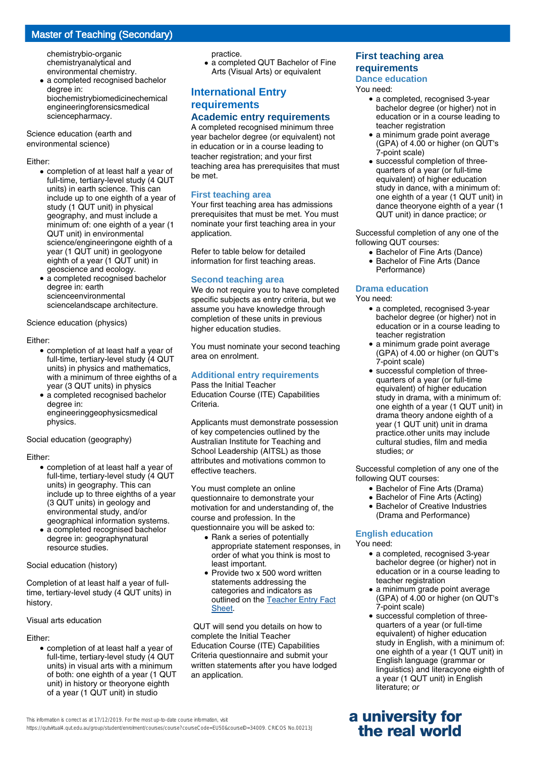# Master of Teaching (Secondary)

chemistrybio-organic chemistryanalytical and environmental chemistry.

a completed recognised bachelor degree in: biochemistrybiomedicinechemical engineeringforensicsmedical sciencepharmacy. ●

Science education (earth and environmental science)

#### Either:

- completion of at least half a year of full-time, tertiary-level study (4 QUT units) in earth science. This can include up to one eighth of a year of study (1 QUT unit) in physical geography, and must include a minimum of: one eighth of a year (1 QUT unit) in environmental science/engineeringone eighth of a year (1 QUT unit) in geologyone eighth of a year (1 QUT unit) in geoscience and ecology.
- a completed recognised bachelor degree in: earth scienceenvironmental sciencelandscape architecture.

Science education (physics)

#### Either:

- completion of at least half a year of full-time, tertiary-level study (4 QUT units) in physics and mathematics, with a minimum of three eighths of a year (3 QUT units) in physics
- a completed recognised bachelor degree in: engineeringgeophysicsmedical physics.

Social education (geography)

#### Either:

- completion of at least half a year of full-time, tertiary-level study (4 QUT units) in geography. This can include up to three eighths of a year (3 QUT units) in geology and environmental study, and/or geographical information systems.
- a completed recognised bachelor degree in: geographynatural resource studies.

Social education (history)

Completion of at least half a year of fulltime, tertiary-level study (4 QUT units) in history.

#### Visual arts education

#### Either:

• completion of at least half a year of full-time, tertiary-level study (4 QUT units) in visual arts with a minimum of both: one eighth of a year (1 QUT unit) in history or theoryone eighth of a year (1 QUT unit) in studio

practice.

• a completed QUT Bachelor of Fine Arts (Visual Arts) or equivalent

## **International Entry requirements Academic entry requirements**

A completed recognised minimum three year bachelor degree (or equivalent) not in education or in a course leading to teacher registration; and your first teaching area has prerequisites that must be met.

### **First teaching area**

Your first teaching area has admissions prerequisites that must be met. You must nominate your first teaching area in your application.

Refer to table below for detailed information for first teaching areas.

### **Second teaching area**

We do not require you to have completed specific subjects as entry criteria, but we assume you have knowledge through completion of these units in previous higher education studies.

You must nominate your second teaching area on enrolment.

### **Additional entry requirements**

Pass the Initial Teacher Education Course (ITE) Capabilities **Criteria** 

Applicants must demonstrate possession of key competencies outlined by the Australian Institute for Teaching and School Leadership (AITSL) as those attributes and motivations common to effective teachers.

You must complete an online questionnaire to demonstrate your motivation for and understanding of, the course and profession. In the questionnaire you will be asked to:

- Rank a series of potentially appropriate statement responses, in order of what you think is most to least important.
- Provide two x 500 word written statements addressing the categories and indicators as outlined on the [Teacher Entry Fact](https://www.qtac.edu.au/ArticleDocuments/173/Teacher%20Entry%20Fact%20Sheet.pdf.aspx) [Sheet.](https://www.qtac.edu.au/ArticleDocuments/173/Teacher%20Entry%20Fact%20Sheet.pdf.aspx)

 QUT will send you details on how to complete the Initial Teacher Education Course (ITE) Capabilities Criteria questionnaire and submit your written statements after you have lodged an application.

### **First teaching area requirements**

#### **Dance education**

You need:

- a completed, recognised 3-year bachelor degree (or higher) not in education or in a course leading to teacher registration
- a minimum grade point average (GPA) of 4.00 or higher (on QUT's 7-point scale)
- successful completion of threequarters of a year (or full-time equivalent) of higher education study in dance, with a minimum of: one eighth of a year (1 QUT unit) in dance theoryone eighth of a year (1 QUT unit) in dance practice; or

Successful completion of any one of the following QUT courses:

- Bachelor of Fine Arts (Dance)
- Bachelor of Fine Arts (Dance
- Performance)

#### **Drama education**

You need:

- a completed, recognised 3-year bachelor degree (or higher) not in education or in a course leading to teacher registration
- a minimum grade point average (GPA) of 4.00 or higher (on QUT's 7-point scale)
- successful completion of threequarters of a year (or full-time equivalent) of higher education study in drama, with a minimum of: one eighth of a year (1 QUT unit) in drama theory andone eighth of a year (1 QUT unit) unit in drama practice.other units may include cultural studies, film and media studies; or

Successful completion of any one of the following QUT courses:

- Bachelor of Fine Arts (Drama)
- Bachelor of Fine Arts (Acting)
- Bachelor of Creative Industries (Drama and Performance)

### **English education**

You need:

- a completed, recognised 3-year bachelor degree (or higher) not in education or in a course leading to teacher registration
- a minimum grade point average (GPA) of 4.00 or higher (on QUT's 7-point scale)
- successful completion of threequarters of a year (or full-time equivalent) of higher education study in English, with a minimum of: one eighth of a year (1 QUT unit) in English language (grammar or linguistics) and literacyone eighth of a year (1 QUT unit) in English literature; or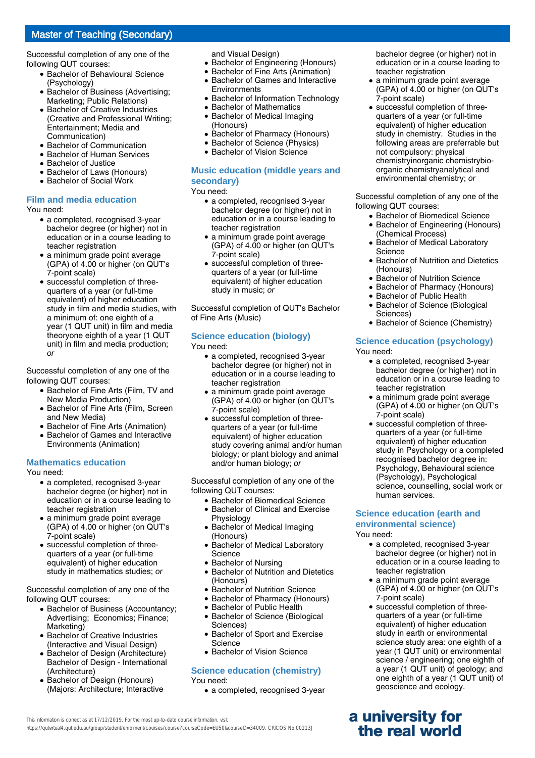Successful completion of any one of the following QUT courses:

- Bachelor of Behavioural Science (Psychology)
- Bachelor of Business (Advertising; Marketing; Public Relations)
- Bachelor of Creative Industries (Creative and Professional Writing; Entertainment; Media and Communication)
- Bachelor of Communication
- **Bachelor of Human Services**
- Bachelor of Justice
- **Bachelor of Laws (Honours)**
- Bachelor of Social Work

#### **Film and media education**

You need:

- a completed, recognised 3-year bachelor degree (or higher) not in education or in a course leading to teacher registration
- a minimum grade point average (GPA) of 4.00 or higher (on QUT's 7-point scale)
- successful completion of threequarters of a year (or full-time equivalent) of higher education study in film and media studies, with a minimum of: one eighth of a year (1 QUT unit) in film and media theoryone eighth of a year (1 QUT unit) in film and media production; or

Successful completion of any one of the following QUT courses:

- Bachelor of Fine Arts (Film, TV and New Media Production)
- Bachelor of Fine Arts (Film, Screen and New Media)
- Bachelor of Fine Arts (Animation)
- Bachelor of Games and Interactive Environments (Animation)

#### **Mathematics education**

You need:

- a completed, recognised 3-year bachelor degree (or higher) not in education or in a course leading to teacher registration
- a minimum grade point average (GPA) of 4.00 or higher (on QUT's 7-point scale)
- successful completion of threequarters of a year (or full-time equivalent) of higher education study in mathematics studies; or

Successful completion of any one of the following QUT courses:

- Bachelor of Business (Accountancy; Advertising; Economics; Finance; Marketing)
- Bachelor of Creative Industries (Interactive and Visual Design)
- Bachelor of Design (Architecture) Bachelor of Design - International (Architecture)
- Bachelor of Design (Honours) (Majors: Architecture; Interactive ●

and Visual Design)

- Bachelor of Engineering (Honours)
- Bachelor of Fine Arts (Animation)
- Bachelor of Games and Interactive Environments ●
- Bachelor of Information Technology
- Bachelor of Mathematics
- Bachelor of Medical Imaging (Honours)
- Bachelor of Pharmacy (Honours)
- Bachelor of Science (Physics)
- Bachelor of Vision Science

#### **Music education (middle years and secondary)**

You need:

- a completed, recognised 3-year bachelor degree (or higher) not in education or in a course leading to teacher registration
- a minimum grade point average (GPA) of 4.00 or higher (on QUT's 7-point scale)
- successful completion of threequarters of a year (or full-time equivalent) of higher education study in music; or

Successful completion of QUT's Bachelor of Fine Arts (Music)

# **Science education (biology)**

You need:

- a completed, recognised 3-year bachelor degree (or higher) not in education or in a course leading to teacher registration
- a minimum grade point average (GPA) of 4.00 or higher (on QUT's 7-point scale)
- successful completion of threequarters of a year (or full-time equivalent) of higher education study covering animal and/or human biology; or plant biology and animal and/or human biology; or

Successful completion of any one of the following QUT courses:

- Bachelor of Biomedical Science
- Bachelor of Clinical and Exercise Physiology
- Bachelor of Medical Imaging (Honours)
- Bachelor of Medical Laboratory Science
- Bachelor of Nursing
- Bachelor of Nutrition and Dietetics (Honours)
- Bachelor of Nutrition Science
- Bachelor of Pharmacy (Honours)
- Bachelor of Public Health
- Bachelor of Science (Biological Sciences)  $\bullet$
- Bachelor of Sport and Exercise **Science** ●
- Bachelor of Vision Science

#### **Science education (chemistry)** You need:

• a completed, recognised 3-year

bachelor degree (or higher) not in education or in a course leading to teacher registration

- a minimum grade point average (GPA) of 4.00 or higher (on QUT's 7-point scale) ●
- successful completion of threequarters of a year (or full-time equivalent) of higher education study in chemistry. Studies in the following areas are preferrable but not compulsory: physical chemistryinorganic chemistrybioorganic chemistryanalytical and environmental chemistry; or

Successful completion of any one of the following QUT courses:

- Bachelor of Biomedical Science
- Bachelor of Engineering (Honours) (Chemical Process)
- Bachelor of Medical Laboratory Science ●
- Bachelor of Nutrition and Dietetics (Honours)
- Bachelor of Nutrition Science
- Bachelor of Pharmacy (Honours)
- Bachelor of Public Health
- Bachelor of Science (Biological Sciences)  $\bullet$
- Bachelor of Science (Chemistry)

### **Science education (psychology)**

You need:

- a completed, recognised 3-year bachelor degree (or higher) not in education or in a course leading to teacher registration
- a minimum grade point average (GPA) of 4.00 or higher (on QUT's 7-point scale)
- successful completion of threequarters of a year (or full-time equivalent) of higher education study in Psychology or a completed recognised bachelor degree in: Psychology, Behavioural science (Psychology), Psychological science, counselling, social work or human services.

#### **Science education (earth and environmental science)** You need:

- a completed, recognised 3-year bachelor degree (or higher) not in education or in a course leading to teacher registration
- a minimum grade point average (GPA) of 4.00 or higher (on QUT's 7-point scale)
- successful completion of threequarters of a year (or full-time equivalent) of higher education study in earth or environmental science study area: one eighth of a year (1 QUT unit) or environmental science / engineering; one eighth of a year (1 QUT unit) of geology; and one eighth of a year (1 QUT unit) of geoscience and ecology.

# **a university for the real world**

This information is correct as at 17/12/2019. For the most up-to-date course information, visit https://qutvirtual4.qut.edu.au/group/student/enrolment/courses/course?courseCode=EU50&courseID=34009. CRICOS No.00213J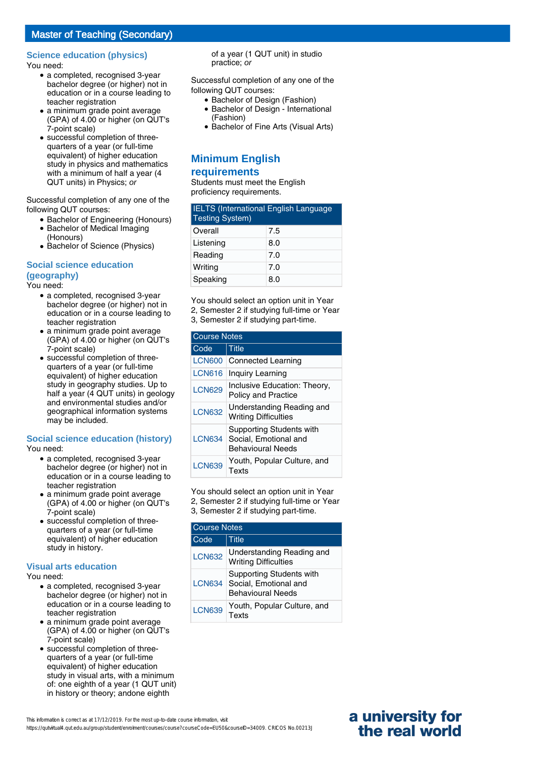# **Science education (physics)**

You need:

- a completed, recognised 3-year bachelor degree (or higher) not in education or in a course leading to teacher registration
- a minimum grade point average (GPA) of 4.00 or higher (on QUT's 7-point scale)
- successful completion of threequarters of a year (or full-time equivalent) of higher education study in physics and mathematics with a minimum of half a year (4 QUT units) in Physics; or

Successful completion of any one of the following QUT courses:

- Bachelor of Engineering (Honours)
- Bachelor of Medical Imaging (Honours)
- Bachelor of Science (Physics)

# **Social science education (geography)**

You need:

- a completed, recognised 3-year bachelor degree (or higher) not in education or in a course leading to teacher registration
- a minimum grade point average (GPA) of 4.00 or higher (on QUT's 7-point scale)
- successful completion of threequarters of a year (or full-time equivalent) of higher education study in geography studies. Up to half a year (4 QUT units) in geology and environmental studies and/or geographical information systems may be included.

# **Social science education (history)**

You need:

- a completed, recognised 3-year bachelor degree (or higher) not in education or in a course leading to teacher registration
- a minimum grade point average (GPA) of 4.00 or higher (on QUT's 7-point scale)
- successful completion of threequarters of a year (or full-time equivalent) of higher education study in history.

#### **Visual arts education**

You need:

- a completed, recognised 3-year bachelor degree (or higher) not in education or in a course leading to teacher registration
- a minimum grade point average (GPA) of 4.00 or higher (on QUT's 7-point scale)
- successful completion of threequarters of a year (or full-time equivalent) of higher education study in visual arts, with a minimum of: one eighth of a year (1 QUT unit) in history or theory; andone eighth

of a year (1 QUT unit) in studio practice; or

Successful completion of any one of the following QUT courses:

- Bachelor of Design (Fashion)
- Bachelor of Design International (Fashion)
- Bachelor of Fine Arts (Visual Arts)

# **Minimum English requirements**

Students must meet the English proficiency requirements.

| <b>IELTS</b> (International English Language<br><b>Testing System)</b> |     |
|------------------------------------------------------------------------|-----|
| Overall                                                                | 7.5 |
| Listening                                                              | 8.0 |
| Reading                                                                | 7.0 |
| Writing                                                                | 7.0 |
| Speaking                                                               | 8.0 |

You should select an option unit in Year 2, Semester 2 if studying full-time or Year 3, Semester 2 if studying part-time.

| <b>Course Notes</b> |                                                                                      |
|---------------------|--------------------------------------------------------------------------------------|
| Code                | <b>Title</b>                                                                         |
| <b>LCN600</b>       | <b>Connected Learning</b>                                                            |
| <b>LCN616</b>       | Inquiry Learning                                                                     |
| <b>LCN629</b>       | Inclusive Education: Theory,<br><b>Policy and Practice</b>                           |
| <b>LCN632</b>       | Understanding Reading and<br><b>Writing Difficulties</b>                             |
| <b>LCN634</b>       | <b>Supporting Students with</b><br>Social, Emotional and<br><b>Behavioural Needs</b> |
| <b>LCN639</b>       | Youth, Popular Culture, and<br>Texts                                                 |

You should select an option unit in Year 2, Semester 2 if studying full-time or Year 3, Semester 2 if studying part-time.

| <b>Course Notes</b> |                                                                                      |  |
|---------------------|--------------------------------------------------------------------------------------|--|
| Code                | <b>Title</b>                                                                         |  |
| <b>LCN632</b>       | Understanding Reading and<br><b>Writing Difficulties</b>                             |  |
| <b>LCN634</b>       | <b>Supporting Students with</b><br>Social, Emotional and<br><b>Behavioural Needs</b> |  |
| <b>LCN639</b>       | Youth, Popular Culture, and<br>exts:                                                 |  |

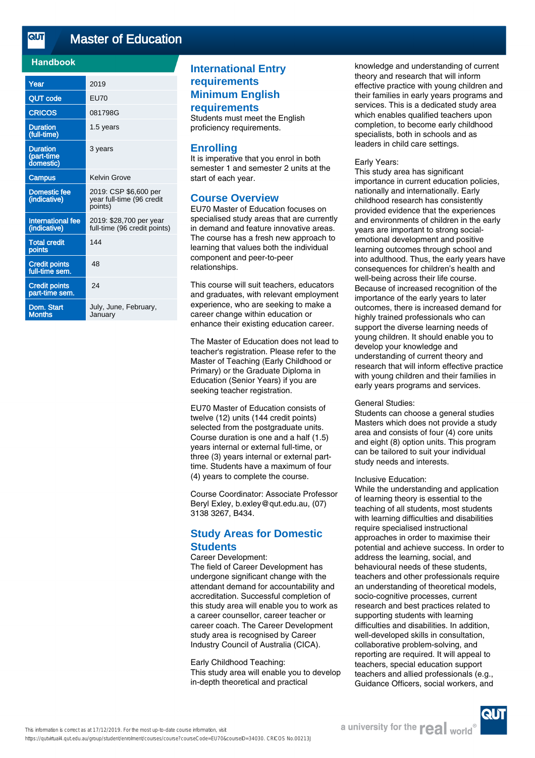<u>तान</u> [Master of Education](https://qutvirtual4.qut.edu.au/group/student/enrolment/courses/course?courseCode=EU70&courseID=34030)

### **Handbook**

| Year                                       | 2019                                                          |
|--------------------------------------------|---------------------------------------------------------------|
| <b>QUT code</b>                            | <b>FU70</b>                                                   |
| <b>CRICOS</b>                              | 081798G                                                       |
| <b>Duration</b><br>(full-time)             | 1.5 years                                                     |
| <b>Duration</b><br>(part-time<br>domestic) | 3 years                                                       |
| <b>Campus</b>                              | <b>Kelvin Grove</b>                                           |
| Domestic fee<br>(indicative)               | 2019: CSP \$6,600 per<br>year full-time (96 credit<br>points) |
| <b>International fee</b><br>(indicative)   | 2019: \$28,700 per year<br>full-time (96 credit points)       |
| <b>Total credit</b><br>points              | 144                                                           |
| <b>Credit points</b><br>full-time sem.     | 48                                                            |
| <b>Credit points</b><br>part-time sem.     | 24                                                            |
| Dom. Start<br><b>Months</b>                | July, June, February,<br>January                              |

# **International Entry requirements Minimum English requirements**

Students must meet the English proficiency requirements.

### **Enrolling**

It is imperative that you enrol in both semester 1 and semester 2 units at the start of each year.

### **Course Overview**

EU70 Master of Education focuses on specialised study areas that are currently in demand and feature innovative areas. The course has a fresh new approach to learning that values both the individual component and peer-to-peer relationships.

This course will suit teachers, educators and graduates, with relevant employment experience, who are seeking to make a career change within education or enhance their existing education career.

The Master of Education does not lead to teacher's registration. Please refer to the Master of Teaching (Early Childhood or Primary) or the Graduate Diploma in Education (Senior Years) if you are seeking teacher registration.

EU70 Master of Education consists of twelve (12) units (144 credit points) selected from the postgraduate units. Course duration is one and a half (1.5) years internal or external full-time, or three (3) years internal or external parttime. Students have a maximum of four (4) years to complete the course.

Course Coordinator: Associate Professor Beryl Exley, b.exley@qut.edu.au, (07) 3138 3267, B434.

# **Study Areas for Domestic Students**

### Career Development:

The field of Career Development has undergone significant change with the attendant demand for accountability and accreditation. Successful completion of this study area will enable you to work as a career counsellor, career teacher or career coach. The Career Development study area is recognised by Career Industry Council of Australia (CICA).

Early Childhood Teaching: This study area will enable you to develop in-depth theoretical and practical

knowledge and understanding of current theory and research that will inform effective practice with young children and their families in early years programs and services. This is a dedicated study area which enables qualified teachers upon completion, to become early childhood specialists, both in schools and as leaders in child care settings.

#### Early Years:

This study area has significant importance in current education policies, nationally and internationally. Early childhood research has consistently provided evidence that the experiences and environments of children in the early years are important to strong socialemotional development and positive learning outcomes through school and into adulthood. Thus, the early years have consequences for children's health and well-being across their life course. Because of increased recognition of the importance of the early years to later outcomes, there is increased demand for highly trained professionals who can support the diverse learning needs of young children. It should enable you to develop your knowledge and understanding of current theory and research that will inform effective practice with young children and their families in early years programs and services.

#### General Studies:

Students can choose a general studies Masters which does not provide a study area and consists of four (4) core units and eight (8) option units. This program can be tailored to suit your individual study needs and interests.

#### Inclusive Education:

While the understanding and application of learning theory is essential to the teaching of all students, most students with learning difficulties and disabilities require specialised instructional approaches in order to maximise their potential and achieve success. In order to address the learning, social, and behavioural needs of these students, teachers and other professionals require an understanding of theoretical models, socio-cognitive processes, current research and best practices related to supporting students with learning difficulties and disabilities. In addition, well-developed skills in consultation, collaborative problem-solving, and reporting are required. It will appeal to teachers, special education support teachers and allied professionals (e.g., Guidance Officers, social workers, and

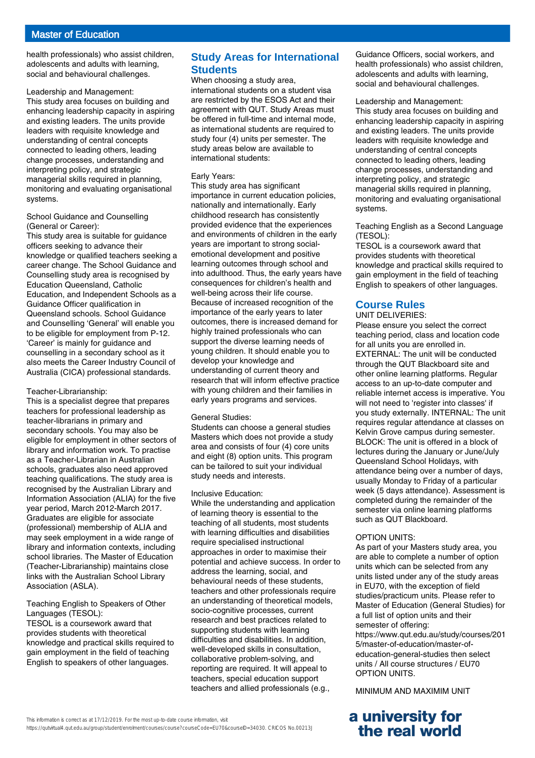health professionals) who assist children, adolescents and adults with learning, social and behavioural challenges.

#### Leadership and Management:

This study area focuses on building and enhancing leadership capacity in aspiring and existing leaders. The units provide leaders with requisite knowledge and understanding of central concepts connected to leading others, leading change processes, understanding and interpreting policy, and strategic managerial skills required in planning, monitoring and evaluating organisational systems.

#### School Guidance and Counselling (General or Career):

This study area is suitable for guidance officers seeking to advance their knowledge or qualified teachers seeking a career change. The School Guidance and Counselling study area is recognised by Education Queensland, Catholic Education, and Independent Schools as a Guidance Officer qualification in Queensland schools. School Guidance and Counselling 'General' will enable you to be eligible for employment from P-12. 'Career' is mainly for guidance and counselling in a secondary school as it also meets the Career Industry Council of Australia (CICA) professional standards.

#### Teacher-Librarianship:

This is a specialist degree that prepares teachers for professional leadership as teacher-librarians in primary and secondary schools. You may also be eligible for employment in other sectors of library and information work. To practise as a Teacher-Librarian in Australian schools, graduates also need approved teaching qualifications. The study area is recognised by the Australian Library and Information Association (ALIA) for the five year period, March 2012-March 2017. Graduates are eligible for associate (professional) membership of ALIA and may seek employment in a wide range of library and information contexts, including school libraries. The Master of Education (Teacher-Librarianship) maintains close links with the Australian School Library Association (ASLA).

#### Teaching English to Speakers of Other Languages (TESOL):

TESOL is a coursework award that provides students with theoretical knowledge and practical skills required to gain employment in the field of teaching English to speakers of other languages.

# **Study Areas for International Students**

When choosing a study area, international students on a student visa are restricted by the ESOS Act and their agreement with QUT. Study Areas must be offered in full-time and internal mode, as international students are required to study four (4) units per semester. The study areas below are available to international students:

#### Early Years:

This study area has significant importance in current education policies, nationally and internationally. Early childhood research has consistently provided evidence that the experiences and environments of children in the early years are important to strong socialemotional development and positive learning outcomes through school and into adulthood. Thus, the early years have consequences for children's health and well-being across their life course. Because of increased recognition of the importance of the early years to later outcomes, there is increased demand for highly trained professionals who can support the diverse learning needs of young children. It should enable you to develop your knowledge and understanding of current theory and research that will inform effective practice with young children and their families in early years programs and services.

#### General Studies:

Students can choose a general studies Masters which does not provide a study area and consists of four (4) core units and eight (8) option units. This program can be tailored to suit your individual study needs and interests.

#### Inclusive Education:

While the understanding and application of learning theory is essential to the teaching of all students, most students with learning difficulties and disabilities require specialised instructional approaches in order to maximise their potential and achieve success. In order to address the learning, social, and behavioural needs of these students, teachers and other professionals require an understanding of theoretical models, socio-cognitive processes, current research and best practices related to supporting students with learning difficulties and disabilities. In addition, well-developed skills in consultation, collaborative problem-solving, and reporting are required. It will appeal to teachers, special education support teachers and allied professionals (e.g.,

Guidance Officers, social workers, and health professionals) who assist children, adolescents and adults with learning, social and behavioural challenges.

#### Leadership and Management:

This study area focuses on building and enhancing leadership capacity in aspiring and existing leaders. The units provide leaders with requisite knowledge and understanding of central concepts connected to leading others, leading change processes, understanding and interpreting policy, and strategic managerial skills required in planning, monitoring and evaluating organisational systems.

#### Teaching English as a Second Language (TESOL):

TESOL is a coursework award that provides students with theoretical knowledge and practical skills required to gain employment in the field of teaching English to speakers of other languages.

# **Course Rules**

#### UNIT DELIVERIES:

Please ensure you select the correct teaching period, class and location code for all units you are enrolled in. EXTERNAL: The unit will be conducted through the QUT Blackboard site and other online learning platforms. Regular access to an up-to-date computer and reliable internet access is imperative. You will not need to 'register into classes' if you study externally. INTERNAL: The unit requires regular attendance at classes on Kelvin Grove campus during semester. BLOCK: The unit is offered in a block of lectures during the January or June/July Queensland School Holidays, with attendance being over a number of days, usually Monday to Friday of a particular week (5 days attendance). Assessment is completed during the remainder of the semester via online learning platforms such as QUT Blackboard.

#### OPTION UNITS:

As part of your Masters study area, you are able to complete a number of option units which can be selected from any units listed under any of the study areas in EU70, with the exception of field studies/practicum units. Please refer to Master of Education (General Studies) for a full list of option units and their semester of offering:

https://www.qut.edu.au/study/courses/201 5/master-of-education/master-ofeducation-general-studies then select units / All course structures / EU70 OPTION UNITS.

MINIMUM AND MAXIMIM UNIT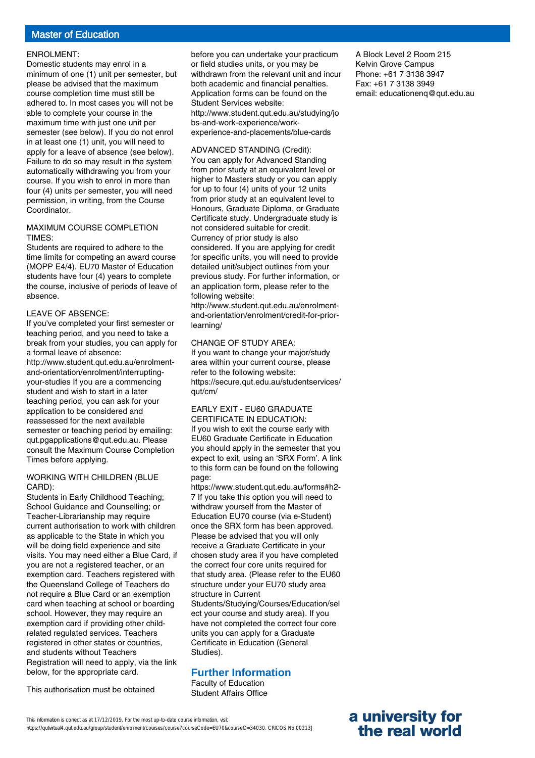#### ENROLMENT:

Domestic students may enrol in a minimum of one (1) unit per semester, but please be advised that the maximum course completion time must still be adhered to. In most cases you will not be able to complete your course in the maximum time with just one unit per semester (see below). If you do not enrol in at least one (1) unit, you will need to apply for a leave of absence (see below). Failure to do so may result in the system automatically withdrawing you from your course. If you wish to enrol in more than four (4) units per semester, you will need permission, in writing, from the Course Coordinator.

#### MAXIMUM COURSE COMPLETION TIMES:

Students are required to adhere to the time limits for competing an award course (MOPP E4/4). EU70 Master of Education students have four (4) years to complete the course, inclusive of periods of leave of absence.

#### LEAVE OF ABSENCE:

If you've completed your first semester or teaching period, and you need to take a break from your studies, you can apply for a formal leave of absence: http://www.student.qut.edu.au/enrolmentand-orientation/enrolment/interruptingyour-studies If you are a commencing student and wish to start in a later teaching period, you can ask for your application to be considered and reassessed for the next available semester or teaching period by emailing: qut.pgapplications@qut.edu.au. Please consult the Maximum Course Completion Times before applying.

#### WORKING WITH CHILDREN (BLUE CARD):

Students in Early Childhood Teaching; School Guidance and Counselling; or Teacher-Librarianship may require current authorisation to work with children as applicable to the State in which you will be doing field experience and site visits. You may need either a Blue Card, if you are not a registered teacher, or an exemption card. Teachers registered with the Queensland College of Teachers do not require a Blue Card or an exemption card when teaching at school or boarding school. However, they may require an exemption card if providing other childrelated regulated services. Teachers registered in other states or countries, and students without Teachers Registration will need to apply, via the link below, for the appropriate card.

This authorisation must be obtained

before you can undertake your practicum or field studies units, or you may be withdrawn from the relevant unit and incur both academic and financial penalties. Application forms can be found on the Student Services website: http://www.student.qut.edu.au/studying/jo bs-and-work-experience/workexperience-and-placements/blue-cards

### ADVANCED STANDING (Credit):

You can apply for Advanced Standing from prior study at an equivalent level or higher to Masters study or you can apply for up to four (4) units of your 12 units from prior study at an equivalent level to Honours, Graduate Diploma, or Graduate Certificate study. Undergraduate study is not considered suitable for credit. Currency of prior study is also considered. If you are applying for credit for specific units, you will need to provide detailed unit/subject outlines from your previous study. For further information, or an application form, please refer to the following website:

http://www.student.qut.edu.au/enrolmentand-orientation/enrolment/credit-for-priorlearning/

#### CHANGE OF STUDY AREA:

If you want to change your major/study area within your current course, please refer to the following website: https://secure.qut.edu.au/studentservices/ qut/cm/

#### EARLY EXIT - EU60 GRADUATE CERTIFICATE IN EDUCATION:

If you wish to exit the course early with EU60 Graduate Certificate in Education you should apply in the semester that you expect to exit, using an 'SRX Form'. A link to this form can be found on the following page:

https://www.student.qut.edu.au/forms#h2- 7 If you take this option you will need to withdraw yourself from the Master of Education EU70 course (via e-Student) once the SRX form has been approved. Please be advised that you will only receive a Graduate Certificate in your chosen study area if you have completed the correct four core units required for that study area. (Please refer to the EU60 structure under your EU70 study area structure in Current Students/Studying/Courses/Education/sel ect your course and study area). If you have not completed the correct four core units you can apply for a Graduate Certificate in Education (General Studies).

# **Further Information**

Faculty of Education Student Affairs Office

A Block Level 2 Room 215 Kelvin Grove Campus Phone: +61 7 3138 3947 Fax: +61 7 3138 3949 email: educationenq@qut.edu.au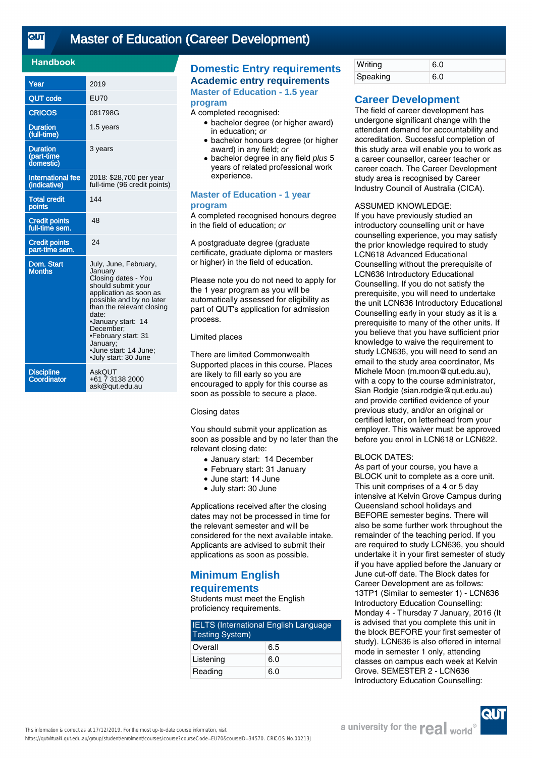# [Master of Education \(Career Development\)](https://qutvirtual4.qut.edu.au/group/student/enrolment/courses/course?courseCode=EU70&courseID=34570)

### **Handbook**

| Year                                       | 2019                                                                                                                                                                                                                                                                                             |
|--------------------------------------------|--------------------------------------------------------------------------------------------------------------------------------------------------------------------------------------------------------------------------------------------------------------------------------------------------|
| <b>QUT code</b>                            | <b>EU70</b>                                                                                                                                                                                                                                                                                      |
| <b>CRICOS</b>                              | 081798G                                                                                                                                                                                                                                                                                          |
| <b>Duration</b><br>(full-time)             | 1.5 years                                                                                                                                                                                                                                                                                        |
| <b>Duration</b><br>(part-time<br>domestic) | 3 years                                                                                                                                                                                                                                                                                          |
| <b>International fee</b><br>(indicative)   | 2018: \$28,700 per year<br>full-time (96 credit points)                                                                                                                                                                                                                                          |
| <b>Total credit</b><br>points              | 144                                                                                                                                                                                                                                                                                              |
| <b>Credit points</b><br>full-time sem.     | 48                                                                                                                                                                                                                                                                                               |
| <b>Credit points</b><br>part-time sem.     | 24                                                                                                                                                                                                                                                                                               |
| Dom. Start<br><b>Months</b>                | July, June, February,<br>January<br>Closing dates - You<br>should submit your<br>application as soon as<br>possible and by no later<br>than the relevant closing<br>date:<br>•January start: 14<br>December:<br>•February start: 31<br>January;<br>·June start: 14 June:<br>•July start: 30 June |
| <b>Discipline</b><br>Coordinator           | <b>AskQUT</b><br>+61 7 3138 2000<br>ask@qut.edu.au                                                                                                                                                                                                                                               |

# **Domestic Entry requirements Academic entry requirements**

**Master of Education - 1.5 year program**

#### A completed recognised:

- bachelor degree (or higher award) in education; or
- bachelor honours degree (or higher award) in any field; or
- bachelor degree in any field plus 5 years of related professional work experience.

#### **Master of Education - 1 year program**

A completed recognised honours degree in the field of education; or

A postgraduate degree (graduate certificate, graduate diploma or masters or higher) in the field of education.

Please note you do not need to apply for the 1 year program as you will be automatically assessed for eligibility as part of QUT's application for admission process.

#### Limited places

There are limited Commonwealth Supported places in this course. Places are likely to fill early so you are encouraged to apply for this course as soon as possible to secure a place.

#### Closing dates

You should submit your application as soon as possible and by no later than the relevant closing date:

- January start: 14 December
- February start: 31 January
- June start: 14 June
- July start: 30 June

Applications received after the closing dates may not be processed in time for the relevant semester and will be considered for the next available intake. Applicants are advised to submit their applications as soon as possible.

### **Minimum English requirements**

Students must meet the English proficiency requirements.

| <b>IELTS</b> (International English Language<br><b>Testing System)</b> |     |
|------------------------------------------------------------------------|-----|
| Overall                                                                | 6.5 |
| Listening                                                              | 6.0 |
| Reading                                                                | 6.0 |

| Writing  | 6.0 |
|----------|-----|
| Speaking | 6.0 |

# **Career Development**

The field of career development has undergone significant change with the attendant demand for accountability and accreditation. Successful completion of this study area will enable you to work as a career counsellor, career teacher or career coach. The Career Development study area is recognised by Career Industry Council of Australia (CICA).

#### ASSUMED KNOWLEDGE:

If you have previously studied an introductory counselling unit or have counselling experience, you may satisfy the prior knowledge required to study LCN618 Advanced Educational Counselling without the prerequisite of LCN636 Introductory Educational Counselling. If you do not satisfy the prerequisite, you will need to undertake the unit LCN636 Introductory Educational Counselling early in your study as it is a prerequisite to many of the other units. If you believe that you have sufficient prior knowledge to waive the requirement to study LCN636, you will need to send an email to the study area coordinator, Ms Michele Moon (m.moon@qut.edu.au), with a copy to the course administrator, Sian Rodgie (sian.rodgie@qut.edu.au) and provide certified evidence of your previous study, and/or an original or certified letter, on letterhead from your employer. This waiver must be approved before you enrol in LCN618 or LCN622.

#### BLOCK DATES:

As part of your course, you have a BLOCK unit to complete as a core unit. This unit comprises of a 4 or 5 day intensive at Kelvin Grove Campus during Queensland school holidays and BEFORE semester begins. There will also be some further work throughout the remainder of the teaching period. If you are required to study LCN636, you should undertake it in your first semester of study if you have applied before the January or June cut-off date. The Block dates for Career Development are as follows: 13TP1 (Similar to semester 1) - LCN636 Introductory Education Counselling: Monday 4 - Thursday 7 January, 2016 (It is advised that you complete this unit in the block BEFORE your first semester of study). LCN636 is also offered in internal mode in semester 1 only, attending classes on campus each week at Kelvin Grove. SEMESTER 2 - LCN636 Introductory Education Counselling: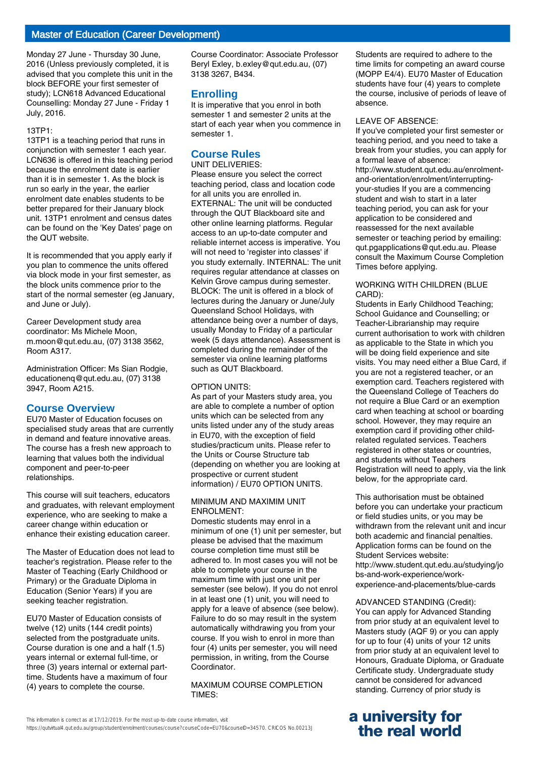# Master of Education (Career Development)

Monday 27 June - Thursday 30 June, 2016 (Unless previously completed, it is advised that you complete this unit in the block BEFORE your first semester of study); LCN618 Advanced Educational Counselling: Monday 27 June - Friday 1 July, 2016.

#### 13TP1:

13TP1 is a teaching period that runs in conjunction with semester 1 each year. LCN636 is offered in this teaching period because the enrolment date is earlier than it is in semester 1. As the block is run so early in the year, the earlier enrolment date enables students to be better prepared for their January block unit. 13TP1 enrolment and census dates can be found on the 'Key Dates' page on the QUT website.

It is recommended that you apply early if you plan to commence the units offered via block mode in your first semester, as the block units commence prior to the start of the normal semester (eg January, and June or July).

Career Development study area coordinator: Ms Michele Moon, m.moon@qut.edu.au, (07) 3138 3562, Room A317.

Administration Officer: Ms Sian Rodgie, educationenq@qut.edu.au, (07) 3138 3947, Room A215.

### **Course Overview**

EU70 Master of Education focuses on specialised study areas that are currently in demand and feature innovative areas. The course has a fresh new approach to learning that values both the individual component and peer-to-peer relationships.

This course will suit teachers, educators and graduates, with relevant employment experience, who are seeking to make a career change within education or enhance their existing education career.

The Master of Education does not lead to teacher's registration. Please refer to the Master of Teaching (Early Childhood or Primary) or the Graduate Diploma in Education (Senior Years) if you are seeking teacher registration.

EU70 Master of Education consists of twelve (12) units (144 credit points) selected from the postgraduate units. Course duration is one and a half (1.5) years internal or external full-time, or three (3) years internal or external parttime. Students have a maximum of four (4) years to complete the course.

Course Coordinator: Associate Professor Beryl Exley, b.exley@qut.edu.au, (07) 3138 3267, B434.

#### **Enrolling**

It is imperative that you enrol in both semester 1 and semester 2 units at the start of each year when you commence in semester 1.

### **Course Rules**

UNIT DELIVERIES:

Please ensure you select the correct teaching period, class and location code for all units you are enrolled in. EXTERNAL: The unit will be conducted through the QUT Blackboard site and other online learning platforms. Regular access to an up-to-date computer and reliable internet access is imperative. You will not need to 'register into classes' if you study externally. INTERNAL: The unit requires regular attendance at classes on Kelvin Grove campus during semester. BLOCK: The unit is offered in a block of lectures during the January or June/July Queensland School Holidays, with attendance being over a number of days, usually Monday to Friday of a particular week (5 days attendance). Assessment is completed during the remainder of the semester via online learning platforms such as QUT Blackboard.

#### OPTION UNITS:

As part of your Masters study area, you are able to complete a number of option units which can be selected from any units listed under any of the study areas in EU70, with the exception of field studies/practicum units. Please refer to the Units or Course Structure tab (depending on whether you are looking at prospective or current student information) / EU70 OPTION UNITS.

#### MINIMUM AND MAXIMIM UNIT ENROLMENT:

Domestic students may enrol in a minimum of one (1) unit per semester, but please be advised that the maximum course completion time must still be adhered to. In most cases you will not be able to complete your course in the maximum time with just one unit per semester (see below). If you do not enrol in at least one (1) unit, you will need to apply for a leave of absence (see below). Failure to do so may result in the system automatically withdrawing you from your course. If you wish to enrol in more than four (4) units per semester, you will need permission, in writing, from the Course Coordinator.

#### MAXIMUM COURSE COMPLETION TIMES:

This information is correct as at 17/12/2019. For the most up-to-date course information, visit https://qutvirtual4.qut.edu.au/group/student/enrolment/courses/course?courseCode=EU70&courseID=34570. CRICOS No.00213J Students are required to adhere to the time limits for competing an award course (MOPP E4/4). EU70 Master of Education students have four (4) years to complete the course, inclusive of periods of leave of absence.

#### LEAVE OF ABSENCE:

If you've completed your first semester or teaching period, and you need to take a break from your studies, you can apply for a formal leave of absence: http://www.student.qut.edu.au/enrolmentand-orientation/enrolment/interruptingyour-studies If you are a commencing student and wish to start in a later teaching period, you can ask for your application to be considered and reassessed for the next available semester or teaching period by emailing: qut.pgapplications@qut.edu.au. Please consult the Maximum Course Completion Times before applying.

#### WORKING WITH CHILDREN (BLUE CARD):

Students in Early Childhood Teaching; School Guidance and Counselling; or Teacher-Librarianship may require current authorisation to work with children as applicable to the State in which you will be doing field experience and site visits. You may need either a Blue Card, if you are not a registered teacher, or an exemption card. Teachers registered with the Queensland College of Teachers do not require a Blue Card or an exemption card when teaching at school or boarding school. However, they may require an exemption card if providing other childrelated regulated services. Teachers registered in other states or countries, and students without Teachers Registration will need to apply, via the link below, for the appropriate card.

This authorisation must be obtained before you can undertake your practicum or field studies units, or you may be withdrawn from the relevant unit and incur both academic and financial penalties. Application forms can be found on the Student Services website: http://www.student.qut.edu.au/studying/jo bs-and-work-experience/workexperience-and-placements/blue-cards

#### ADVANCED STANDING (Credit):

You can apply for Advanced Standing from prior study at an equivalent level to Masters study (AQF 9) or you can apply for up to four (4) units of your 12 units from prior study at an equivalent level to Honours, Graduate Diploma, or Graduate Certificate study. Undergraduate study cannot be considered for advanced standing. Currency of prior study is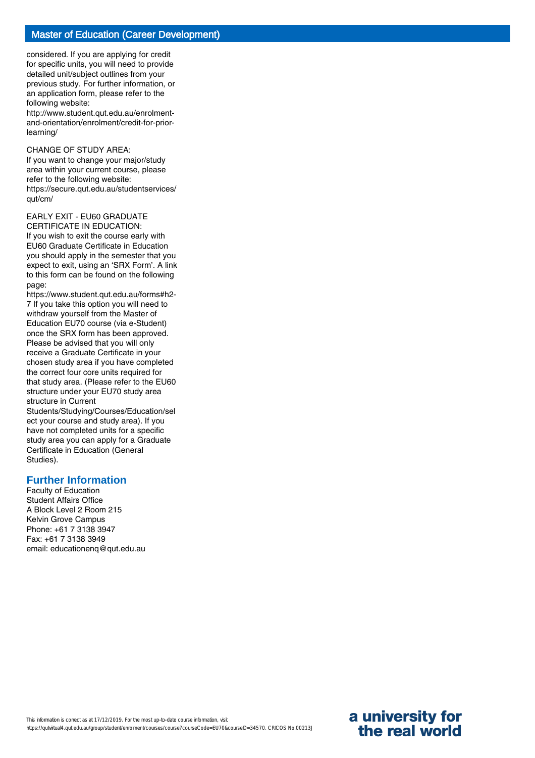considered. If you are applying for credit for specific units, you will need to provide detailed unit/subject outlines from your previous study. For further information, or an application form, please refer to the following website:

http://www.student.qut.edu.au/enrolmentand-orientation/enrolment/credit-for-priorlearning/

#### CHANGE OF STUDY AREA:

If you want to change your major/study area within your current course, please refer to the following website: https://secure.qut.edu.au/studentservices/ qut/cm/

#### EARLY EXIT - EU60 GRADUATE CERTIFICATE IN EDUCATION:

If you wish to exit the course early with EU60 Graduate Certificate in Education you should apply in the semester that you expect to exit, using an 'SRX Form'. A link to this form can be found on the following page:

https://www.student.qut.edu.au/forms#h2- 7 If you take this option you will need to withdraw yourself from the Master of Education EU70 course (via e-Student) once the SRX form has been approved. Please be advised that you will only receive a Graduate Certificate in your chosen study area if you have completed the correct four core units required for that study area. (Please refer to the EU60 structure under your EU70 study area structure in Current

Students/Studying/Courses/Education/sel ect your course and study area). If you have not completed units for a specific study area you can apply for a Graduate Certificate in Education (General Studies).

### **Further Information**

Faculty of Education Student Affairs Office A Block Level 2 Room 215 Kelvin Grove Campus Phone: +61 7 3138 3947 Fax: +61 7 3138 3949 email: educationenq@qut.edu.au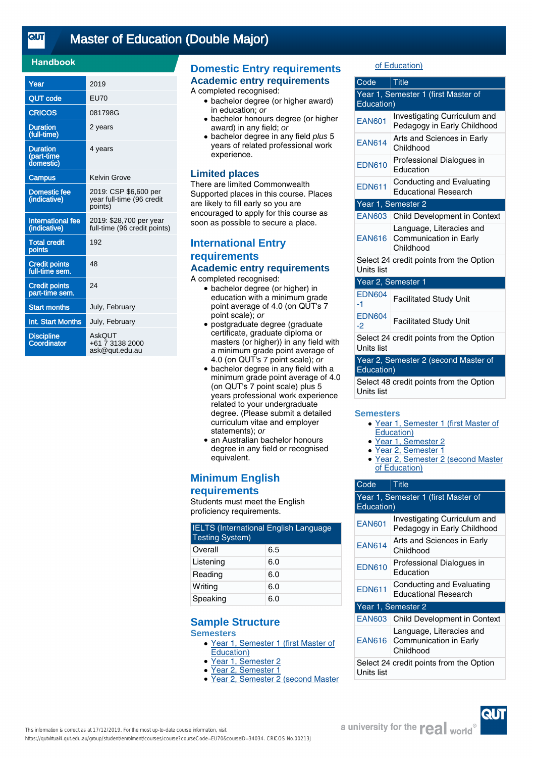$\overline{\text{cuf}}$ 

# [Master of Education \(Double Major\)](https://qutvirtual4.qut.edu.au/group/student/enrolment/courses/course?courseCode=EU70&courseID=34034)

### **Handbook**

| Year                                       | 2019                                                          |
|--------------------------------------------|---------------------------------------------------------------|
| QUT code                                   | <b>EU70</b>                                                   |
| <b>CRICOS</b>                              | 081798G                                                       |
| <b>Duration</b><br>(full-time)             | 2 years                                                       |
| <b>Duration</b><br>(part-time<br>domestic) | 4 years                                                       |
| <b>Campus</b>                              | Kelvin Grove                                                  |
| <b>Domestic fee</b><br>(indicative)        | 2019: CSP \$6,600 per<br>year full-time (96 credit<br>points) |
| <b>International fee</b><br>(indicative)   | 2019: \$28,700 per year<br>full-time (96 credit points)       |
| <b>Total credit</b><br>points              | 192                                                           |
| <b>Credit points</b><br>full-time sem.     | 48                                                            |
| <b>Credit points</b><br>part-time sem.     | 24                                                            |
| <b>Start months</b>                        | July, February                                                |
| Int. Start Months                          | July, February                                                |
| <b>Discipline</b><br>Coordinator           | AskOUT<br>+61 7 3138 2000<br>ask@qut.edu.au                   |

# **Domestic Entry requirements Academic entry requirements**

A completed recognised:

- bachelor degree (or higher award) in education; or
- bachelor honours degree (or higher award) in any field; or
- bachelor degree in any field plus 5 years of related professional work experience.

### **Limited places**

There are limited Commonwealth Supported places in this course. Places are likely to fill early so you are encouraged to apply for this course as soon as possible to secure a place.

# **International Entry requirements Academic entry requirements**

A completed recognised:

- bachelor degree (or higher) in education with a minimum grade point average of 4.0 (on QUT's 7 point scale); or
- postgraduate degree (graduate certificate, graduate diploma or masters (or higher)) in any field with a minimum grade point average of 4.0 (on QUT's 7 point scale); or
- bachelor degree in any field with a minimum grade point average of 4.0 (on QUT's 7 point scale) plus 5 years professional work experience related to your undergraduate degree. (Please submit a detailed curriculum vitae and employer statements); or
- an Australian bachelor honours degree in any field or recognised equivalent.

# **Minimum English**

### **requirements**

Students must meet the English proficiency requirements.

| <b>IELTS</b> (International English Language<br><b>Testing System)</b> |     |
|------------------------------------------------------------------------|-----|
| Overall                                                                | 6.5 |
| Listening                                                              | 6.0 |
| Reading                                                                | 6.0 |
| Writing                                                                | 6.0 |
| Speaking                                                               | 6.0 |

# **Sample Structure**

**Semesters**

- Year 1, Semester 1 (first Master of Education)
- Year 1, Semester 2
- Year 2, Semester 1
- Year 2, Semester 2 (second Master

### of Education)

| Code                                                         | <b>Title</b>                                                    |  |
|--------------------------------------------------------------|-----------------------------------------------------------------|--|
| Year 1, Semester 1 (first Master of<br>Education)            |                                                                 |  |
| <b>EAN601</b>                                                | Investigating Curriculum and<br>Pedagogy in Early Childhood     |  |
| <b>EAN614</b>                                                | Arts and Sciences in Early<br>Childhood                         |  |
| <b>EDN610</b>                                                | Professional Dialogues in<br>Education                          |  |
| <b>EDN611</b>                                                | Conducting and Evaluating<br><b>Educational Research</b>        |  |
| Year 1, Semester 2                                           |                                                                 |  |
| <b>EAN603</b>                                                | Child Development in Context                                    |  |
| <b>EAN616</b>                                                | Language, Literacies and<br>Communication in Early<br>Childhood |  |
| Select 24 credit points from the Option<br><b>Units list</b> |                                                                 |  |
| Year 2, Semester 1                                           |                                                                 |  |
| <b>EDN604</b><br>-1                                          | <b>Facilitated Study Unit</b>                                   |  |
| <b>EDN604</b><br>$-2$                                        | <b>Facilitated Study Unit</b>                                   |  |
| Select 24 credit points from the Option<br>Units list        |                                                                 |  |
| Year 2, Semester 2 (second Master of<br>Education)           |                                                                 |  |
| Select 48 credit points from the Option<br>Units list        |                                                                 |  |

#### **Semesters**

- Year 1, Semester 1 (first Master of Education)
- Year 1, Semester 2
- Year 2, Semester 1
- Year 2, Semester 2 (second Master of Education)

| Code                                                  | Title                                                                  |  |
|-------------------------------------------------------|------------------------------------------------------------------------|--|
| Year 1, Semester 1 (first Master of<br>Education)     |                                                                        |  |
| <b>EAN601</b>                                         | Investigating Curriculum and<br>Pedagogy in Early Childhood            |  |
| <b>EAN614</b>                                         | Arts and Sciences in Early<br>Childhood                                |  |
| <b>EDN610</b>                                         | Professional Dialogues in<br>Education                                 |  |
| <b>EDN611</b>                                         | Conducting and Evaluating<br><b>Educational Research</b>               |  |
| Year 1, Semester 2                                    |                                                                        |  |
| <b>EAN603</b>                                         | <b>Child Development in Context</b>                                    |  |
|                                                       | Language, Literacies and<br>EAN616 Communication in Early<br>Childhood |  |
| Select 24 credit points from the Option<br>Units list |                                                                        |  |

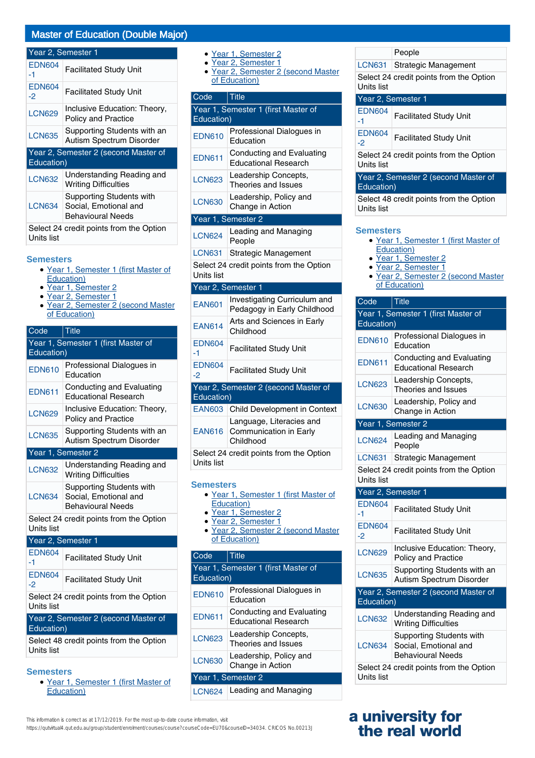### Year 2, Semester 1

| <b>EDN604</b><br>-1                                | <b>Facilitated Study Unit</b>                                                 |
|----------------------------------------------------|-------------------------------------------------------------------------------|
| <b>EDN604</b><br>-2                                | <b>Facilitated Study Unit</b>                                                 |
| <b>LCN629</b>                                      | Inclusive Education: Theory,<br><b>Policy and Practice</b>                    |
| <b>LCN635</b>                                      | Supporting Students with an<br>Autism Spectrum Disorder                       |
| Year 2, Semester 2 (second Master of<br>Education) |                                                                               |
| <b>LCN632</b>                                      | Understanding Reading and<br><b>Writing Difficulties</b>                      |
| LCN634                                             | Supporting Students with<br>Social, Emotional and<br><b>Behavioural Needs</b> |
| Units list                                         | Select 24 credit points from the Option                                       |

#### **Semesters**

- Year 1, Semester 1 (first Master of Education)
- Year 1, Semester 2
- Year 2, Semester 1
- Year 2, Semester 2 (second Master of Education)  $\bullet$

| Code                                                  | <b>Title</b>                                                                         |  |
|-------------------------------------------------------|--------------------------------------------------------------------------------------|--|
| Year 1, Semester 1 (first Master of<br>Education)     |                                                                                      |  |
| <b>EDN610</b>                                         | Professional Dialogues in<br>Education                                               |  |
| <b>EDN611</b>                                         | Conducting and Evaluating<br><b>Educational Research</b>                             |  |
| <b>LCN629</b>                                         | Inclusive Education: Theory,<br><b>Policy and Practice</b>                           |  |
| <b>LCN635</b>                                         | Supporting Students with an<br>Autism Spectrum Disorder                              |  |
|                                                       | Year 1, Semester 2                                                                   |  |
| <b>LCN632</b>                                         | Understanding Reading and<br><b>Writing Difficulties</b>                             |  |
| <b>LCN634</b>                                         | <b>Supporting Students with</b><br>Social, Emotional and<br><b>Behavioural Needs</b> |  |
| Select 24 credit points from the Option<br>Units list |                                                                                      |  |
|                                                       | Year 2, Semester 1                                                                   |  |
| <b>EDN604</b><br>$-1$                                 | <b>Facilitated Study Unit</b>                                                        |  |
| <b>EDN604</b><br>$-2$                                 | <b>Facilitated Study Unit</b>                                                        |  |
| Select 24 credit points from the Option<br>Units list |                                                                                      |  |
| Year 2, Semester 2 (second Master of<br>Education)    |                                                                                      |  |
| Select 48 credit points from the Option<br>Units list |                                                                                      |  |

#### **Semesters**

• Year 1, Semester 1 (first Master of Education)

- Year 1, Semester 2
- Year 2, Semester 1
- Year 2, Semester 2 (second Master of Education)

| Code                                                                                         | <b>Title</b>                                                    |  |
|----------------------------------------------------------------------------------------------|-----------------------------------------------------------------|--|
| Education)                                                                                   | Year 1, Semester 1 (first Master of                             |  |
|                                                                                              |                                                                 |  |
| <b>EDN610</b>                                                                                | Professional Dialogues in<br>Education                          |  |
| <b>EDN611</b>                                                                                | <b>Conducting and Evaluating</b><br><b>Educational Research</b> |  |
| <b>LCN623</b>                                                                                | Leadership Concepts,<br>Theories and Issues                     |  |
| <b>LCN630</b>                                                                                | Leadership, Policy and<br>Change in Action                      |  |
|                                                                                              | Year 1, Semester 2                                              |  |
| <b>LCN624</b>                                                                                | Leading and Managing<br>People                                  |  |
| <b>LCN631</b>                                                                                | <b>Strategic Management</b>                                     |  |
| Units list                                                                                   | Select 24 credit points from the Option                         |  |
|                                                                                              | Year 2, Semester 1                                              |  |
| <b>EAN601</b>                                                                                | Investigating Curriculum and<br>Pedagogy in Early Childhood     |  |
| <b>EAN614</b>                                                                                | Arts and Sciences in Early<br>Childhood                         |  |
| <b>EDN604</b><br>-1                                                                          | <b>Facilitated Study Unit</b>                                   |  |
| <b>EDN604</b><br>$-2$                                                                        | <b>Facilitated Study Unit</b>                                   |  |
|                                                                                              | Year 2, Semester 2 (second Master of                            |  |
| Education)                                                                                   |                                                                 |  |
| <b>EAN603</b>                                                                                | Child Development in Context                                    |  |
| <b>EAN616</b>                                                                                | Language, Literacies and<br>Communication in Early<br>Childhood |  |
| Select 24 credit points from the Option<br>Units list                                        |                                                                 |  |
| <b>Semesters</b><br>· Year 1, Semester 1 (first Master of<br>Education)<br>Voor 1 Sampetar 2 |                                                                 |  |

- Year 1, Semester 2
- Year 2, Semester 1
- Year 2, Semester 2 (second Master • Year 2, Seme<br>of Education)

| Code                                              | Title                                                    |
|---------------------------------------------------|----------------------------------------------------------|
| Year 1, Semester 1 (first Master of<br>Education) |                                                          |
| <b>EDN610</b>                                     | Professional Dialogues in<br>Education                   |
| <b>EDN611</b>                                     | Conducting and Evaluating<br><b>Educational Research</b> |
| <b>LCN623</b>                                     | Leadership Concepts,<br>Theories and Issues              |
| <b>LCN630</b>                                     | Leadership, Policy and<br>Change in Action               |
| Year 1, Semester 2                                |                                                          |
| LCN624                                            | Leading and Managing                                     |

|                                                                                                                                                                      | People                                  |  |
|----------------------------------------------------------------------------------------------------------------------------------------------------------------------|-----------------------------------------|--|
| LCN631                                                                                                                                                               | Strategic Management                    |  |
| Units list                                                                                                                                                           | Select 24 credit points from the Option |  |
| Year 2, Semester 1                                                                                                                                                   |                                         |  |
| <b>EDN604</b><br>-1                                                                                                                                                  | <b>Facilitated Study Unit</b>           |  |
| <b>EDN604</b><br>$-2$                                                                                                                                                | <b>Facilitated Study Unit</b>           |  |
| Select 24 credit points from the Option<br><b>Units list</b>                                                                                                         |                                         |  |
| Education)                                                                                                                                                           | Year 2, Semester 2 (second Master of    |  |
| Units list                                                                                                                                                           | Select 48 credit points from the Option |  |
| Semesters<br>• Year 1, Semester 1 (first Master of<br>Education)<br>· Year 1, Semester 2<br>Year 2, Semester 1<br>Year 2, Semester 2 (second Master<br>of Education) |                                         |  |
| Code                                                                                                                                                                 | <b>Title</b>                            |  |
| Year 1, Semester 1 (first Master of<br>Education)                                                                                                                    |                                         |  |
|                                                                                                                                                                      |                                         |  |

| ouuo                                              | <u>Line</u>                                                                   |  |
|---------------------------------------------------|-------------------------------------------------------------------------------|--|
| Year 1, Semester 1 (first Master of<br>Education) |                                                                               |  |
| <b>EDN610</b>                                     | Professional Dialogues in<br>Education                                        |  |
| <b>EDN611</b>                                     | Conducting and Evaluating<br><b>Educational Research</b>                      |  |
| <b>LCN623</b>                                     | Leadership Concepts,<br>Theories and Issues                                   |  |
| <b>LCN630</b>                                     | Leadership, Policy and<br>Change in Action                                    |  |
|                                                   | Year 1, Semester 2                                                            |  |
| <b>LCN624</b>                                     | Leading and Managing<br>People                                                |  |
| <b>LCN631</b>                                     | <b>Strategic Management</b>                                                   |  |
| Units list                                        | Select 24 credit points from the Option                                       |  |
| Year 2, Semester 1                                |                                                                               |  |
|                                                   |                                                                               |  |
| <b>EDN604</b><br>-1                               | <b>Facilitated Study Unit</b>                                                 |  |
| <b>EDN604</b><br>-2                               | <b>Facilitated Study Unit</b>                                                 |  |
| <b>LCN629</b>                                     | Inclusive Education: Theory,<br><b>Policy and Practice</b>                    |  |
| <b>LCN635</b>                                     | Supporting Students with an<br>Autism Spectrum Disorder                       |  |
| Education)                                        | Year 2, Semester 2 (second Master of                                          |  |
| <b>LCN632</b>                                     | Understanding Reading and<br><b>Writing Difficulties</b>                      |  |
| <b>LCN634</b>                                     | Supporting Students with<br>Social, Emotional and<br><b>Behavioural Needs</b> |  |

# **a university for the real world**

This information is correct as at 17/12/2019. For the most up-to-date course information, visit

https://qutvirtual4.qut.edu.au/group/student/enrolment/courses/course?courseCode=EU70&courseID=34034. CRICOS No.00213J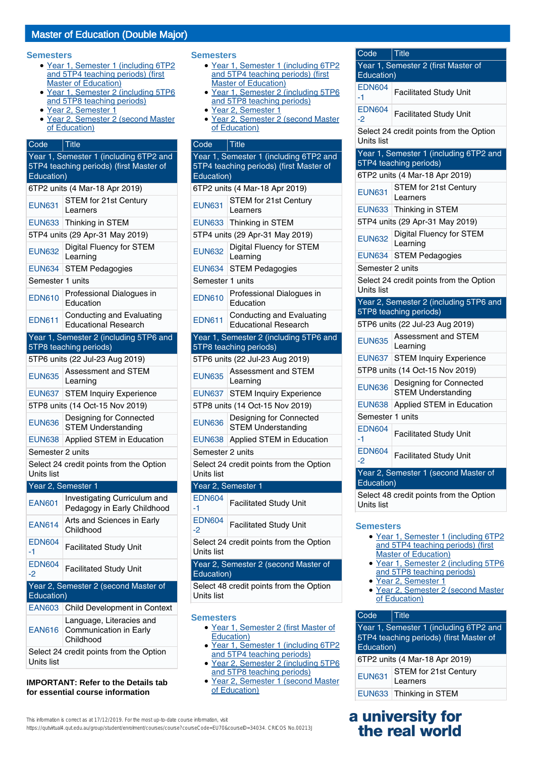#### **Semesters**

- Year 1, Semester 1 (including 6TP2 and 5TP4 teaching periods) (first **Master of Education**)
- Year 1, Semester 2 (including 5TP6 and 5TP8 teaching periods)
- Year 2, Semester 1
- Year 2, Semester 2 (second Master of Education)

# Code Title

| Year 1, Semester 1 (including 6TP2 and<br>5TP4 teaching periods) (first Master of<br>Education) |                                                                  |  |
|-------------------------------------------------------------------------------------------------|------------------------------------------------------------------|--|
|                                                                                                 | 6TP2 units (4 Mar-18 Apr 2019)                                   |  |
| <b>EUN631</b>                                                                                   | STEM for 21st Century<br>Learners                                |  |
| <b>EUN633</b>                                                                                   | Thinking in STEM                                                 |  |
|                                                                                                 | 5TP4 units (29 Apr-31 May 2019)                                  |  |
| <b>EUN632</b>                                                                                   | <b>Digital Fluency for STEM</b><br>Learning                      |  |
| <b>EUN634</b>                                                                                   | <b>STEM Pedagogies</b>                                           |  |
| Semester 1 units                                                                                |                                                                  |  |
| <b>EDN610</b>                                                                                   | Professional Dialogues in<br>Education                           |  |
| <b>EDN611</b>                                                                                   | <b>Conducting and Evaluating</b><br><b>Educational Research</b>  |  |
|                                                                                                 | Year 1, Semester 2 (including 5TP6 and<br>5TP8 teaching periods) |  |
|                                                                                                 | 5TP6 units (22 Jul-23 Aug 2019)                                  |  |
| <b>EUN635</b>                                                                                   | Assessment and STEM<br>Learning                                  |  |
| <b>EUN637</b>                                                                                   | <b>STEM Inquiry Experience</b>                                   |  |
|                                                                                                 | 5TP8 units (14 Oct-15 Nov 2019)                                  |  |
| <b>EUN636</b>                                                                                   | Designing for Connected<br><b>STEM Understanding</b>             |  |
| <b>EUN638</b>                                                                                   | Applied STEM in Education                                        |  |
| Semester 2 units                                                                                |                                                                  |  |
| Units list                                                                                      | Select 24 credit points from the Option                          |  |
|                                                                                                 | Year 2, Semester 1                                               |  |
| <b>EAN601</b>                                                                                   | Investigating Curriculum and<br>Pedagogy in Early Childhood      |  |
| <b>EAN614</b>                                                                                   | Arts and Sciences in Early<br>Childhood                          |  |
| <b>EDN604</b><br>-1.                                                                            | <b>Facilitated Study Unit</b>                                    |  |
| <b>EDN604</b><br>$-2$                                                                           | <b>Facilitated Study Unit</b>                                    |  |
| Education)                                                                                      | Year 2, Semester 2 (second Master of                             |  |
| <b>EAN603</b>                                                                                   | Child Development in Context                                     |  |
| <b>EAN616</b>                                                                                   | Language, Literacies and<br>Communication in Early<br>Childhood  |  |
| Units list                                                                                      | Select 24 credit points from the Option                          |  |

**IMPORTANT: Refer to the Details tab for essential course information**

#### **Semesters**

- Year 1, Semester 1 (including 6TP2 and 5TP4 teaching periods) (first **Master of Education**)
- Year 1, Semester 2 (including 5TP6 and 5TP8 teaching periods)
- Year 2, Semester 1
- Year 2, Semester 2 (second Master of Education)

| Code                                                                                            | $ $ Title                                                |  |
|-------------------------------------------------------------------------------------------------|----------------------------------------------------------|--|
| Year 1, Semester 1 (including 6TP2 and<br>5TP4 teaching periods) (first Master of<br>Education) |                                                          |  |
|                                                                                                 | 6TP2 units (4 Mar-18 Apr 2019)                           |  |
| <b>EUN631</b>                                                                                   | STEM for 21st Century<br>Learners                        |  |
| <b>EUN633</b>                                                                                   | Thinking in STEM                                         |  |
|                                                                                                 | 5TP4 units (29 Apr-31 May 2019)                          |  |
| <b>EUN632</b>                                                                                   | <b>Digital Fluency for STEM</b><br>Learning              |  |
| <b>EUN634</b>                                                                                   | <b>STEM Pedagogies</b>                                   |  |
| Semester 1 units                                                                                |                                                          |  |
| <b>EDN610</b>                                                                                   | Professional Dialogues in<br>Education                   |  |
| <b>EDN611</b>                                                                                   | Conducting and Evaluating<br><b>Educational Research</b> |  |
|                                                                                                 | Year 1, Semester 2 (including 5TP6 and                   |  |
|                                                                                                 | 5TP8 teaching periods)                                   |  |
|                                                                                                 | 5TP6 units (22 Jul-23 Aug 2019)                          |  |
| <b>EUN635</b>                                                                                   | <b>Assessment and STEM</b><br>Learning                   |  |
| <b>EUN637</b>                                                                                   | <b>STEM Inquiry Experience</b>                           |  |
| 5TP8 units (14 Oct-15 Nov 2019)                                                                 |                                                          |  |
| <b>EUN636</b>                                                                                   | Designing for Connected<br><b>STEM Understanding</b>     |  |
| <b>EUN638</b>                                                                                   | Applied STEM in Education                                |  |
| Semester 2 units                                                                                |                                                          |  |
| Select 24 credit points from the Option<br>Units list                                           |                                                          |  |
|                                                                                                 | Year 2, Semester 1                                       |  |
| <b>EDN604</b><br>-1                                                                             | <b>Facilitated Study Unit</b>                            |  |
| <b>EDN604</b><br>$-2$                                                                           | <b>Facilitated Study Unit</b>                            |  |
| Units list                                                                                      | Select 24 credit points from the Option                  |  |
| Education)                                                                                      | Year 2, Semester 2 (second Master of                     |  |
| Units list                                                                                      | Select 48 credit points from the Option                  |  |
| <b>Semesters</b>                                                                                |                                                          |  |

- Year 1, Semester 2 (first Master of Education)
- Year 1, Semester 1 (including 6TP2 and 5TP4 teaching periods)
- Year 2, Semester 2 (including 5TP6 and 5TP8 teaching periods)
- Year 2, Semester 1 (second Master of Education)

| Code                                              | <b>Title</b>                                                     |  |
|---------------------------------------------------|------------------------------------------------------------------|--|
| Year 1, Semester 2 (first Master of<br>Education) |                                                                  |  |
|                                                   |                                                                  |  |
| <b>EDN604</b><br>-1                               | <b>Facilitated Study Unit</b>                                    |  |
| <b>EDN604</b><br>-2                               | <b>Facilitated Study Unit</b>                                    |  |
| Units list                                        | Select 24 credit points from the Option                          |  |
|                                                   | Year 1, Semester 1 (including 6TP2 and<br>5TP4 teaching periods) |  |
|                                                   | 6TP2 units (4 Mar-18 Apr 2019)                                   |  |
| <b>EUN631</b>                                     | STEM for 21st Century<br>Learners                                |  |
| <b>EUN633</b>                                     | Thinking in STEM                                                 |  |
| 5TP4 units (29 Apr-31 May 2019)                   |                                                                  |  |
| <b>EUN632</b>                                     | <b>Digital Fluency for STEM</b><br>Learning                      |  |
| <b>EUN634</b>                                     | <b>STEM Pedagogies</b>                                           |  |
| Semester 2 units                                  |                                                                  |  |
| Units list                                        | Select 24 credit points from the Option                          |  |
|                                                   | Year 2, Semester 2 (including 5TP6 and<br>5TP8 teaching periods) |  |
|                                                   | 5TP6 units (22 Jul-23 Aug 2019)                                  |  |
| <b>EUN635</b>                                     | Assessment and STEM<br>Learning                                  |  |
| <b>EUN637</b>                                     | <b>STEM Inquiry Experience</b>                                   |  |
|                                                   | 5TP8 units (14 Oct-15 Nov 2019)                                  |  |
| <b>EUN636</b>                                     | Designing for Connected<br>STEM Understanding                    |  |
| <b>EUN638</b>                                     | Applied STEM in Education                                        |  |
| Semester 1 units                                  |                                                                  |  |
| <b>EDN604</b><br>-1                               | <b>Facilitated Study Unit</b>                                    |  |
| <b>EDN604</b><br>-2                               | <b>Facilitated Study Unit</b>                                    |  |
| Year 2, Semester 1 (second Master of              |                                                                  |  |
| Education)                                        |                                                                  |  |
|                                                   | Select 48 credit points from the Option                          |  |
| Units list                                        |                                                                  |  |

#### **Semesters**

- Year 1, Semester 1 (including 6TP2 and 5TP4 teaching periods) (first Master of Education)
- Year 1, Semester 2 (including 5TP6 and 5TP8 teaching periods)
- Year 2, Semester 1
- Year 2, Semester 2 (second Master of Education)

### Code Title

| Year 1, Semester 1 (including 6TP2 and<br>5TP4 teaching periods) (first Master of<br>Education) |                                   |  |
|-------------------------------------------------------------------------------------------------|-----------------------------------|--|
| 6TP2 units (4 Mar-18 Apr 2019)                                                                  |                                   |  |
| <b>EUN631</b>                                                                                   | STEM for 21st Century<br>Learners |  |
| <b>EUN633</b>                                                                                   | Thinking in STEM                  |  |

# **a university for the real world**

This information is correct as at 17/12/2019. For the most up-to-date course information, visit https://qutvirtual4.gut.edu.au/group/student/enrolment/courses/course?courseCode=EU70&courseID=34034. CRICOS No.00213J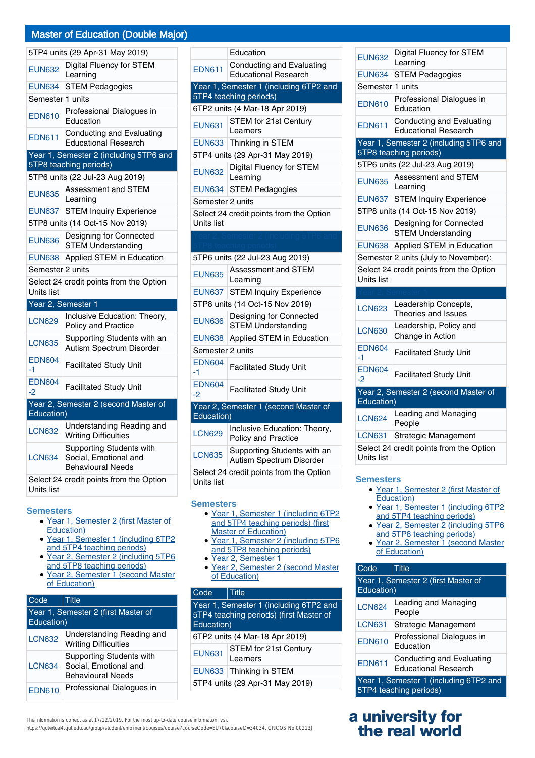|                                                    | 5TP4 units (29 Apr-31 May 2019)                                               |  |
|----------------------------------------------------|-------------------------------------------------------------------------------|--|
| <b>EUN632</b>                                      | <b>Digital Fluency for STEM</b><br>Learning                                   |  |
| <b>EUN634</b>                                      | <b>STEM Pedagogies</b>                                                        |  |
| Semester 1 units                                   |                                                                               |  |
| <b>EDN610</b>                                      | Professional Dialogues in<br>Education                                        |  |
| <b>EDN611</b>                                      | Conducting and Evaluating<br><b>Educational Research</b>                      |  |
|                                                    | Year 1, Semester 2 (including 5TP6 and                                        |  |
|                                                    | 5TP8 teaching periods)                                                        |  |
|                                                    | 5TP6 units (22 Jul-23 Aug 2019)                                               |  |
| <b>EUN635</b>                                      | Assessment and STEM<br>Learning                                               |  |
| <b>EUN637</b>                                      | <b>STEM Inquiry Experience</b>                                                |  |
|                                                    | 5TP8 units (14 Oct-15 Nov 2019)                                               |  |
| <b>EUN636</b>                                      | Designing for Connected<br><b>STEM Understanding</b>                          |  |
| <b>EUN638</b>                                      | Applied STEM in Education                                                     |  |
| Semester 2 units                                   |                                                                               |  |
| Units list                                         | Select 24 credit points from the Option                                       |  |
|                                                    | Year 2, Semester 1                                                            |  |
| <b>LCN629</b>                                      | Inclusive Education: Theory,<br>Policy and Practice                           |  |
| <b>LCN635</b>                                      | Supporting Students with an<br>Autism Spectrum Disorder                       |  |
| <b>EDN604</b><br>-1                                | <b>Facilitated Study Unit</b>                                                 |  |
| <b>EDN604</b><br>-2                                | <b>Facilitated Study Unit</b>                                                 |  |
| Year 2, Semester 2 (second Master of<br>Education) |                                                                               |  |
| <b>LCN632</b>                                      | Understanding Reading and<br><b>Writing Difficulties</b>                      |  |
| <b>LCN634</b>                                      | Supporting Students with<br>Social, Emotional and<br><b>Behavioural Needs</b> |  |
| Units list                                         | Select 24 credit points from the Option                                       |  |

#### **Semesters**

- Year 1, Semester 2 (first Master of Education)
- Year 1, Semester 1 (including 6TP2 and 5TP4 teaching periods)
- Year 2, Semester 2 (including 5TP6 and 5TP8 teaching periods)  $\bullet$
- Year 2, Semester 1 (second Master of Education) ●

| Code                                              | Title                                                                                |
|---------------------------------------------------|--------------------------------------------------------------------------------------|
| Year 1, Semester 2 (first Master of<br>Education) |                                                                                      |
| <b>LCN632</b>                                     | Understanding Reading and<br><b>Writing Difficulties</b>                             |
| <b>LCN634</b>                                     | <b>Supporting Students with</b><br>Social, Emotional and<br><b>Behavioural Needs</b> |
| <b>EDN610</b>                                     | Professional Dialogues in                                                            |

|                                                    | Education                                                  |  |  |
|----------------------------------------------------|------------------------------------------------------------|--|--|
| <b>EDN611</b>                                      | Conducting and Evaluating<br><b>Educational Research</b>   |  |  |
|                                                    | Year 1, Semester 1 (including 6TP2 and                     |  |  |
|                                                    | 5TP4 teaching periods)                                     |  |  |
|                                                    | 6TP2 units (4 Mar-18 Apr 2019)                             |  |  |
| <b>EUN631</b>                                      | STEM for 21st Century<br>Learners                          |  |  |
| <b>EUN633</b>                                      | Thinking in STEM                                           |  |  |
| 5TP4 units (29 Apr-31 May 2019)                    |                                                            |  |  |
| <b>EUN632</b>                                      | <b>Digital Fluency for STEM</b><br>Learning                |  |  |
| <b>EUN634</b>                                      | <b>STEM Pedagogies</b>                                     |  |  |
| Semester 2 units                                   |                                                            |  |  |
| Units list                                         | Select 24 credit points from the Option                    |  |  |
|                                                    |                                                            |  |  |
|                                                    |                                                            |  |  |
|                                                    | 5TP6 units (22 Jul-23 Aug 2019)                            |  |  |
| <b>EUN635</b>                                      | Assessment and STEM<br>Learning                            |  |  |
| <b>EUN637</b>                                      | <b>STEM Inquiry Experience</b>                             |  |  |
| 5TP8 units (14 Oct-15 Nov 2019)                    |                                                            |  |  |
| <b>EUN636</b>                                      | Designing for Connected<br><b>STEM Understanding</b>       |  |  |
| <b>EUN638</b>                                      | Applied STEM in Education                                  |  |  |
|                                                    | Semester 2 units                                           |  |  |
| <b>EDN604</b><br>-1                                | <b>Facilitated Study Unit</b>                              |  |  |
| <b>EDN604</b><br>-2                                | <b>Facilitated Study Unit</b>                              |  |  |
| Year 2, Semester 1 (second Master of<br>Education) |                                                            |  |  |
| <b>LCN629</b>                                      | Inclusive Education: Theory,<br><b>Policy and Practice</b> |  |  |
| <b>LCN635</b>                                      | Supporting Students with an<br>Autism Spectrum Disorder    |  |  |
|                                                    | Select 24 credit noints from the Ontion                    |  |  |

ints from the Option Units list

#### **Semesters**

- Year 1, Semester 1 (including 6TP2 and 5TP4 teaching periods) (first **Master of Education)**
- Year 1, Semester 2 (including 5TP6 and 5TP8 teaching periods) ●
- Year 2, Semester 1
- Year 2, Semester 2 (second Master of Education)

#### Code | Title

| Year 1, Semester 1 (including 6TP2 and<br>5TP4 teaching periods) (first Master of<br>Education) |                                          |  |
|-------------------------------------------------------------------------------------------------|------------------------------------------|--|
|                                                                                                 | 6TP2 units (4 Mar-18 Apr 2019)           |  |
| <b>EUN631</b>                                                                                   | <b>STEM for 21st Century</b><br>Learners |  |
| Thinking in STEM<br><b>EUN633</b>                                                               |                                          |  |
| 5TP4 units (29 Apr-31 May 2019)                                                                 |                                          |  |

|  |  | This information is correct as at 17/12/2019. For the most up-to-date course information, visit |
|--|--|-------------------------------------------------------------------------------------------------|
|--|--|-------------------------------------------------------------------------------------------------|

https://qutvirtual4.qut.edu.au/group/student/enrolment/courses/course?courseCode=EU70&courseID=34034. CRICOS No.00213J

| <b>EUN632</b>         | Digital Fluency for STEM<br>Learning                            |  |
|-----------------------|-----------------------------------------------------------------|--|
| <b>EUN634</b>         | <b>STEM Pedagogies</b>                                          |  |
| Semester 1 units      |                                                                 |  |
| <b>EDN610</b>         | Professional Dialogues in<br>Education                          |  |
| <b>EDN611</b>         | <b>Conducting and Evaluating</b><br><b>Educational Research</b> |  |
|                       | Year 1, Semester 2 (including 5TP6 and                          |  |
|                       | 5TP8 teaching periods)                                          |  |
|                       | 5TP6 units (22 Jul-23 Aug 2019)                                 |  |
| <b>EUN635</b>         | Assessment and STEM<br>Learning                                 |  |
| <b>EUN637</b>         | <b>STEM Inquiry Experience</b>                                  |  |
|                       | 5TP8 units (14 Oct-15 Nov 2019)                                 |  |
| <b>EUN636</b>         | Designing for Connected<br><b>STEM Understanding</b>            |  |
| <b>EUN638</b>         | Applied STEM in Education                                       |  |
|                       | Semester 2 units (July to November):                            |  |
|                       |                                                                 |  |
| Units list            | Select 24 credit points from the Option                         |  |
|                       |                                                                 |  |
| <b>LCN623</b>         | Leadership Concepts,<br>Theories and Issues                     |  |
| <b>LCN630</b>         | Leadership, Policy and<br>Change in Action                      |  |
| <b>EDN604</b><br>-1   | <b>Facilitated Study Unit</b>                                   |  |
| <b>EDN604</b><br>$-2$ | <b>Facilitated Study Unit</b>                                   |  |
|                       | Year 2, Semester 2 (second Master of                            |  |
| Education)            |                                                                 |  |
| <b>LCN624</b>         | Leading and Managing<br>People                                  |  |
| <b>LCN631</b>         | Strategic Management                                            |  |

#### **Semesters**

- Year 1, Semester 2 (first Master of Education)
- Year 1, Semester 1 (including 6TP2 and 5TP4 teaching periods)
- Year 2, Semester 2 (including 5TP6 and 5TP8 teaching periods) ●
- Year 2, Semester 1 (second Master of Education)

# Code Title

| Year 1, Semester 2 (first Master of<br>Education)                |                                                          |
|------------------------------------------------------------------|----------------------------------------------------------|
| <b>LCN624</b>                                                    | Leading and Managing<br>People                           |
| <b>LCN631</b>                                                    | Strategic Management                                     |
| <b>EDN610</b>                                                    | Professional Dialogues in<br>Education                   |
| <b>EDN611</b>                                                    | Conducting and Evaluating<br><b>Educational Research</b> |
| Year 1, Semester 1 (including 6TP2 and<br>5TP4 teaching periods) |                                                          |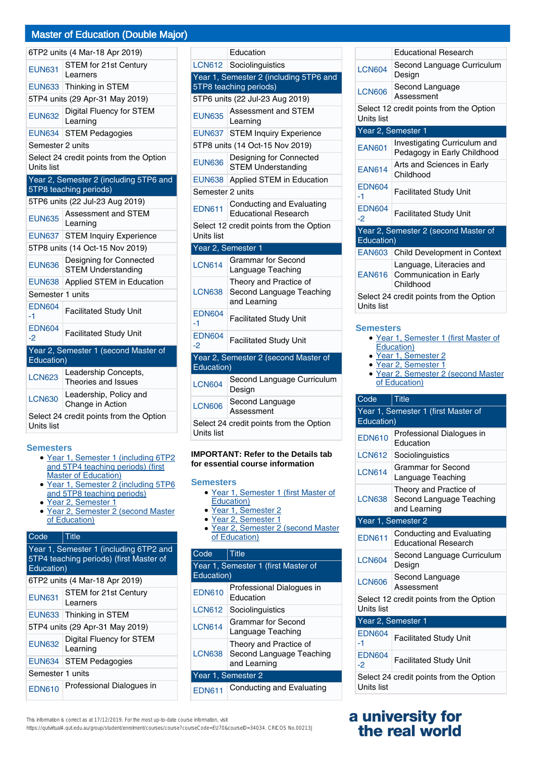|                                 | 6TP2 units (4 Mar-18 Apr 2019)                                   |  |
|---------------------------------|------------------------------------------------------------------|--|
| <b>EUN631</b>                   | <b>STEM for 21st Century</b><br>Learners                         |  |
| <b>EUN633</b>                   | Thinking in STEM                                                 |  |
|                                 | 5TP4 units (29 Apr-31 May 2019)                                  |  |
| <b>EUN632</b>                   | <b>Digital Fluency for STEM</b><br>Learning                      |  |
| <b>EUN634</b>                   | <b>STEM Pedagogies</b>                                           |  |
| Semester 2 units                |                                                                  |  |
| Units list                      | Select 24 credit points from the Option                          |  |
|                                 | Year 2, Semester 2 (including 5TP6 and<br>5TP8 teaching periods) |  |
|                                 | 5TP6 units (22 Jul-23 Aug 2019)                                  |  |
| <b>EUN635</b>                   | Assessment and STEM<br>Learning                                  |  |
| <b>EUN637</b>                   | <b>STEM Inquiry Experience</b>                                   |  |
| 5TP8 units (14 Oct-15 Nov 2019) |                                                                  |  |
| <b>EUN636</b>                   | Designing for Connected<br><b>STEM Understanding</b>             |  |
| <b>EUN638</b>                   | Applied STEM in Education                                        |  |
| Semester 1 units                |                                                                  |  |
| <b>EDN604</b><br>-1             | <b>Facilitated Study Unit</b>                                    |  |
| <b>EDN604</b><br>-2             | <b>Facilitated Study Unit</b>                                    |  |
|                                 | Year 2, Semester 1 (second Master of                             |  |
| Education)                      |                                                                  |  |
| <b>LCN623</b>                   | Leadership Concepts,<br>Theories and Issues                      |  |
| <b>LCN630</b>                   | Leadership, Policy and<br>Change in Action                       |  |
| Units list                      | Select 24 credit points from the Option                          |  |

#### **Semesters**

- Year 1, Semester 1 (including 6TP2 and 5TP4 teaching periods) (first **Master of Education**)
- Year 1, Semester 2 (including 5TP6 and 5TP8 teaching periods) ●
- Year 2, Semester 1
- Year 2, Semester 2 (second Master of Education)

### Code Title

| Year 1, Semester 1 (including 6TP2 and<br>5TP4 teaching periods) (first Master of<br>Education) |                                          |  |
|-------------------------------------------------------------------------------------------------|------------------------------------------|--|
|                                                                                                 | 6TP2 units (4 Mar-18 Apr 2019)           |  |
| <b>EUN631</b>                                                                                   | <b>STEM for 21st Century</b><br>Learners |  |
| <b>EUN633</b>                                                                                   | Thinking in STEM                         |  |
| 5TP4 units (29 Apr-31 May 2019)                                                                 |                                          |  |
| <b>EUN632</b>                                                                                   | Digital Fluency for STEM<br>Learning     |  |
|                                                                                                 | <b>EUN634 STEM Pedagogies</b>            |  |
| Semester 1 units                                                                                |                                          |  |
| <b>EDN610</b>                                                                                   | Professional Dialogues in                |  |

|                                                       | Education                                                          |  |
|-------------------------------------------------------|--------------------------------------------------------------------|--|
|                                                       | LCN612 Sociolinguistics                                            |  |
|                                                       | Year 1, Semester 2 (including 5TP6 and                             |  |
|                                                       | 5TP8 teaching periods)                                             |  |
|                                                       | 5TP6 units (22 Jul-23 Aug 2019)                                    |  |
| <b>EUN635</b>                                         | <b>Assessment and STEM</b><br>Learning                             |  |
| <b>EUN637</b>                                         | <b>STEM Inquiry Experience</b>                                     |  |
|                                                       | 5TP8 units (14 Oct-15 Nov 2019)                                    |  |
| <b>EUN636</b>                                         | Designing for Connected<br><b>STEM Understanding</b>               |  |
| <b>EUN638</b>                                         | Applied STEM in Education                                          |  |
| Semester 2 units                                      |                                                                    |  |
| <b>EDN611</b>                                         | <b>Conducting and Evaluating</b><br><b>Educational Research</b>    |  |
| Select 12 credit points from the Option<br>Units list |                                                                    |  |
|                                                       |                                                                    |  |
| Year 2, Semester 1                                    |                                                                    |  |
| <b>LCN614</b>                                         | <b>Grammar for Second</b><br>Language Teaching                     |  |
| <b>LCN638</b>                                         | Theory and Practice of<br>Second Language Teaching<br>and Learning |  |
| <b>EDN604</b><br>$-1$                                 | <b>Facilitated Study Unit</b>                                      |  |
| <b>EDN604</b><br>-2                                   | <b>Facilitated Study Unit</b>                                      |  |
|                                                       | Year 2, Semester 2 (second Master of                               |  |
| Education)                                            |                                                                    |  |
| <b>LCN604</b>                                         | Second Language Curriculum<br>Design                               |  |
| <b>LCN606</b>                                         | Second Language<br>Assessment                                      |  |

#### **IMPORTANT: Refer to the Details tab for essential course information**

#### **Semesters**

- Year 1, Semester 1 (first Master of Education)
- Year 1, Semester 2
- Year 2, Semester 1
- Year 2, Semester 2 (second Master of Education)

| Code                                | <b>Title</b>                                                       |  |
|-------------------------------------|--------------------------------------------------------------------|--|
| Year 1, Semester 1 (first Master of |                                                                    |  |
| Education)                          |                                                                    |  |
| <b>EDN610</b>                       | Professional Dialogues in<br>Education                             |  |
| <b>LCN612</b>                       | Sociolinguistics                                                   |  |
| <b>LCN614</b>                       | Grammar for Second<br>Language Teaching                            |  |
| <b>LCN638</b>                       | Theory and Practice of<br>Second Language Teaching<br>and Learning |  |
| Year 1, Semester 2                  |                                                                    |  |
| <b>EDN611</b>                       | Conducting and Evaluating                                          |  |

LCN604 Second Language Curriculum Design LCN606 Second Language Assessment Select 12 credit points from the Option Units list Year 2, Semester 1 EAN601 Investigating Curriculum and Pedagogy in Early Childhood EAN614 Arts and Sciences in Early Childhood EDN604  $\begin{array}{c|c} \text{EUN004} \\ \text{1} \end{array}$  Facilitated Study Unit EDN604  $\begin{array}{c|c} \text{EUNOO4} \\ \text{1} \end{array}$  Facilitated Study Unit Year 2, Semester 2 (second Master of Education) EAN603 Child Development in Context EAN616 Language, Literacies and Communication in Early Childhood Select 24 credit points from the Option Units list

Educational Research

#### **Semesters**

- Year 1, Semester 1 (first Master of Education)
- Year 1, Semester 2
- Year 2, Semester 1
- Year 2, Semester 2 (second Master of Education)

| Code                                                  | <b>Title</b>                                                       |  |
|-------------------------------------------------------|--------------------------------------------------------------------|--|
| Year 1, Semester 1 (first Master of<br>Education)     |                                                                    |  |
| <b>EDN610</b>                                         | Professional Dialogues in<br>Education                             |  |
| <b>LCN612</b>                                         | Sociolinguistics                                                   |  |
| <b>LCN614</b>                                         | <b>Grammar for Second</b><br>Language Teaching                     |  |
| <b>LCN638</b>                                         | Theory and Practice of<br>Second Language Teaching<br>and Learning |  |
| Year 1, Semester 2                                    |                                                                    |  |
| <b>EDN611</b>                                         | Conducting and Evaluating<br><b>Educational Research</b>           |  |
| <b>LCN604</b>                                         | Second Language Curriculum<br>Design                               |  |
| <b>LCN606</b>                                         | Second Language<br>Assessment                                      |  |
| Select 12 credit points from the Option<br>Units list |                                                                    |  |
| Year 2, Semester 1                                    |                                                                    |  |
| <b>EDN604</b><br>-1                                   | <b>Facilitated Study Unit</b>                                      |  |
| <b>EDN604</b><br>$-2$                                 | <b>Facilitated Study Unit</b>                                      |  |
| Select 24 credit points from the Option<br>Units list |                                                                    |  |

# **a university for the real world**

#### This information is correct as at 17/12/2019. For the most up-to-date course information, visit

https://qutvirtual4.qut.edu.au/group/student/enrolment/courses/course?courseCode=EU70&courseID=34034. CRICOS No.00213J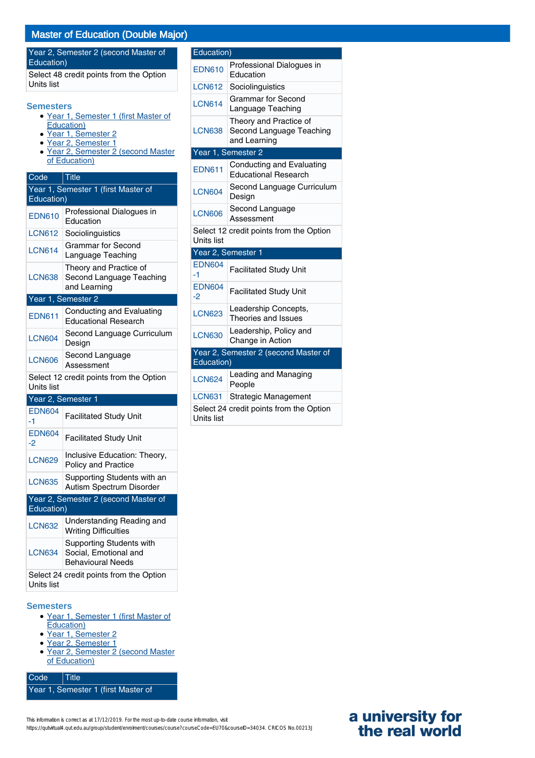|                       | <b>IVIASICI UI LUUCAIIUII (DUUDIC IVIA</b>                                                         |
|-----------------------|----------------------------------------------------------------------------------------------------|
| Education)            | Year 2, Semester 2 (second Master of                                                               |
| Units list            | Select 48 credit points from the Option                                                            |
| <b>Semesters</b>      | · Year 1, Semester 1 (first Master of<br>Education)                                                |
|                       | Vear 1, Semester 2<br>· Year 2, Semester 1<br>• Year 2, Semester 2 (second Master<br>of Education) |
| Code                  | Title                                                                                              |
| Education)            | Year 1, Semester 1 (first Master of                                                                |
| <b>EDN610</b>         | Professional Dialogues in<br>Education                                                             |
| <b>LCN612</b>         | Sociolinguistics                                                                                   |
| <b>LCN614</b>         | <b>Grammar for Second</b><br>Language Teaching                                                     |
| LCN638                | Theory and Practice of<br>Second Language Teaching<br>and Learning                                 |
|                       | Year 1, Semester 2                                                                                 |
| <b>EDN611</b>         | <b>Conducting and Evaluating</b><br><b>Educational Research</b>                                    |
| <b>LCN604</b>         | Second Language Curriculum<br>Design                                                               |
| <b>LCN606</b>         | Second Language<br>Assessment                                                                      |
| <b>Units list</b>     | Select 12 credit points from the Option                                                            |
| Year 2, Semester 1    |                                                                                                    |
| <b>EDN604</b><br>$-1$ | <b>Facilitated Study Unit</b>                                                                      |
| <b>EDN604</b><br>$-2$ | <b>Facilitated Study Unit</b>                                                                      |
| <b>LCN629</b>         | Inclusive Education: Theory,<br>Policy and Practice                                                |
| <b>LCN635</b>         | Supporting Students with an<br>Autism Spectrum Disorder                                            |
|                       | Year 2, Semester 2 (second Master of                                                               |
| Education)            |                                                                                                    |
| <b>LCN632</b>         | Understanding Reading and<br><b>Writing Difficulties</b>                                           |
| <b>LCN634</b>         | <b>Supporting Students with</b><br>Social, Emotional and<br><b>Behavioural Needs</b>               |
| Units list            | Select 24 credit points from the Option                                                            |

#### **Semesters**

- Year 1, Semester 1 (first Master of Education)
- Year 1, Semester 2
- Year 2, Semester 1
- Year 2, Semester 2 (second Master • Year 2, Seme<br>of Education)

Code Title Year 1, Semester 1 (first Master of

| rcn                    |               |                                       |
|------------------------|---------------|---------------------------------------|
| Curriculum             | <b>LCN630</b> | Leadership, Polio<br>Change in Actior |
|                        | Education)    | Year 2, Semester 2 (secon             |
| าe Option              | <b>LCN624</b> | Leading and Mar<br>People             |
|                        | <b>LCN631</b> | Strategic Manag                       |
| nit                    | Units list    | Select 24 credit points from          |
| nit                    |               |                                       |
| : Theory,              |               |                                       |
| ts with an<br>)isorder |               |                                       |
| Master of              |               |                                       |
| ading and              |               |                                       |
| ts with<br>ınd         |               |                                       |
| าe Option              |               |                                       |

| Education)          |                                                                    |
|---------------------|--------------------------------------------------------------------|
| <b>EDN610</b>       | Professional Dialogues in<br>Education                             |
| <b>LCN612</b>       | Sociolinguistics                                                   |
| <b>LCN614</b>       | <b>Grammar for Second</b><br>Language Teaching                     |
| <b>LCN638</b>       | Theory and Practice of<br>Second Language Teaching<br>and Learning |
|                     | Year 1, Semester 2                                                 |
| <b>EDN611</b>       | Conducting and Evaluating<br><b>Educational Research</b>           |
| <b>LCN604</b>       | Second Language Curriculum<br>Design                               |
| <b>LCN606</b>       | Second Language<br>Assessment                                      |
| Units list          | Select 12 credit points from the Option                            |
|                     | Year 2, Semester 1                                                 |
| <b>EDN604</b><br>-1 | <b>Facilitated Study Unit</b>                                      |
| <b>EDN604</b><br>-2 | <b>Facilitated Study Unit</b>                                      |
| <b>LCN623</b>       | Leadership Concepts,<br>Theories and Issues                        |
| <b>LCN630</b>       | Leadership, Policy and<br>Change in Action                         |
|                     | Year 2, Semester 2 (second Master of                               |
| Education)          |                                                                    |
| <b>LCN624</b>       | Leading and Managing<br>People                                     |
| <b>LCN631</b>       | Strategic Management                                               |
|                     | Select 24 credit points from the Option                            |

# **a university for the real world**

This information is correct as at 17/12/2019. For the most up-to-date course information, visit https://qutvirtual4.qut.edu.au/group/student/enrolment/courses/course?courseCode=EU70&courseID=34034. CRICOS No.00213J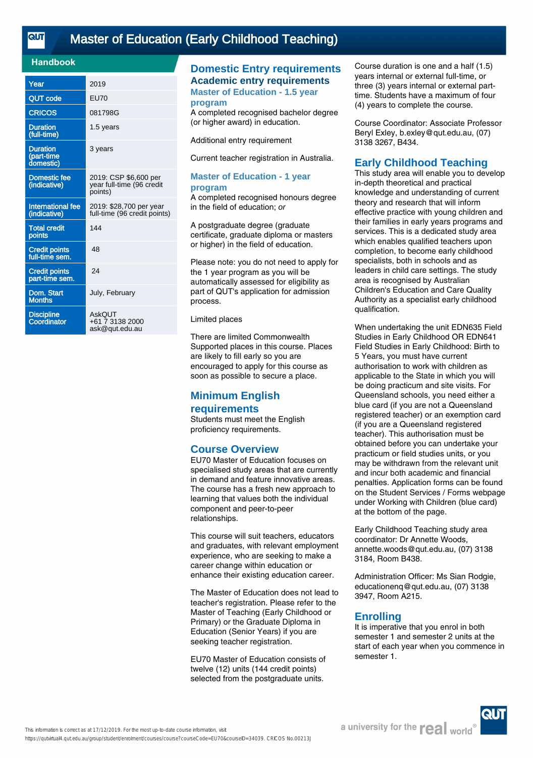<u>तान</u>

# [Master of Education \(Early Childhood Teaching\)](https://qutvirtual4.qut.edu.au/group/student/enrolment/courses/course?courseCode=EU70&courseID=34039)

### **Handbook**

| Year                                       | 2019                                                          |
|--------------------------------------------|---------------------------------------------------------------|
| <b>QUT code</b>                            | <b>EU70</b>                                                   |
| <b>CRICOS</b>                              | 081798G                                                       |
| <b>Duration</b><br>(full-time)             | 1.5 years                                                     |
| <b>Duration</b><br>(part-time<br>domestic) | 3 years                                                       |
| <b>Domestic fee</b><br>(indicative)        | 2019: CSP \$6,600 per<br>year full-time (96 credit<br>points) |
| International fee<br>(indicative)          | 2019: \$28,700 per year<br>full-time (96 credit points)       |
| <b>Total credit</b><br>points              | 144                                                           |
| <b>Credit points</b><br>full-time sem.     | 48                                                            |
| <b>Credit points</b><br>part-time sem.     | 24                                                            |
| Dom. Start<br><b>Months</b>                | July, February                                                |
| <b>Discipline</b><br>Coordinator           | <b>AskOUT</b><br>+61 7 3138 2000<br>ask@gut.edu.au            |

# **Domestic Entry requirements Academic entry requirements**

**Master of Education - 1.5 year program**

A completed recognised bachelor degree (or higher award) in education.

Additional entry requirement

Current teacher registration in Australia.

#### **Master of Education - 1 year program**

A completed recognised honours degree in the field of education; or

A postgraduate degree (graduate certificate, graduate diploma or masters or higher) in the field of education.

Please note: you do not need to apply for the 1 year program as you will be automatically assessed for eligibility as part of QUT's application for admission process.

Limited places

There are limited Commonwealth Supported places in this course. Places are likely to fill early so you are encouraged to apply for this course as soon as possible to secure a place.

# **Minimum English requirements**

Students must meet the English proficiency requirements.

# **Course Overview**

EU70 Master of Education focuses on specialised study areas that are currently in demand and feature innovative areas. The course has a fresh new approach to learning that values both the individual component and peer-to-peer relationships.

This course will suit teachers, educators and graduates, with relevant employment experience, who are seeking to make a career change within education or enhance their existing education career.

The Master of Education does not lead to teacher's registration. Please refer to the Master of Teaching (Early Childhood or Primary) or the Graduate Diploma in Education (Senior Years) if you are seeking teacher registration.

EU70 Master of Education consists of twelve (12) units (144 credit points) selected from the postgraduate units.

Course duration is one and a half (1.5) years internal or external full-time, or three (3) years internal or external parttime. Students have a maximum of four (4) years to complete the course.

Course Coordinator: Associate Professor Beryl Exley, b.exley@qut.edu.au, (07) 3138 3267, B434.

### **Early Childhood Teaching**

This study area will enable you to develop in-depth theoretical and practical knowledge and understanding of current theory and research that will inform effective practice with young children and their families in early years programs and services. This is a dedicated study area which enables qualified teachers upon completion, to become early childhood specialists, both in schools and as leaders in child care settings. The study area is recognised by Australian Children's Education and Care Quality Authority as a specialist early childhood qualification.

When undertaking the unit EDN635 Field Studies in Early Childhood OR EDN641 Field Studies in Early Childhood: Birth to 5 Years, you must have current authorisation to work with children as applicable to the State in which you will be doing practicum and site visits. For Queensland schools, you need either a blue card (if you are not a Queensland registered teacher) or an exemption card (if you are a Queensland registered teacher). This authorisation must be obtained before you can undertake your practicum or field studies units, or you may be withdrawn from the relevant unit and incur both academic and financial penalties. Application forms can be found on the Student Services / Forms webpage under Working with Children (blue card) at the bottom of the page.

Early Childhood Teaching study area coordinator: Dr Annette Woods, annette.woods@qut.edu.au, (07) 3138 3184, Room B438.

Administration Officer: Ms Sian Rodgie, educationenq@qut.edu.au, (07) 3138 3947, Room A215.

### **Enrolling**

It is imperative that you enrol in both semester 1 and semester 2 units at the start of each year when you commence in semester 1.

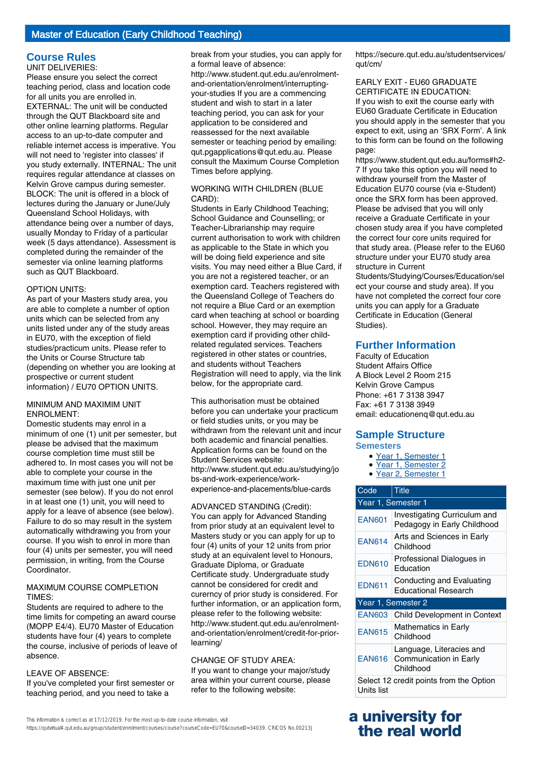#### **Course Rules** UNIT DELIVERIES:

Please ensure you select the correct teaching period, class and location code for all units you are enrolled in. EXTERNAL: The unit will be conducted through the QUT Blackboard site and other online learning platforms. Regular access to an up-to-date computer and reliable internet access is imperative. You will not need to 'register into classes' if you study externally. INTERNAL: The unit requires regular attendance at classes on Kelvin Grove campus during semester. BLOCK: The unit is offered in a block of lectures during the January or June/July Queensland School Holidays, with attendance being over a number of days, usually Monday to Friday of a particular week (5 days attendance). Assessment is completed during the remainder of the semester via online learning platforms such as QUT Blackboard.

#### OPTION UNITS:

As part of your Masters study area, you are able to complete a number of option units which can be selected from any units listed under any of the study areas in EU70, with the exception of field studies/practicum units. Please refer to the Units or Course Structure tab (depending on whether you are looking at prospective or current student information) / EU70 OPTION UNITS.

#### MINIMUM AND MAXIMIM UNIT ENROLMENT:

Domestic students may enrol in a minimum of one (1) unit per semester, but please be advised that the maximum course completion time must still be adhered to. In most cases you will not be able to complete your course in the maximum time with just one unit per semester (see below). If you do not enrol in at least one (1) unit, you will need to apply for a leave of absence (see below). Failure to do so may result in the system automatically withdrawing you from your course. If you wish to enrol in more than four (4) units per semester, you will need permission, in writing, from the Course Coordinator.

#### MAXIMUM COURSE COMPLETION TIMES:

Students are required to adhere to the time limits for competing an award course (MOPP E4/4). EU70 Master of Education students have four (4) years to complete the course, inclusive of periods of leave of absence.

#### LEAVE OF ABSENCE:

If you've completed your first semester or teaching period, and you need to take a

break from your studies, you can apply for a formal leave of absence:

http://www.student.qut.edu.au/enrolmentand-orientation/enrolment/interruptingyour-studies If you are a commencing student and wish to start in a later teaching period, you can ask for your application to be considered and reassessed for the next available semester or teaching period by emailing: qut.pgapplications@qut.edu.au. Please consult the Maximum Course Completion Times before applying.

#### WORKING WITH CHILDREN (BLUE CARD):

Students in Early Childhood Teaching; School Guidance and Counselling; or Teacher-Librarianship may require current authorisation to work with children as applicable to the State in which you will be doing field experience and site visits. You may need either a Blue Card, if you are not a registered teacher, or an exemption card. Teachers registered with the Queensland College of Teachers do not require a Blue Card or an exemption card when teaching at school or boarding school. However, they may require an exemption card if providing other childrelated regulated services. Teachers registered in other states or countries, and students without Teachers Registration will need to apply, via the link below, for the appropriate card.

This authorisation must be obtained before you can undertake your practicum or field studies units, or you may be withdrawn from the relevant unit and incur both academic and financial penalties. Application forms can be found on the Student Services website: http://www.student.qut.edu.au/studying/jo bs-and-work-experience/workexperience-and-placements/blue-cards

# ADVANCED STANDING (Credit):

You can apply for Advanced Standing from prior study at an equivalent level to Masters study or you can apply for up to four (4) units of your 12 units from prior study at an equivalent level to Honours, Graduate Diploma, or Graduate Certificate study. Undergraduate study cannot be considered for credit and curerncy of prior study is considered. For further information, or an application form, please refer to the following website: http://www.student.qut.edu.au/enrolmentand-orientation/enrolment/credit-for-priorlearning/

#### CHANGE OF STUDY AREA:

If you want to change your major/study area within your current course, please refer to the following website:

expect to exit, using an 'SRX Form'. A link to this form can be found on the following

qut/cm/

page: https://www.student.qut.edu.au/forms#h2- 7 If you take this option you will need to withdraw yourself from the Master of Education EU70 course (via e-Student) once the SRX form has been approved. Please be advised that you will only receive a Graduate Certificate in your chosen study area if you have completed the correct four core units required for that study area. (Please refer to the EU60 structure under your EU70 study area structure in Current

https://secure.qut.edu.au/studentservices/

EARLY EXIT - EU60 GRADUATE CERTIFICATE IN EDUCATION: If you wish to exit the course early with EU60 Graduate Certificate in Education you should apply in the semester that you

Students/Studying/Courses/Education/sel ect your course and study area). If you have not completed the correct four core units you can apply for a Graduate Certificate in Education (General Studies).

### **Further Information**

Faculty of Education Student Affairs Office A Block Level 2 Room 215 Kelvin Grove Campus Phone: +61 7 3138 3947 Fax: +61 7 3138 3949 email: educationenq@qut.edu.au

# **Sample Structure**

# **Semesters**

- Year 1, Semester 1
- Year 1, Semester 2 • Year 2, Semester 1
- Code Title Year 1, Semester 1 EAN601 Investigating Curriculum and Pedagogy in Early Childhood

| <b>EAN614</b>                                         | Arts and Sciences in Early<br>Childhood                         |  |
|-------------------------------------------------------|-----------------------------------------------------------------|--|
| <b>EDN610</b>                                         | Professional Dialogues in<br>Education                          |  |
| <b>EDN611</b>                                         | Conducting and Evaluating<br><b>Educational Research</b>        |  |
| Year 1, Semester 2                                    |                                                                 |  |
| <b>EAN603</b>                                         | <b>Child Development in Context</b>                             |  |
| <b>EAN615</b>                                         | <b>Mathematics in Early</b><br>Childhood                        |  |
| <b>EAN616</b>                                         | Language, Literacies and<br>Communication in Early<br>Childhood |  |
| Select 12 credit points from the Option<br>Units list |                                                                 |  |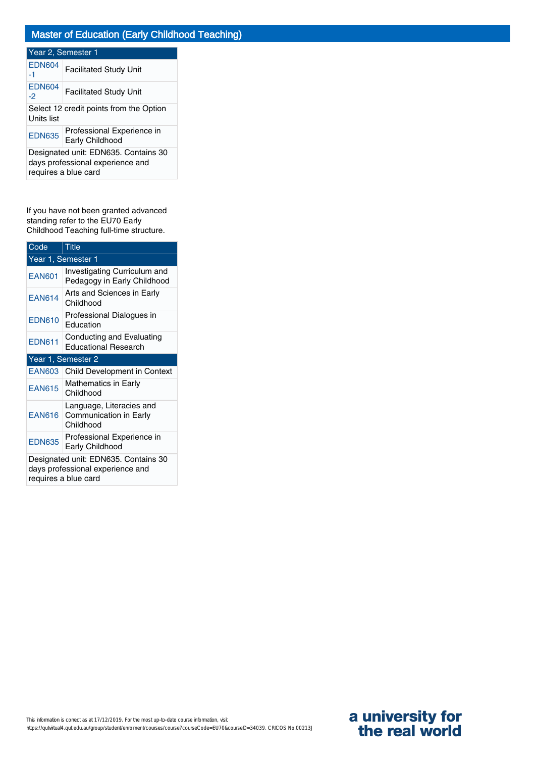### Year 2, Semester 1 EDN604  $\begin{array}{c|c} \text{EDN604} & \text{Facilitated Study Unit} \end{array}$ EDN604<br>-2 **Facilitated Study Unit** Select 12 credit points from the Option Units list EDN635 Professional Experience in Early Childhood Designated unit: EDN635. Contains 30 days professional experience and requires a blue card

If you have not been granted advanced standing refer to the EU70 Early Childhood Teaching full-time structure.

| Code                                                                                             | <b>Title</b>                                                    |  |
|--------------------------------------------------------------------------------------------------|-----------------------------------------------------------------|--|
| Year 1, Semester 1                                                                               |                                                                 |  |
| <b>EAN601</b>                                                                                    | Investigating Curriculum and<br>Pedagogy in Early Childhood     |  |
| <b>EAN614</b>                                                                                    | Arts and Sciences in Early<br>Childhood                         |  |
| <b>EDN610</b>                                                                                    | Professional Dialogues in<br>Education                          |  |
| <b>EDN611</b>                                                                                    | Conducting and Evaluating<br><b>Educational Research</b>        |  |
| Year 1, Semester 2                                                                               |                                                                 |  |
| <b>EAN603</b>                                                                                    | Child Development in Context                                    |  |
| <b>EAN615</b>                                                                                    | Mathematics in Early<br>Childhood                               |  |
| <b>EAN616</b>                                                                                    | Language, Literacies and<br>Communication in Early<br>Childhood |  |
| <b>EDN635</b>                                                                                    | Professional Experience in<br>Early Childhood                   |  |
| Designated unit: EDN635. Contains 30<br>days professional experience and<br>requires a blue card |                                                                 |  |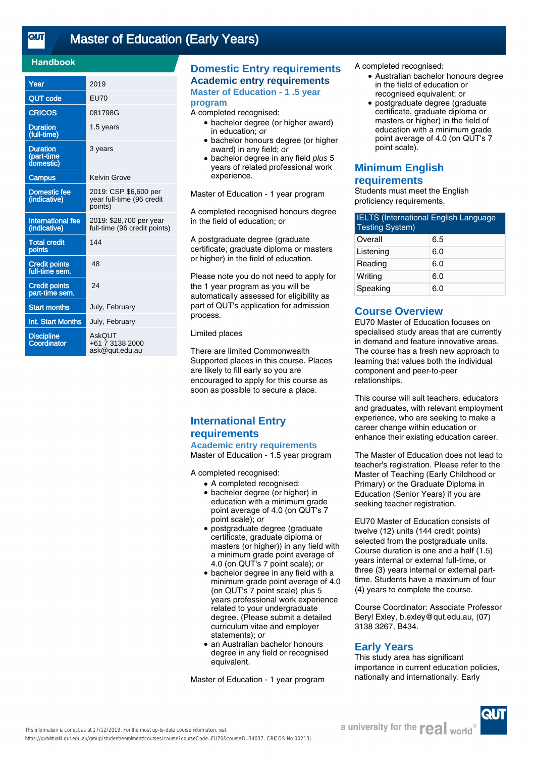<u>तान</u>

# [Master of Education \(Early Years\)](https://qutvirtual4.qut.edu.au/group/student/enrolment/courses/course?courseCode=EU70&courseID=34037)

### **Handbook**

| Year                                       | 2019                                                          |
|--------------------------------------------|---------------------------------------------------------------|
| <b>QUT code</b>                            | <b>EU70</b>                                                   |
| <b>CRICOS</b>                              | 081798G                                                       |
| <b>Duration</b><br>(full-time)             | 1.5 years                                                     |
| <b>Duration</b><br>(part-time<br>domestic) | 3 years                                                       |
| <b>Campus</b>                              | Kelvin Grove                                                  |
| Domestic fee<br>(indicative)               | 2019: CSP \$6,600 per<br>year full-time (96 credit<br>points) |
| <b>International fee</b><br>(indicative)   | 2019: \$28,700 per year<br>full-time (96 credit points)       |
| <b>Total credit</b><br>points              | 144                                                           |
| <b>Credit points</b><br>full-time sem.     | 48                                                            |
| <b>Credit points</b><br>part-time sem.     | 24                                                            |
| <b>Start months</b>                        | July, February                                                |
| Int. Start Months                          | July, February                                                |
| <b>Discipline</b><br>Coordinator           | AskOUT<br>+61 7 3138 2000<br>ask@qut.edu.au                   |

# **Domestic Entry requirements Academic entry requirements**

**Master of Education - 1 .5 year program**

#### A completed recognised:

- bachelor degree (or higher award) in education; or
- bachelor honours degree (or higher award) in any field; or
- bachelor degree in any field plus 5 years of related professional work experience.

Master of Education - 1 year program

A completed recognised honours degree in the field of education; or

A postgraduate degree (graduate certificate, graduate diploma or masters or higher) in the field of education.

Please note you do not need to apply for the 1 year program as you will be automatically assessed for eligibility as part of QUT's application for admission process.

#### Limited places

There are limited Commonwealth Supported places in this course. Places are likely to fill early so you are encouraged to apply for this course as soon as possible to secure a place.

# **International Entry requirements Academic entry requirements**

Master of Education - 1.5 year program

A completed recognised:

- A completed recognised:
	- bachelor degree (or higher) in education with a minimum grade point average of 4.0 (on QUT's 7 point scale); or
	- postgraduate degree (graduate certificate, graduate diploma or masters (or higher)) in any field with a minimum grade point average of 4.0 (on QUT's 7 point scale); or
	- bachelor degree in any field with a minimum grade point average of 4.0 (on QUT's 7 point scale) plus 5 years professional work experience related to your undergraduate degree. (Please submit a detailed curriculum vitae and employer statements); or
	- an Australian bachelor honours degree in any field or recognised equivalent.

Master of Education - 1 year program

A completed recognised:

- Australian bachelor honours degree in the field of education or recognised equivalent; or
- postgraduate degree (graduate certificate, graduate diploma or masters or higher) in the field of education with a minimum grade point average of 4.0 (on QUT's 7 point scale). ●

# **Minimum English**

# **requirements**

Students must meet the English proficiency requirements.

| <b>IELTS (International English Language</b><br><b>Testing System)</b> |     |
|------------------------------------------------------------------------|-----|
| Overall                                                                | 6.5 |
| Listening                                                              | 6.0 |
| Reading                                                                | 6.0 |
| Writing                                                                | 6.0 |
| Speaking                                                               | 6.0 |

# **Course Overview**

EU70 Master of Education focuses on specialised study areas that are currently in demand and feature innovative areas. The course has a fresh new approach to learning that values both the individual component and peer-to-peer relationships.

This course will suit teachers, educators and graduates, with relevant employment experience, who are seeking to make a career change within education or enhance their existing education career.

The Master of Education does not lead to teacher's registration. Please refer to the Master of Teaching (Early Childhood or Primary) or the Graduate Diploma in Education (Senior Years) if you are seeking teacher registration.

EU70 Master of Education consists of twelve (12) units (144 credit points) selected from the postgraduate units. Course duration is one and a half (1.5) years internal or external full-time, or three (3) years internal or external parttime. Students have a maximum of four (4) years to complete the course.

Course Coordinator: Associate Professor Beryl Exley, b.exley@qut.edu.au, (07) 3138 3267, B434.

### **Early Years**

This study area has significant importance in current education policies, nationally and internationally. Early



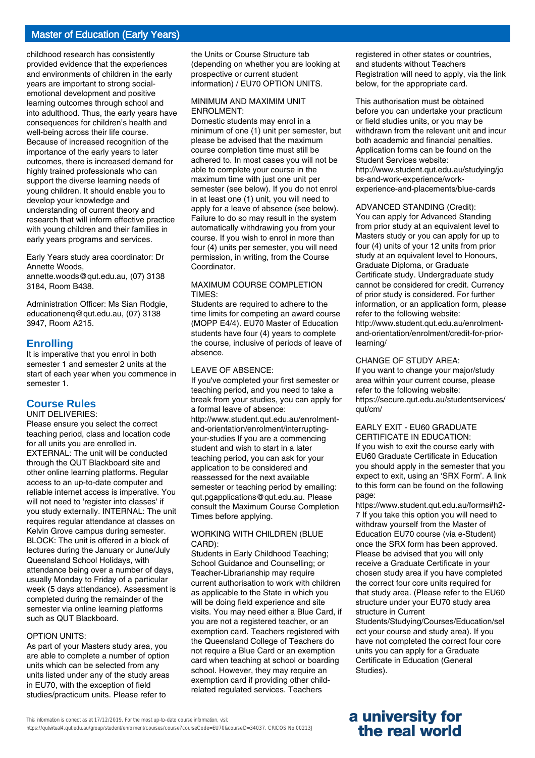# Master of Education (Early Years)

childhood research has consistently provided evidence that the experiences and environments of children in the early years are important to strong socialemotional development and positive learning outcomes through school and into adulthood. Thus, the early years have consequences for children's health and well-being across their life course. Because of increased recognition of the importance of the early years to later outcomes, there is increased demand for highly trained professionals who can support the diverse learning needs of young children. It should enable you to develop your knowledge and understanding of current theory and research that will inform effective practice with young children and their families in early years programs and services.

Early Years study area coordinator: Dr Annette Woods,

annette.woods@qut.edu.au, (07) 3138 3184, Room B438.

Administration Officer: Ms Sian Rodgie, educationenq@qut.edu.au, (07) 3138 3947, Room A215.

#### **Enrolling**

It is imperative that you enrol in both semester 1 and semester 2 units at the start of each year when you commence in semester 1.

# **Course Rules**

#### UNIT DELIVERIES:

Please ensure you select the correct teaching period, class and location code for all units you are enrolled in. EXTERNAL: The unit will be conducted through the QUT Blackboard site and other online learning platforms. Regular access to an up-to-date computer and reliable internet access is imperative. You will not need to 'register into classes' if you study externally. INTERNAL: The unit requires regular attendance at classes on Kelvin Grove campus during semester. BLOCK: The unit is offered in a block of lectures during the January or June/July Queensland School Holidays, with attendance being over a number of days, usually Monday to Friday of a particular week (5 days attendance). Assessment is completed during the remainder of the semester via online learning platforms such as QUT Blackboard.

#### OPTION UNITS:

As part of your Masters study area, you are able to complete a number of option units which can be selected from any units listed under any of the study areas in EU70, with the exception of field studies/practicum units. Please refer to

the Units or Course Structure tab (depending on whether you are looking at prospective or current student information) / EU70 OPTION UNITS.

#### MINIMUM AND MAXIMIM UNIT ENROLMENT:

Domestic students may enrol in a minimum of one (1) unit per semester, but please be advised that the maximum course completion time must still be adhered to. In most cases you will not be able to complete your course in the maximum time with just one unit per semester (see below). If you do not enrol in at least one (1) unit, you will need to apply for a leave of absence (see below). Failure to do so may result in the system automatically withdrawing you from your course. If you wish to enrol in more than four (4) units per semester, you will need permission, in writing, from the Course Coordinator.

#### MAXIMUM COURSE COMPLETION TIMES:

Students are required to adhere to the time limits for competing an award course (MOPP E4/4). EU70 Master of Education students have four (4) years to complete the course, inclusive of periods of leave of absence.

### LEAVE OF ABSENCE:

If you've completed your first semester or teaching period, and you need to take a break from your studies, you can apply for a formal leave of absence: http://www.student.qut.edu.au/enrolmentand-orientation/enrolment/interruptingyour-studies If you are a commencing student and wish to start in a later teaching period, you can ask for your application to be considered and reassessed for the next available semester or teaching period by emailing: qut.pgapplications@qut.edu.au. Please consult the Maximum Course Completion Times before applying.

#### WORKING WITH CHILDREN (BLUE CARD):

Students in Early Childhood Teaching; School Guidance and Counselling; or Teacher-Librarianship may require current authorisation to work with children as applicable to the State in which you will be doing field experience and site visits. You may need either a Blue Card, if you are not a registered teacher, or an exemption card. Teachers registered with the Queensland College of Teachers do not require a Blue Card or an exemption card when teaching at school or boarding school. However, they may require an exemption card if providing other childrelated regulated services. Teachers

registered in other states or countries, and students without Teachers Registration will need to apply, via the link below, for the appropriate card.

This authorisation must be obtained before you can undertake your practicum or field studies units, or you may be withdrawn from the relevant unit and incur both academic and financial penalties. Application forms can be found on the Student Services website: http://www.student.qut.edu.au/studying/jo bs-and-work-experience/workexperience-and-placements/blue-cards

#### ADVANCED STANDING (Credit):

You can apply for Advanced Standing from prior study at an equivalent level to Masters study or you can apply for up to four (4) units of your 12 units from prior study at an equivalent level to Honours. Graduate Diploma, or Graduate Certificate study. Undergraduate study cannot be considered for credit. Currency of prior study is considered. For further information, or an application form, please refer to the following website: http://www.student.qut.edu.au/enrolmentand-orientation/enrolment/credit-for-priorlearning/

#### CHANGE OF STUDY AREA:

If you want to change your major/study area within your current course, please refer to the following website: https://secure.qut.edu.au/studentservices/ qut/cm/

# EARLY EXIT - EU60 GRADUATE

CERTIFICATE IN EDUCATION: If you wish to exit the course early with EU60 Graduate Certificate in Education you should apply in the semester that you expect to exit, using an 'SRX Form'. A link to this form can be found on the following page:

https://www.student.qut.edu.au/forms#h2- 7 If you take this option you will need to withdraw yourself from the Master of Education EU70 course (via e-Student) once the SRX form has been approved. Please be advised that you will only receive a Graduate Certificate in your chosen study area if you have completed the correct four core units required for that study area. (Please refer to the EU60 structure under your EU70 study area structure in Current

Students/Studying/Courses/Education/sel ect your course and study area). If you have not completed the correct four core units you can apply for a Graduate Certificate in Education (General Studies).

# **a university for the real world**

https://qutvirtual4.qut.edu.au/group/student/enrolment/courses/course?courseCode=EU70&courseID=34037. CRICOS No.00213J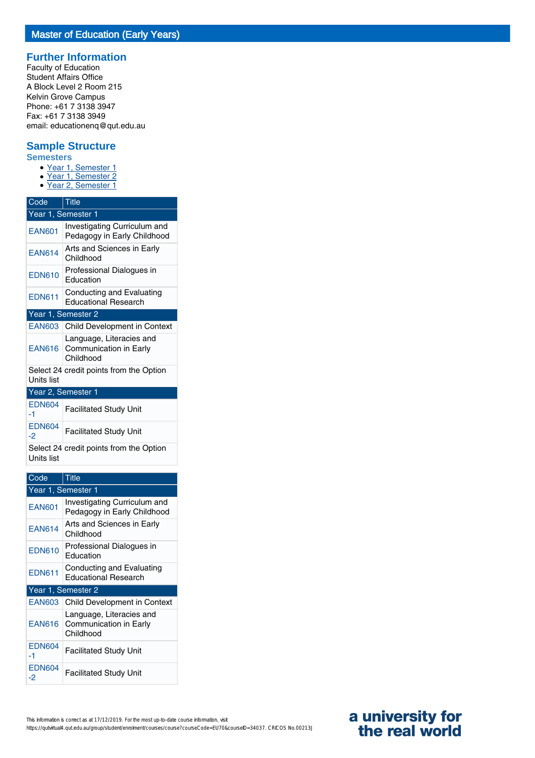# **Further Information**

Faculty of Education Student Affairs Office A Block Level 2 Room 215 Kelvin Grove Campus Phone: +61 7 3138 3947 Fax: +61 7 3138 3949 email: educationenq@qut.edu.au

# **Sample Structure**

**Semesters**

- Year 1, Semester 1
- Year 1, Semester 2
- Year 2, Semester 1

| Code                                                  | <b>Title</b>                                                    |  |
|-------------------------------------------------------|-----------------------------------------------------------------|--|
|                                                       | Year 1, Semester 1                                              |  |
| <b>EAN601</b>                                         | Investigating Curriculum and<br>Pedagogy in Early Childhood     |  |
| <b>EAN614</b>                                         | Arts and Sciences in Early<br>Childhood                         |  |
| <b>EDN610</b>                                         | Professional Dialogues in<br>Education                          |  |
| <b>EDN611</b>                                         | Conducting and Evaluating<br><b>Educational Research</b>        |  |
| Year 1, Semester 2                                    |                                                                 |  |
| <b>EAN603</b>                                         | Child Development in Context                                    |  |
| <b>EAN616</b>                                         | Language, Literacies and<br>Communication in Early<br>Childhood |  |
| Select 24 credit points from the Option<br>Units list |                                                                 |  |
| Year 2, Semester 1                                    |                                                                 |  |
| <b>EDN604</b><br>-1                                   | <b>Facilitated Study Unit</b>                                   |  |
| <b>EDN604</b><br>-2                                   | <b>Facilitated Study Unit</b>                                   |  |
| Units list                                            | Select 24 credit points from the Option                         |  |

| Code                | Title                                                           |  |
|---------------------|-----------------------------------------------------------------|--|
|                     |                                                                 |  |
|                     | Year 1, Semester 1                                              |  |
| <b>EAN601</b>       | Investigating Curriculum and<br>Pedagogy in Early Childhood     |  |
| <b>EAN614</b>       | Arts and Sciences in Early<br>Childhood                         |  |
| <b>EDN610</b>       | Professional Dialogues in<br>Education                          |  |
| <b>EDN611</b>       | Conducting and Evaluating<br><b>Educational Research</b>        |  |
| Year 1, Semester 2  |                                                                 |  |
| <b>EAN603</b>       | <b>Child Development in Context</b>                             |  |
| <b>EAN616</b>       | Language, Literacies and<br>Communication in Early<br>Childhood |  |
| <b>EDN604</b><br>-1 | <b>Facilitated Study Unit</b>                                   |  |
| <b>EDN604</b><br>-2 | <b>Facilitated Study Unit</b>                                   |  |

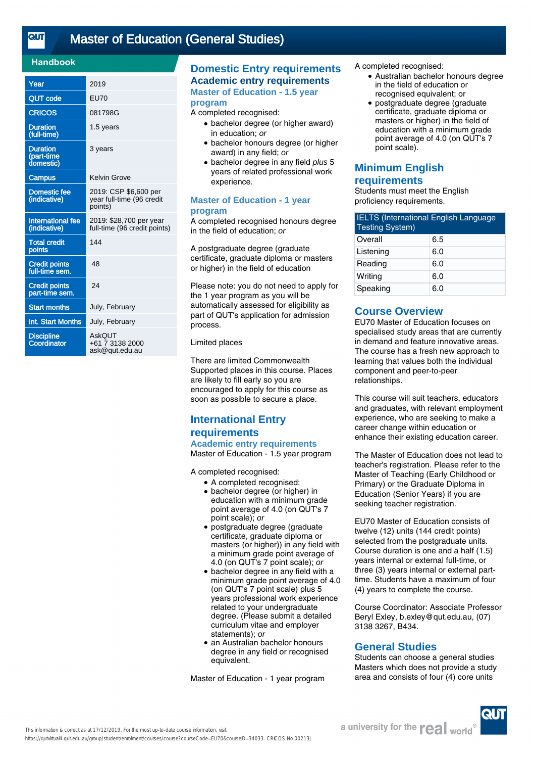<u>तान</u>

# [Master of Education \(General Studies\)](https://qutvirtual4.qut.edu.au/group/student/enrolment/courses/course?courseCode=EU70&courseID=34033)

### **Handbook**

| Year                                       | 2019                                                          |
|--------------------------------------------|---------------------------------------------------------------|
| <b>QUT code</b>                            | <b>EU70</b>                                                   |
| <b>CRICOS</b>                              | 081798G                                                       |
| <b>Duration</b><br>(full-time)             | 1.5 years                                                     |
| <b>Duration</b><br>(part-time<br>domestic) | 3 years                                                       |
| <b>Campus</b>                              | <b>Kelvin Grove</b>                                           |
| <b>Domestic fee</b><br>(indicative)        | 2019: CSP \$6,600 per<br>year full-time (96 credit<br>points) |
| <b>International fee</b><br>(indicative)   | 2019: \$28,700 per year<br>full-time (96 credit points)       |
| <b>Total credit</b><br>points              | 144                                                           |
| <b>Credit points</b><br>full-time sem.     | 48                                                            |
| <b>Credit points</b><br>part-time sem.     | 24                                                            |
| <b>Start months</b>                        | July, February                                                |
| Int. Start Months                          | July, February                                                |
| <b>Discipline</b><br>Coordinator           | AskOUT<br>+61 7 3138 2000<br>ask@qut.edu.au                   |

# **Domestic Entry requirements Academic entry requirements**

**Master of Education - 1.5 year program**

#### A completed recognised:

- bachelor degree (or higher award) in education; or
- bachelor honours degree (or higher award) in any field; or
- bachelor degree in any field plus 5 years of related professional work experience.

#### **Master of Education - 1 year program**

A completed recognised honours degree in the field of education; or

A postgraduate degree (graduate certificate, graduate diploma or masters or higher) in the field of education

Please note: you do not need to apply for the 1 year program as you will be automatically assessed for eligibility as part of QUT's application for admission process.

#### Limited places

There are limited Commonwealth Supported places in this course. Places are likely to fill early so you are encouraged to apply for this course as soon as possible to secure a place.

# **International Entry requirements Academic entry requirements**

Master of Education - 1.5 year program

A completed recognised:

- A completed recognised:
- bachelor degree (or higher) in education with a minimum grade point average of 4.0 (on QUT's 7 point scale); or
- postgraduate degree (graduate certificate, graduate diploma or masters (or higher)) in any field with a minimum grade point average of 4.0 (on QUT's 7 point scale); or
- bachelor degree in any field with a minimum grade point average of 4.0 (on QUT's 7 point scale) plus 5 years professional work experience related to your undergraduate degree. (Please submit a detailed curriculum vitae and employer statements); or
- an Australian bachelor honours degree in any field or recognised equivalent.

Master of Education - 1 year program

A completed recognised:

- Australian bachelor honours degree in the field of education or recognised equivalent; or
- postgraduate degree (graduate certificate, graduate diploma or masters or higher) in the field of education with a minimum grade point average of 4.0 (on QUT's 7 point scale). ●

# **Minimum English**

**requirements**

Students must meet the English proficiency requirements.

| <b>IELTS (International English Language</b><br><b>Testing System)</b> |     |
|------------------------------------------------------------------------|-----|
| Overall                                                                | 6.5 |
| Listening                                                              | 6.0 |
| Reading                                                                | 6.0 |
| Writing                                                                | 6.0 |
| Speaking                                                               | 6.0 |

# **Course Overview**

EU70 Master of Education focuses on specialised study areas that are currently in demand and feature innovative areas. The course has a fresh new approach to learning that values both the individual component and peer-to-peer relationships.

This course will suit teachers, educators and graduates, with relevant employment experience, who are seeking to make a career change within education or enhance their existing education career.

The Master of Education does not lead to teacher's registration. Please refer to the Master of Teaching (Early Childhood or Primary) or the Graduate Diploma in Education (Senior Years) if you are seeking teacher registration.

EU70 Master of Education consists of twelve (12) units (144 credit points) selected from the postgraduate units. Course duration is one and a half (1.5) years internal or external full-time, or three (3) years internal or external parttime. Students have a maximum of four (4) years to complete the course.

Course Coordinator: Associate Professor Beryl Exley, b.exley@qut.edu.au, (07) 3138 3267, B434.

# **General Studies**

Students can choose a general studies Masters which does not provide a study area and consists of four (4) core units

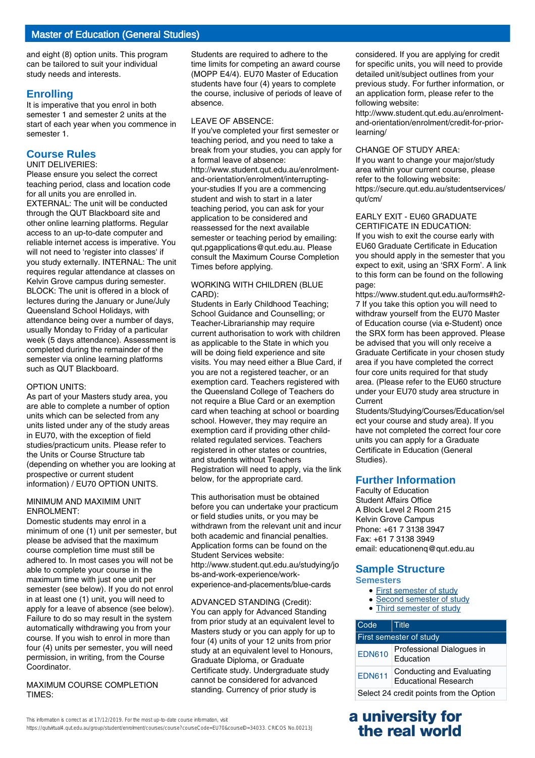and eight (8) option units. This program can be tailored to suit your individual study needs and interests.

### **Enrolling**

It is imperative that you enrol in both semester 1 and semester 2 units at the start of each year when you commence in semester 1.

# **Course Rules**

#### UNIT DELIVERIES:

Please ensure you select the correct teaching period, class and location code for all units you are enrolled in. EXTERNAL: The unit will be conducted through the QUT Blackboard site and other online learning platforms. Regular access to an up-to-date computer and reliable internet access is imperative. You will not need to 'register into classes' if you study externally. INTERNAL: The unit requires regular attendance at classes on Kelvin Grove campus during semester. BLOCK: The unit is offered in a block of lectures during the January or June/July Queensland School Holidays, with attendance being over a number of days, usually Monday to Friday of a particular week (5 days attendance). Assessment is completed during the remainder of the semester via online learning platforms such as QUT Blackboard.

#### OPTION UNITS:

As part of your Masters study area, you are able to complete a number of option units which can be selected from any units listed under any of the study areas in EU70, with the exception of field studies/practicum units. Please refer to the Units or Course Structure tab (depending on whether you are looking at prospective or current student information) / EU70 OPTION UNITS.

#### MINIMUM AND MAXIMIM UNIT ENROLMENT:

Domestic students may enrol in a minimum of one (1) unit per semester, but please be advised that the maximum course completion time must still be adhered to. In most cases you will not be able to complete your course in the maximum time with just one unit per semester (see below). If you do not enrol in at least one (1) unit, you will need to apply for a leave of absence (see below). Failure to do so may result in the system automatically withdrawing you from your course. If you wish to enrol in more than four (4) units per semester, you will need permission, in writing, from the Course Coordinator.

#### MAXIMUM COURSE COMPLETION TIMES:

Students are required to adhere to the time limits for competing an award course (MOPP E4/4). EU70 Master of Education students have four (4) years to complete the course, inclusive of periods of leave of absence.

#### LEAVE OF ABSENCE:

If you've completed your first semester or teaching period, and you need to take a break from your studies, you can apply for a formal leave of absence: http://www.student.qut.edu.au/enrolmentand-orientation/enrolment/interruptingyour-studies If you are a commencing student and wish to start in a later teaching period, you can ask for your application to be considered and reassessed for the next available semester or teaching period by emailing: qut.pgapplications@qut.edu.au. Please consult the Maximum Course Completion Times before applying.

#### WORKING WITH CHILDREN (BLUE CARD):

Students in Early Childhood Teaching; School Guidance and Counselling; or Teacher-Librarianship may require current authorisation to work with children as applicable to the State in which you will be doing field experience and site visits. You may need either a Blue Card, if you are not a registered teacher, or an exemption card. Teachers registered with the Queensland College of Teachers do not require a Blue Card or an exemption card when teaching at school or boarding school. However, they may require an exemption card if providing other childrelated regulated services. Teachers registered in other states or countries, and students without Teachers Registration will need to apply, via the link below, for the appropriate card.

This authorisation must be obtained before you can undertake your practicum or field studies units, or you may be withdrawn from the relevant unit and incur both academic and financial penalties. Application forms can be found on the Student Services website: http://www.student.qut.edu.au/studying/jo bs-and-work-experience/workexperience-and-placements/blue-cards

### ADVANCED STANDING (Credit):

You can apply for Advanced Standing from prior study at an equivalent level to Masters study or you can apply for up to four (4) units of your 12 units from prior study at an equivalent level to Honours, Graduate Diploma, or Graduate Certificate study. Undergraduate study cannot be considered for advanced standing. Currency of prior study is

considered. If you are applying for credit for specific units, you will need to provide detailed unit/subject outlines from your previous study. For further information, or an application form, please refer to the following website:

http://www.student.qut.edu.au/enrolmentand-orientation/enrolment/credit-for-priorlearning/

#### CHANGE OF STUDY AREA:

If you want to change your major/study area within your current course, please refer to the following website: https://secure.qut.edu.au/studentservices/ qut/cm/

#### EARLY EXIT - EU60 GRADUATE CERTIFICATE IN EDUCATION:

If you wish to exit the course early with EU60 Graduate Certificate in Education you should apply in the semester that you expect to exit, using an 'SRX Form'. A link to this form can be found on the following page:

https://www.student.qut.edu.au/forms#h2- 7 If you take this option you will need to withdraw yourself from the EU70 Master of Education course (via e-Student) once the SRX form has been approved. Please be advised that you will only receive a Graduate Certificate in your chosen study area if you have completed the correct four core units required for that study area. (Please refer to the EU60 structure under your EU70 study area structure in **Current** 

Students/Studying/Courses/Education/sel ect your course and study area). If you have not completed the correct four core units you can apply for a Graduate Certificate in Education (General Studies).

### **Further Information**

Faculty of Education Student Affairs Office A Block Level 2 Room 215 Kelvin Grove Campus Phone: +61 7 3138 3947 Fax: +61 7 3138 3949 email: educationenq@qut.edu.au

# **Sample Structure**

- **Semesters**
	- First semester of study
	- Second semester of study • Third semester of study

| Code                                                                      | Title                                  |
|---------------------------------------------------------------------------|----------------------------------------|
| First semester of study                                                   |                                        |
| <b>EDN610</b>                                                             | Professional Dialogues in<br>Education |
| Conducting and Evaluating<br><b>EDN611</b><br><b>Educational Research</b> |                                        |
| Select 24 credit points from the Option                                   |                                        |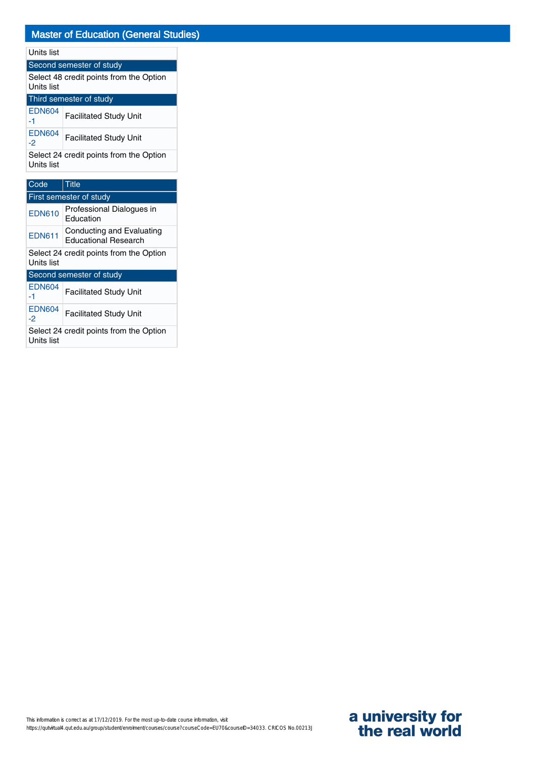## Units list

Second semester of study Select 48 credit points from the Option Units list  $T<sub>bind</sub>$ 

| <b>THILD SEITIESTEL OF STUDY</b> |                               |
|----------------------------------|-------------------------------|
| <b>EDN604</b><br>-1              | <b>Facilitated Study Unit</b> |
| <b>EDN604</b><br>-2              | <b>Facilitated Study Unit</b> |

Select 24 credit points from the Option Units list

| Code                                                  | <b>Title</b>                                             |  |
|-------------------------------------------------------|----------------------------------------------------------|--|
|                                                       | First semester of study                                  |  |
| <b>EDN610</b>                                         | Professional Dialogues in<br>Education                   |  |
| <b>EDN611</b>                                         | Conducting and Evaluating<br><b>Educational Research</b> |  |
| Select 24 credit points from the Option<br>Units list |                                                          |  |
| Second semester of study                              |                                                          |  |
| <b>EDN604</b><br>-1                                   | <b>Facilitated Study Unit</b>                            |  |
| <b>EDN604</b><br>-2                                   | <b>Facilitated Study Unit</b>                            |  |
| Select 24 credit points from the Option<br>Units list |                                                          |  |

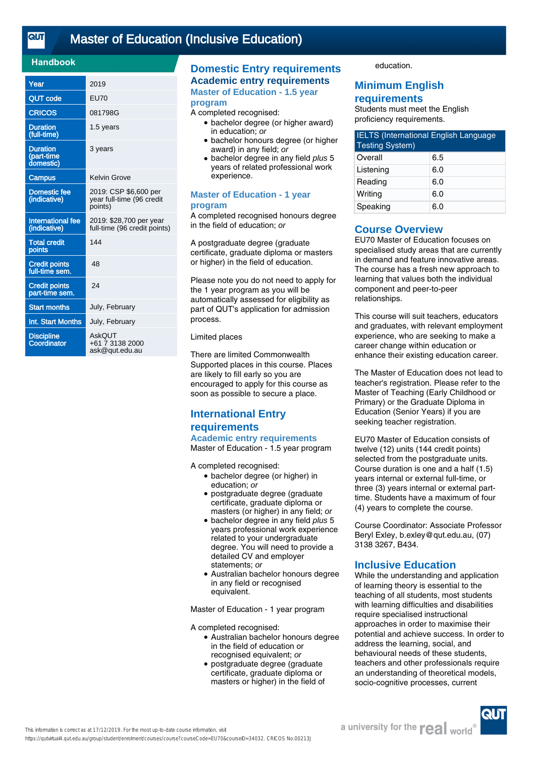<u>तान</u>

# [Master of Education \(Inclusive Education\)](https://qutvirtual4.qut.edu.au/group/student/enrolment/courses/course?courseCode=EU70&courseID=34032)

### **Handbook**

| Year                                       | 2019                                                          |
|--------------------------------------------|---------------------------------------------------------------|
| QUT code                                   | <b>EU70</b>                                                   |
| <b>CRICOS</b>                              | 081798G                                                       |
| <b>Duration</b><br>(full-time)             | 1.5 years                                                     |
| <b>Duration</b><br>(part-time<br>domestic) | 3 years                                                       |
| <b>Campus</b>                              | Kelvin Grove                                                  |
| <b>Domestic fee</b><br>(indicative)        | 2019: CSP \$6,600 per<br>year full-time (96 credit<br>points) |
| <b>International fee</b><br>(indicative)   | 2019: \$28,700 per year<br>full-time (96 credit points)       |
| <b>Total credit</b><br>points              | 144                                                           |
| <b>Credit points</b><br>full-time sem.     | 48                                                            |
| <b>Credit points</b><br>part-time sem.     | 24                                                            |
| <b>Start months</b>                        | July, February                                                |
| Int. Start Months                          | July, February                                                |
| <b>Discipline</b><br>Coordinator           | AskOUT<br>+61 7 3138 2000<br>ask@qut.edu.au                   |

# **Domestic Entry requirements Academic entry requirements**

**Master of Education - 1.5 year program**

#### A completed recognised:

- bachelor degree (or higher award) in education; or
- bachelor honours degree (or higher award) in any field; or
- bachelor degree in any field plus 5 years of related professional work experience.

#### **Master of Education - 1 year program**

A completed recognised honours degree in the field of education; or

A postgraduate degree (graduate certificate, graduate diploma or masters or higher) in the field of education.

Please note you do not need to apply for the 1 year program as you will be automatically assessed for eligibility as part of QUT's application for admission process.

#### Limited places

There are limited Commonwealth Supported places in this course. Places are likely to fill early so you are encouraged to apply for this course as soon as possible to secure a place.

# **International Entry requirements**

**Academic entry requirements** Master of Education - 1.5 year program

A completed recognised:

- bachelor degree (or higher) in education; or
- postgraduate degree (graduate certificate, graduate diploma or masters (or higher) in any field; or
- bachelor degree in any field plus 5 years professional work experience related to your undergraduate degree. You will need to provide a detailed CV and employer statements; or
- Australian bachelor honours degree in any field or recognised equivalent.

Master of Education - 1 year program

A completed recognised:

- Australian bachelor honours degree in the field of education or recognised equivalent; or
- postgraduate degree (graduate certificate, graduate diploma or masters or higher) in the field of

education.

### **Minimum English requirements**

Students must meet the English proficiency requirements.

| <b>IELTS (International English Language</b><br><b>Testing System)</b> |     |
|------------------------------------------------------------------------|-----|
| Overall                                                                | 6.5 |
| Listening                                                              | 6.0 |
| Reading                                                                | 6.0 |
| Writing                                                                | 6.0 |
| Speaking                                                               | 6.0 |

### **Course Overview**

EU70 Master of Education focuses on specialised study areas that are currently in demand and feature innovative areas. The course has a fresh new approach to learning that values both the individual component and peer-to-peer relationships.

This course will suit teachers, educators and graduates, with relevant employment experience, who are seeking to make a career change within education or enhance their existing education career.

The Master of Education does not lead to teacher's registration. Please refer to the Master of Teaching (Early Childhood or Primary) or the Graduate Diploma in Education (Senior Years) if you are seeking teacher registration.

EU70 Master of Education consists of twelve (12) units (144 credit points) selected from the postgraduate units. Course duration is one and a half (1.5) years internal or external full-time, or three (3) years internal or external parttime. Students have a maximum of four (4) years to complete the course.

Course Coordinator: Associate Professor Beryl Exley, b.exley@qut.edu.au, (07) 3138 3267, B434.

### **Inclusive Education**

While the understanding and application of learning theory is essential to the teaching of all students, most students with learning difficulties and disabilities require specialised instructional approaches in order to maximise their potential and achieve success. In order to address the learning, social, and behavioural needs of these students, teachers and other professionals require an understanding of theoretical models, socio-cognitive processes, current

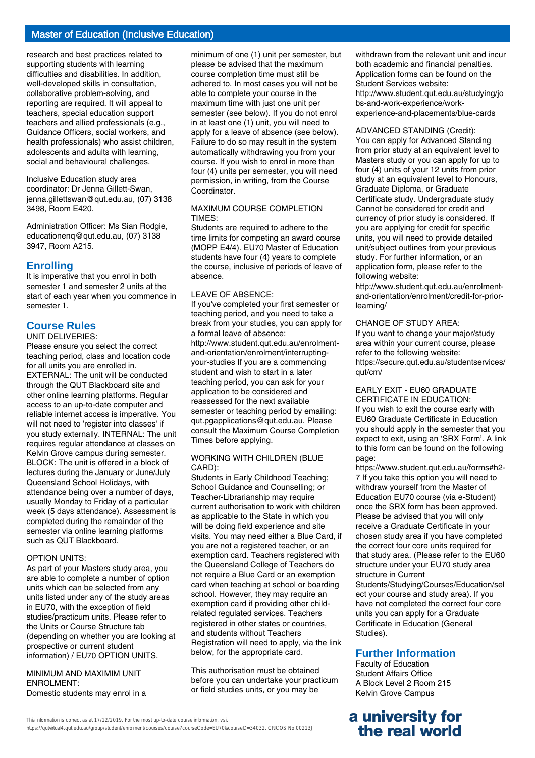# Master of Education (Inclusive Education)

research and best practices related to supporting students with learning difficulties and disabilities. In addition, well-developed skills in consultation, collaborative problem-solving, and reporting are required. It will appeal to teachers, special education support teachers and allied professionals (e.g., Guidance Officers, social workers, and health professionals) who assist children, adolescents and adults with learning, social and behavioural challenges.

Inclusive Education study area coordinator: Dr Jenna Gillett-Swan, jenna.gillettswan@qut.edu.au, (07) 3138 3498, Room E420.

Administration Officer: Ms Sian Rodgie, educationenq@qut.edu.au, (07) 3138 3947, Room A215.

#### **Enrolling**

It is imperative that you enrol in both semester 1 and semester 2 units at the start of each year when you commence in semester 1.

### **Course Rules**

#### UNIT DELIVERIES:

Please ensure you select the correct teaching period, class and location code for all units you are enrolled in. EXTERNAL: The unit will be conducted through the QUT Blackboard site and other online learning platforms. Regular access to an up-to-date computer and reliable internet access is imperative. You will not need to 'register into classes' if you study externally. INTERNAL: The unit requires regular attendance at classes on Kelvin Grove campus during semester. BLOCK: The unit is offered in a block of lectures during the January or June/July Queensland School Holidays, with attendance being over a number of days, usually Monday to Friday of a particular week (5 days attendance). Assessment is completed during the remainder of the semester via online learning platforms such as QUT Blackboard.

#### OPTION UNITS:

As part of your Masters study area, you are able to complete a number of option units which can be selected from any units listed under any of the study areas in EU70, with the exception of field studies/practicum units. Please refer to the Units or Course Structure tab (depending on whether you are looking at prospective or current student information) / EU70 OPTION UNITS.

#### MINIMUM AND MAXIMIM UNIT ENROLMENT: Domestic students may enrol in a

minimum of one (1) unit per semester, but please be advised that the maximum course completion time must still be adhered to. In most cases you will not be able to complete your course in the maximum time with just one unit per semester (see below). If you do not enrol in at least one (1) unit, you will need to apply for a leave of absence (see below). Failure to do so may result in the system automatically withdrawing you from your course. If you wish to enrol in more than four (4) units per semester, you will need permission, in writing, from the Course Coordinator.

#### MAXIMUM COURSE COMPLETION TIMES:

Students are required to adhere to the time limits for competing an award course (MOPP E4/4). EU70 Master of Education students have four (4) years to complete the course, inclusive of periods of leave of absence.

#### LEAVE OF ABSENCE:

If you've completed your first semester or teaching period, and you need to take a break from your studies, you can apply for a formal leave of absence: http://www.student.qut.edu.au/enrolmentand-orientation/enrolment/interruptingyour-studies If you are a commencing student and wish to start in a later teaching period, you can ask for your application to be considered and reassessed for the next available semester or teaching period by emailing: qut.pgapplications@qut.edu.au. Please consult the Maximum Course Completion Times before applying.

#### WORKING WITH CHILDREN (BLUE CARD):

Students in Early Childhood Teaching; School Guidance and Counselling; or Teacher-Librarianship may require current authorisation to work with children as applicable to the State in which you will be doing field experience and site visits. You may need either a Blue Card, if you are not a registered teacher, or an exemption card. Teachers registered with the Queensland College of Teachers do not require a Blue Card or an exemption card when teaching at school or boarding school. However, they may require an exemption card if providing other childrelated regulated services. Teachers registered in other states or countries, and students without Teachers Registration will need to apply, via the link below, for the appropriate card.

This authorisation must be obtained before you can undertake your practicum or field studies units, or you may be

withdrawn from the relevant unit and incur both academic and financial penalties. Application forms can be found on the Student Services website: http://www.student.qut.edu.au/studying/jo bs-and-work-experience/workexperience-and-placements/blue-cards

#### ADVANCED STANDING (Credit):

You can apply for Advanced Standing from prior study at an equivalent level to Masters study or you can apply for up to four (4) units of your 12 units from prior study at an equivalent level to Honours, Graduate Diploma, or Graduate Certificate study. Undergraduate study Cannot be considered for credit and currency of prior study is considered. If you are applying for credit for specific units, you will need to provide detailed unit/subject outlines from your previous study. For further information, or an application form, please refer to the following website:

http://www.student.qut.edu.au/enrolmentand-orientation/enrolment/credit-for-priorlearning/

#### CHANGE OF STUDY AREA:

If you want to change your major/study area within your current course, please refer to the following website: https://secure.qut.edu.au/studentservices/ qut/cm/

#### EARLY EXIT - EU60 GRADUATE CERTIFICATE IN EDUCATION:

If you wish to exit the course early with EU60 Graduate Certificate in Education you should apply in the semester that you expect to exit, using an 'SRX Form'. A link to this form can be found on the following page:

https://www.student.qut.edu.au/forms#h2- 7 If you take this option you will need to withdraw yourself from the Master of Education EU70 course (via e-Student) once the SRX form has been approved. Please be advised that you will only receive a Graduate Certificate in your chosen study area if you have completed the correct four core units required for that study area. (Please refer to the EU60 structure under your EU70 study area structure in Current

Students/Studying/Courses/Education/sel ect your course and study area). If you have not completed the correct four core units you can apply for a Graduate Certificate in Education (General Studies).

#### **Further Information**

Faculty of Education Student Affairs Office A Block Level 2 Room 215 Kelvin Grove Campus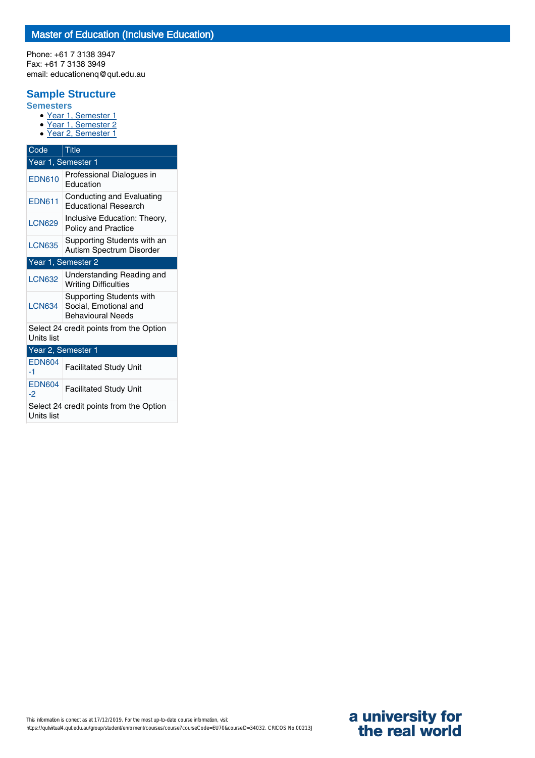Phone: +61 7 3138 3947 Fax: +61 7 3138 3949 email: educationenq@qut.edu.au

# **Sample Structure**

**Semesters**

- Year 1, Semester 1
- Year 1, Semester 2 ● Year 2, Semester 1

| Code                                                         | <b>Title</b>                                                                         |  |  |
|--------------------------------------------------------------|--------------------------------------------------------------------------------------|--|--|
| Year 1, Semester 1                                           |                                                                                      |  |  |
| <b>EDN610</b>                                                | Professional Dialogues in<br>Education                                               |  |  |
| <b>EDN611</b>                                                | Conducting and Evaluating<br><b>Educational Research</b>                             |  |  |
| <b>LCN629</b>                                                | Inclusive Education: Theory,<br><b>Policy and Practice</b>                           |  |  |
| <b>LCN635</b>                                                | Supporting Students with an<br>Autism Spectrum Disorder                              |  |  |
| Year 1, Semester 2                                           |                                                                                      |  |  |
| <b>LCN632</b>                                                | Understanding Reading and<br><b>Writing Difficulties</b>                             |  |  |
| <b>LCN634</b>                                                | <b>Supporting Students with</b><br>Social, Emotional and<br><b>Behavioural Needs</b> |  |  |
| Select 24 credit points from the Option<br><b>Units list</b> |                                                                                      |  |  |
| Year 2, Semester 1                                           |                                                                                      |  |  |
| <b>EDN604</b><br>-1                                          | <b>Facilitated Study Unit</b>                                                        |  |  |
| <b>EDN604</b><br>$-2$                                        | <b>Facilitated Study Unit</b>                                                        |  |  |
| Units list                                                   | Select 24 credit points from the Option                                              |  |  |

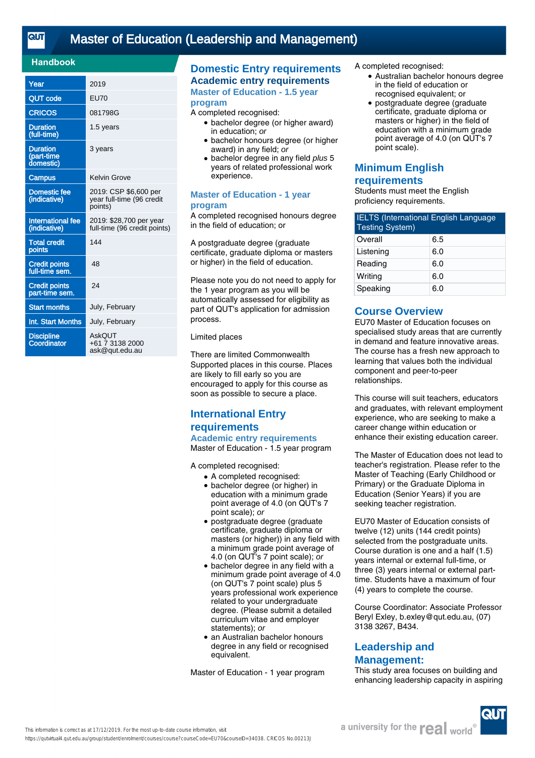# [Master of Education \(Leadership and Management\)](https://qutvirtual4.qut.edu.au/group/student/enrolment/courses/course?courseCode=EU70&courseID=34038)

### **Handbook**

| Year                                       | 2019                                                          |
|--------------------------------------------|---------------------------------------------------------------|
| <b>QUT code</b>                            | <b>EU70</b>                                                   |
| <b>CRICOS</b>                              | 081798G                                                       |
| <b>Duration</b><br>(full-time)             | 1.5 years                                                     |
| <b>Duration</b><br>(part-time<br>domestic) | 3 years                                                       |
| <b>Campus</b>                              | Kelvin Grove                                                  |
| <b>Domestic fee</b><br>(indicative)        | 2019: CSP \$6,600 per<br>year full-time (96 credit<br>points) |
| <b>International fee</b><br>(indicative)   | 2019: \$28,700 per year<br>full-time (96 credit points)       |
| <b>Total credit</b><br>points              | 144                                                           |
| <b>Credit points</b><br>full-time sem.     | 48                                                            |
| <b>Credit points</b><br>part-time sem.     | 24                                                            |
| <b>Start months</b>                        | July, February                                                |
| Int. Start Months                          | July, February                                                |
| <b>Discipline</b><br>Coordinator           | AskOUT<br>+61 7 3138 2000<br>ask@qut.edu.au                   |

# **Domestic Entry requirements Academic entry requirements**

**Master of Education - 1.5 year program**

#### A completed recognised:

- bachelor degree (or higher award) in education; or
- bachelor honours degree (or higher award) in any field; or
- bachelor degree in any field plus 5 years of related professional work experience.

#### **Master of Education - 1 year program**

A completed recognised honours degree in the field of education; or

A postgraduate degree (graduate certificate, graduate diploma or masters or higher) in the field of education.

Please note you do not need to apply for the 1 year program as you will be automatically assessed for eligibility as part of QUT's application for admission process.

#### Limited places

There are limited Commonwealth Supported places in this course. Places are likely to fill early so you are encouraged to apply for this course as soon as possible to secure a place.

# **International Entry requirements**

**Academic entry requirements** Master of Education - 1.5 year program

A completed recognised:

- A completed recognised:
- bachelor degree (or higher) in education with a minimum grade point average of 4.0 (on QUT's 7 point scale); or
- postgraduate degree (graduate certificate, graduate diploma or masters (or higher)) in any field with a minimum grade point average of 4.0 (on QUT's 7 point scale); or
- bachelor degree in any field with a minimum grade point average of 4.0 (on QUT's 7 point scale) plus 5 years professional work experience related to your undergraduate degree. (Please submit a detailed curriculum vitae and employer statements); or
- an Australian bachelor honours degree in any field or recognised equivalent. ●

Master of Education - 1 year program

A completed recognised:

- Australian bachelor honours degree in the field of education or recognised equivalent; or
- postgraduate degree (graduate certificate, graduate diploma or masters or higher) in the field of education with a minimum grade point average of 4.0 (on QUT's 7 point scale). ●

# **Minimum English**

# **requirements**

Students must meet the English proficiency requirements.

| <b>IELTS (International English Language</b><br><b>Testing System)</b> |     |
|------------------------------------------------------------------------|-----|
| Overall                                                                | 6.5 |
| Listening                                                              | 6.0 |
| Reading                                                                | 6.0 |
| Writing                                                                | 6.0 |
| Speaking                                                               | 6.0 |

### **Course Overview**

EU70 Master of Education focuses on specialised study areas that are currently in demand and feature innovative areas. The course has a fresh new approach to learning that values both the individual component and peer-to-peer relationships.

This course will suit teachers, educators and graduates, with relevant employment experience, who are seeking to make a career change within education or enhance their existing education career.

The Master of Education does not lead to teacher's registration. Please refer to the Master of Teaching (Early Childhood or Primary) or the Graduate Diploma in Education (Senior Years) if you are seeking teacher registration.

EU70 Master of Education consists of twelve (12) units (144 credit points) selected from the postgraduate units. Course duration is one and a half (1.5) years internal or external full-time, or three (3) years internal or external parttime. Students have a maximum of four (4) years to complete the course.

Course Coordinator: Associate Professor Beryl Exley, b.exley@qut.edu.au, (07) 3138 3267, B434.

# **Leadership and Management:**

This study area focuses on building and enhancing leadership capacity in aspiring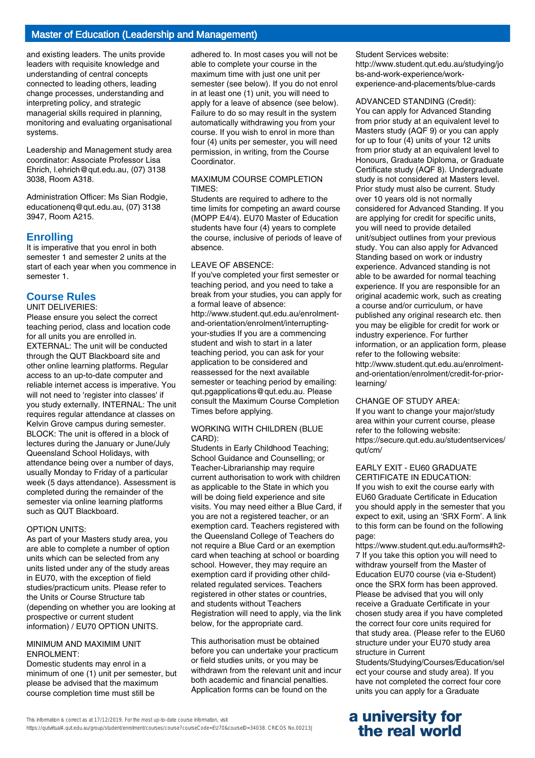# Master of Education (Leadership and Management)

and existing leaders. The units provide leaders with requisite knowledge and understanding of central concepts connected to leading others, leading change processes, understanding and interpreting policy, and strategic managerial skills required in planning, monitoring and evaluating organisational systems.

Leadership and Management study area coordinator: Associate Professor Lisa Ehrich, l.ehrich@qut.edu.au, (07) 3138 3038, Room A318.

Administration Officer: Ms Sian Rodgie, educationenq@qut.edu.au, (07) 3138 3947, Room A215.

### **Enrolling**

It is imperative that you enrol in both semester 1 and semester 2 units at the start of each year when you commence in semester 1.

# **Course Rules**

UNIT DELIVERIES:

Please ensure you select the correct teaching period, class and location code for all units you are enrolled in. EXTERNAL: The unit will be conducted through the QUT Blackboard site and other online learning platforms. Regular access to an up-to-date computer and reliable internet access is imperative. You will not need to 'register into classes' if you study externally. INTERNAL: The unit requires regular attendance at classes on Kelvin Grove campus during semester. BLOCK: The unit is offered in a block of lectures during the January or June/July Queensland School Holidays, with attendance being over a number of days, usually Monday to Friday of a particular week (5 days attendance). Assessment is completed during the remainder of the semester via online learning platforms such as QUT Blackboard.

#### OPTION UNITS:

As part of your Masters study area, you are able to complete a number of option units which can be selected from any units listed under any of the study areas in EU70, with the exception of field studies/practicum units. Please refer to the Units or Course Structure tab (depending on whether you are looking at prospective or current student information) / EU70 OPTION UNITS.

#### MINIMUM AND MAXIMIM UNIT ENROLMENT:

Domestic students may enrol in a minimum of one (1) unit per semester, but please be advised that the maximum course completion time must still be

adhered to. In most cases you will not be able to complete your course in the maximum time with just one unit per semester (see below). If you do not enrol in at least one (1) unit, you will need to apply for a leave of absence (see below). Failure to do so may result in the system automatically withdrawing you from your course. If you wish to enrol in more than four (4) units per semester, you will need permission, in writing, from the Course Coordinator.

#### MAXIMUM COURSE COMPLETION TIMES:

Students are required to adhere to the time limits for competing an award course (MOPP E4/4). EU70 Master of Education students have four (4) years to complete the course, inclusive of periods of leave of absence.

#### LEAVE OF ABSENCE:

If you've completed your first semester or teaching period, and you need to take a break from your studies, you can apply for a formal leave of absence: http://www.student.qut.edu.au/enrolmentand-orientation/enrolment/interruptingyour-studies If you are a commencing student and wish to start in a later teaching period, you can ask for your application to be considered and reassessed for the next available semester or teaching period by emailing: qut.pgapplications@qut.edu.au. Please consult the Maximum Course Completion Times before applying.

#### WORKING WITH CHILDREN (BLUE CARD):

Students in Early Childhood Teaching; School Guidance and Counselling; or Teacher-Librarianship may require current authorisation to work with children as applicable to the State in which you will be doing field experience and site visits. You may need either a Blue Card, if you are not a registered teacher, or an exemption card. Teachers registered with the Queensland College of Teachers do not require a Blue Card or an exemption card when teaching at school or boarding school. However, they may require an exemption card if providing other childrelated regulated services. Teachers registered in other states or countries, and students without Teachers Registration will need to apply, via the link below, for the appropriate card.

This authorisation must be obtained before you can undertake your practicum or field studies units, or you may be withdrawn from the relevant unit and incur both academic and financial penalties. Application forms can be found on the

Student Services website: http://www.student.qut.edu.au/studying/jo bs-and-work-experience/workexperience-and-placements/blue-cards

#### ADVANCED STANDING (Credit):

You can apply for Advanced Standing from prior study at an equivalent level to Masters study (AQF 9) or you can apply for up to four (4) units of your 12 units from prior study at an equivalent level to Honours, Graduate Diploma, or Graduate Certificate study (AQF 8). Undergraduate study is not considered at Masters level. Prior study must also be current. Study over 10 years old is not normally considered for Advanced Standing. If you are applying for credit for specific units, you will need to provide detailed unit/subject outlines from your previous study. You can also apply for Advanced Standing based on work or industry experience. Advanced standing is not able to be awarded for normal teaching experience. If you are responsible for an original academic work, such as creating a course and/or curriculum, or have published any original research etc. then you may be eligible for credit for work or industry experience. For further information, or an application form, please refer to the following website: http://www.student.qut.edu.au/enrolmentand-orientation/enrolment/credit-for-priorlearning/

#### CHANGE OF STUDY AREA:

If you want to change your major/study area within your current course, please refer to the following website: https://secure.qut.edu.au/studentservices/ qut/cm/

#### EARLY EXIT - EU60 GRADUATE CERTIFICATE IN EDUCATION:

If you wish to exit the course early with EU60 Graduate Certificate in Education you should apply in the semester that you expect to exit, using an 'SRX Form'. A link to this form can be found on the following page:

https://www.student.qut.edu.au/forms#h2- 7 If you take this option you will need to withdraw yourself from the Master of Education EU70 course (via e-Student) once the SRX form has been approved. Please be advised that you will only receive a Graduate Certificate in your chosen study area if you have completed the correct four core units required for that study area. (Please refer to the EU60 structure under your EU70 study area structure in Current

Students/Studying/Courses/Education/sel ect your course and study area). If you have not completed the correct four core units you can apply for a Graduate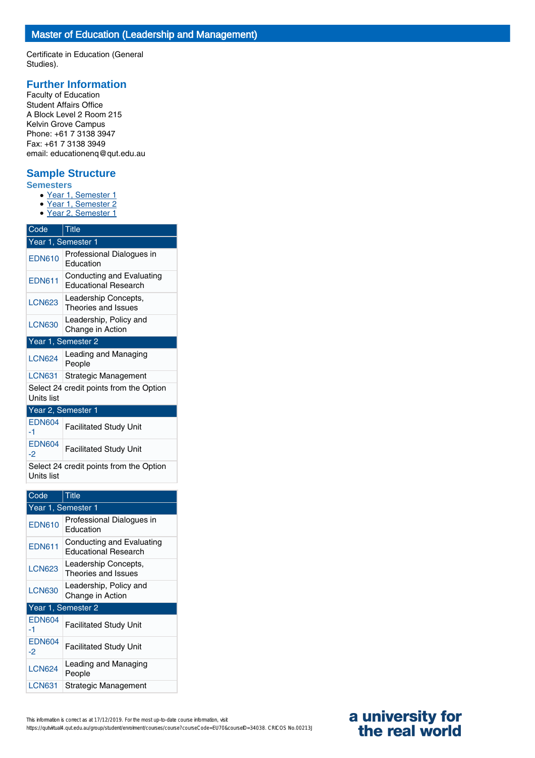Certificate in Education (General Studies).

# **Further Information**

Faculty of Education Student Affairs Office A Block Level 2 Room 215 Kelvin Grove Campus Phone: +61 7 3138 3947 Fax: +61 7 3138 3949 email: educationenq@qut.edu.au

# **Sample Structure**

- **Semesters**
	- Year 1, Semester 1
	- Year 1, Semester 2
	- Year 2, Semester 1

| Code                                                  | <b>Title</b>                                             |  |
|-------------------------------------------------------|----------------------------------------------------------|--|
|                                                       | Year 1, Semester 1                                       |  |
| <b>EDN610</b>                                         | Professional Dialogues in<br>Education                   |  |
| <b>EDN611</b>                                         | Conducting and Evaluating<br><b>Educational Research</b> |  |
| <b>LCN623</b>                                         | Leadership Concepts,<br>Theories and Issues              |  |
| <b>LCN630</b>                                         | Leadership, Policy and<br>Change in Action               |  |
| Year 1, Semester 2                                    |                                                          |  |
| <b>LCN624</b>                                         | Leading and Managing<br>People                           |  |
| <b>LCN631</b>                                         | Strategic Management                                     |  |
| Select 24 credit points from the Option<br>Units list |                                                          |  |
| Year 2, Semester 1                                    |                                                          |  |
| <b>EDN604</b><br>-1                                   | <b>Facilitated Study Unit</b>                            |  |
| <b>EDN604</b><br>-2                                   | <b>Facilitated Study Unit</b>                            |  |

Select 24 credit points from the Option Units list

| Code                | Title                                                    |  |
|---------------------|----------------------------------------------------------|--|
|                     | Year 1, Semester 1                                       |  |
| <b>EDN610</b>       | Professional Dialogues in<br>Education                   |  |
| <b>EDN611</b>       | Conducting and Evaluating<br><b>Educational Research</b> |  |
| <b>LCN623</b>       | Leadership Concepts,<br>Theories and Issues              |  |
| <b>LCN630</b>       | Leadership, Policy and<br>Change in Action               |  |
| Year 1, Semester 2  |                                                          |  |
| <b>EDN604</b><br>-1 | <b>Facilitated Study Unit</b>                            |  |
| <b>EDN604</b><br>-2 | Facilitated Study Unit                                   |  |
| <b>LCN624</b>       | Leading and Managing<br>People                           |  |
| <b>LCN631</b>       | Strategic Management                                     |  |

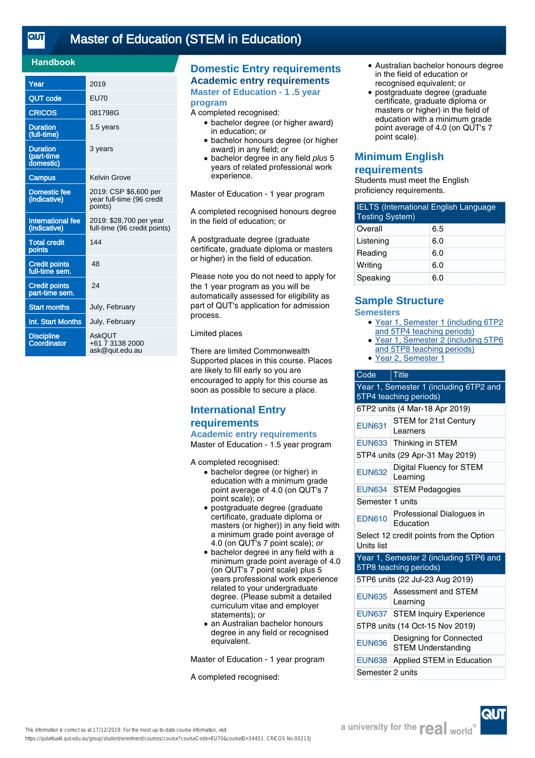<u>तान</u>

# [Master of Education \(STEM in Education\)](https://qutvirtual4.qut.edu.au/group/student/enrolment/courses/course?courseCode=EU70&courseID=34451)

### **Handbook**

| Year                                       | 2019                                                          |
|--------------------------------------------|---------------------------------------------------------------|
| <b>QUT code</b>                            | <b>EU70</b>                                                   |
| <b>CRICOS</b>                              | 081798G                                                       |
| <b>Duration</b><br>(full-time)             | 1.5 years                                                     |
| <b>Duration</b><br>(part-time<br>domestic) | 3 years                                                       |
| <b>Campus</b>                              | Kelvin Grove                                                  |
| <b>Domestic fee</b><br>(indicative)        | 2019: CSP \$6,600 per<br>year full-time (96 credit<br>points) |
| <b>International fee</b><br>(indicative)   | 2019: \$28,700 per year<br>full-time (96 credit points)       |
| <b>Total credit</b><br>points              | 144                                                           |
| <b>Credit points</b><br>full-time sem.     | 48                                                            |
| <b>Credit points</b><br>part-time sem.     | 24                                                            |
| <b>Start months</b>                        | July, February                                                |
| Int. Start Months                          | July, February                                                |
| <b>Discipline</b><br>Coordinator           | AskOUT<br>+61 7 3138 2000<br>ask@qut.edu.au                   |

# **Domestic Entry requirements Academic entry requirements**

**Master of Education - 1 .5 year program**

#### A completed recognised:

- bachelor degree (or higher award) in education; or
- bachelor honours degree (or higher award) in any field; or
- bachelor degree in any field plus 5 years of related professional work experience.

Master of Education - 1 year program

A completed recognised honours degree in the field of education; or

A postgraduate degree (graduate certificate, graduate diploma or masters or higher) in the field of education.

Please note you do not need to apply for the 1 year program as you will be automatically assessed for eligibility as part of QUT's application for admission process.

#### Limited places

There are limited Commonwealth Supported places in this course. Places are likely to fill early so you are encouraged to apply for this course as soon as possible to secure a place.

# **International Entry requirements**

## **Academic entry requirements**

Master of Education - 1.5 year program

A completed recognised:

- bachelor degree (or higher) in education with a minimum grade point average of 4.0 (on QUT's 7 point scale); or
- postgraduate degree (graduate certificate, graduate diploma or masters (or higher)) in any field with a minimum grade point average of 4.0 (on QUT's 7 point scale); or
- bachelor degree in any field with a minimum grade point average of 4.0 (on QUT's 7 point scale) plus 5 years professional work experience related to your undergraduate degree. (Please submit a detailed curriculum vitae and employer statements); or
- an Australian bachelor honours degree in any field or recognised equivalent.

Master of Education - 1 year program

A completed recognised:

- Australian bachelor honours degree in the field of education or recognised equivalent; or
- postgraduate degree (graduate certificate, graduate diploma or masters or higher) in the field of education with a minimum grade point average of 4.0 (on QUT's 7 point scale).

# **Minimum English requirements**

Students must meet the English proficiency requirements.

| <b>IELTS</b> (International English Language<br><b>Testing System)</b> |     |
|------------------------------------------------------------------------|-----|
| Overall                                                                | 6.5 |
| Listening                                                              | 6.0 |
| Reading                                                                | 6.0 |
| Writing                                                                | 6.0 |
| Speaking                                                               | 6.0 |

### **Sample Structure Semesters**

- Year 1, Semester 1 (including 6TP2 and 5TP4 teaching periods)
- Year 1, Semester 2 (including 5TP6 and 5TP8 teaching periods)  $\bullet$
- Year 2, Semester 1

### Code Title

| Year 1, Semester 1 (including 6TP2 and<br>5TP4 teaching periods) |                                                      |  |
|------------------------------------------------------------------|------------------------------------------------------|--|
|                                                                  | 6TP2 units (4 Mar-18 Apr 2019)                       |  |
| <b>EUN631</b>                                                    | <b>STEM for 21st Century</b><br>Learners             |  |
| <b>EUN633</b>                                                    | Thinking in STEM                                     |  |
|                                                                  | 5TP4 units (29 Apr-31 May 2019)                      |  |
| <b>EUN632</b>                                                    | Digital Fluency for STEM<br>Learning                 |  |
| <b>EUN634</b>                                                    | <b>STEM Pedagogies</b>                               |  |
| Semester 1 units                                                 |                                                      |  |
| <b>EDN610</b>                                                    | Professional Dialogues in<br>Education               |  |
| Select 12 credit points from the Option<br>Units list            |                                                      |  |
| Year 1, Semester 2 (including 5TP6 and<br>5TP8 teaching periods) |                                                      |  |
| 5TP6 units (22 Jul-23 Aug 2019)                                  |                                                      |  |
| <b>EUN635</b>                                                    | <b>Assessment and STEM</b><br>Learning               |  |
|                                                                  | EUN637 STEM Inquiry Experience                       |  |
| 5TP8 units (14 Oct-15 Nov 2019)                                  |                                                      |  |
| <b>EUN636</b>                                                    | Designing for Connected<br><b>STEM Understanding</b> |  |
| <b>EUN638</b>                                                    | Applied STEM in Education                            |  |
| Semester 2 units                                                 |                                                      |  |

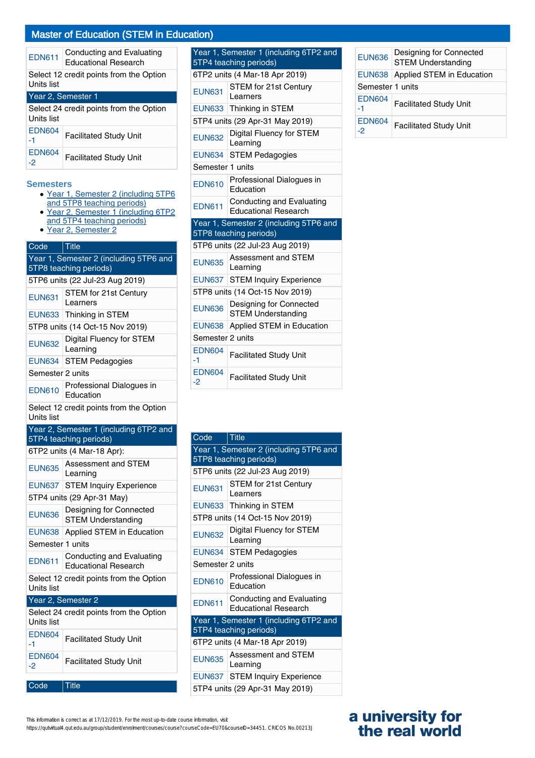# Master of Education (STEM in Education)

| <b>EDN611</b>                                         | Conducting and Evaluating<br><b>Educational Research</b> |
|-------------------------------------------------------|----------------------------------------------------------|
| Select 12 credit points from the Option<br>Units list |                                                          |
| Year 2, Semester 1                                    |                                                          |
| Select 24 credit points from the Option<br>Units list |                                                          |
| <b>EDN604</b><br>-1                                   | <b>Facilitated Study Unit</b>                            |
| <b>EDN604</b><br>-2                                   | <b>Facilitated Study Unit</b>                            |

#### **Semesters**

- Year 1, Semester 2 (including 5TP6 and 5TP8 teaching periods)
- Year 2, Semester 1 (including 6TP2 • Year 2, Semester 1 (includin<br>and 5TP4 teaching periods)
- Year 2, Semester 2

| Code                            | ∣ Title                                                          |
|---------------------------------|------------------------------------------------------------------|
|                                 | Year 1, Semester 2 (including 5TP6 and                           |
|                                 | 5TP8 teaching periods)                                           |
|                                 | 5TP6 units (22 Jul-23 Aug 2019)                                  |
| <b>EUN631</b>                   | <b>STEM for 21st Century</b><br>Learners                         |
| <b>EUN633</b>                   | Thinking in STEM                                                 |
| 5TP8 units (14 Oct-15 Nov 2019) |                                                                  |
| <b>EUN632</b>                   | <b>Digital Fluency for STEM</b><br>Learning                      |
| <b>EUN634</b>                   | <b>STEM Pedagogies</b>                                           |
| Semester 2 units                |                                                                  |
| <b>EDN610</b>                   | Professional Dialogues in<br>Education                           |
|                                 | Select 12 credit points from the Option                          |
| Units list                      |                                                                  |
|                                 | Year 2, Semester 1 (including 6TP2 and<br>5TP4 teaching periods) |
|                                 | 6TP2 units (4 Mar-18 Apr):                                       |
| <b>EUN635</b>                   | Assessment and STEM<br>Learning                                  |
| <b>EUN637</b>                   | <b>STEM Inquiry Experience</b>                                   |
|                                 | 5TP4 units (29 Apr-31 May)                                       |
| <b>EUN636</b>                   | Designing for Connected<br><b>STEM Understanding</b>             |
| <b>EUN638</b>                   | Applied STEM in Education                                        |
| Semester 1 units                |                                                                  |
| <b>EDN611</b>                   | Conducting and Evaluating<br><b>Educational Research</b>         |
| Units list                      | Select 12 credit points from the Option                          |
|                                 | Year 2, Semester 2                                               |
|                                 | Select 24 credit points from the Option                          |
| Units list                      |                                                                  |
| <b>EDN604</b><br>-1             | <b>Facilitated Study Unit</b>                                    |
| <b>EDN604</b><br>-2             | <b>Facilitated Study Unit</b>                                    |

Code Title

| Year 1, Semester 1 (including 6TP2 and<br>5TP4 teaching periods) |                                                          |  |
|------------------------------------------------------------------|----------------------------------------------------------|--|
| 6TP2 units (4 Mar-18 Apr 2019)                                   |                                                          |  |
| <b>EUN631</b>                                                    | <b>STEM for 21st Century</b><br>Learners                 |  |
|                                                                  | EUN633 Thinking in STEM                                  |  |
| 5TP4 units (29 Apr-31 May 2019)                                  |                                                          |  |
| <b>EUN632</b>                                                    | Digital Fluency for STEM<br>Learning                     |  |
|                                                                  | EUN634 STEM Pedagogies                                   |  |
| Semester 1 units                                                 |                                                          |  |
| <b>EDN610</b>                                                    | Professional Dialogues in<br>Education                   |  |
| <b>EDN611</b>                                                    | Conducting and Evaluating<br><b>Educational Research</b> |  |
| Year 1, Semester 2 (including 5TP6 and<br>5TP8 teaching periods) |                                                          |  |
|                                                                  |                                                          |  |
|                                                                  | 5TP6 units (22 Jul-23 Aug 2019)                          |  |
| <b>EUN635</b>                                                    | Assessment and STEM<br>Learning                          |  |
| <b>EUN637</b>                                                    | <b>STEM Inquiry Experience</b>                           |  |
|                                                                  | 5TP8 units (14 Oct-15 Nov 2019)                          |  |
| <b>EUN636</b>                                                    | Designing for Connected<br><b>STEM Understanding</b>     |  |
| <b>EUN638</b>                                                    | Applied STEM in Education                                |  |
| Semester 2 units                                                 |                                                          |  |
| <b>EDN604</b><br>$-1$                                            | <b>Facilitated Study Unit</b>                            |  |

| Code                                                             | <b>Title</b>                                             |  |  |  |
|------------------------------------------------------------------|----------------------------------------------------------|--|--|--|
| Year 1, Semester 2 (including 5TP6 and<br>5TP8 teaching periods) |                                                          |  |  |  |
| 5TP6 units (22 Jul-23 Aug 2019)                                  |                                                          |  |  |  |
| <b>EUN631</b>                                                    | STEM for 21st Century<br>Learners                        |  |  |  |
|                                                                  | EUN633 Thinking in STEM                                  |  |  |  |
| 5TP8 units (14 Oct-15 Nov 2019)                                  |                                                          |  |  |  |
| <b>EUN632</b>                                                    | Digital Fluency for STEM<br>Learning                     |  |  |  |
| <b>EUN634</b>                                                    | <b>STEM Pedagogies</b>                                   |  |  |  |
| Semester 2 units                                                 |                                                          |  |  |  |
| <b>FDN610</b>                                                    | Professional Dialogues in<br>Education                   |  |  |  |
| <b>EDN611</b>                                                    | Conducting and Evaluating<br><b>Educational Research</b> |  |  |  |
| Year 1, Semester 1 (including 6TP2 and<br>5TP4 teaching periods) |                                                          |  |  |  |
| 6TP2 units (4 Mar-18 Apr 2019)                                   |                                                          |  |  |  |
| <b>EUN635</b>                                                    | Assessment and STEM<br>Learning                          |  |  |  |
|                                                                  | EUN637   STEM Inquiry Experience                         |  |  |  |
| 5TP4 units (29 Apr-31 May 2019)                                  |                                                          |  |  |  |

| <b>EUN636</b>       | Designing for Connected<br><b>STEM Understanding</b> |  |
|---------------------|------------------------------------------------------|--|
|                     | EUN638   Applied STEM in Education                   |  |
| Semester 1 units    |                                                      |  |
| <b>EDN604</b><br>-1 | <b>Facilitated Study Unit</b>                        |  |
| <b>EDN604</b><br>-2 | <b>Facilitated Study Unit</b>                        |  |

| This information is correct as at 17/12/2019. For the most up-to-date course information, visit                        |  |
|------------------------------------------------------------------------------------------------------------------------|--|
| https://qutvirtual4.qut.edu.au/group/student/enrolment/courses/course?courseCode=EU70&courselD=34451. CRICOS No.00213J |  |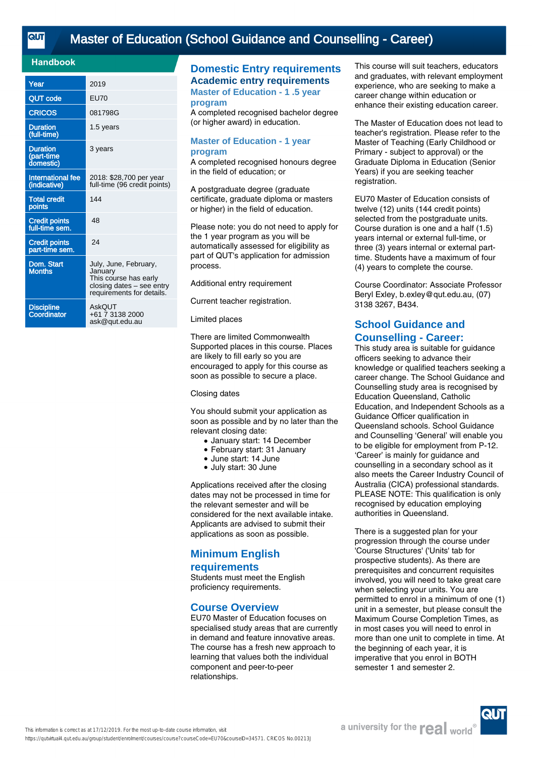# [Master of Education \(School Guidance and Counselling - Career\)](https://qutvirtual4.qut.edu.au/group/student/enrolment/courses/course?courseCode=EU70&courseID=34571)

### **Handbook**

| Year                                       | 2019                                                                                                                |
|--------------------------------------------|---------------------------------------------------------------------------------------------------------------------|
| <b>QUT code</b>                            | <b>EU70</b>                                                                                                         |
| <b>CRICOS</b>                              | 081798G                                                                                                             |
| <b>Duration</b><br>(full-time)             | 1.5 years                                                                                                           |
| <b>Duration</b><br>(part-time<br>domestic) | 3 years                                                                                                             |
| <b>International fee</b><br>(indicative)   | 2018: \$28,700 per year<br>full-time (96 credit points)                                                             |
| <b>Total credit</b><br>points              | 144                                                                                                                 |
| <b>Credit points</b><br>full-time sem.     | 48                                                                                                                  |
| <b>Credit points</b><br>part-time sem.     | 24                                                                                                                  |
| Dom. Start<br><b>Months</b>                | July, June, February,<br>January<br>This course has early<br>closing dates - see entry<br>requirements for details. |
| <b>Discipline</b><br>Coordinator           | AskOUT<br>+61 7 3138 2000<br>ask@qut.edu.au                                                                         |

# **Domestic Entry requirements Academic entry requirements**

**Master of Education - 1 .5 year program**

A completed recognised bachelor degree (or higher award) in education.

#### **Master of Education - 1 year program**

A completed recognised honours degree in the field of education; or

A postgraduate degree (graduate certificate, graduate diploma or masters or higher) in the field of education.

Please note: you do not need to apply for the 1 year program as you will be automatically assessed for eligibility as part of QUT's application for admission process.

Additional entry requirement

Current teacher registration.

#### Limited places

There are limited Commonwealth Supported places in this course. Places are likely to fill early so you are encouraged to apply for this course as soon as possible to secure a place.

#### Closing dates

You should submit your application as soon as possible and by no later than the relevant closing date:

- January start: 14 December
- February start: 31 January
- June start: 14 June
- July start: 30 June

Applications received after the closing dates may not be processed in time for the relevant semester and will be considered for the next available intake. Applicants are advised to submit their applications as soon as possible.

# **Minimum English**

#### **requirements**

Students must meet the English proficiency requirements.

# **Course Overview**

EU70 Master of Education focuses on specialised study areas that are currently in demand and feature innovative areas. The course has a fresh new approach to learning that values both the individual component and peer-to-peer relationships.

This course will suit teachers, educators and graduates, with relevant employment experience, who are seeking to make a career change within education or enhance their existing education career.

The Master of Education does not lead to teacher's registration. Please refer to the Master of Teaching (Early Childhood or Primary - subject to approval) or the Graduate Diploma in Education (Senior Years) if you are seeking teacher registration.

EU70 Master of Education consists of twelve (12) units (144 credit points) selected from the postgraduate units. Course duration is one and a half (1.5) years internal or external full-time, or three (3) years internal or external parttime. Students have a maximum of four (4) years to complete the course.

Course Coordinator: Associate Professor Beryl Exley, b.exley@qut.edu.au, (07) 3138 3267, B434.

# **School Guidance and Counselling - Career:**

This study area is suitable for guidance officers seeking to advance their knowledge or qualified teachers seeking a career change. The School Guidance and Counselling study area is recognised by Education Queensland, Catholic Education, and Independent Schools as a Guidance Officer qualification in Queensland schools. School Guidance and Counselling 'General' will enable you to be eligible for employment from P-12. 'Career' is mainly for guidance and counselling in a secondary school as it also meets the Career Industry Council of Australia (CICA) professional standards. PLEASE NOTE: This qualification is only recognised by education employing authorities in Queensland.

There is a suggested plan for your progression through the course under 'Course Structures' ('Units' tab for prospective students). As there are prerequisites and concurrent requisites involved, you will need to take great care when selecting your units. You are permitted to enrol in a minimum of one (1) unit in a semester, but please consult the Maximum Course Completion Times, as in most cases you will need to enrol in more than one unit to complete in time. At the beginning of each year, it is imperative that you enrol in BOTH semester 1 and semester 2.

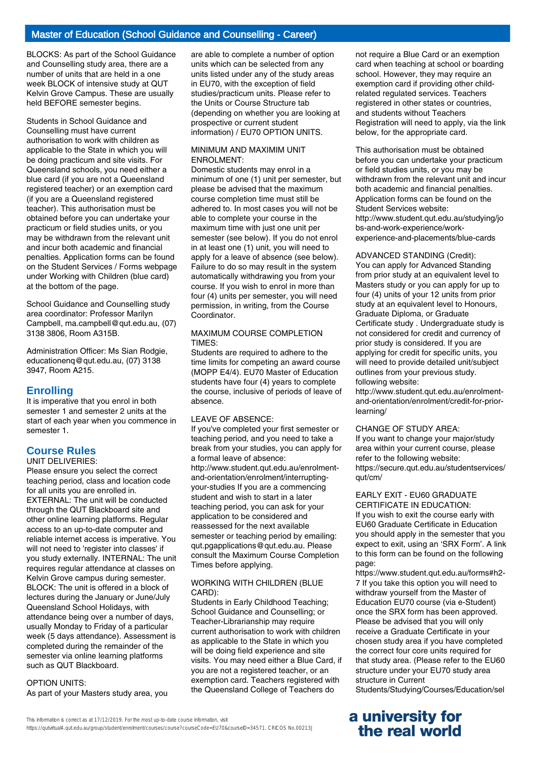BLOCKS: As part of the School Guidance and Counselling study area, there are a number of units that are held in a one week BLOCK of intensive study at QUT Kelvin Grove Campus. These are usually held BEFORE semester begins.

Students in School Guidance and Counselling must have current authorisation to work with children as applicable to the State in which you will be doing practicum and site visits. For Queensland schools, you need either a blue card (if you are not a Queensland registered teacher) or an exemption card (if you are a Queensland registered teacher). This authorisation must be obtained before you can undertake your practicum or field studies units, or you may be withdrawn from the relevant unit and incur both academic and financial penalties. Application forms can be found on the Student Services / Forms webpage under Working with Children (blue card) at the bottom of the page.

School Guidance and Counselling study area coordinator: Professor Marilyn Campbell, ma.campbell@qut.edu.au, (07) 3138 3806, Room A315B.

Administration Officer: Ms Sian Rodgie, educationenq@qut.edu.au, (07) 3138 3947, Room A215.

### **Enrolling**

It is imperative that you enrol in both semester 1 and semester 2 units at the start of each year when you commence in semester 1.

# **Course Rules**

UNIT DELIVERIES:

Please ensure you select the correct teaching period, class and location code for all units you are enrolled in. EXTERNAL: The unit will be conducted through the QUT Blackboard site and other online learning platforms. Regular access to an up-to-date computer and reliable internet access is imperative. You will not need to 'register into classes' if you study externally. INTERNAL: The unit requires regular attendance at classes on Kelvin Grove campus during semester. BLOCK: The unit is offered in a block of lectures during the January or June/July Queensland School Holidays, with attendance being over a number of days, usually Monday to Friday of a particular week (5 days attendance). Assessment is completed during the remainder of the semester via online learning platforms such as QUT Blackboard.

OPTION UNITS: As part of your Masters study area, you are able to complete a number of option units which can be selected from any units listed under any of the study areas in EU70, with the exception of field studies/practicum units. Please refer to the Units or Course Structure tab (depending on whether you are looking at prospective or current student information) / EU70 OPTION UNITS.

#### MINIMUM AND MAXIMIM UNIT ENROLMENT:

Domestic students may enrol in a minimum of one (1) unit per semester, but please be advised that the maximum course completion time must still be adhered to. In most cases you will not be able to complete your course in the maximum time with just one unit per semester (see below). If you do not enrol in at least one (1) unit, you will need to apply for a leave of absence (see below). Failure to do so may result in the system automatically withdrawing you from your course. If you wish to enrol in more than four (4) units per semester, you will need permission, in writing, from the Course Coordinator.

#### MAXIMUM COURSE COMPLETION TIMES:

Students are required to adhere to the time limits for competing an award course (MOPP E4/4). EU70 Master of Education students have four (4) years to complete the course, inclusive of periods of leave of absence.

#### LEAVE OF ABSENCE:

If you've completed your first semester or teaching period, and you need to take a break from your studies, you can apply for a formal leave of absence: http://www.student.qut.edu.au/enrolmentand-orientation/enrolment/interruptingyour-studies If you are a commencing student and wish to start in a later teaching period, you can ask for your application to be considered and reassessed for the next available semester or teaching period by emailing: qut.pgapplications@qut.edu.au. Please consult the Maximum Course Completion Times before applying.

#### WORKING WITH CHILDREN (BLUE CARD):

Students in Early Childhood Teaching; School Guidance and Counselling; or Teacher-Librarianship may require current authorisation to work with children as applicable to the State in which you will be doing field experience and site visits. You may need either a Blue Card, if you are not a registered teacher, or an exemption card. Teachers registered with the Queensland College of Teachers do

not require a Blue Card or an exemption card when teaching at school or boarding school. However, they may require an exemption card if providing other childrelated regulated services. Teachers registered in other states or countries, and students without Teachers Registration will need to apply, via the link below, for the appropriate card.

This authorisation must be obtained before you can undertake your practicum or field studies units, or you may be withdrawn from the relevant unit and incur both academic and financial penalties. Application forms can be found on the Student Services website: http://www.student.qut.edu.au/studying/jo bs-and-work-experience/workexperience-and-placements/blue-cards

#### ADVANCED STANDING (Credit):

You can apply for Advanced Standing from prior study at an equivalent level to Masters study or you can apply for up to four (4) units of your 12 units from prior study at an equivalent level to Honours, Graduate Diploma, or Graduate Certificate study . Undergraduate study is not considered for credit and currency of prior study is considered. If you are applying for credit for specific units, you will need to provide detailed unit/subject outlines from your previous study. following website:

http://www.student.qut.edu.au/enrolmentand-orientation/enrolment/credit-for-priorlearning/

#### CHANGE OF STUDY AREA:

If you want to change your major/study area within your current course, please refer to the following website: https://secure.qut.edu.au/studentservices/ qut/cm/

# EARLY EXIT - EU60 GRADUATE

CERTIFICATE IN EDUCATION: If you wish to exit the course early with EU60 Graduate Certificate in Education you should apply in the semester that you expect to exit, using an 'SRX Form'. A link to this form can be found on the following page:

https://www.student.qut.edu.au/forms#h2- 7 If you take this option you will need to withdraw yourself from the Master of Education EU70 course (via e-Student) once the SRX form has been approved. Please be advised that you will only receive a Graduate Certificate in your chosen study area if you have completed the correct four core units required for that study area. (Please refer to the EU60 structure under your EU70 study area structure in Current Students/Studying/Courses/Education/sel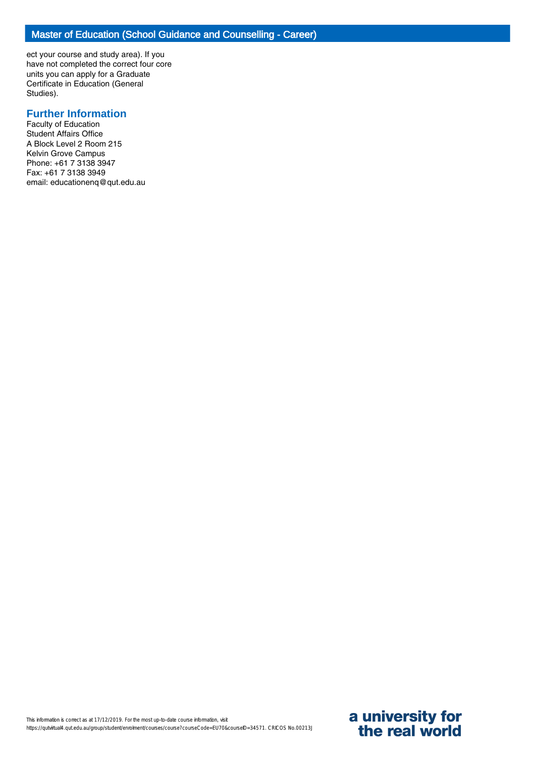ect your course and study area). If you have not completed the correct four core units you can apply for a Graduate Certificate in Education (General Studies).

# **Further Information**

Faculty of Education Student Affairs Office A Block Level 2 Room 215 Kelvin Grove Campus Phone: +61 7 3138 3947 Fax: +61 7 3138 3949 email: educationenq@qut.edu.au

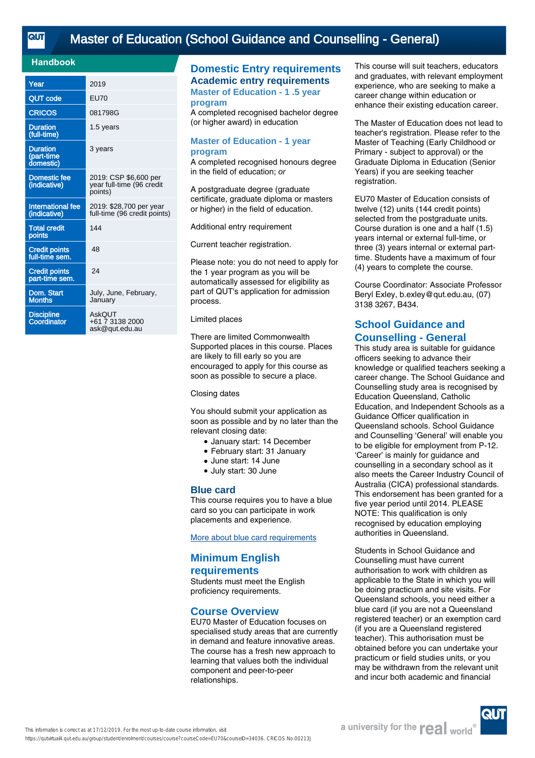<u>तान</u>

### **Handbook**

| Year                                       | 2019                                                          |
|--------------------------------------------|---------------------------------------------------------------|
| <b>QUT code</b>                            | <b>EU70</b>                                                   |
| <b>CRICOS</b>                              | 081798G                                                       |
| <b>Duration</b><br>(full-time)             | 1.5 years                                                     |
| <b>Duration</b><br>(part-time<br>domestic) | 3 years                                                       |
| <b>Domestic fee</b><br>(indicative)        | 2019: CSP \$6,600 per<br>year full-time (96 credit<br>points) |
| International fee<br>(indicative)          | 2019: \$28,700 per year<br>full-time (96 credit points)       |
| <b>Total credit</b><br>points              | 144                                                           |
| <b>Credit points</b><br>full-time sem.     | 48                                                            |
| <b>Credit points</b><br>part-time sem.     | 24                                                            |
| Dom. Start<br>Months                       | July, June, February,<br>January                              |
| <b>Discipline</b><br>Coordinator           | AskOUT<br>+61 7 3138 2000<br>ask@gut.edu.au                   |

# **Domestic Entry requirements Academic entry requirements**

**Master of Education - 1 .5 year program**

A completed recognised bachelor degree (or higher award) in education

#### **Master of Education - 1 year program**

A completed recognised honours degree in the field of education; or

A postgraduate degree (graduate certificate, graduate diploma or masters or higher) in the field of education.

Additional entry requirement

Current teacher registration.

Please note: you do not need to apply for the 1 year program as you will be automatically assessed for eligibility as part of QUT's application for admission process.

#### Limited places

There are limited Commonwealth Supported places in this course. Places are likely to fill early so you are encouraged to apply for this course as soon as possible to secure a place.

#### Closing dates

You should submit your application as soon as possible and by no later than the relevant closing date:

- January start: 14 December
- February start: 31 January
- June start: 14 June
- July start: 30 June

### **Blue card**

This course requires you to have a blue card so you can participate in work placements and experience.

[More about blue card requirements](https://www.qut.edu.au/study/applying/blue-cards)

# **Minimum English requirements**

Students must meet the English proficiency requirements.

# **Course Overview**

EU70 Master of Education focuses on specialised study areas that are currently in demand and feature innovative areas. The course has a fresh new approach to learning that values both the individual component and peer-to-peer relationships.

This course will suit teachers, educators and graduates, with relevant employment experience, who are seeking to make a career change within education or enhance their existing education career.

The Master of Education does not lead to teacher's registration. Please refer to the Master of Teaching (Early Childhood or Primary - subject to approval) or the Graduate Diploma in Education (Senior Years) if you are seeking teacher registration.

EU70 Master of Education consists of twelve (12) units (144 credit points) selected from the postgraduate units. Course duration is one and a half (1.5) years internal or external full-time, or three (3) years internal or external parttime. Students have a maximum of four (4) years to complete the course.

Course Coordinator: Associate Professor Beryl Exley, b.exley@qut.edu.au, (07) 3138 3267, B434.

# **School Guidance and Counselling - General**

This study area is suitable for guidance officers seeking to advance their knowledge or qualified teachers seeking a career change. The School Guidance and Counselling study area is recognised by Education Queensland, Catholic Education, and Independent Schools as a Guidance Officer qualification in Queensland schools. School Guidance and Counselling 'General' will enable you to be eligible for employment from P-12. 'Career' is mainly for guidance and counselling in a secondary school as it also meets the Career Industry Council of Australia (CICA) professional standards. This endorsement has been granted for a five year period until 2014. PLEASE NOTE: This qualification is only recognised by education employing authorities in Queensland.

Students in School Guidance and Counselling must have current authorisation to work with children as applicable to the State in which you will be doing practicum and site visits. For Queensland schools, you need either a blue card (if you are not a Queensland registered teacher) or an exemption card (if you are a Queensland registered teacher). This authorisation must be obtained before you can undertake your practicum or field studies units, or you may be withdrawn from the relevant unit and incur both academic and financial

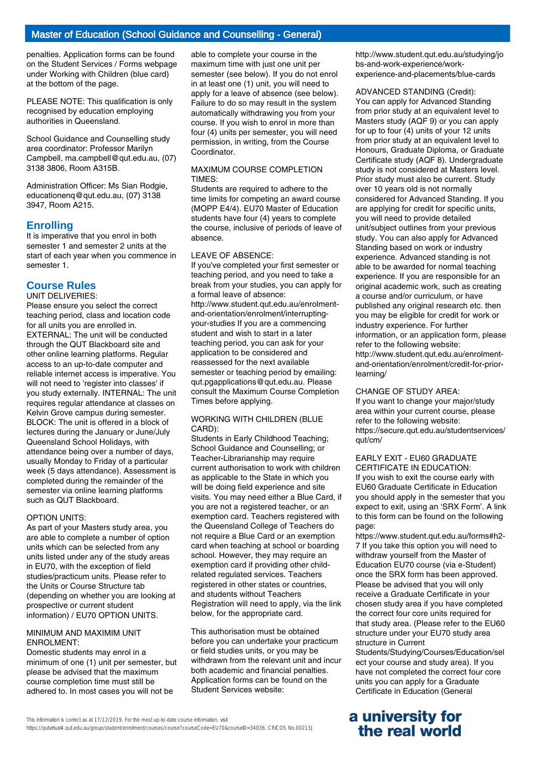penalties. Application forms can be found on the Student Services / Forms webpage under Working with Children (blue card) at the bottom of the page.

PLEASE NOTE: This qualification is only recognised by education employing authorities in Queensland.

School Guidance and Counselling study area coordinator: Professor Marilyn Campbell, ma.campbell@qut.edu.au, (07) 3138 3806, Room A315B.

Administration Officer: Ms Sian Rodgie, educationenq@qut.edu.au, (07) 3138 3947, Room A215.

### **Enrolling**

It is imperative that you enrol in both semester 1 and semester 2 units at the start of each year when you commence in semester 1.

# **Course Rules**

UNIT DELIVERIES: Please ensure you select the correct teaching period, class and location code for all units you are enrolled in. EXTERNAL: The unit will be conducted through the QUT Blackboard site and other online learning platforms. Regular access to an up-to-date computer and reliable internet access is imperative. You will not need to 'register into classes' if you study externally. INTERNAL: The unit requires regular attendance at classes on Kelvin Grove campus during semester. BLOCK: The unit is offered in a block of lectures during the January or June/July Queensland School Holidays, with attendance being over a number of days, usually Monday to Friday of a particular week (5 days attendance). Assessment is completed during the remainder of the semester via online learning platforms such as QUT Blackboard.

#### OPTION UNITS:

As part of your Masters study area, you are able to complete a number of option units which can be selected from any units listed under any of the study areas in EU70, with the exception of field studies/practicum units. Please refer to the Units or Course Structure tab (depending on whether you are looking at prospective or current student information) / EU70 OPTION UNITS.

#### MINIMUM AND MAXIMIM UNIT ENROLMENT:

Domestic students may enrol in a minimum of one (1) unit per semester, but please be advised that the maximum course completion time must still be adhered to. In most cases you will not be

able to complete your course in the maximum time with just one unit per semester (see below). If you do not enrol in at least one (1) unit, you will need to apply for a leave of absence (see below). Failure to do so may result in the system automatically withdrawing you from your course. If you wish to enrol in more than four (4) units per semester, you will need permission, in writing, from the Course **Coordinator** 

#### MAXIMUM COURSE COMPLETION TIMES:

Students are required to adhere to the time limits for competing an award course (MOPP E4/4). EU70 Master of Education students have four (4) years to complete the course, inclusive of periods of leave of absence.

#### LEAVE OF ABSENCE:

If you've completed your first semester or teaching period, and you need to take a break from your studies, you can apply for a formal leave of absence: http://www.student.qut.edu.au/enrolmentand-orientation/enrolment/interruptingyour-studies If you are a commencing student and wish to start in a later teaching period, you can ask for your application to be considered and reassessed for the next available semester or teaching period by emailing: qut.pgapplications@qut.edu.au. Please consult the Maximum Course Completion Times before applying.

#### WORKING WITH CHILDREN (BLUE CARD):

Students in Early Childhood Teaching; School Guidance and Counselling; or Teacher-Librarianship may require current authorisation to work with children as applicable to the State in which you will be doing field experience and site visits. You may need either a Blue Card, if you are not a registered teacher, or an exemption card. Teachers registered with the Queensland College of Teachers do not require a Blue Card or an exemption card when teaching at school or boarding school. However, they may require an exemption card if providing other childrelated regulated services. Teachers registered in other states or countries, and students without Teachers Registration will need to apply, via the link below, for the appropriate card.

This authorisation must be obtained before you can undertake your practicum or field studies units, or you may be withdrawn from the relevant unit and incur both academic and financial penalties. Application forms can be found on the Student Services website:

http://www.student.qut.edu.au/studying/jo bs-and-work-experience/workexperience-and-placements/blue-cards

#### ADVANCED STANDING (Credit):

You can apply for Advanced Standing from prior study at an equivalent level to Masters study (AQF 9) or you can apply for up to four (4) units of your 12 units from prior study at an equivalent level to Honours, Graduate Diploma, or Graduate Certificate study (AQF 8). Undergraduate study is not considered at Masters level. Prior study must also be current. Study over 10 years old is not normally considered for Advanced Standing. If you are applying for credit for specific units, you will need to provide detailed unit/subject outlines from your previous study. You can also apply for Advanced Standing based on work or industry experience. Advanced standing is not able to be awarded for normal teaching experience. If you are responsible for an original academic work, such as creating a course and/or curriculum, or have published any original research etc. then you may be eligible for credit for work or industry experience. For further information, or an application form, please refer to the following website: http://www.student.qut.edu.au/enrolmentand-orientation/enrolment/credit-for-priorlearning/

#### CHANGE OF STUDY AREA:

If you want to change your major/study area within your current course, please refer to the following website: https://secure.qut.edu.au/studentservices/ qut/cm/

#### EARLY EXIT - EU60 GRADUATE CERTIFICATE IN EDUCATION:

If you wish to exit the course early with EU60 Graduate Certificate in Education you should apply in the semester that you expect to exit, using an 'SRX Form'. A link to this form can be found on the following page:

https://www.student.qut.edu.au/forms#h2- 7 If you take this option you will need to withdraw yourself from the Master of Education EU70 course (via e-Student) once the SRX form has been approved. Please be advised that you will only receive a Graduate Certificate in your chosen study area if you have completed the correct four core units required for that study area. (Please refer to the EU60 structure under your EU70 study area structure in Current

Students/Studying/Courses/Education/sel ect your course and study area). If you have not completed the correct four core units you can apply for a Graduate Certificate in Education (General

# **a university for the real world**

https://qutvirtual4.qut.edu.au/group/student/enrolment/courses/course?courseCode=EU70&courseID=34036. CRICOS No.00213J

This information is correct as at 17/12/2019. For the most up-to-date course information, visit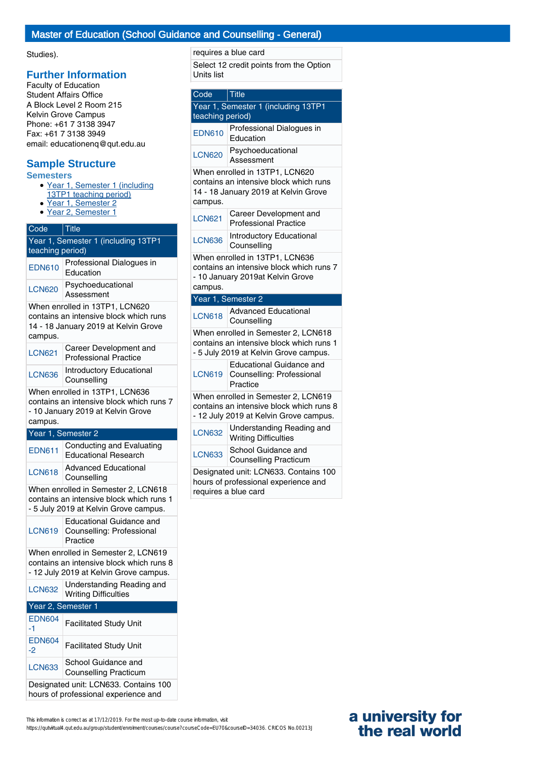## Master of Education (School Guidance and Counselling - General)

### Studies).

## **Further Information**

Faculty of Education Student Affairs Office A Block Level 2 Room 215 Kelvin Grove Campus Phone: +61 7 3138 3947 Fax: +61 7 3138 3949 email: educationenq@qut.edu.au

# **Sample Structure**

### **Semesters**

- Year 1, Semester 1 (including
- 13TP1 teaching period)
- Year 1, Semester 2
- Year 2, Semester 1

# Code Title Year 1, Semester 1 (including 13TP1 teaching period) EDN610 Professional Dialogues in Education LCN620 Psychoeducational Assessment When enrolled in 13TP1, LCN620 contains an intensive block which runs 14 - 18 January 2019 at Kelvin Grove campus. LCN621 Career Development and Professional Practice

LCN636 Introductory Educational **Counselling** 

When enrolled in 13TP1, LCN636 contains an intensive block which runs 7 - 10 January 2019 at Kelvin Grove campus.

### Year 1, Semester 2

| <b>EDN611</b>                                                                                                             | Conducting and Evaluating<br><b>Educational Research</b>                 |  |
|---------------------------------------------------------------------------------------------------------------------------|--------------------------------------------------------------------------|--|
| <b>LCN618</b>                                                                                                             | <b>Advanced Educational</b><br>Counselling                               |  |
| When enrolled in Semester 2, LCN618<br>contains an intensive block which runs 1<br>- 5 July 2019 at Kelvin Grove campus.  |                                                                          |  |
|                                                                                                                           | Educational Guidance and<br>LCN619 Counselling: Professional<br>Practice |  |
| When enrolled in Semester 2, LCN619<br>contains an intensive block which runs 8<br>- 12 July 2019 at Kelvin Grove campus. |                                                                          |  |
| <b>LCN632</b>                                                                                                             | Understanding Reading and<br><b>Writing Difficulties</b>                 |  |
| Year 2, Semester 1                                                                                                        |                                                                          |  |

| <b>EDN604</b><br>-1                                                           | <b>Facilitated Study Unit</b>                       |  |
|-------------------------------------------------------------------------------|-----------------------------------------------------|--|
| <b>EDN604</b><br>$-2$                                                         | <b>Facilitated Study Unit</b>                       |  |
| <b>LCN633</b>                                                                 | School Guidance and<br><b>Counselling Practicum</b> |  |
| Designated unit: LCN633. Contains 100<br>hours of professional experience and |                                                     |  |

#### requires a blue card

Select 12 credit points from the Option Units list

| Code                                                                                                                        | $ $ Title                                                                |  |
|-----------------------------------------------------------------------------------------------------------------------------|--------------------------------------------------------------------------|--|
| Year 1, Semester 1 (including 13TP1<br>teaching period)                                                                     |                                                                          |  |
| <b>EDN610</b>                                                                                                               | Professional Dialogues in<br>Education                                   |  |
| <b>LCN620</b>                                                                                                               | Psychoeducational<br>Assessment                                          |  |
| When enrolled in 13TP1, LCN620<br>contains an intensive block which runs<br>14 - 18 January 2019 at Kelvin Grove<br>campus. |                                                                          |  |
| <b>LCN621</b>                                                                                                               | Career Development and<br><b>Professional Practice</b>                   |  |
| <b>LCN636</b>                                                                                                               | <b>Introductory Educational</b><br>Counselling                           |  |
| When enrolled in 13TP1, LCN636<br>contains an intensive block which runs 7<br>- 10 January 2019at Kelvin Grove<br>campus.   |                                                                          |  |
|                                                                                                                             | Year 1, Semester 2                                                       |  |
| <b>LCN618</b>                                                                                                               | <b>Advanced Educational</b><br>Counselling                               |  |
| When enrolled in Semester 2, LCN618<br>contains an intensive block which runs 1<br>- 5 July 2019 at Kelvin Grove campus.    |                                                                          |  |
| <b>LCN619</b>                                                                                                               | <b>Educational Guidance and</b><br>Counselling: Professional<br>Practice |  |
| When enrolled in Semester 2, LCN619<br>contains an intensive block which runs 8<br>- 12 July 2019 at Kelvin Grove campus.   |                                                                          |  |
| <b>LCN632</b>                                                                                                               | Understanding Reading and<br><b>Writing Difficulties</b>                 |  |
| <b>LCN633</b>                                                                                                               | School Guidance and<br><b>Counselling Practicum</b>                      |  |
|                                                                                                                             | Designated unit: LCN633. Contains 100                                    |  |

requires a blue card

#### This information is correct as at 17/12/2019. For the most up-to-date course information, visit https://qutvirtual4.qut.edu.au/group/student/enrolment/courses/course?courseCode=EU70&courseID=34036. CRICOS No.00213J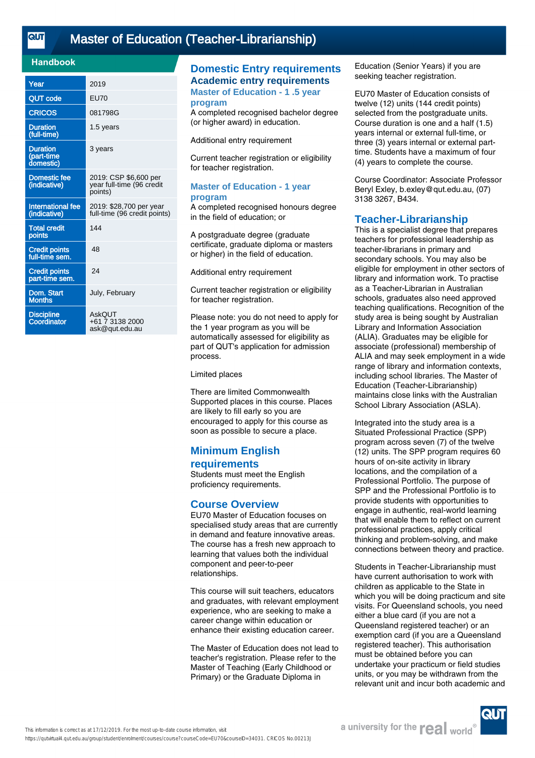<u>तान</u>

# [Master of Education \(Teacher-Librarianship\)](https://qutvirtual4.qut.edu.au/group/student/enrolment/courses/course?courseCode=EU70&courseID=34031)

### **Handbook**

| Year                                       | 2019                                                          |
|--------------------------------------------|---------------------------------------------------------------|
| <b>QUT</b> code                            | <b>EU70</b>                                                   |
| <b>CRICOS</b>                              | 081798G                                                       |
| <b>Duration</b><br>(full-time)             | 1.5 years                                                     |
| <b>Duration</b><br>(part-time<br>domestic) | 3 years                                                       |
| <b>Domestic fee</b><br>(indicative)        | 2019: CSP \$6,600 per<br>year full-time (96 credit<br>points) |
| <b>International fee</b><br>(indicative)   | 2019: \$28,700 per year<br>full-time (96 credit points)       |
| <b>Total credit</b><br>points              | 144                                                           |
| <b>Credit points</b><br>full-time sem.     | 48                                                            |
| <b>Credit points</b><br>part-time sem.     | 24                                                            |
| Dom. Start<br><b>Months</b>                | July, February                                                |
| <b>Discipline</b><br>Coordinator           | AskQUT<br>+61 7 3138 2000<br>ask@qut.edu.au                   |

# **Domestic Entry requirements Academic entry requirements**

**Master of Education - 1 .5 year program**

A completed recognised bachelor degree (or higher award) in education.

Additional entry requirement

Current teacher registration or eligibility for teacher registration.

#### **Master of Education - 1 year program**

A completed recognised honours degree in the field of education; or

A postgraduate degree (graduate certificate, graduate diploma or masters or higher) in the field of education.

Additional entry requirement

Current teacher registration or eligibility for teacher registration.

Please note: you do not need to apply for the 1 year program as you will be automatically assessed for eligibility as part of QUT's application for admission process.

Limited places

There are limited Commonwealth Supported places in this course. Places are likely to fill early so you are encouraged to apply for this course as soon as possible to secure a place.

# **Minimum English requirements**

Students must meet the English proficiency requirements.

#### **Course Overview**

EU70 Master of Education focuses on specialised study areas that are currently in demand and feature innovative areas. The course has a fresh new approach to learning that values both the individual component and peer-to-peer relationships.

This course will suit teachers, educators and graduates, with relevant employment experience, who are seeking to make a career change within education or enhance their existing education career.

The Master of Education does not lead to teacher's registration. Please refer to the Master of Teaching (Early Childhood or Primary) or the Graduate Diploma in

Education (Senior Years) if you are seeking teacher registration.

EU70 Master of Education consists of twelve (12) units (144 credit points) selected from the postgraduate units. Course duration is one and a half (1.5) years internal or external full-time, or three (3) years internal or external parttime. Students have a maximum of four (4) years to complete the course.

Course Coordinator: Associate Professor Beryl Exley, b.exley@qut.edu.au, (07) 3138 3267, B434.

## **Teacher-Librarianship**

This is a specialist degree that prepares teachers for professional leadership as teacher-librarians in primary and secondary schools. You may also be eligible for employment in other sectors of library and information work. To practise as a Teacher-Librarian in Australian schools, graduates also need approved teaching qualifications. Recognition of the study area is being sought by Australian Library and Information Association (ALIA). Graduates may be eligible for associate (professional) membership of ALIA and may seek employment in a wide range of library and information contexts, including school libraries. The Master of Education (Teacher-Librarianship) maintains close links with the Australian School Library Association (ASLA).

Integrated into the study area is a Situated Professional Practice (SPP) program across seven (7) of the twelve (12) units. The SPP program requires 60 hours of on-site activity in library locations, and the compilation of a Professional Portfolio. The purpose of SPP and the Professional Portfolio is to provide students with opportunities to engage in authentic, real-world learning that will enable them to reflect on current professional practices, apply critical thinking and problem-solving, and make connections between theory and practice.

Students in Teacher-Librarianship must have current authorisation to work with children as applicable to the State in which you will be doing practicum and site visits. For Queensland schools, you need either a blue card (if you are not a Queensland registered teacher) or an exemption card (if you are a Queensland registered teacher). This authorisation must be obtained before you can undertake your practicum or field studies units, or you may be withdrawn from the relevant unit and incur both academic and

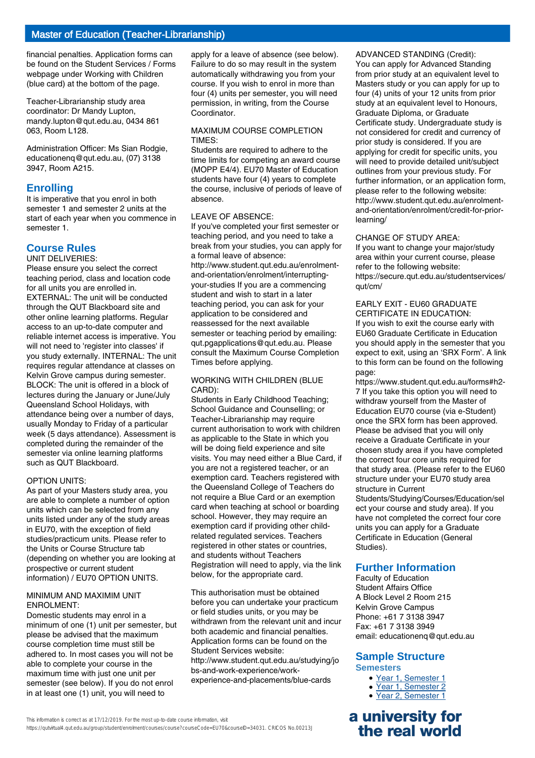financial penalties. Application forms can be found on the Student Services / Forms webpage under Working with Children (blue card) at the bottom of the page.

Teacher-Librarianship study area coordinator: Dr Mandy Lupton, mandy.lupton@qut.edu.au, 0434 861 063, Room L128.

Administration Officer: Ms Sian Rodgie, educationenq@qut.edu.au, (07) 3138 3947, Room A215.

# **Enrolling**

It is imperative that you enrol in both semester 1 and semester 2 units at the start of each year when you commence in semester 1.

# **Course Rules**

UNIT DELIVERIES:

Please ensure you select the correct teaching period, class and location code for all units you are enrolled in. EXTERNAL: The unit will be conducted through the QUT Blackboard site and other online learning platforms. Regular access to an up-to-date computer and reliable internet access is imperative. You will not need to 'register into classes' if you study externally. INTERNAL: The unit requires regular attendance at classes on Kelvin Grove campus during semester. BLOCK: The unit is offered in a block of lectures during the January or June/July Queensland School Holidays, with attendance being over a number of days, usually Monday to Friday of a particular week (5 days attendance). Assessment is completed during the remainder of the semester via online learning platforms such as QUT Blackboard.

### OPTION UNITS:

As part of your Masters study area, you are able to complete a number of option units which can be selected from any units listed under any of the study areas in EU70, with the exception of field studies/practicum units. Please refer to the Units or Course Structure tab (depending on whether you are looking at prospective or current student information) / EU70 OPTION UNITS.

#### MINIMUM AND MAXIMIM UNIT ENROLMENT:

Domestic students may enrol in a minimum of one (1) unit per semester, but please be advised that the maximum course completion time must still be adhered to. In most cases you will not be able to complete your course in the maximum time with just one unit per semester (see below). If you do not enrol in at least one (1) unit, you will need to

apply for a leave of absence (see below). Failure to do so may result in the system automatically withdrawing you from your course. If you wish to enrol in more than four (4) units per semester, you will need permission, in writing, from the Course Coordinator.

#### MAXIMUM COURSE COMPLETION TIMES:

Students are required to adhere to the time limits for competing an award course (MOPP E4/4). EU70 Master of Education students have four (4) years to complete the course, inclusive of periods of leave of absence.

#### LEAVE OF ABSENCE:

If you've completed your first semester or teaching period, and you need to take a break from your studies, you can apply for a formal leave of absence: http://www.student.qut.edu.au/enrolmentand-orientation/enrolment/interruptingyour-studies If you are a commencing student and wish to start in a later teaching period, you can ask for your application to be considered and reassessed for the next available semester or teaching period by emailing: qut.pgapplications@qut.edu.au. Please consult the Maximum Course Completion Times before applying.

#### WORKING WITH CHILDREN (BLUE CARD):

Students in Early Childhood Teaching; School Guidance and Counselling; or Teacher-Librarianship may require current authorisation to work with children as applicable to the State in which you will be doing field experience and site visits. You may need either a Blue Card, if you are not a registered teacher, or an exemption card. Teachers registered with the Queensland College of Teachers do not require a Blue Card or an exemption card when teaching at school or boarding school. However, they may require an exemption card if providing other childrelated regulated services. Teachers registered in other states or countries, and students without Teachers Registration will need to apply, via the link below, for the appropriate card.

This authorisation must be obtained before you can undertake your practicum or field studies units, or you may be withdrawn from the relevant unit and incur both academic and financial penalties. Application forms can be found on the Student Services website: http://www.student.qut.edu.au/studying/jo bs-and-work-experience/workexperience-and-placements/blue-cards

ADVANCED STANDING (Credit): You can apply for Advanced Standing from prior study at an equivalent level to Masters study or you can apply for up to four (4) units of your 12 units from prior study at an equivalent level to Honours, Graduate Diploma, or Graduate Certificate study. Undergraduate study is not considered for credit and currency of prior study is considered. If you are applying for credit for specific units, you will need to provide detailed unit/subject outlines from your previous study. For further information, or an application form, please refer to the following website: http://www.student.qut.edu.au/enrolmentand-orientation/enrolment/credit-for-priorlearning/

#### CHANGE OF STUDY AREA:

If you want to change your major/study area within your current course, please refer to the following website: https://secure.qut.edu.au/studentservices/ qut/cm/

#### EARLY EXIT - EU60 GRADUATE CERTIFICATE IN EDUCATION:

If you wish to exit the course early with EU60 Graduate Certificate in Education you should apply in the semester that you expect to exit, using an 'SRX Form'. A link to this form can be found on the following page:

https://www.student.qut.edu.au/forms#h2- 7 If you take this option you will need to withdraw yourself from the Master of Education EU70 course (via e-Student) once the SRX form has been approved. Please be advised that you will only receive a Graduate Certificate in your chosen study area if you have completed the correct four core units required for that study area. (Please refer to the EU60 structure under your EU70 study area structure in Current

Students/Studying/Courses/Education/sel ect your course and study area). If you have not completed the correct four core units you can apply for a Graduate Certificate in Education (General Studies).

# **Further Information**

Faculty of Education Student Affairs Office A Block Level 2 Room 215 Kelvin Grove Campus Phone: +61 7 3138 3947 Fax: +61 7 3138 3949 email: educationenq@qut.edu.au

# **Sample Structure**

**Semesters**

- Year 1, Semester 1
- Year 1, Semester 2
- Year 2, Semester 1

# **a university for the real world**

https://qutvirtual4.qut.edu.au/group/student/enrolment/courses/course?courseCode=EU70&courseID=34031. CRICOS No.00213J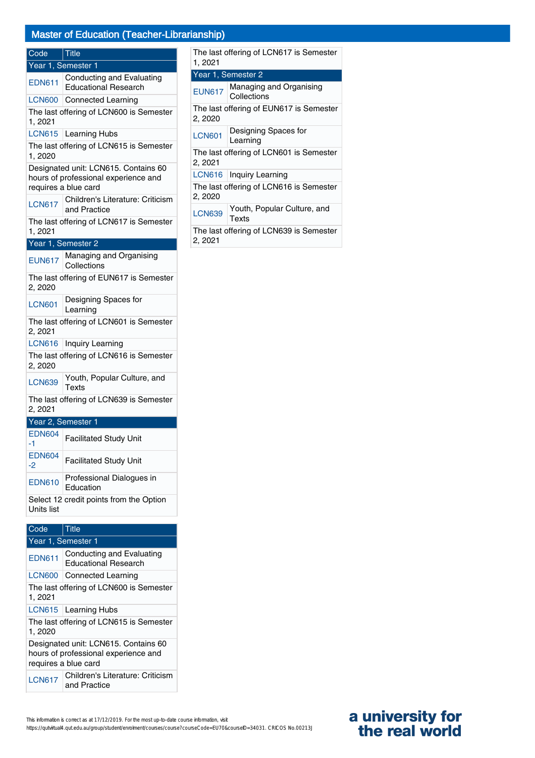# Master of Education (Teacher-Librarianship)

| Code                                                  | <b>Title</b>                                                                                         |  |
|-------------------------------------------------------|------------------------------------------------------------------------------------------------------|--|
| Year 1, Semester 1                                    |                                                                                                      |  |
| <b>EDN611</b>                                         | Conducting and Evaluating<br><b>Educational Research</b>                                             |  |
| <b>LCN600</b>                                         | <b>Connected Learning</b>                                                                            |  |
| 1,2021                                                | The last offering of LCN600 is Semester                                                              |  |
| <b>LCN615</b>                                         | Learning Hubs                                                                                        |  |
| 1,2020                                                | The last offering of LCN615 is Semester                                                              |  |
|                                                       | Designated unit: LCN615. Contains 60<br>hours of professional experience and<br>requires a blue card |  |
| <b>LCN617</b>                                         | Children's Literature: Criticism<br>and Practice                                                     |  |
| The last offering of LCN617 is Semester<br>1, 2021    |                                                                                                      |  |
|                                                       | Year 1, Semester 2                                                                                   |  |
| <b>EUN617</b>                                         | Managing and Organising<br>Collections                                                               |  |
| The last offering of EUN617 is Semester<br>2, 2020    |                                                                                                      |  |
| <b>LCN601</b>                                         | Designing Spaces for<br>Learning                                                                     |  |
| The last offering of LCN601 is Semester<br>2, 2021    |                                                                                                      |  |
| <b>LCN616</b>                                         | Inquiry Learning                                                                                     |  |
| The last offering of LCN616 is Semester<br>2, 2020    |                                                                                                      |  |
| <b>LCN639</b>                                         | Youth, Popular Culture, and<br>Texts                                                                 |  |
| The last offering of LCN639 is Semester<br>2, 2021    |                                                                                                      |  |
| Year 2, Semester 1                                    |                                                                                                      |  |
| <b>EDN604</b><br>-1                                   | <b>Facilitated Study Unit</b>                                                                        |  |
| <b>EDN604</b><br>-2                                   | <b>Facilitated Study Unit</b>                                                                        |  |
| <b>EDN610</b>                                         | Professional Dialogues in<br>Education                                                               |  |
| Select 12 credit points from the Option<br>Units list |                                                                                                      |  |
|                                                       |                                                                                                      |  |

| Code                                                                                                 | Title                                                    |  |
|------------------------------------------------------------------------------------------------------|----------------------------------------------------------|--|
|                                                                                                      | Year 1, Semester 1                                       |  |
| <b>EDN611</b>                                                                                        | Conducting and Evaluating<br><b>Educational Research</b> |  |
| <b>LCN600</b>                                                                                        | <b>Connected Learning</b>                                |  |
| The last offering of LCN600 is Semester<br>1, 2021                                                   |                                                          |  |
|                                                                                                      | LCN615   Learning Hubs                                   |  |
| The last offering of LCN615 is Semester<br>1, 2020                                                   |                                                          |  |
| Designated unit: LCN615. Contains 60<br>hours of professional experience and<br>requires a blue card |                                                          |  |
| <b>LCN617</b>                                                                                        | Children's Literature: Criticism<br>and Practice         |  |

This information is correct as at 17/12/2019. For the most up-to-date course information, visit https://qutvirtual4.qut.edu.au/group/student/enrolment/courses/course?courseCode=EU70&courseID=34031. CRICOS No.00213J

| The last offering of LCN617 is Semester<br>1, 2021 |                                        |  |
|----------------------------------------------------|----------------------------------------|--|
|                                                    | Year 1, Semester 2                     |  |
| <b>EUN617</b>                                      | Managing and Organising<br>Collections |  |
| The last offering of EUN617 is Semester<br>2, 2020 |                                        |  |
| <b>LCN601</b>                                      | Designing Spaces for<br>Learning       |  |
| The last offering of LCN601 is Semester<br>2, 2021 |                                        |  |
| LCN616                                             | Inquiry Learning                       |  |
| The last offering of LCN616 is Semester<br>2, 2020 |                                        |  |
| <b>LCN639</b>                                      | Youth, Popular Culture, and<br>Texts   |  |
| The last offering of LCN639 is Semester<br>2, 2021 |                                        |  |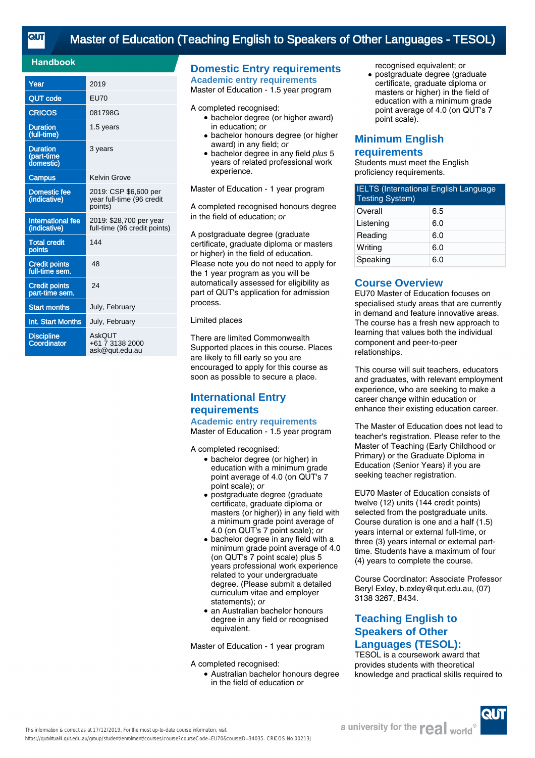# [Master of Education \(Teaching English to Speakers of Other Languages - TESOL\)](https://qutvirtual4.qut.edu.au/group/student/enrolment/courses/course?courseCode=EU70&courseID=34035)

### **Handbook**

| Year                                       | 2019                                                          |
|--------------------------------------------|---------------------------------------------------------------|
| <b>QUT code</b>                            | <b>EU70</b>                                                   |
| <b>CRICOS</b>                              | 081798G                                                       |
| <b>Duration</b><br>(full-time)             | 1.5 years                                                     |
| <b>Duration</b><br>(part-time<br>domestic) | 3 years                                                       |
| <b>Campus</b>                              | Kelvin Grove                                                  |
| <b>Domestic fee</b><br>(indicative)        | 2019: CSP \$6,600 per<br>year full-time (96 credit<br>points) |
| International fee<br>(indicative)          | 2019: \$28,700 per year<br>full-time (96 credit points)       |
| <b>Total credit</b><br>points              | 144                                                           |
| <b>Credit points</b><br>full-time sem.     | 48                                                            |
| <b>Credit points</b><br>part-time sem.     | 24                                                            |
| <b>Start months</b>                        | July, February                                                |
| Int. Start Months                          | July, February                                                |
| <b>Discipline</b><br>Coordinator           | <b>AskQUT</b><br>+61 7 3138 2000<br>ask@qut.edu.au            |

### **Domestic Entry requirements Academic entry requirements**

Master of Education - 1.5 year program

#### A completed recognised:

- bachelor degree (or higher award) in education; or
- bachelor honours degree (or higher award) in any field; or
- bachelor degree in any field plus 5 years of related professional work experience.

Master of Education - 1 year program

A completed recognised honours degree in the field of education; or

A postgraduate degree (graduate certificate, graduate diploma or masters or higher) in the field of education. Please note you do not need to apply for the 1 year program as you will be automatically assessed for eligibility as part of QUT's application for admission process.

#### Limited places

There are limited Commonwealth Supported places in this course. Places are likely to fill early so you are encouraged to apply for this course as soon as possible to secure a place.

# **International Entry requirements Academic entry requirements**

Master of Education - 1.5 year program

A completed recognised:

- bachelor degree (or higher) in education with a minimum grade point average of 4.0 (on QUT's 7 point scale); or
- postgraduate degree (graduate certificate, graduate diploma or masters (or higher)) in any field with a minimum grade point average of 4.0 (on QUT's 7 point scale); or ●
- bachelor degree in any field with a minimum grade point average of 4.0 (on QUT's 7 point scale) plus 5 years professional work experience related to your undergraduate degree. (Please submit a detailed curriculum vitae and employer statements); or
- an Australian bachelor honours degree in any field or recognised equivalent.

Master of Education - 1 year program

A completed recognised:

● Australian bachelor honours degree in the field of education or

recognised equivalent; or

• postgraduate degree (graduate certificate, graduate diploma or masters or higher) in the field of education with a minimum grade point average of 4.0 (on QUT's 7 point scale).

# **Minimum English requirements**

Students must meet the English proficiency requirements.

| <b>IELTS (International English Language</b><br><b>Testing System)</b> |     |  |
|------------------------------------------------------------------------|-----|--|
| Overall                                                                | 6.5 |  |
| Listening                                                              | 6.0 |  |
| Reading                                                                | 6.0 |  |
| Writing                                                                | 6.0 |  |
| Speaking                                                               | 6.0 |  |

## **Course Overview**

EU70 Master of Education focuses on specialised study areas that are currently in demand and feature innovative areas. The course has a fresh new approach to learning that values both the individual component and peer-to-peer relationships.

This course will suit teachers, educators and graduates, with relevant employment experience, who are seeking to make a career change within education or enhance their existing education career.

The Master of Education does not lead to teacher's registration. Please refer to the Master of Teaching (Early Childhood or Primary) or the Graduate Diploma in Education (Senior Years) if you are seeking teacher registration.

EU70 Master of Education consists of twelve (12) units (144 credit points) selected from the postgraduate units. Course duration is one and a half (1.5) years internal or external full-time, or three (3) years internal or external parttime. Students have a maximum of four (4) years to complete the course.

Course Coordinator: Associate Professor Beryl Exley, b.exley@qut.edu.au, (07) 3138 3267, B434.

# **Teaching English to Speakers of Other Languages (TESOL):**

TESOL is a coursework award that provides students with theoretical knowledge and practical skills required to

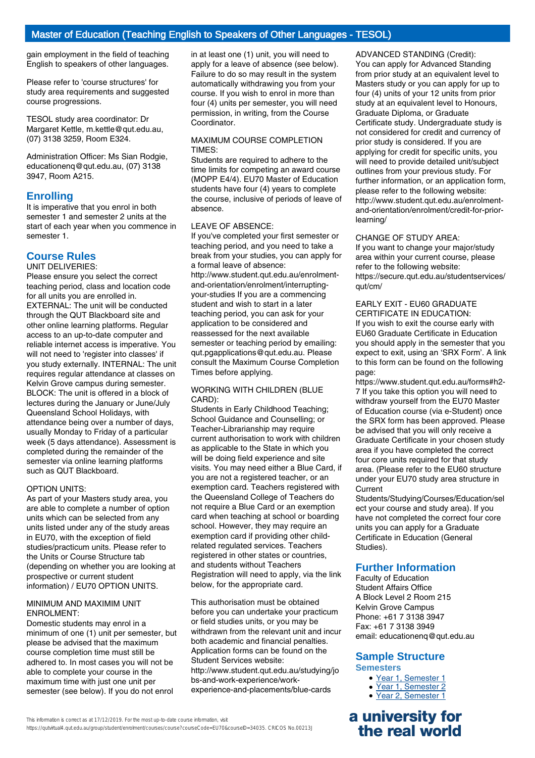gain employment in the field of teaching English to speakers of other languages.

Please refer to 'course structures' for study area requirements and suggested course progressions.

TESOL study area coordinator: Dr Margaret Kettle, m.kettle@qut.edu.au, (07) 3138 3259, Room E324.

Administration Officer: Ms Sian Rodgie, educationenq@qut.edu.au, (07) 3138 3947, Room A215.

# **Enrolling**

It is imperative that you enrol in both semester 1 and semester 2 units at the start of each year when you commence in semester 1.

# **Course Rules**

UNIT DELIVERIES: Please ensure you select the correct

teaching period, class and location code for all units you are enrolled in. EXTERNAL: The unit will be conducted through the QUT Blackboard site and other online learning platforms. Regular access to an up-to-date computer and reliable internet access is imperative. You will not need to 'register into classes' if you study externally. INTERNAL: The unit requires regular attendance at classes on Kelvin Grove campus during semester. BLOCK: The unit is offered in a block of lectures during the January or June/July Queensland School Holidays, with attendance being over a number of days, usually Monday to Friday of a particular week (5 days attendance). Assessment is completed during the remainder of the semester via online learning platforms such as QUT Blackboard.

#### OPTION UNITS:

As part of your Masters study area, you are able to complete a number of option units which can be selected from any units listed under any of the study areas in EU70, with the exception of field studies/practicum units. Please refer to the Units or Course Structure tab (depending on whether you are looking at prospective or current student information) / EU70 OPTION UNITS.

#### MINIMUM AND MAXIMIM UNIT ENROLMENT:

Domestic students may enrol in a minimum of one (1) unit per semester, but please be advised that the maximum course completion time must still be adhered to. In most cases you will not be able to complete your course in the maximum time with just one unit per semester (see below). If you do not enrol

in at least one (1) unit, you will need to apply for a leave of absence (see below). Failure to do so may result in the system automatically withdrawing you from your course. If you wish to enrol in more than four (4) units per semester, you will need permission, in writing, from the Course **Coordinator** 

#### MAXIMUM COURSE COMPLETION TIMES:

Students are required to adhere to the time limits for competing an award course (MOPP E4/4). EU70 Master of Education students have four (4) years to complete the course, inclusive of periods of leave of absence.

#### LEAVE OF ABSENCE:

If you've completed your first semester or teaching period, and you need to take a break from your studies, you can apply for a formal leave of absence: http://www.student.qut.edu.au/enrolmentand-orientation/enrolment/interruptingyour-studies If you are a commencing student and wish to start in a later teaching period, you can ask for your application to be considered and reassessed for the next available semester or teaching period by emailing: qut.pgapplications@qut.edu.au. Please consult the Maximum Course Completion Times before applying.

#### WORKING WITH CHILDREN (BLUE CARD):

Students in Early Childhood Teaching; School Guidance and Counselling; or Teacher-Librarianship may require current authorisation to work with children as applicable to the State in which you will be doing field experience and site visits. You may need either a Blue Card, if you are not a registered teacher, or an exemption card. Teachers registered with the Queensland College of Teachers do not require a Blue Card or an exemption card when teaching at school or boarding school. However, they may require an exemption card if providing other childrelated regulated services. Teachers registered in other states or countries, and students without Teachers Registration will need to apply, via the link below, for the appropriate card.

This authorisation must be obtained before you can undertake your practicum or field studies units, or you may be withdrawn from the relevant unit and incur both academic and financial penalties. Application forms can be found on the Student Services website: http://www.student.qut.edu.au/studying/jo bs-and-work-experience/workexperience-and-placements/blue-cards

ADVANCED STANDING (Credit): You can apply for Advanced Standing from prior study at an equivalent level to Masters study or you can apply for up to four (4) units of your 12 units from prior study at an equivalent level to Honours, Graduate Diploma, or Graduate Certificate study. Undergraduate study is not considered for credit and currency of prior study is considered. If you are applying for credit for specific units, you will need to provide detailed unit/subject outlines from your previous study. For further information, or an application form, please refer to the following website: http://www.student.qut.edu.au/enrolmentand-orientation/enrolment/credit-for-priorlearning/

#### CHANGE OF STUDY AREA:

If you want to change your major/study area within your current course, please refer to the following website: https://secure.qut.edu.au/studentservices/ qut/cm/

#### EARLY EXIT - EU60 GRADUATE CERTIFICATE IN EDUCATION:

If you wish to exit the course early with EU60 Graduate Certificate in Education you should apply in the semester that you expect to exit, using an 'SRX Form'. A link to this form can be found on the following page:

https://www.student.qut.edu.au/forms#h2- 7 If you take this option you will need to withdraw yourself from the EU70 Master of Education course (via e-Student) once the SRX form has been approved. Please be advised that you will only receive a Graduate Certificate in your chosen study area if you have completed the correct four core units required for that study area. (Please refer to the EU60 structure under your EU70 study area structure in Current

Students/Studying/Courses/Education/sel ect your course and study area). If you have not completed the correct four core units you can apply for a Graduate Certificate in Education (General Studies).

# **Further Information**

Faculty of Education Student Affairs Office A Block Level 2 Room 215 Kelvin Grove Campus Phone: +61 7 3138 3947 Fax: +61 7 3138 3949 email: educationenq@qut.edu.au

# **Sample Structure**

**Semesters**

- Year 1, Semester 1
- Year 1, Semester 2
- Year 2, Semester 1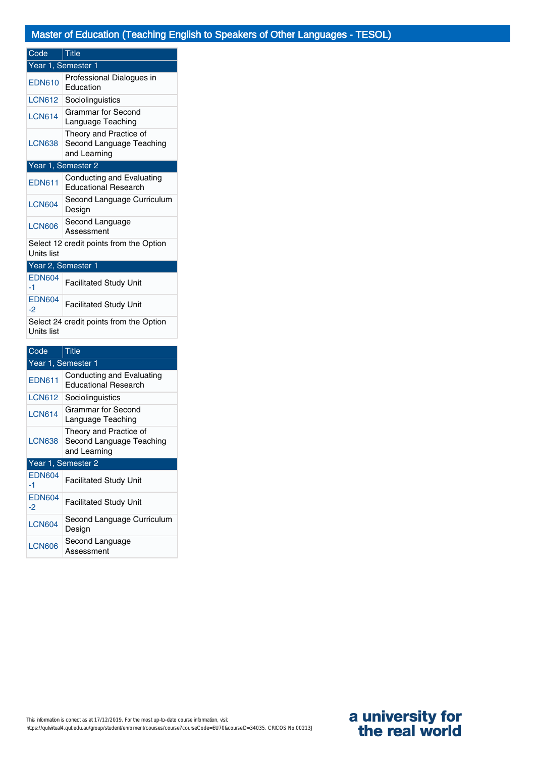| Code                                                  | <b>Title</b>                                                       |  |  |
|-------------------------------------------------------|--------------------------------------------------------------------|--|--|
|                                                       | Year 1, Semester 1                                                 |  |  |
| <b>EDN610</b>                                         | Professional Dialogues in<br>Education                             |  |  |
| <b>LCN612</b>                                         | Sociolinguistics                                                   |  |  |
| <b>LCN614</b>                                         | Grammar for Second<br>Language Teaching                            |  |  |
| <b>LCN638</b>                                         | Theory and Practice of<br>Second Language Teaching<br>and Learning |  |  |
|                                                       | Year 1, Semester 2                                                 |  |  |
| <b>EDN611</b>                                         | Conducting and Evaluating<br><b>Educational Research</b>           |  |  |
| <b>LCN604</b>                                         | Second Language Curriculum<br>Design                               |  |  |
| <b>LCN606</b>                                         | Second Language<br>Assessment                                      |  |  |
| Select 12 credit points from the Option<br>Units list |                                                                    |  |  |
| Year 2, Semester 1                                    |                                                                    |  |  |
| <b>EDN604</b><br>-1                                   | <b>Facilitated Study Unit</b>                                      |  |  |
| <b>EDN604</b><br>$-2$                                 | <b>Facilitated Study Unit</b>                                      |  |  |
| Select 24 credit points from the Option<br>Units list |                                                                    |  |  |

| Code                | Title                                                              |  |
|---------------------|--------------------------------------------------------------------|--|
|                     | Year 1, Semester 1                                                 |  |
| <b>EDN611</b>       | Conducting and Evaluating<br><b>Educational Research</b>           |  |
| <b>LCN612</b>       | Sociolinguistics                                                   |  |
| <b>LCN614</b>       | Grammar for Second<br>Language Teaching                            |  |
| <b>LCN638</b>       | Theory and Practice of<br>Second Language Teaching<br>and Learning |  |
| Year 1, Semester 2  |                                                                    |  |
| <b>EDN604</b><br>-1 | <b>Facilitated Study Unit</b>                                      |  |
| <b>EDN604</b><br>-2 | <b>Facilitated Study Unit</b>                                      |  |
| <b>LCN604</b>       | Second Language Curriculum<br>Design                               |  |
| <b>LCN606</b>       | Second Language<br>Assessment                                      |  |

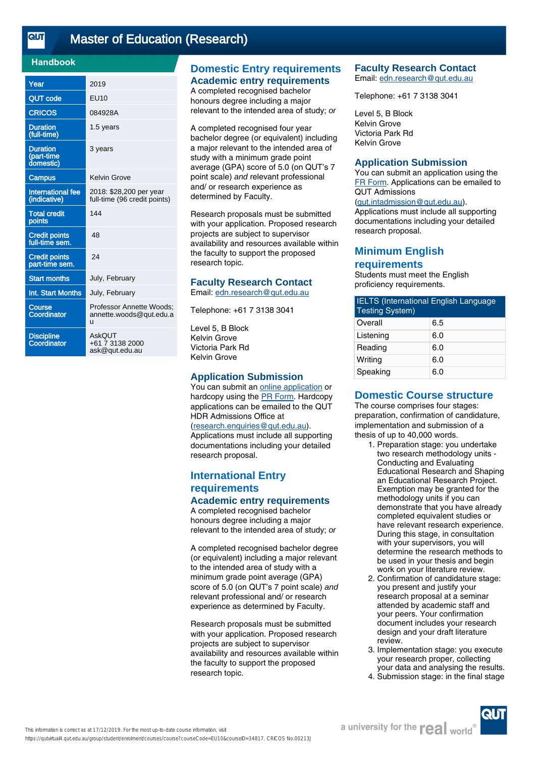<u>तान</u>

# [Master of Education \(Research\)](https://qutvirtual4.qut.edu.au/group/student/enrolment/courses/course?courseCode=EU10&courseID=34817)

### **Handbook**

| Year                                       | 2019                                                     |
|--------------------------------------------|----------------------------------------------------------|
| <b>QUT code</b>                            | EU10                                                     |
| <b>CRICOS</b>                              | 084928A                                                  |
| <b>Duration</b><br>(full-time)             | 1.5 years                                                |
| <b>Duration</b><br>(part-time<br>domestic) | 3 years                                                  |
| <b>Campus</b>                              | Kelvin Grove                                             |
| <b>International fee</b><br>(indicative)   | 2018: \$28,200 per year<br>full-time (96 credit points)  |
| <b>Total credit</b><br>points              | 144                                                      |
| <b>Credit points</b><br>full-time sem.     | 48                                                       |
| <b>Credit points</b><br>part-time sem.     | 24                                                       |
| <b>Start months</b>                        | July, February                                           |
| Int. Start Months                          | July, February                                           |
| Course<br>Coordinator                      | Professor Annette Woods:<br>annette.woods@qut.edu.a<br>u |
| <b>Discipline</b><br>Coordinator           | AskOUT<br>+61 7 3138 2000<br>ask@qut.edu.au              |

# **Domestic Entry requirements Academic entry requirements**

A completed recognised bachelor honours degree including a major relevant to the intended area of study; or

A completed recognised four year bachelor degree (or equivalent) including a major relevant to the intended area of study with a minimum grade point average (GPA) score of 5.0 (on QUT's 7 point scale) and relevant professional and/ or research experience as determined by Faculty.

Research proposals must be submitted with your application. Proposed research projects are subject to supervisor availability and resources available within the faculty to support the proposed research topic.

## **Faculty Research Contact**

Email: [edn.research@qut.edu.au](mailto:edn.research@qut.edu.au)

Telephone: +61 7 3138 3041

Level 5, B Block Kelvin Grove Victoria Park Rd Kelvin Grove

### **Application Submission**

You can submit an [online application](https://www.qut.edu.au/study/applying/phd-and-research-degree-applications/step-9-submit-your-application-to-qut/research-application-form) or hardcopy using the [PR Form.](https://cms.qut.edu.au/__data/assets/pdf_file/0013/350122/domestic-research-degree-application.pdf) Hardcopy applications can be emailed to the QUT HDR Admissions Office at ([research.enquiries@qut.edu.au\)](mailto:research.enquiries@qut.edu.au).

Applications must include all supporting documentations including your detailed research proposal.

# **International Entry requirements Academic entry requirements**

A completed recognised bachelor honours degree including a major relevant to the intended area of study; or

A completed recognised bachelor degree (or equivalent) including a major relevant to the intended area of study with a minimum grade point average (GPA) score of 5.0 (on QUT's 7 point scale) and relevant professional and/ or research experience as determined by Faculty.

Research proposals must be submitted with your application. Proposed research projects are subject to supervisor availability and resources available within the faculty to support the proposed research topic.

#### **Faculty Research Contact** Email: [edn.research@qut.edu.au](mailto:edn.research@qut.edu.au)

Telephone: +61 7 3138 3041

Level 5, B Block Kelvin Grove Victoria Park Rd Kelvin Grove

#### **Application Submission**

You can submit an application using the [FR Form.](mailto:FR%20Form) Applications can be emailed to QUT Admissions ([qut.intadmission@qut.edu.au](mailto:qut.intadmission@qut.edu.au)). Applications must include all supporting documentations including your detailed research proposal.

# **Minimum English requirements**

Students must meet the English proficiency requirements.

| <b>IELTS</b> (International English Language<br><b>Testing System)</b> |  |  |
|------------------------------------------------------------------------|--|--|
| 6.5                                                                    |  |  |
| 6.0                                                                    |  |  |
| 6.0                                                                    |  |  |
| 6.0                                                                    |  |  |
| 6.0                                                                    |  |  |
|                                                                        |  |  |

# **Domestic Course structure**

The course comprises four stages: preparation, confirmation of candidature, implementation and submission of a thesis of up to 40,000 words.

- 1. Preparation stage: you undertake two research methodology units - Conducting and Evaluating Educational Research and Shaping an Educational Research Project. Exemption may be granted for the methodology units if you can demonstrate that you have already completed equivalent studies or have relevant research experience. During this stage, in consultation with your supervisors, you will determine the research methods to be used in your thesis and begin work on your literature review.
- 2. Confirmation of candidature stage: you present and justify your research proposal at a seminar attended by academic staff and your peers. Your confirmation document includes your research design and your draft literature review.
- 3. Implementation stage: you execute your research proper, collecting your data and analysing the results.
- 4. Submission stage: in the final stage

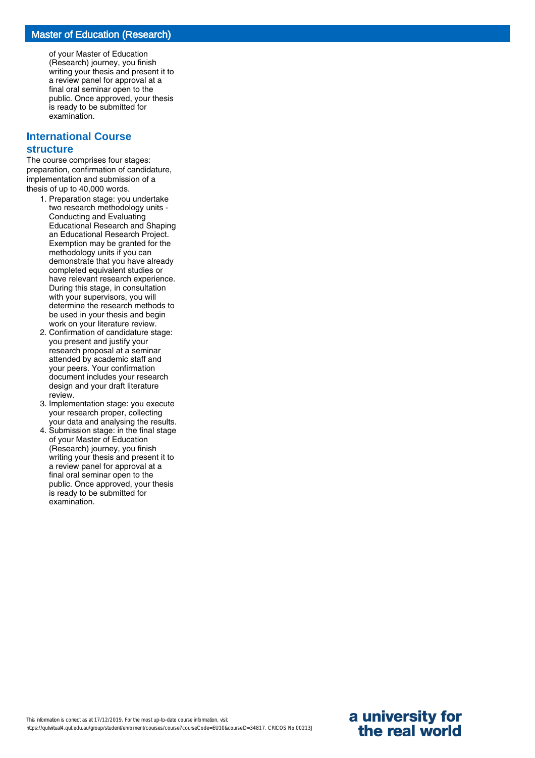of your Master of Education (Research) journey, you finish writing your thesis and present it to a review panel for approval at a final oral seminar open to the public. Once approved, your thesis is ready to be submitted for examination.

#### **International Course**

#### **structure**

The course comprises four stages: preparation, confirmation of candidature, implementation and submission of a thesis of up to 40,000 words.

- 1. Preparation stage: you undertake two research methodology units - Conducting and Evaluating Educational Research and Shaping an Educational Research Project. Exemption may be granted for the methodology units if you can demonstrate that you have already completed equivalent studies or have relevant research experience. During this stage, in consultation with your supervisors, you will determine the research methods to be used in your thesis and begin work on your literature review.
- 2. Confirmation of candidature stage: you present and justify your research proposal at a seminar attended by academic staff and your peers. Your confirmation document includes your research design and your draft literature review.
- 3. Implementation stage: you execute your research proper, collecting your data and analysing the results.
- 4. Submission stage: in the final stage of your Master of Education (Research) journey, you finish writing your thesis and present it to a review panel for approval at a final oral seminar open to the public. Once approved, your thesis is ready to be submitted for examination.

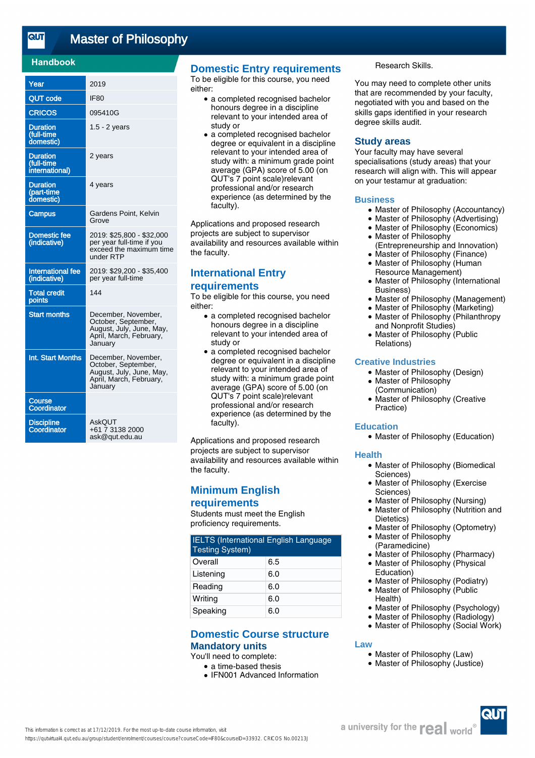### **Handbook**

| Year                                            | 2019                                                                                                         |
|-------------------------------------------------|--------------------------------------------------------------------------------------------------------------|
| <b>QUT code</b>                                 | IF <sub>80</sub>                                                                                             |
| <b>CRICOS</b>                                   | 095410G                                                                                                      |
| <b>Duration</b><br>(full-time<br>domestic)      | $1.5 - 2$ years                                                                                              |
| <b>Duration</b><br>(full-time<br>international) | 2 years                                                                                                      |
| <b>Duration</b><br>(part-time<br>domestic)      | 4 years                                                                                                      |
| <b>Campus</b>                                   | Gardens Point, Kelvin<br>Grove                                                                               |
| <b>Domestic fee</b><br>(indicative)             | 2019: \$25,800 - \$32,000<br>per year full-time if you<br>exceed the maximum time<br>under RTP               |
| <b>International fee</b><br>(indicative)        | 2019: \$29,200 - \$35,400<br>per year full-time                                                              |
| <b>Total credit</b><br>points                   | 144                                                                                                          |
| <b>Start months</b>                             | December, November,<br>October, September,<br>August, July, June, May,<br>April, March, February,<br>Januarv |
| Int. Start Months                               | December, November,<br>October, September,<br>August, July, June, May,<br>April, March, February,<br>Januarv |
| Course<br>Coordinator                           |                                                                                                              |
| <b>Discipline</b><br>Coordinator                | AskQUT<br>+61 7 3138 2000<br>ask@qut.edu.au                                                                  |

# **Domestic Entry requirements**

To be eligible for this course, you need either:

- a completed recognised bachelor honours degree in a discipline relevant to your intended area of study or
- a completed recognised bachelor degree or equivalent in a discipline relevant to your intended area of study with: a minimum grade point average (GPA) score of 5.00 (on QUT's 7 point scale)relevant professional and/or research experience (as determined by the faculty).

Applications and proposed research projects are subject to supervisor availability and resources available within the faculty.

# **International Entry requirements**

To be eligible for this course, you need either:

- a completed recognised bachelor honours degree in a discipline relevant to your intended area of study or
- a completed recognised bachelor degree or equivalent in a discipline relevant to your intended area of study with: a minimum grade point average (GPA) score of 5.00 (on QUT's 7 point scale)relevant professional and/or research experience (as determined by the faculty).

Applications and proposed research projects are subject to supervisor availability and resources available within the faculty.

# **Minimum English**

### **requirements**

Students must meet the English proficiency requirements.

| <b>IELTS (International English Language</b><br><b>Testing System)</b> |     |  |
|------------------------------------------------------------------------|-----|--|
| Overall                                                                | 6.5 |  |
| Listening                                                              | 6.0 |  |
| Reading                                                                | 6.0 |  |
| Writing                                                                | 6.0 |  |
| Speaking                                                               | 6.0 |  |

## **Domestic Course structure Mandatory units**

## You'll need to complete:

- a time-based thesis
- IFN001 Advanced Information

Research Skills.

You may need to complete other units that are recommended by your faculty, negotiated with you and based on the skills gaps identified in your research degree skills audit.

#### **Study areas**

Your faculty may have several specialisations (study areas) that your research will align with. This will appear on your testamur at graduation:

#### **Business**

- Master of Philosophy (Accountancy)
- Master of Philosophy (Advertising)
- Master of Philosophy (Economics)
- Master of Philosophy (Entrepreneurship and Innovation)
- Master of Philosophy (Finance)
- Master of Philosophy (Human Resource Management) ●
- Master of Philosophy (International Business) ●
- Master of Philosophy (Management)
- Master of Philosophy (Marketing) Master of Philosophy (Philanthropy  $\bullet$
- and Nonprofit Studies)
- Master of Philosophy (Public Relations)  $\bullet$

#### **Creative Industries**

- Master of Philosophy (Design)
- Master of Philosophy (Communication)
- Master of Philosophy (Creative Practice) ●

#### **Education**

• Master of Philosophy (Education)

#### **Health**

- Master of Philosophy (Biomedical Sciences)
- Master of Philosophy (Exercise Sciences) ●
- Master of Philosophy (Nursing)
- Master of Philosophy (Nutrition and Dietetics) ●
- Master of Philosophy (Optometry)
- Master of Philosophy (Paramedicine)  $\bullet$
- Master of Philosophy (Pharmacy)
- Master of Philosophy (Physical Education) ●
- Master of Philosophy (Podiatry)
- Master of Philosophy (Public Health)  $\bullet$
- Master of Philosophy (Psychology)
- Master of Philosophy (Radiology)
- Master of Philosophy (Social Work)

#### **Law**

- Master of Philosophy (Law)
- Master of Philosophy (Justice)

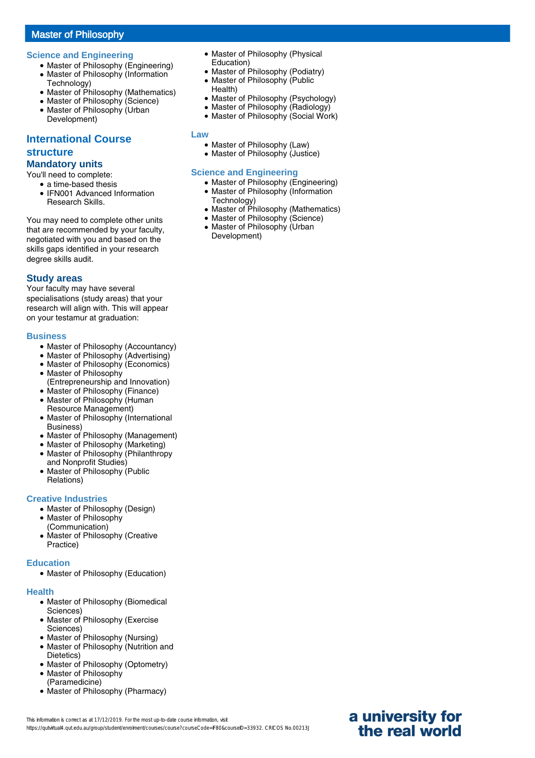# Master of Philosophy

#### **Science and Engineering**

- Master of Philosophy (Engineering)
- Master of Philosophy (Information Technology)
- Master of Philosophy (Mathematics)
- Master of Philosophy (Science)
- Master of Philosophy (Urban Development)

# **International Course structure**

# **Mandatory units**

You'll need to complete:

● a time-based thesis • IFN001 Advanced Information Research Skills.

You may need to complete other units that are recommended by your faculty, negotiated with you and based on the skills gaps identified in your research degree skills audit.

### **Study areas**

Your faculty may have several specialisations (study areas) that your research will align with. This will appear on your testamur at graduation:

#### **Business**

- Master of Philosophy (Accountancy)
- Master of Philosophy (Advertising)
- Master of Philosophy (Economics)
- Master of Philosophy
- (Entrepreneurship and Innovation)
- Master of Philosophy (Finance)
- Master of Philosophy (Human Resource Management)
- Master of Philosophy (International Business)
- Master of Philosophy (Management)
- **Master of Philosophy (Marketing)**
- Master of Philosophy (Philanthropy and Nonprofit Studies)  $\bullet$
- Master of Philosophy (Public Relations)

### **Creative Industries**

- Master of Philosophy (Design)
- Master of Philosophy
- (Communication)
- Master of Philosophy (Creative Practice)

#### **Education**

• Master of Philosophy (Education)

#### **Health**

- Master of Philosophy (Biomedical Sciences)
- Master of Philosophy (Exercise Sciences)
- Master of Philosophy (Nursing)
- Master of Philosophy (Nutrition and Dietetics)
- Master of Philosophy (Optometry)
- Master of Philosophy (Paramedicine)
- Master of Philosophy (Pharmacy)
- Master of Philosophy (Physical Education)
- Master of Philosophy (Podiatry)
- Master of Philosophy (Public Health)
- Master of Philosophy (Psychology)
- Master of Philosophy (Radiology)
- Master of Philosophy (Social Work)

**Law**

- Master of Philosophy (Law)
- Master of Philosophy (Justice)

## **Science and Engineering**

- Master of Philosophy (Engineering)
- Master of Philosophy (Information Technology)
- Master of Philosophy (Mathematics)
- Master of Philosophy (Science) • Master of Philosophy (Urban Development)